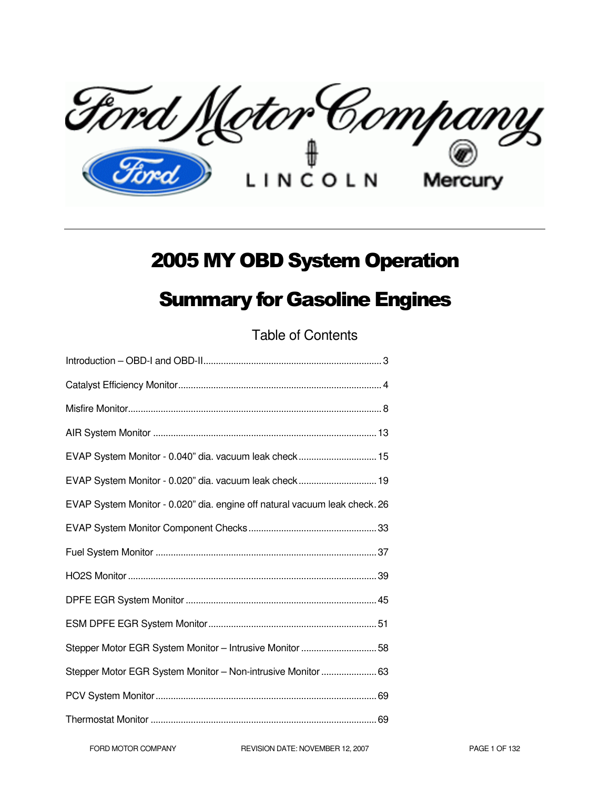Ford Metor Company

## 2005 MY OBD System Operation

## Summary for Gasoline Engines

Table of Contents

| EVAP System Monitor - 0.040" dia. vacuum leak check 15                     |
|----------------------------------------------------------------------------|
| EVAP System Monitor - 0.020" dia. vacuum leak check 19                     |
| EVAP System Monitor - 0.020" dia. engine off natural vacuum leak check. 26 |
|                                                                            |
|                                                                            |
|                                                                            |
|                                                                            |
|                                                                            |
| Stepper Motor EGR System Monitor - Intrusive Monitor 58                    |
| Stepper Motor EGR System Monitor - Non-intrusive Monitor  63               |
|                                                                            |
|                                                                            |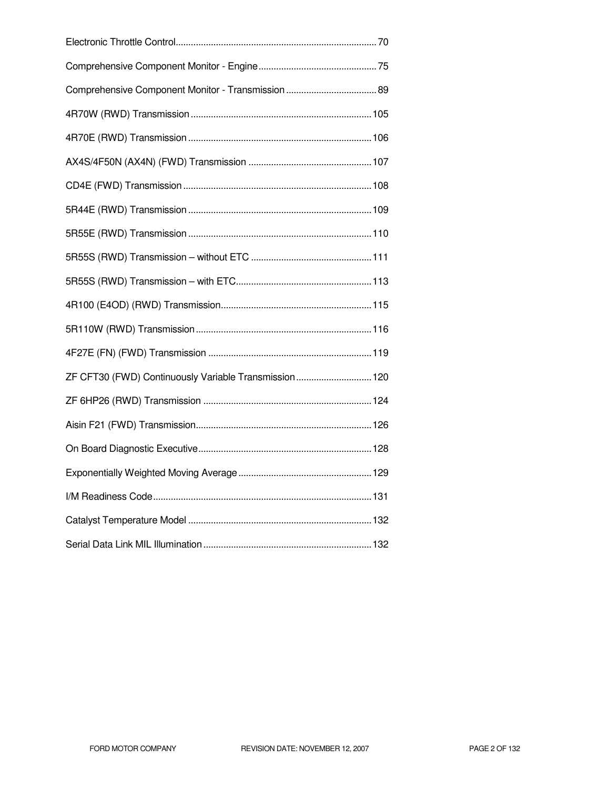| ZF CFT30 (FWD) Continuously Variable Transmission 120 |  |
|-------------------------------------------------------|--|
|                                                       |  |
|                                                       |  |
|                                                       |  |
|                                                       |  |
|                                                       |  |
|                                                       |  |
|                                                       |  |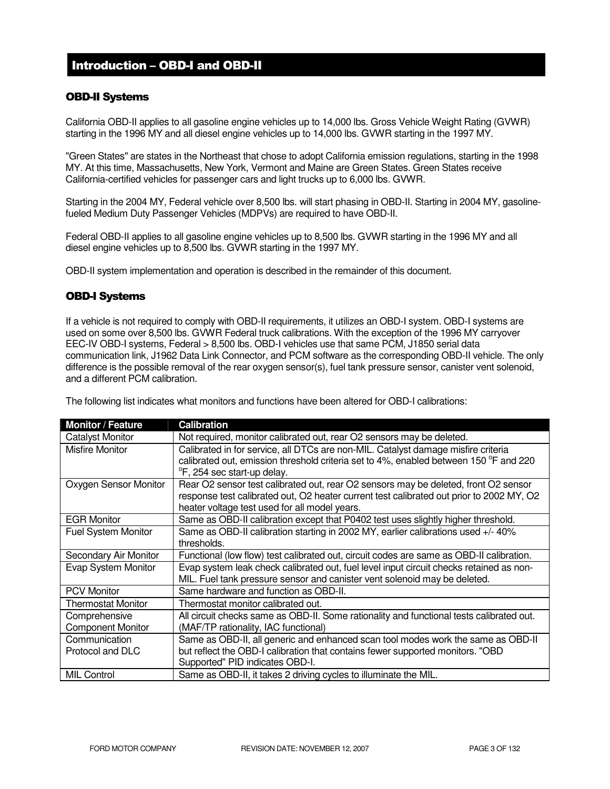## Introduction – OBD-I and OBD-II

#### OBD-II Systems

California OBD-II applies to all gasoline engine vehicles up to 14,000 lbs. Gross Vehicle Weight Rating (GVWR) starting in the 1996 MY and all diesel engine vehicles up to 14,000 lbs. GVWR starting in the 1997 MY.

"Green States" are states in the Northeast that chose to adopt California emission regulations, starting in the 1998 MY. At this time, Massachusetts, New York, Vermont and Maine are Green States. Green States receive California-certified vehicles for passenger cars and light trucks up to 6,000 lbs. GVWR.

Starting in the 2004 MY, Federal vehicle over 8,500 lbs. will start phasing in OBD-II. Starting in 2004 MY, gasolinefueled Medium Duty Passenger Vehicles (MDPVs) are required to have OBD-II.

Federal OBD-II applies to all gasoline engine vehicles up to 8,500 lbs. GVWR starting in the 1996 MY and all diesel engine vehicles up to 8,500 lbs. GVWR starting in the 1997 MY.

OBD-II system implementation and operation is described in the remainder of this document.

#### OBD-I Systems

If a vehicle is not required to comply with OBD-II requirements, it utilizes an OBD-I system. OBD-I systems are used on some over 8,500 lbs. GVWR Federal truck calibrations. With the exception of the 1996 MY carryover EEC-IV OBD-I systems, Federal > 8,500 lbs. OBD-I vehicles use that same PCM, J1850 serial data communication link, J1962 Data Link Connector, and PCM software as the corresponding OBD-II vehicle. The only difference is the possible removal of the rear oxygen sensor(s), fuel tank pressure sensor, canister vent solenoid, and a different PCM calibration.

The following list indicates what monitors and functions have been altered for OBD-I calibrations:

| <b>Monitor / Feature</b>   | <b>Calibration</b>                                                                       |
|----------------------------|------------------------------------------------------------------------------------------|
| <b>Catalyst Monitor</b>    | Not required, monitor calibrated out, rear O2 sensors may be deleted.                    |
| <b>Misfire Monitor</b>     | Calibrated in for service, all DTCs are non-MIL. Catalyst damage misfire criteria        |
|                            | calibrated out, emission threshold criteria set to 4%, enabled between 150 °F and 220    |
|                            | <sup>o</sup> F, 254 sec start-up delay.                                                  |
| Oxygen Sensor Monitor      | Rear O2 sensor test calibrated out, rear O2 sensors may be deleted, front O2 sensor      |
|                            | response test calibrated out, O2 heater current test calibrated out prior to 2002 MY, O2 |
|                            | heater voltage test used for all model years.                                            |
| <b>EGR Monitor</b>         | Same as OBD-II calibration except that P0402 test uses slightly higher threshold.        |
| <b>Fuel System Monitor</b> | Same as OBD-II calibration starting in 2002 MY, earlier calibrations used +/- 40%        |
|                            | thresholds.                                                                              |
| Secondary Air Monitor      | Functional (low flow) test calibrated out, circuit codes are same as OBD-II calibration. |
| Evap System Monitor        | Evap system leak check calibrated out, fuel level input circuit checks retained as non-  |
|                            | MIL. Fuel tank pressure sensor and canister vent solenoid may be deleted.                |
| <b>PCV Monitor</b>         | Same hardware and function as OBD-II.                                                    |
| <b>Thermostat Monitor</b>  | Thermostat monitor calibrated out.                                                       |
| Comprehensive              | All circuit checks same as OBD-II. Some rationality and functional tests calibrated out. |
| <b>Component Monitor</b>   | (MAF/TP rationality, IAC functional)                                                     |
| Communication              | Same as OBD-II, all generic and enhanced scan tool modes work the same as OBD-II         |
| Protocol and DLC           | but reflect the OBD-I calibration that contains fewer supported monitors. "OBD           |
|                            | Supported" PID indicates OBD-I.                                                          |
| <b>MIL Control</b>         | Same as OBD-II, it takes 2 driving cycles to illuminate the MIL.                         |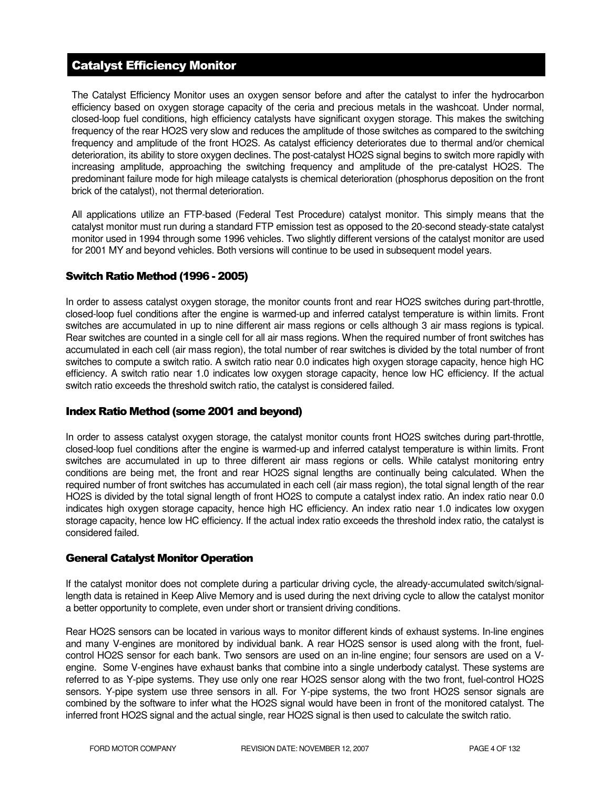## Catalyst Efficiency Monitor

The Catalyst Efficiency Monitor uses an oxygen sensor before and after the catalyst to infer the hydrocarbon efficiency based on oxygen storage capacity of the ceria and precious metals in the washcoat. Under normal, closed-loop fuel conditions, high efficiency catalysts have significant oxygen storage. This makes the switching frequency of the rear HO2S very slow and reduces the amplitude of those switches as compared to the switching frequency and amplitude of the front HO2S. As catalyst efficiency deteriorates due to thermal and/or chemical deterioration, its ability to store oxygen declines. The post-catalyst HO2S signal begins to switch more rapidly with increasing amplitude, approaching the switching frequency and amplitude of the pre-catalyst HO2S. The predominant failure mode for high mileage catalysts is chemical deterioration (phosphorus deposition on the front brick of the catalyst), not thermal deterioration.

All applications utilize an FTP-based (Federal Test Procedure) catalyst monitor. This simply means that the catalyst monitor must run during a standard FTP emission test as opposed to the 20-second steady-state catalyst monitor used in 1994 through some 1996 vehicles. Two slightly different versions of the catalyst monitor are used for 2001 MY and beyond vehicles. Both versions will continue to be used in subsequent model years.

#### Switch Ratio Method (1996 - 2005)

In order to assess catalyst oxygen storage, the monitor counts front and rear HO2S switches during part-throttle, closed-loop fuel conditions after the engine is warmed-up and inferred catalyst temperature is within limits. Front switches are accumulated in up to nine different air mass regions or cells although 3 air mass regions is typical. Rear switches are counted in a single cell for all air mass regions. When the required number of front switches has accumulated in each cell (air mass region), the total number of rear switches is divided by the total number of front switches to compute a switch ratio. A switch ratio near 0.0 indicates high oxygen storage capacity, hence high HC efficiency. A switch ratio near 1.0 indicates low oxygen storage capacity, hence low HC efficiency. If the actual switch ratio exceeds the threshold switch ratio, the catalyst is considered failed.

#### Index Ratio Method (some 2001 and beyond)

In order to assess catalyst oxygen storage, the catalyst monitor counts front HO2S switches during part-throttle, closed-loop fuel conditions after the engine is warmed-up and inferred catalyst temperature is within limits. Front switches are accumulated in up to three different air mass regions or cells. While catalyst monitoring entry conditions are being met, the front and rear HO2S signal lengths are continually being calculated. When the required number of front switches has accumulated in each cell (air mass region), the total signal length of the rear HO2S is divided by the total signal length of front HO2S to compute a catalyst index ratio. An index ratio near 0.0 indicates high oxygen storage capacity, hence high HC efficiency. An index ratio near 1.0 indicates low oxygen storage capacity, hence low HC efficiency. If the actual index ratio exceeds the threshold index ratio, the catalyst is considered failed.

#### General Catalyst Monitor Operation

If the catalyst monitor does not complete during a particular driving cycle, the already-accumulated switch/signallength data is retained in Keep Alive Memory and is used during the next driving cycle to allow the catalyst monitor a better opportunity to complete, even under short or transient driving conditions.

Rear HO2S sensors can be located in various ways to monitor different kinds of exhaust systems. In-line engines and many V-engines are monitored by individual bank. A rear HO2S sensor is used along with the front, fuelcontrol HO2S sensor for each bank. Two sensors are used on an in-line engine; four sensors are used on a Vengine. Some V-engines have exhaust banks that combine into a single underbody catalyst. These systems are referred to as Y-pipe systems. They use only one rear HO2S sensor along with the two front, fuel-control HO2S sensors. Y-pipe system use three sensors in all. For Y-pipe systems, the two front HO2S sensor signals are combined by the software to infer what the HO2S signal would have been in front of the monitored catalyst. The inferred front HO2S signal and the actual single, rear HO2S signal is then used to calculate the switch ratio.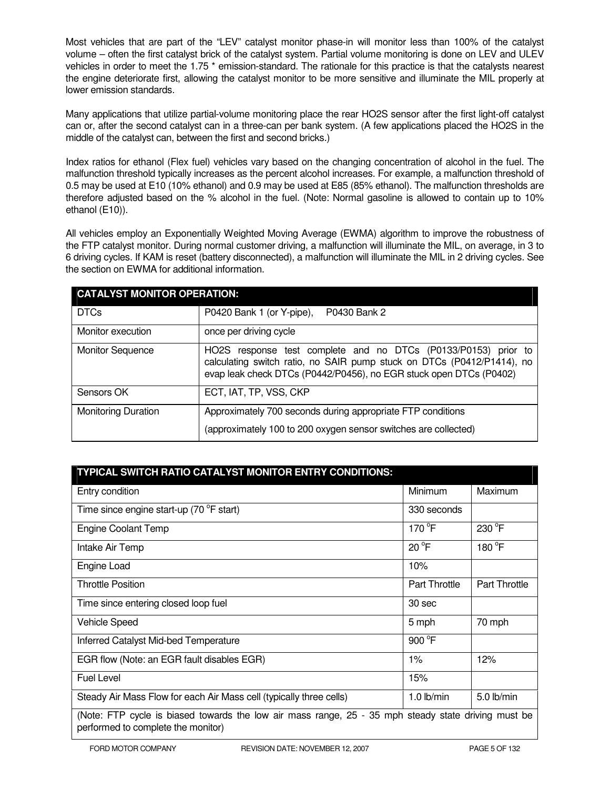Most vehicles that are part of the "LEV" catalyst monitor phase-in will monitor less than 100% of the catalyst volume – often the first catalyst brick of the catalyst system. Partial volume monitoring is done on LEV and ULEV vehicles in order to meet the 1.75<sup>\*</sup> emission-standard. The rationale for this practice is that the catalysts nearest the engine deteriorate first, allowing the catalyst monitor to be more sensitive and illuminate the MIL properly at lower emission standards.

Many applications that utilize partial-volume monitoring place the rear HO2S sensor after the first light-off catalyst can or, after the second catalyst can in a three-can per bank system. (A few applications placed the HO2S in the middle of the catalyst can, between the first and second bricks.)

Index ratios for ethanol (Flex fuel) vehicles vary based on the changing concentration of alcohol in the fuel. The malfunction threshold typically increases as the percent alcohol increases. For example, a malfunction threshold of 0.5 may be used at E10 (10% ethanol) and 0.9 may be used at E85 (85% ethanol). The malfunction thresholds are therefore adjusted based on the % alcohol in the fuel. (Note: Normal gasoline is allowed to contain up to 10% ethanol (E10)).

All vehicles employ an Exponentially Weighted Moving Average (EWMA) algorithm to improve the robustness of the FTP catalyst monitor. During normal customer driving, a malfunction will illuminate the MIL, on average, in 3 to 6 driving cycles. If KAM is reset (battery disconnected), a malfunction will illuminate the MIL in 2 driving cycles. See the section on EWMA for additional information.

| <b>CATALYST MONITOR OPERATION:</b> |                                                                                                                                                                                                                |  |  |  |
|------------------------------------|----------------------------------------------------------------------------------------------------------------------------------------------------------------------------------------------------------------|--|--|--|
| <b>DTCs</b>                        | P0420 Bank 1 (or Y-pipe),<br>P0430 Bank 2                                                                                                                                                                      |  |  |  |
| Monitor execution                  | once per driving cycle                                                                                                                                                                                         |  |  |  |
| <b>Monitor Sequence</b>            | HO2S response test complete and no DTCs (P0133/P0153) prior to<br>calculating switch ratio, no SAIR pump stuck on DTCs (P0412/P1414), no<br>evap leak check DTCs (P0442/P0456), no EGR stuck open DTCs (P0402) |  |  |  |
| Sensors OK                         | ECT, IAT, TP, VSS, CKP                                                                                                                                                                                         |  |  |  |
| <b>Monitoring Duration</b>         | Approximately 700 seconds during appropriate FTP conditions<br>(approximately 100 to 200 oxygen sensor switches are collected)                                                                                 |  |  |  |

| TYPICAL SWITCH RATIO CATALYST MONITOR ENTRY CONDITIONS:                                                                                   |               |                      |  |
|-------------------------------------------------------------------------------------------------------------------------------------------|---------------|----------------------|--|
| Entry condition                                                                                                                           | Minimum       | Maximum              |  |
| Time since engine start-up (70 °F start)                                                                                                  | 330 seconds   |                      |  |
| <b>Engine Coolant Temp</b>                                                                                                                | 170 °F        | 230 °F               |  |
| Intake Air Temp                                                                                                                           | $20^{\circ}F$ | 180 °F               |  |
| Engine Load                                                                                                                               | 10%           |                      |  |
| <b>Throttle Position</b>                                                                                                                  | Part Throttle | <b>Part Throttle</b> |  |
| Time since entering closed loop fuel                                                                                                      | 30 sec        |                      |  |
| <b>Vehicle Speed</b>                                                                                                                      | 5 mph         | 70 mph               |  |
| Inferred Catalyst Mid-bed Temperature                                                                                                     | 900 °F        |                      |  |
| EGR flow (Note: an EGR fault disables EGR)                                                                                                | 1%            | 12%                  |  |
| <b>Fuel Level</b>                                                                                                                         | 15%           |                      |  |
| Steady Air Mass Flow for each Air Mass cell (typically three cells)                                                                       | $1.0$ lb/min  | $5.0$ lb/min         |  |
| (Note: FTP cycle is biased towards the low air mass range, 25 - 35 mph steady state driving must be<br>performed to complete the monitor) |               |                      |  |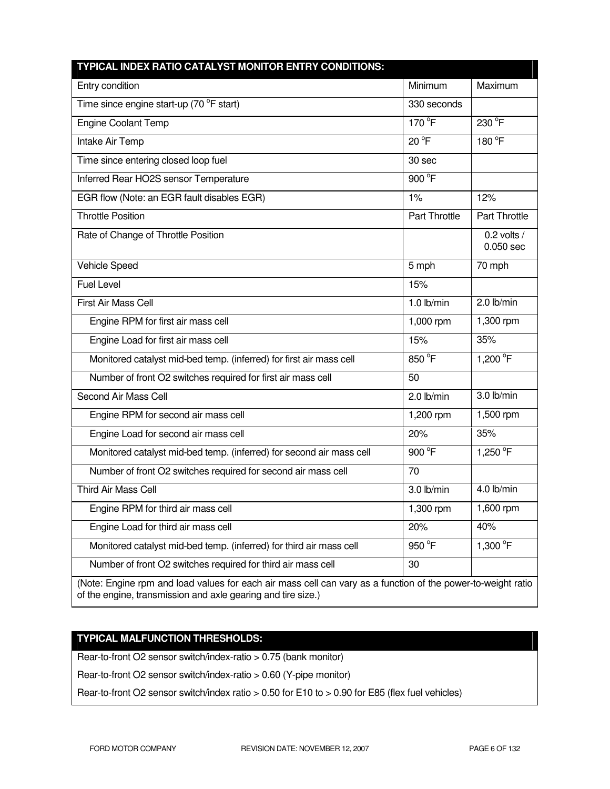| TYPICAL INDEX RATIO CATALYST MONITOR ENTRY CONDITIONS:                                                                                                                       |                |                              |
|------------------------------------------------------------------------------------------------------------------------------------------------------------------------------|----------------|------------------------------|
| Entry condition                                                                                                                                                              | Minimum        | Maximum                      |
| Time since engine start-up (70 °F start)                                                                                                                                     | 330 seconds    |                              |
| <b>Engine Coolant Temp</b>                                                                                                                                                   | 170 °F         | 230 °F                       |
| Intake Air Temp                                                                                                                                                              | $20^{\circ}$ F | 180 °F                       |
| Time since entering closed loop fuel                                                                                                                                         | 30 sec         |                              |
| Inferred Rear HO2S sensor Temperature                                                                                                                                        | 900 °F         |                              |
| EGR flow (Note: an EGR fault disables EGR)                                                                                                                                   | $1\%$          | 12%                          |
| <b>Throttle Position</b>                                                                                                                                                     | Part Throttle  | Part Throttle                |
| Rate of Change of Throttle Position                                                                                                                                          |                | 0.2 volts $/$<br>$0.050$ sec |
| Vehicle Speed                                                                                                                                                                | 5 mph          | 70 mph                       |
| <b>Fuel Level</b>                                                                                                                                                            | 15%            |                              |
| <b>First Air Mass Cell</b>                                                                                                                                                   | $1.0$ lb/min   | 2.0 lb/min                   |
| Engine RPM for first air mass cell                                                                                                                                           | 1,000 rpm      | 1,300 rpm                    |
| Engine Load for first air mass cell                                                                                                                                          | 15%            | 35%                          |
| Monitored catalyst mid-bed temp. (inferred) for first air mass cell                                                                                                          | 850 °F         | 1,200 °F                     |
| Number of front O2 switches required for first air mass cell                                                                                                                 | 50             |                              |
| Second Air Mass Cell                                                                                                                                                         | 2.0 lb/min     | 3.0 lb/min                   |
| Engine RPM for second air mass cell                                                                                                                                          | 1,200 rpm      | 1,500 rpm                    |
| Engine Load for second air mass cell                                                                                                                                         | 20%            | 35%                          |
| Monitored catalyst mid-bed temp. (inferred) for second air mass cell                                                                                                         | 900 °F         | 1,250 °F                     |
| Number of front O2 switches required for second air mass cell                                                                                                                | 70             |                              |
| <b>Third Air Mass Cell</b>                                                                                                                                                   | 3.0 lb/min     | 4.0 lb/min                   |
| Engine RPM for third air mass cell                                                                                                                                           | 1,300 rpm      | 1,600 rpm                    |
| Engine Load for third air mass cell                                                                                                                                          | 20%            | 40%                          |
| Monitored catalyst mid-bed temp. (inferred) for third air mass cell                                                                                                          | 950 °F         | 1,300 °F                     |
| Number of front O2 switches required for third air mass cell                                                                                                                 | 30             |                              |
| (Note: Engine rpm and load values for each air mass cell can vary as a function of the power-to-weight ratio<br>of the engine, transmission and axle gearing and tire size.) |                |                              |

## **TYPICAL MALFUNCTION THRESHOLDS:**

Rear-to-front O2 sensor switch/index-ratio > 0.75 (bank monitor)

Rear-to-front O2 sensor switch/index-ratio > 0.60 (Y-pipe monitor)

Rear-to-front O2 sensor switch/index ratio > 0.50 for E10 to > 0.90 for E85 (flex fuel vehicles)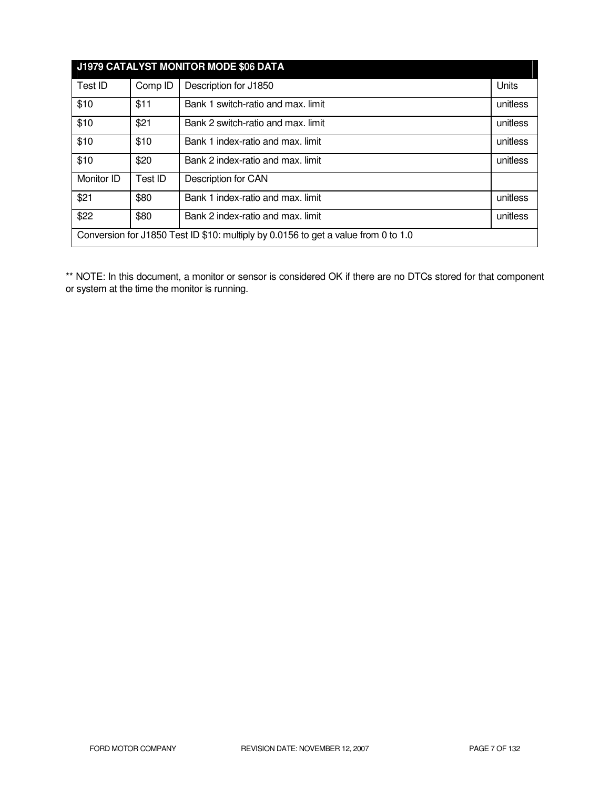| J1979 CATALYST MONITOR MODE \$06 DATA                                              |         |                                    |          |  |
|------------------------------------------------------------------------------------|---------|------------------------------------|----------|--|
| Test ID                                                                            | Comp ID | Description for J1850              | Units    |  |
| \$10                                                                               | \$11    | Bank 1 switch-ratio and max. limit | unitless |  |
| \$10                                                                               | \$21    | Bank 2 switch-ratio and max. limit | unitless |  |
| \$10                                                                               | \$10    | Bank 1 index-ratio and max. limit  | unitless |  |
| \$10                                                                               | \$20    | Bank 2 index-ratio and max. limit  | unitless |  |
| Monitor ID                                                                         | Test ID | Description for CAN                |          |  |
| \$21                                                                               | \$80    | Bank 1 index-ratio and max. limit  | unitless |  |
| \$22                                                                               | \$80    | Bank 2 index-ratio and max. limit  | unitless |  |
| Conversion for J1850 Test ID \$10: multiply by 0.0156 to get a value from 0 to 1.0 |         |                                    |          |  |

\*\* NOTE: In this document, a monitor or sensor is considered OK if there are no DTCs stored for that component or system at the time the monitor is running.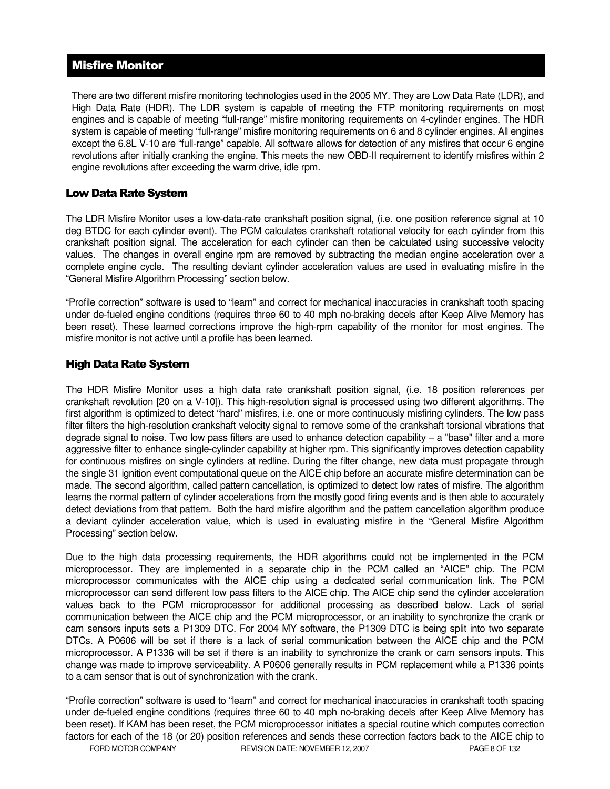## Misfire Monitor

There are two different misfire monitoring technologies used in the 2005 MY. They are Low Data Rate (LDR), and High Data Rate (HDR). The LDR system is capable of meeting the FTP monitoring requirements on most engines and is capable of meeting "full-range" misfire monitoring requirements on 4-cylinder engines. The HDR system is capable of meeting "full-range" misfire monitoring requirements on 6 and 8 cylinder engines. All engines except the 6.8L V-10 are "full-range" capable. All software allows for detection of any misfires that occur 6 engine revolutions after initially cranking the engine. This meets the new OBD-II requirement to identify misfires within 2 engine revolutions after exceeding the warm drive, idle rpm.

### Low Data Rate System

The LDR Misfire Monitor uses a low-data-rate crankshaft position signal, (i.e. one position reference signal at 10 deg BTDC for each cylinder event). The PCM calculates crankshaft rotational velocity for each cylinder from this crankshaft position signal. The acceleration for each cylinder can then be calculated using successive velocity values. The changes in overall engine rpm are removed by subtracting the median engine acceleration over a complete engine cycle. The resulting deviant cylinder acceleration values are used in evaluating misfire in the "General Misfire Algorithm Processing" section below.

"Profile correction" software is used to "learn" and correct for mechanical inaccuracies in crankshaft tooth spacing under de-fueled engine conditions (requires three 60 to 40 mph no-braking decels after Keep Alive Memory has been reset). These learned corrections improve the high-rpm capability of the monitor for most engines. The misfire monitor is not active until a profile has been learned.

### High Data Rate System

The HDR Misfire Monitor uses a high data rate crankshaft position signal, (i.e. 18 position references per crankshaft revolution [20 on a V-10]). This high-resolution signal is processed using two different algorithms. The first algorithm is optimized to detect "hard" misfires, i.e. one or more continuously misfiring cylinders. The low pass filter filters the high-resolution crankshaft velocity signal to remove some of the crankshaft torsional vibrations that degrade signal to noise. Two low pass filters are used to enhance detection capability – a "base" filter and a more aggressive filter to enhance single-cylinder capability at higher rpm. This significantly improves detection capability for continuous misfires on single cylinders at redline. During the filter change, new data must propagate through the single 31 ignition event computational queue on the AICE chip before an accurate misfire determination can be made. The second algorithm, called pattern cancellation, is optimized to detect low rates of misfire. The algorithm learns the normal pattern of cylinder accelerations from the mostly good firing events and is then able to accurately detect deviations from that pattern. Both the hard misfire algorithm and the pattern cancellation algorithm produce a deviant cylinder acceleration value, which is used in evaluating misfire in the "General Misfire Algorithm Processing" section below.

Due to the high data processing requirements, the HDR algorithms could not be implemented in the PCM microprocessor. They are implemented in a separate chip in the PCM called an "AICE" chip. The PCM microprocessor communicates with the AICE chip using a dedicated serial communication link. The PCM microprocessor can send different low pass filters to the AICE chip. The AICE chip send the cylinder acceleration values back to the PCM microprocessor for additional processing as described below. Lack of serial communication between the AICE chip and the PCM microprocessor, or an inability to synchronize the crank or cam sensors inputs sets a P1309 DTC. For 2004 MY software, the P1309 DTC is being split into two separate DTCs. A P0606 will be set if there is a lack of serial communication between the AICE chip and the PCM microprocessor. A P1336 will be set if there is an inability to synchronize the crank or cam sensors inputs. This change was made to improve serviceability. A P0606 generally results in PCM replacement while a P1336 points to a cam sensor that is out of synchronization with the crank.

FORD MOTOR COMPANY REVISION DATE: NOVEMBER 12, 2007 PAGE 8 OF 132 "Profile correction" software is used to "learn" and correct for mechanical inaccuracies in crankshaft tooth spacing under de-fueled engine conditions (requires three 60 to 40 mph no-braking decels after Keep Alive Memory has been reset). If KAM has been reset, the PCM microprocessor initiates a special routine which computes correction factors for each of the 18 (or 20) position references and sends these correction factors back to the AICE chip to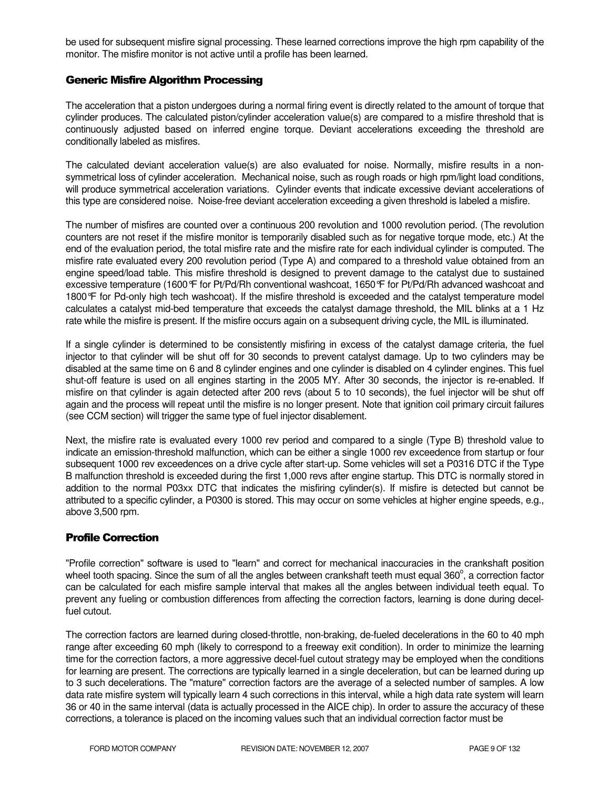be used for subsequent misfire signal processing. These learned corrections improve the high rpm capability of the monitor. The misfire monitor is not active until a profile has been learned.

#### Generic Misfire Algorithm Processing

The acceleration that a piston undergoes during a normal firing event is directly related to the amount of torque that cylinder produces. The calculated piston/cylinder acceleration value(s) are compared to a misfire threshold that is continuously adjusted based on inferred engine torque. Deviant accelerations exceeding the threshold are conditionally labeled as misfires.

The calculated deviant acceleration value(s) are also evaluated for noise. Normally, misfire results in a nonsymmetrical loss of cylinder acceleration. Mechanical noise, such as rough roads or high rpm/light load conditions, will produce symmetrical acceleration variations. Cylinder events that indicate excessive deviant accelerations of this type are considered noise. Noise-free deviant acceleration exceeding a given threshold is labeled a misfire.

The number of misfires are counted over a continuous 200 revolution and 1000 revolution period. (The revolution counters are not reset if the misfire monitor is temporarily disabled such as for negative torque mode, etc.) At the end of the evaluation period, the total misfire rate and the misfire rate for each individual cylinder is computed. The misfire rate evaluated every 200 revolution period (Type A) and compared to a threshold value obtained from an engine speed/load table. This misfire threshold is designed to prevent damage to the catalyst due to sustained excessive temperature (1600°F for Pt/Pd/Rh conventional washcoat, 1650°F for Pt/Pd/Rh advanced washcoat and 1800°F for Pd-only high tech washcoat). If the misfire threshold is exceeded and the catalyst temperature model calculates a catalyst mid-bed temperature that exceeds the catalyst damage threshold, the MIL blinks at a 1 Hz rate while the misfire is present. If the misfire occurs again on a subsequent driving cycle, the MIL is illuminated.

If a single cylinder is determined to be consistently misfiring in excess of the catalyst damage criteria, the fuel injector to that cylinder will be shut off for 30 seconds to prevent catalyst damage. Up to two cylinders may be disabled at the same time on 6 and 8 cylinder engines and one cylinder is disabled on 4 cylinder engines. This fuel shut-off feature is used on all engines starting in the 2005 MY. After 30 seconds, the injector is re-enabled. If misfire on that cylinder is again detected after 200 revs (about 5 to 10 seconds), the fuel injector will be shut off again and the process will repeat until the misfire is no longer present. Note that ignition coil primary circuit failures (see CCM section) will trigger the same type of fuel injector disablement.

Next, the misfire rate is evaluated every 1000 rev period and compared to a single (Type B) threshold value to indicate an emission-threshold malfunction, which can be either a single 1000 rev exceedence from startup or four subsequent 1000 rev exceedences on a drive cycle after start-up. Some vehicles will set a P0316 DTC if the Type B malfunction threshold is exceeded during the first 1,000 revs after engine startup. This DTC is normally stored in addition to the normal P03xx DTC that indicates the misfiring cylinder(s). If misfire is detected but cannot be attributed to a specific cylinder, a P0300 is stored. This may occur on some vehicles at higher engine speeds, e.g., above 3,500 rpm.

## Profile Correction

"Profile correction" software is used to "learn" and correct for mechanical inaccuracies in the crankshaft position wheel tooth spacing. Since the sum of all the angles between crankshaft teeth must equal 360 $^{\circ}$ , a correction factor can be calculated for each misfire sample interval that makes all the angles between individual teeth equal. To prevent any fueling or combustion differences from affecting the correction factors, learning is done during decelfuel cutout.

The correction factors are learned during closed-throttle, non-braking, de-fueled decelerations in the 60 to 40 mph range after exceeding 60 mph (likely to correspond to a freeway exit condition). In order to minimize the learning time for the correction factors, a more aggressive decel-fuel cutout strategy may be employed when the conditions for learning are present. The corrections are typically learned in a single deceleration, but can be learned during up to 3 such decelerations. The "mature" correction factors are the average of a selected number of samples. A low data rate misfire system will typically learn 4 such corrections in this interval, while a high data rate system will learn 36 or 40 in the same interval (data is actually processed in the AICE chip). In order to assure the accuracy of these corrections, a tolerance is placed on the incoming values such that an individual correction factor must be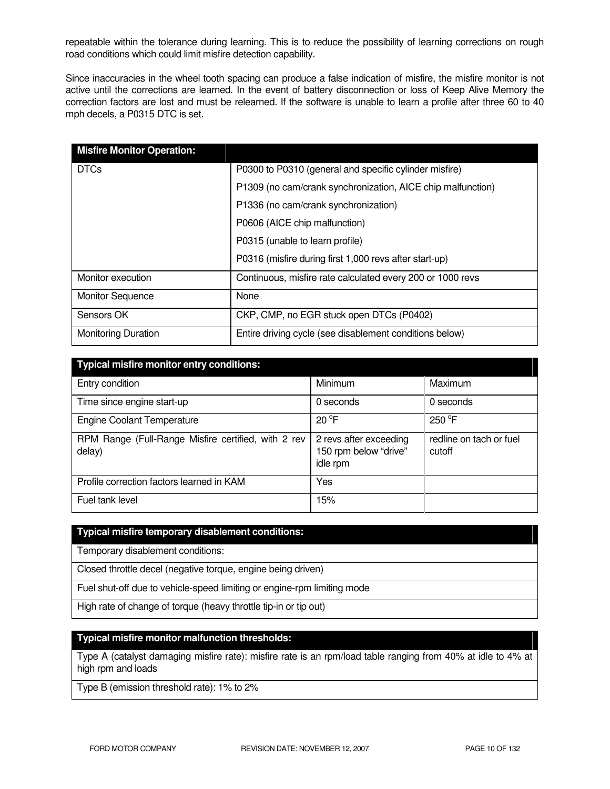repeatable within the tolerance during learning. This is to reduce the possibility of learning corrections on rough road conditions which could limit misfire detection capability.

Since inaccuracies in the wheel tooth spacing can produce a false indication of misfire, the misfire monitor is not active until the corrections are learned. In the event of battery disconnection or loss of Keep Alive Memory the correction factors are lost and must be relearned. If the software is unable to learn a profile after three 60 to 40 mph decels, a P0315 DTC is set.

| <b>Misfire Monitor Operation:</b> |                                                             |
|-----------------------------------|-------------------------------------------------------------|
| <b>DTCs</b>                       | P0300 to P0310 (general and specific cylinder misfire)      |
|                                   | P1309 (no cam/crank synchronization, AICE chip malfunction) |
|                                   | P1336 (no cam/crank synchronization)                        |
|                                   | P0606 (AICE chip malfunction)                               |
|                                   | P0315 (unable to learn profile)                             |
|                                   | P0316 (misfire during first 1,000 revs after start-up)      |
| Monitor execution                 | Continuous, misfire rate calculated every 200 or 1000 revs  |
| <b>Monitor Sequence</b>           | None                                                        |
| Sensors OK                        | CKP, CMP, no EGR stuck open DTCs (P0402)                    |
| <b>Monitoring Duration</b>        | Entire driving cycle (see disablement conditions below)     |

| <b>Typical misfire monitor entry conditions:</b>              |                                                             |                                   |  |  |  |
|---------------------------------------------------------------|-------------------------------------------------------------|-----------------------------------|--|--|--|
| Entry condition                                               | Minimum                                                     | Maximum                           |  |  |  |
| Time since engine start-up                                    | 0 seconds                                                   | 0 seconds                         |  |  |  |
| <b>Engine Coolant Temperature</b>                             | $20^{\circ}$ F                                              | $250^{\circ}$ F                   |  |  |  |
| RPM Range (Full-Range Misfire certified, with 2 rev<br>delay) | 2 revs after exceeding<br>150 rpm below "drive"<br>idle rpm | redline on tach or fuel<br>cutoff |  |  |  |
| Profile correction factors learned in KAM                     | Yes                                                         |                                   |  |  |  |
| Fuel tank level                                               | 15%                                                         |                                   |  |  |  |

#### **Typical misfire temporary disablement conditions:**

Temporary disablement conditions:

Closed throttle decel (negative torque, engine being driven)

Fuel shut-off due to vehicle-speed limiting or engine-rpm limiting mode

High rate of change of torque (heavy throttle tip-in or tip out)

#### **Typical misfire monitor malfunction thresholds:**

Type A (catalyst damaging misfire rate): misfire rate is an rpm/load table ranging from 40% at idle to 4% at high rpm and loads

Type B (emission threshold rate): 1% to 2%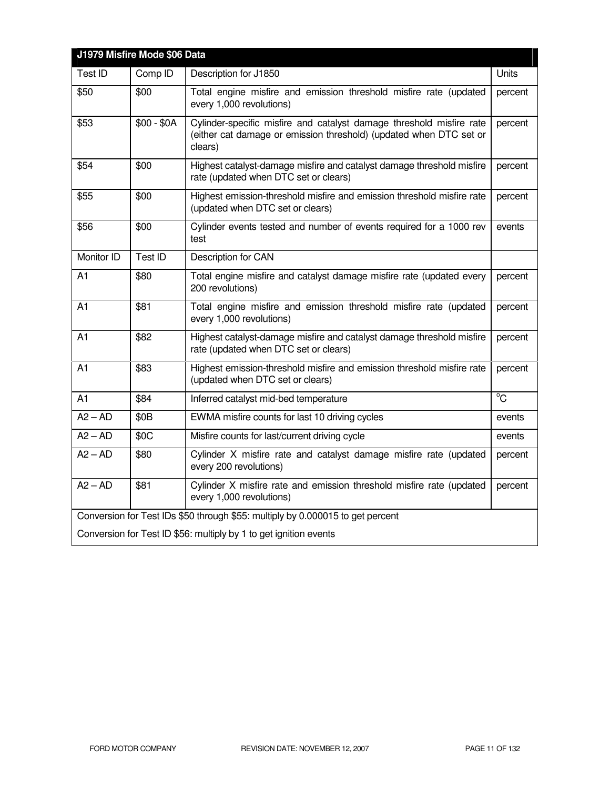| J1979 Misfire Mode \$06 Data                                                   |                  |                                                                                                                                                       |                |  |
|--------------------------------------------------------------------------------|------------------|-------------------------------------------------------------------------------------------------------------------------------------------------------|----------------|--|
| Test ID                                                                        | Comp ID          | Description for J1850                                                                                                                                 | Units          |  |
| \$50                                                                           | \$00             | Total engine misfire and emission threshold misfire rate (updated<br>every 1,000 revolutions)                                                         | percent        |  |
| \$53                                                                           | $$00 - $0A$      | Cylinder-specific misfire and catalyst damage threshold misfire rate<br>(either cat damage or emission threshold) (updated when DTC set or<br>clears) | percent        |  |
| \$54                                                                           | \$00             | Highest catalyst-damage misfire and catalyst damage threshold misfire<br>rate (updated when DTC set or clears)                                        | percent        |  |
| \$55                                                                           | \$00             | Highest emission-threshold misfire and emission threshold misfire rate<br>(updated when DTC set or clears)                                            | percent        |  |
| \$56                                                                           | \$00             | Cylinder events tested and number of events required for a 1000 rev<br>test                                                                           | events         |  |
| Monitor ID                                                                     | Test ID          | Description for CAN                                                                                                                                   |                |  |
| A1                                                                             | \$80             | Total engine misfire and catalyst damage misfire rate (updated every<br>200 revolutions)                                                              | percent        |  |
| A <sub>1</sub>                                                                 | \$81             | Total engine misfire and emission threshold misfire rate (updated<br>every 1,000 revolutions)                                                         | percent        |  |
| A <sub>1</sub>                                                                 | \$82             | Highest catalyst-damage misfire and catalyst damage threshold misfire<br>rate (updated when DTC set or clears)                                        | percent        |  |
| A1                                                                             | \$83             | Highest emission-threshold misfire and emission threshold misfire rate<br>(updated when DTC set or clears)                                            | percent        |  |
| A1                                                                             | \$84             | Inferred catalyst mid-bed temperature                                                                                                                 | $\overline{C}$ |  |
| $A2 - AD$                                                                      | \$0 <sub>B</sub> | EWMA misfire counts for last 10 driving cycles                                                                                                        | events         |  |
| $A2 - AD$                                                                      | \$0C             | Misfire counts for last/current driving cycle                                                                                                         | events         |  |
| $A2 - AD$                                                                      | \$80             | Cylinder X misfire rate and catalyst damage misfire rate (updated<br>every 200 revolutions)                                                           | percent        |  |
| $A2 - AD$                                                                      | \$81             | Cylinder X misfire rate and emission threshold misfire rate (updated<br>every 1,000 revolutions)                                                      | percent        |  |
| Conversion for Test IDs \$50 through \$55: multiply by 0.000015 to get percent |                  |                                                                                                                                                       |                |  |
| Conversion for Test ID \$56: multiply by 1 to get ignition events              |                  |                                                                                                                                                       |                |  |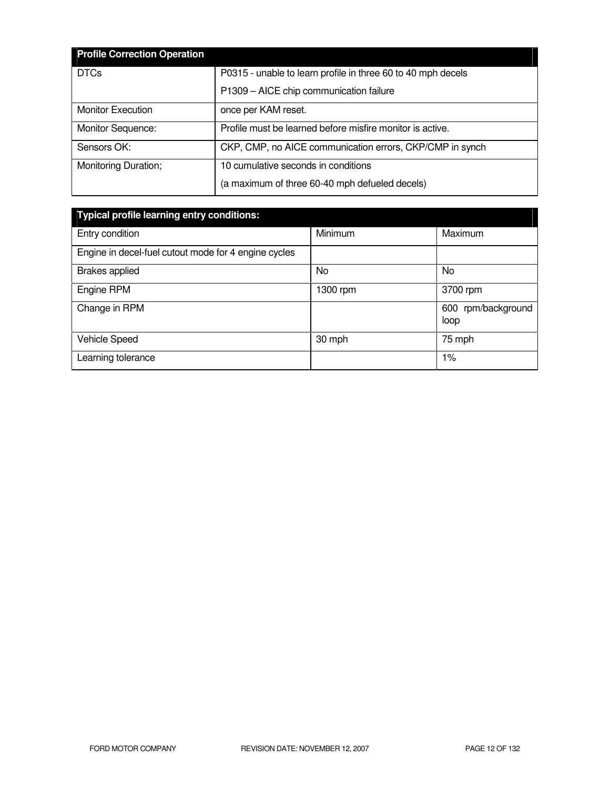| <b>Profile Correction Operation</b> |                                                              |
|-------------------------------------|--------------------------------------------------------------|
| <b>DTCs</b>                         | P0315 - unable to learn profile in three 60 to 40 mph decels |
|                                     | P1309 - AICE chip communication failure                      |
| <b>Monitor Execution</b>            | once per KAM reset.                                          |
| Monitor Sequence:                   | Profile must be learned before misfire monitor is active.    |
| Sensors OK:                         | CKP, CMP, no AICE communication errors, CKP/CMP in synch     |
| Monitoring Duration;                | 10 cumulative seconds in conditions                          |
|                                     | (a maximum of three 60-40 mph defueled decels)               |

| <b>Typical profile learning entry conditions:</b>    |          |                            |  |  |
|------------------------------------------------------|----------|----------------------------|--|--|
| Entry condition                                      | Minimum  | Maximum                    |  |  |
| Engine in decel-fuel cutout mode for 4 engine cycles |          |                            |  |  |
| <b>Brakes applied</b>                                | No       | <b>No</b>                  |  |  |
| Engine RPM                                           | 1300 rpm | 3700 rpm                   |  |  |
| Change in RPM                                        |          | 600 rpm/background<br>loop |  |  |
| <b>Vehicle Speed</b>                                 | 30 mph   | 75 mph                     |  |  |
| Learning tolerance                                   |          | $1\%$                      |  |  |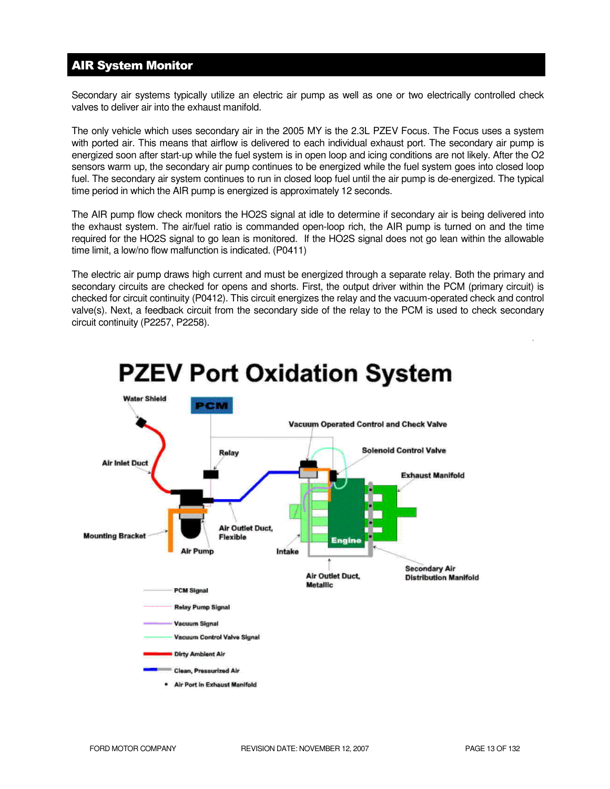## AIR System Monitor

Secondary air systems typically utilize an electric air pump as well as one or two electrically controlled check valves to deliver air into the exhaust manifold.

The only vehicle which uses secondary air in the 2005 MY is the 2.3L PZEV Focus. The Focus uses a system with ported air. This means that airflow is delivered to each individual exhaust port. The secondary air pump is energized soon after start-up while the fuel system is in open loop and icing conditions are not likely. After the O2 sensors warm up, the secondary air pump continues to be energized while the fuel system goes into closed loop fuel. The secondary air system continues to run in closed loop fuel until the air pump is de-energized. The typical time period in which the AIR pump is energized is approximately 12 seconds.

The AIR pump flow check monitors the HO2S signal at idle to determine if secondary air is being delivered into the exhaust system. The air/fuel ratio is commanded open-loop rich, the AIR pump is turned on and the time required for the HO2S signal to go lean is monitored. If the HO2S signal does not go lean within the allowable time limit, a low/no flow malfunction is indicated. (P0411)

The electric air pump draws high current and must be energized through a separate relay. Both the primary and secondary circuits are checked for opens and shorts. First, the output driver within the PCM (primary circuit) is checked for circuit continuity (P0412). This circuit energizes the relay and the vacuum-operated check and control valve(s). Next, a feedback circuit from the secondary side of the relay to the PCM is used to check secondary circuit continuity (P2257, P2258).



# **PZEV Port Oxidation System**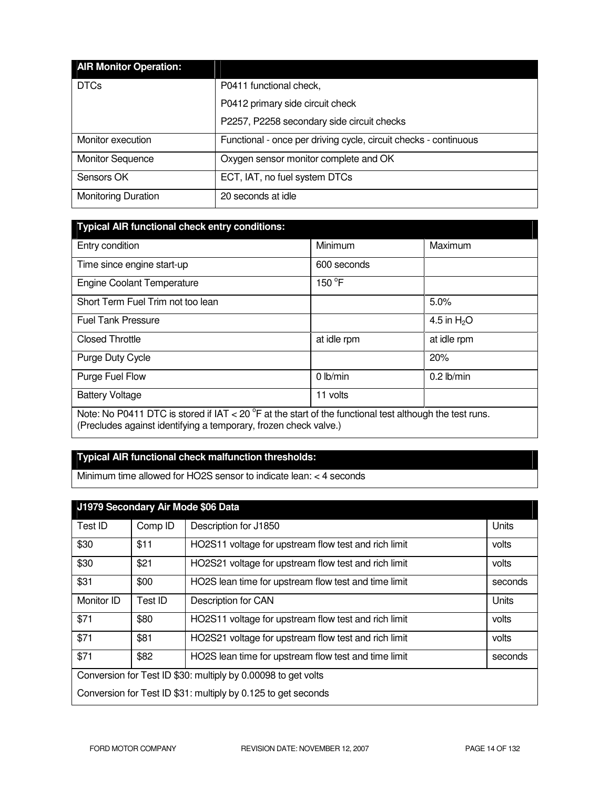| <b>AIR Monitor Operation:</b> |                                                                  |
|-------------------------------|------------------------------------------------------------------|
| <b>DTCs</b>                   | P0411 functional check,                                          |
|                               | P0412 primary side circuit check                                 |
|                               | P2257, P2258 secondary side circuit checks                       |
| Monitor execution             | Functional - once per driving cycle, circuit checks - continuous |
| <b>Monitor Sequence</b>       | Oxygen sensor monitor complete and OK                            |
| Sensors OK                    | ECT, IAT, no fuel system DTCs                                    |
| <b>Monitoring Duration</b>    | 20 seconds at idle                                               |

| Typical AIR functional check entry conditions: |  |
|------------------------------------------------|--|

| . .                                                                                                                  |             |               |  |  |
|----------------------------------------------------------------------------------------------------------------------|-------------|---------------|--|--|
| Entry condition                                                                                                      | Minimum     | Maximum       |  |  |
| Time since engine start-up                                                                                           | 600 seconds |               |  |  |
| <b>Engine Coolant Temperature</b>                                                                                    | 150 °F      |               |  |  |
| Short Term Fuel Trim not too lean                                                                                    |             | 5.0%          |  |  |
| <b>Fuel Tank Pressure</b>                                                                                            |             | 4.5 in $H_2O$ |  |  |
| <b>Closed Throttle</b>                                                                                               | at idle rpm | at idle rpm   |  |  |
| Purge Duty Cycle                                                                                                     |             | 20%           |  |  |
| Purge Fuel Flow                                                                                                      | 0 lb/min    | $0.2$ lb/min  |  |  |
| <b>Battery Voltage</b>                                                                                               | 11 volts    |               |  |  |
| Note: No P0411 DTC is stored if IAT < 20 $\textdegree$ F at the start of the functional test although the test runs. |             |               |  |  |
| (Precludes against identifying a temporary, frozen check valve.)                                                     |             |               |  |  |

## **Typical AIR functional check malfunction thresholds:**

Minimum time allowed for HO2S sensor to indicate lean: < 4 seconds

| J1979 Secondary Air Mode \$06 Data                            |         |                                                               |         |
|---------------------------------------------------------------|---------|---------------------------------------------------------------|---------|
| Test ID                                                       | Comp ID | Description for J1850                                         | Units   |
| \$30                                                          | \$11    | HO2S11 voltage for upstream flow test and rich limit          | volts   |
| \$30                                                          | \$21    | HO2S21 voltage for upstream flow test and rich limit          | volts   |
| \$31                                                          | \$00    | HO2S lean time for upstream flow test and time limit          | seconds |
| Monitor ID                                                    | Test ID | Description for CAN                                           | Units   |
| \$71                                                          | \$80    | HO2S11 voltage for upstream flow test and rich limit          | volts   |
| \$71                                                          | \$81    | HO2S21 voltage for upstream flow test and rich limit          | volts   |
| \$71                                                          | \$82    | HO2S lean time for upstream flow test and time limit          | seconds |
| Conversion for Test ID \$30: multiply by 0.00098 to get volts |         |                                                               |         |
|                                                               |         | Conversion for Test ID \$31: multiply by 0.125 to get seconds |         |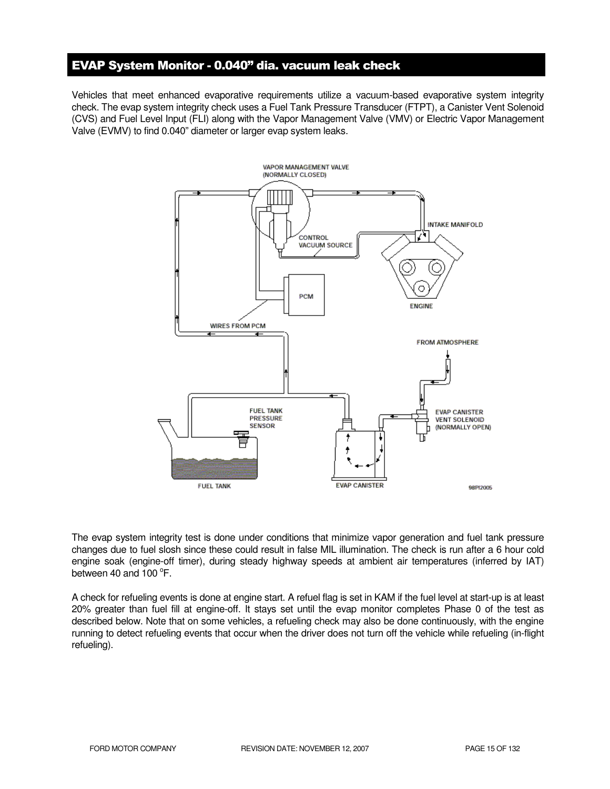## EVAP System Monitor - 0.040" dia. vacuum leak check

Vehicles that meet enhanced evaporative requirements utilize a vacuum-based evaporative system integrity check. The evap system integrity check uses a Fuel Tank Pressure Transducer (FTPT), a Canister Vent Solenoid (CVS) and Fuel Level Input (FLI) along with the Vapor Management Valve (VMV) or Electric Vapor Management Valve (EVMV) to find 0.040" diameter or larger evap system leaks.



The evap system integrity test is done under conditions that minimize vapor generation and fuel tank pressure changes due to fuel slosh since these could result in false MIL illumination. The check is run after a 6 hour cold engine soak (engine-off timer), during steady highway speeds at ambient air temperatures (inferred by IAT) between 40 and  $100^{\circ}$ F.

A check for refueling events is done at engine start. A refuel flag is set in KAM if the fuel level at start-up is at least 20% greater than fuel fill at engine-off. It stays set until the evap monitor completes Phase 0 of the test as described below. Note that on some vehicles, a refueling check may also be done continuously, with the engine running to detect refueling events that occur when the driver does not turn off the vehicle while refueling (in-flight refueling).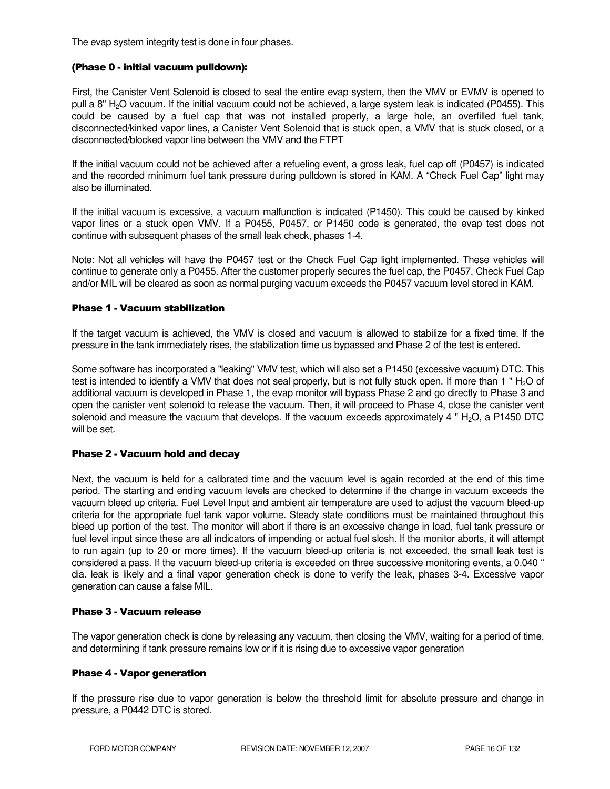The evap system integrity test is done in four phases.

#### (Phase 0 - initial vacuum pulldown):

First, the Canister Vent Solenoid is closed to seal the entire evap system, then the VMV or EVMV is opened to pull a 8" H<sub>2</sub>O vacuum. If the initial vacuum could not be achieved, a large system leak is indicated (P0455). This could be caused by a fuel cap that was not installed properly, a large hole, an overfilled fuel tank, disconnected/kinked vapor lines, a Canister Vent Solenoid that is stuck open, a VMV that is stuck closed, or a disconnected/blocked vapor line between the VMV and the FTPT

If the initial vacuum could not be achieved after a refueling event, a gross leak, fuel cap off (P0457) is indicated and the recorded minimum fuel tank pressure during pulldown is stored in KAM. A "Check Fuel Cap" light may also be illuminated.

If the initial vacuum is excessive, a vacuum malfunction is indicated (P1450). This could be caused by kinked vapor lines or a stuck open VMV. If a P0455, P0457, or P1450 code is generated, the evap test does not continue with subsequent phases of the small leak check, phases 1-4.

Note: Not all vehicles will have the P0457 test or the Check Fuel Cap light implemented. These vehicles will continue to generate only a P0455. After the customer properly secures the fuel cap, the P0457, Check Fuel Cap and/or MIL will be cleared as soon as normal purging vacuum exceeds the P0457 vacuum level stored in KAM.

#### Phase 1 - Vacuum stabilization

If the target vacuum is achieved, the VMV is closed and vacuum is allowed to stabilize for a fixed time. If the pressure in the tank immediately rises, the stabilization time us bypassed and Phase 2 of the test is entered.

Some software has incorporated a "leaking" VMV test, which will also set a P1450 (excessive vacuum) DTC. This test is intended to identify a VMV that does not seal properly, but is not fully stuck open. If more than 1 " $H<sub>2</sub>O$  of additional vacuum is developed in Phase 1, the evap monitor will bypass Phase 2 and go directly to Phase 3 and open the canister vent solenoid to release the vacuum. Then, it will proceed to Phase 4, close the canister vent solenoid and measure the vacuum that develops. If the vacuum exceeds approximately 4 " $H_2O$ , a P1450 DTC will be set.

#### Phase 2 - Vacuum hold and decay

Next, the vacuum is held for a calibrated time and the vacuum level is again recorded at the end of this time period. The starting and ending vacuum levels are checked to determine if the change in vacuum exceeds the vacuum bleed up criteria. Fuel Level Input and ambient air temperature are used to adjust the vacuum bleed-up criteria for the appropriate fuel tank vapor volume. Steady state conditions must be maintained throughout this bleed up portion of the test. The monitor will abort if there is an excessive change in load, fuel tank pressure or fuel level input since these are all indicators of impending or actual fuel slosh. If the monitor aborts, it will attempt to run again (up to 20 or more times). If the vacuum bleed-up criteria is not exceeded, the small leak test is considered a pass. If the vacuum bleed-up criteria is exceeded on three successive monitoring events, a 0.040 " dia. leak is likely and a final vapor generation check is done to verify the leak, phases 3-4. Excessive vapor generation can cause a false MIL.

#### Phase 3 - Vacuum release

The vapor generation check is done by releasing any vacuum, then closing the VMV, waiting for a period of time, and determining if tank pressure remains low or if it is rising due to excessive vapor generation

#### Phase 4 - Vapor generation

If the pressure rise due to vapor generation is below the threshold limit for absolute pressure and change in pressure, a P0442 DTC is stored.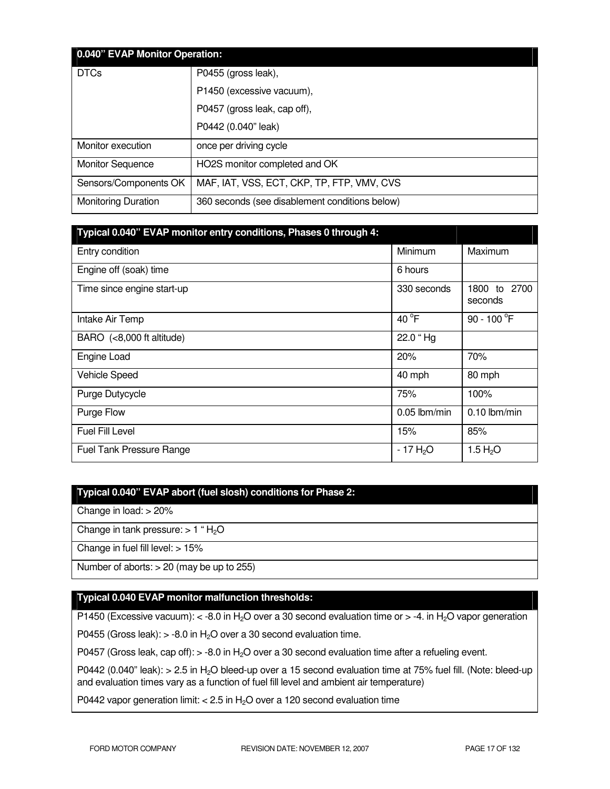| 0.040" EVAP Monitor Operation: |                                                |  |  |
|--------------------------------|------------------------------------------------|--|--|
| <b>DTCs</b>                    | P0455 (gross leak),                            |  |  |
|                                | P1450 (excessive vacuum),                      |  |  |
|                                | P0457 (gross leak, cap off),                   |  |  |
|                                | P0442 (0.040" leak)                            |  |  |
| Monitor execution              | once per driving cycle                         |  |  |
| <b>Monitor Sequence</b>        | HO2S monitor completed and OK                  |  |  |
| Sensors/Components OK          | MAF, IAT, VSS, ECT, CKP, TP, FTP, VMV, CVS     |  |  |
| <b>Monitoring Duration</b>     | 360 seconds (see disablement conditions below) |  |  |

| Typical 0.040" EVAP monitor entry conditions, Phases 0 through 4: |                       |                               |
|-------------------------------------------------------------------|-----------------------|-------------------------------|
| Entry condition                                                   | Minimum               | Maximum                       |
| Engine off (soak) time                                            | 6 hours               |                               |
| Time since engine start-up                                        | 330 seconds           | 1800<br>2700<br>to<br>seconds |
| Intake Air Temp                                                   | 40 $^{\circ}$ F       | 90 - 100 $^{\circ}$ F         |
| BARO (<8,000 ft altitude)                                         | 22.0 "Hg              |                               |
| Engine Load                                                       | 20%                   | 70%                           |
| Vehicle Speed                                                     | 40 mph                | 80 mph                        |
| Purge Dutycycle                                                   | 75%                   | 100%                          |
| Purge Flow                                                        | $0.05$ lbm/min        | $0.10$ lbm/min                |
| Fuel Fill Level                                                   | 15%                   | 85%                           |
| <b>Fuel Tank Pressure Range</b>                                   | - 17 H <sub>2</sub> O | 1.5 $H_2O$                    |

## **Typical 0.040" EVAP abort (fuel slosh) conditions for Phase 2:**

Change in load: > 20%

Change in tank pressure:  $> 1$  " $H<sub>2</sub>O$ 

Change in fuel fill level: > 15%

Number of aborts:  $> 20$  (may be up to 255)

### **Typical 0.040 EVAP monitor malfunction thresholds:**

P1450 (Excessive vacuum):  $<$  -8.0 in H<sub>2</sub>O over a 30 second evaluation time or  $>$  -4. in H<sub>2</sub>O vapor generation

P0455 (Gross leak):  $>$  -8.0 in H<sub>2</sub>O over a 30 second evaluation time.

P0457 (Gross leak, cap off):  $> -8.0$  in H<sub>2</sub>O over a 30 second evaluation time after a refueling event.

P0442 (0.040" leak): > 2.5 in H<sub>2</sub>O bleed-up over a 15 second evaluation time at 75% fuel fill. (Note: bleed-up and evaluation times vary as a function of fuel fill level and ambient air temperature)

P0442 vapor generation limit:  $< 2.5$  in H<sub>2</sub>O over a 120 second evaluation time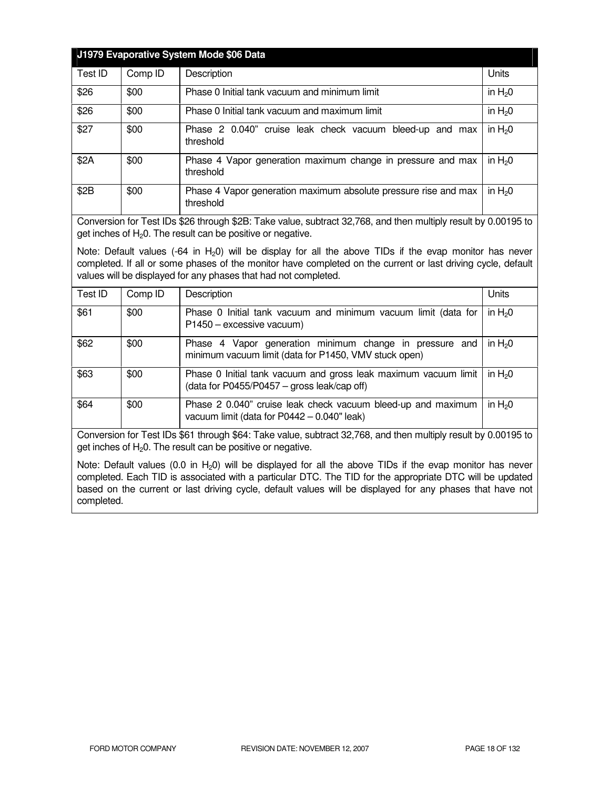| J1979 Evaporative System Mode \$06 Data |         |                                                                              |            |
|-----------------------------------------|---------|------------------------------------------------------------------------------|------------|
| Test ID                                 | Comp ID | Description                                                                  | Units      |
| \$26                                    | \$00    | Phase 0 Initial tank vacuum and minimum limit                                | in $H20$   |
| \$26                                    | \$00    | Phase 0 Initial tank vacuum and maximum limit                                | in $H20$   |
| \$27                                    | \$00    | Phase 2 0.040" cruise leak check vacuum bleed-up and max<br>threshold        | in $H20$   |
| \$2A                                    | \$00    | Phase 4 Vapor generation maximum change in pressure and max<br>threshold     | in $H20$   |
| \$2B                                    | \$00    | Phase 4 Vapor generation maximum absolute pressure rise and max<br>threshold | in $H_2$ 0 |

Conversion for Test IDs \$26 through \$2B: Take value, subtract 32,768, and then multiply result by 0.00195 to get inches of  $H<sub>2</sub>0$ . The result can be positive or negative.

Note: Default values  $(-64 \text{ in H}_20)$  will be display for all the above TIDs if the evap monitor has never completed. If all or some phases of the monitor have completed on the current or last driving cycle, default values will be displayed for any phases that had not completed.

| Test ID | Comp ID | Description                                                                                                      | Units      |
|---------|---------|------------------------------------------------------------------------------------------------------------------|------------|
| \$61    | \$00    | Phase 0 Initial tank vacuum and minimum vacuum limit (data for<br>P1450 - excessive vacuum)                      | in $H_2$ 0 |
| \$62    | \$00    | Phase 4 Vapor generation minimum change in pressure and<br>minimum vacuum limit (data for P1450, VMV stuck open) | in $H20$   |
| \$63    | \$00    | Phase 0 Initial tank vacuum and gross leak maximum vacuum limit<br>(data for P0455/P0457 - gross leak/cap off)   | in $H20$   |
| \$64    | \$00    | Phase 2 0.040" cruise leak check vacuum bleed-up and maximum<br>vacuum limit (data for P0442 - 0.040" leak)      | in $H20$   |

Conversion for Test IDs \$61 through \$64: Take value, subtract 32,768, and then multiply result by 0.00195 to get inches of  $H_2O$ . The result can be positive or negative.

Note: Default values (0.0 in  $H_2$ 0) will be displayed for all the above TIDs if the evap monitor has never completed. Each TID is associated with a particular DTC. The TID for the appropriate DTC will be updated based on the current or last driving cycle, default values will be displayed for any phases that have not completed.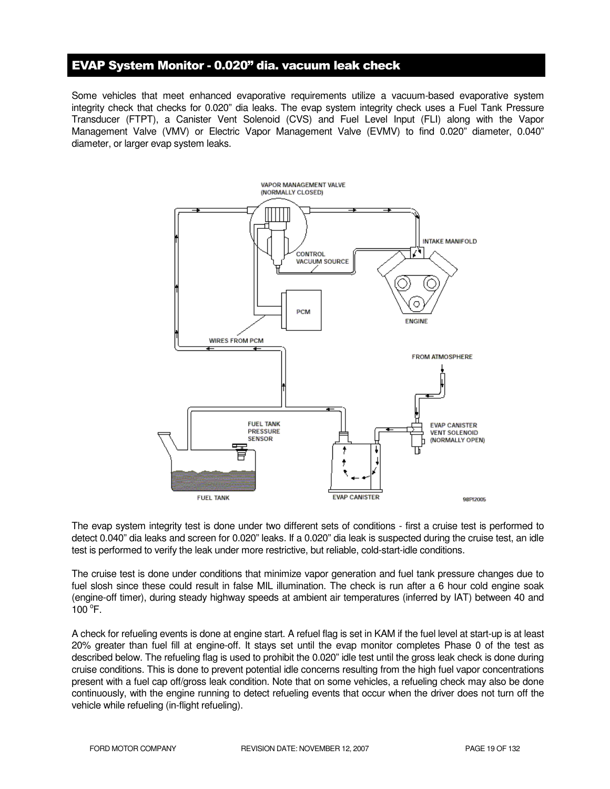## EVAP System Monitor - 0.020" dia. vacuum leak check

Some vehicles that meet enhanced evaporative requirements utilize a vacuum-based evaporative system integrity check that checks for 0.020" dia leaks. The evap system integrity check uses a Fuel Tank Pressure Transducer (FTPT), a Canister Vent Solenoid (CVS) and Fuel Level Input (FLI) along with the Vapor Management Valve (VMV) or Electric Vapor Management Valve (EVMV) to find 0.020" diameter, 0.040" diameter, or larger evap system leaks.



The evap system integrity test is done under two different sets of conditions - first a cruise test is performed to detect 0.040" dia leaks and screen for 0.020" leaks. If a 0.020" dia leak is suspected during the cruise test, an idle test is performed to verify the leak under more restrictive, but reliable, cold-start-idle conditions.

The cruise test is done under conditions that minimize vapor generation and fuel tank pressure changes due to fuel slosh since these could result in false MIL illumination. The check is run after a 6 hour cold engine soak (engine-off timer), during steady highway speeds at ambient air temperatures (inferred by IAT) between 40 and  $100^{\circ}$ F.

A check for refueling events is done at engine start. A refuel flag is set in KAM if the fuel level at start-up is at least 20% greater than fuel fill at engine-off. It stays set until the evap monitor completes Phase 0 of the test as described below. The refueling flag is used to prohibit the 0.020" idle test until the gross leak check is done during cruise conditions. This is done to prevent potential idle concerns resulting from the high fuel vapor concentrations present with a fuel cap off/gross leak condition. Note that on some vehicles, a refueling check may also be done continuously, with the engine running to detect refueling events that occur when the driver does not turn off the vehicle while refueling (in-flight refueling).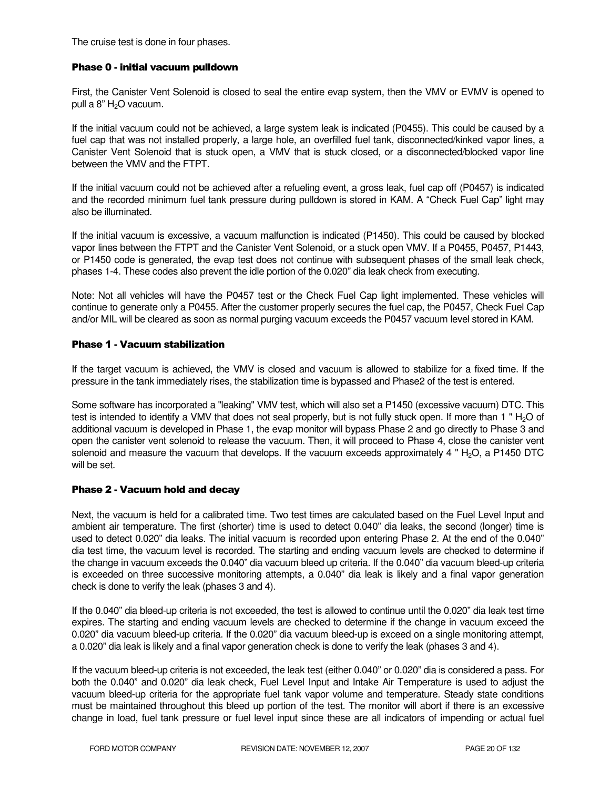The cruise test is done in four phases.

#### Phase 0 - initial vacuum pulldown

First, the Canister Vent Solenoid is closed to seal the entire evap system, then the VMV or EVMV is opened to pull a  $8"$  H<sub>2</sub>O vacuum.

If the initial vacuum could not be achieved, a large system leak is indicated (P0455). This could be caused by a fuel cap that was not installed properly, a large hole, an overfilled fuel tank, disconnected/kinked vapor lines, a Canister Vent Solenoid that is stuck open, a VMV that is stuck closed, or a disconnected/blocked vapor line between the VMV and the FTPT.

If the initial vacuum could not be achieved after a refueling event, a gross leak, fuel cap off (P0457) is indicated and the recorded minimum fuel tank pressure during pulldown is stored in KAM. A "Check Fuel Cap" light may also be illuminated.

If the initial vacuum is excessive, a vacuum malfunction is indicated (P1450). This could be caused by blocked vapor lines between the FTPT and the Canister Vent Solenoid, or a stuck open VMV. If a P0455, P0457, P1443, or P1450 code is generated, the evap test does not continue with subsequent phases of the small leak check, phases 1-4. These codes also prevent the idle portion of the 0.020" dia leak check from executing.

Note: Not all vehicles will have the P0457 test or the Check Fuel Cap light implemented. These vehicles will continue to generate only a P0455. After the customer properly secures the fuel cap, the P0457, Check Fuel Cap and/or MIL will be cleared as soon as normal purging vacuum exceeds the P0457 vacuum level stored in KAM.

#### Phase 1 - Vacuum stabilization

If the target vacuum is achieved, the VMV is closed and vacuum is allowed to stabilize for a fixed time. If the pressure in the tank immediately rises, the stabilization time is bypassed and Phase2 of the test is entered.

Some software has incorporated a "leaking" VMV test, which will also set a P1450 (excessive vacuum) DTC. This test is intended to identify a VMV that does not seal properly, but is not fully stuck open. If more than 1 "  $H_2O$  of additional vacuum is developed in Phase 1, the evap monitor will bypass Phase 2 and go directly to Phase 3 and open the canister vent solenoid to release the vacuum. Then, it will proceed to Phase 4, close the canister vent solenoid and measure the vacuum that develops. If the vacuum exceeds approximately 4 " $H_2O$ , a P1450 DTC will be set.

#### Phase 2 - Vacuum hold and decay

Next, the vacuum is held for a calibrated time. Two test times are calculated based on the Fuel Level Input and ambient air temperature. The first (shorter) time is used to detect 0.040" dia leaks, the second (longer) time is used to detect 0.020" dia leaks. The initial vacuum is recorded upon entering Phase 2. At the end of the 0.040" dia test time, the vacuum level is recorded. The starting and ending vacuum levels are checked to determine if the change in vacuum exceeds the 0.040" dia vacuum bleed up criteria. If the 0.040" dia vacuum bleed-up criteria is exceeded on three successive monitoring attempts, a 0.040" dia leak is likely and a final vapor generation check is done to verify the leak (phases 3 and 4).

If the 0.040" dia bleed-up criteria is not exceeded, the test is allowed to continue until the 0.020" dia leak test time expires. The starting and ending vacuum levels are checked to determine if the change in vacuum exceed the 0.020" dia vacuum bleed-up criteria. If the 0.020" dia vacuum bleed-up is exceed on a single monitoring attempt, a 0.020" dia leak is likely and a final vapor generation check is done to verify the leak (phases 3 and 4).

If the vacuum bleed-up criteria is not exceeded, the leak test (either 0.040" or 0.020" dia is considered a pass. For both the 0.040" and 0.020" dia leak check, Fuel Level Input and Intake Air Temperature is used to adjust the vacuum bleed-up criteria for the appropriate fuel tank vapor volume and temperature. Steady state conditions must be maintained throughout this bleed up portion of the test. The monitor will abort if there is an excessive change in load, fuel tank pressure or fuel level input since these are all indicators of impending or actual fuel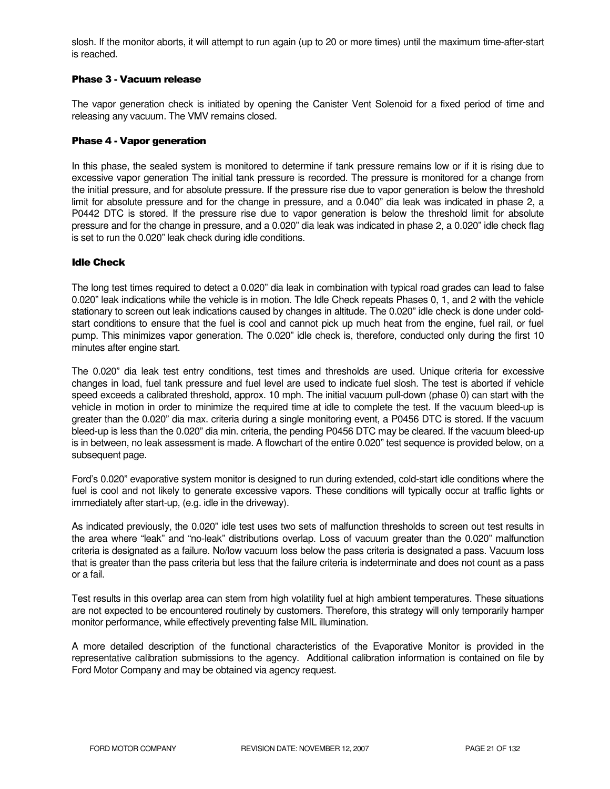slosh. If the monitor aborts, it will attempt to run again (up to 20 or more times) until the maximum time-after-start is reached.

#### Phase 3 - Vacuum release

The vapor generation check is initiated by opening the Canister Vent Solenoid for a fixed period of time and releasing any vacuum. The VMV remains closed.

#### Phase 4 - Vapor generation

In this phase, the sealed system is monitored to determine if tank pressure remains low or if it is rising due to excessive vapor generation The initial tank pressure is recorded. The pressure is monitored for a change from the initial pressure, and for absolute pressure. If the pressure rise due to vapor generation is below the threshold limit for absolute pressure and for the change in pressure, and a 0.040" dia leak was indicated in phase 2, a P0442 DTC is stored. If the pressure rise due to vapor generation is below the threshold limit for absolute pressure and for the change in pressure, and a 0.020" dia leak was indicated in phase 2, a 0.020" idle check flag is set to run the 0.020" leak check during idle conditions.

#### Idle Check

The long test times required to detect a 0.020" dia leak in combination with typical road grades can lead to false 0.020" leak indications while the vehicle is in motion. The Idle Check repeats Phases 0, 1, and 2 with the vehicle stationary to screen out leak indications caused by changes in altitude. The 0.020" idle check is done under coldstart conditions to ensure that the fuel is cool and cannot pick up much heat from the engine, fuel rail, or fuel pump. This minimizes vapor generation. The 0.020" idle check is, therefore, conducted only during the first 10 minutes after engine start.

The 0.020" dia leak test entry conditions, test times and thresholds are used. Unique criteria for excessive changes in load, fuel tank pressure and fuel level are used to indicate fuel slosh. The test is aborted if vehicle speed exceeds a calibrated threshold, approx. 10 mph. The initial vacuum pull-down (phase 0) can start with the vehicle in motion in order to minimize the required time at idle to complete the test. If the vacuum bleed-up is greater than the 0.020" dia max. criteria during a single monitoring event, a P0456 DTC is stored. If the vacuum bleed-up is less than the 0.020" dia min. criteria, the pending P0456 DTC may be cleared. If the vacuum bleed-up is in between, no leak assessment is made. A flowchart of the entire 0.020" test sequence is provided below, on a subsequent page.

Ford's 0.020" evaporative system monitor is designed to run during extended, cold-start idle conditions where the fuel is cool and not likely to generate excessive vapors. These conditions will typically occur at traffic lights or immediately after start-up, (e.g. idle in the driveway).

As indicated previously, the 0.020" idle test uses two sets of malfunction thresholds to screen out test results in the area where "leak" and "no-leak" distributions overlap. Loss of vacuum greater than the 0.020" malfunction criteria is designated as a failure. No/low vacuum loss below the pass criteria is designated a pass. Vacuum loss that is greater than the pass criteria but less that the failure criteria is indeterminate and does not count as a pass or a fail.

Test results in this overlap area can stem from high volatility fuel at high ambient temperatures. These situations are not expected to be encountered routinely by customers. Therefore, this strategy will only temporarily hamper monitor performance, while effectively preventing false MIL illumination.

A more detailed description of the functional characteristics of the Evaporative Monitor is provided in the representative calibration submissions to the agency. Additional calibration information is contained on file by Ford Motor Company and may be obtained via agency request.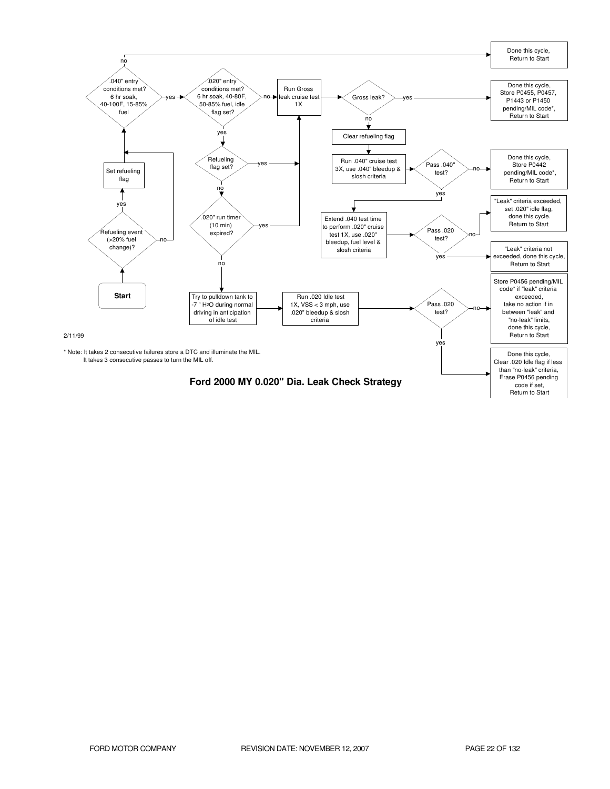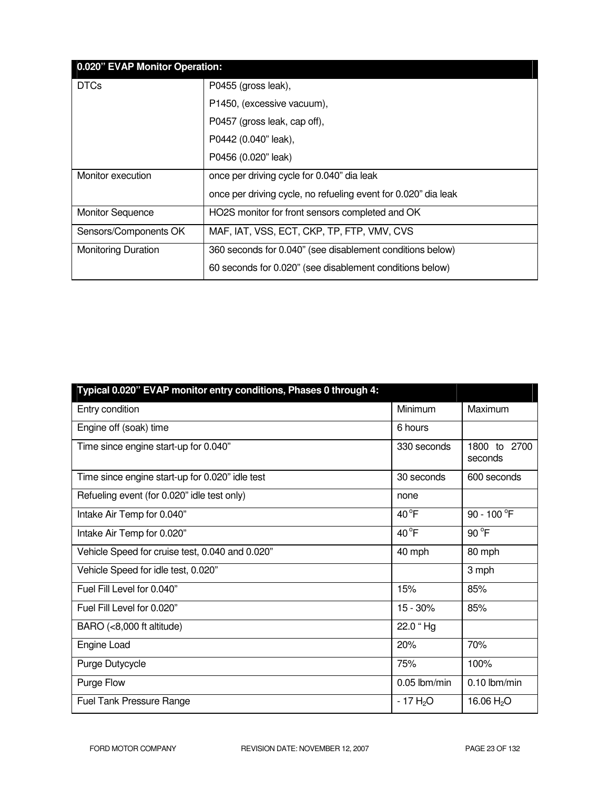|                            | 0.020" EVAP Monitor Operation:                                 |  |  |
|----------------------------|----------------------------------------------------------------|--|--|
| <b>DTCs</b>                | P0455 (gross leak),                                            |  |  |
|                            | P1450, (excessive vacuum),                                     |  |  |
|                            | P0457 (gross leak, cap off),                                   |  |  |
|                            | P0442 (0.040" leak),                                           |  |  |
|                            | P0456 (0.020" leak)                                            |  |  |
| Monitor execution          | once per driving cycle for 0.040" dia leak                     |  |  |
|                            | once per driving cycle, no refueling event for 0.020" dia leak |  |  |
| <b>Monitor Sequence</b>    | HO2S monitor for front sensors completed and OK                |  |  |
| Sensors/Components OK      | MAF, IAT, VSS, ECT, CKP, TP, FTP, VMV, CVS                     |  |  |
| <b>Monitoring Duration</b> | 360 seconds for 0.040" (see disablement conditions below)      |  |  |
|                            | 60 seconds for 0.020" (see disablement conditions below)       |  |  |

| Typical 0.020" EVAP monitor entry conditions, Phases 0 through 4: |               |                         |
|-------------------------------------------------------------------|---------------|-------------------------|
| Entry condition                                                   | Minimum       | Maximum                 |
| Engine off (soak) time                                            | 6 hours       |                         |
| Time since engine start-up for 0.040"                             | 330 seconds   | 1800 to 2700<br>seconds |
| Time since engine start-up for 0.020" idle test                   | 30 seconds    | 600 seconds             |
| Refueling event (for 0.020" idle test only)                       | none          |                         |
| Intake Air Temp for 0.040"                                        | $40^{\circ}F$ | 90 - 100 °F             |
| Intake Air Temp for 0.020"                                        | $40^{\circ}F$ | 90 °F                   |
| Vehicle Speed for cruise test, 0.040 and 0.020"                   | 40 mph        | 80 mph                  |
| Vehicle Speed for idle test, 0.020"                               |               | 3 mph                   |
| Fuel Fill Level for 0.040"                                        | 15%           | 85%                     |
| Fuel Fill Level for 0.020"                                        | $15 - 30%$    | 85%                     |
| BARO (<8,000 ft altitude)                                         | 22.0 "Hg      |                         |
| Engine Load                                                       | 20%           | 70%                     |
| Purge Dutycycle                                                   | 75%           | 100%                    |
| Purge Flow                                                        | 0.05 lbm/min  | $0.10$ lbm/min          |
| Fuel Tank Pressure Range                                          | $-17H2O$      | 16.06 $H_2O$            |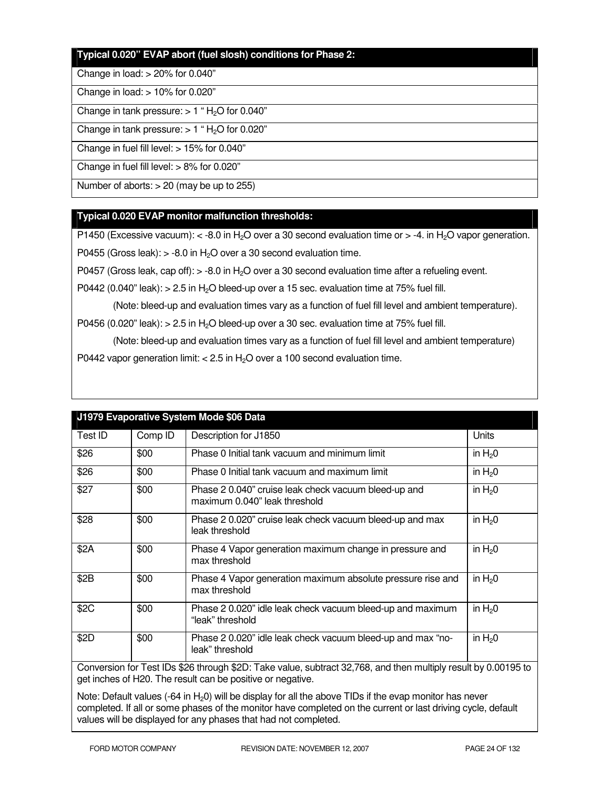#### **Typical 0.020" EVAP abort (fuel slosh) conditions for Phase 2:**

#### Change in load: > 20% for 0.040"

#### Change in load: > 10% for 0.020"

Change in tank pressure:  $> 1$  "H<sub>2</sub>O for 0.040"

Change in tank pressure:  $> 1$  "H<sub>2</sub>O for 0.020"

Change in fuel fill level: > 15% for 0.040"

Change in fuel fill level: > 8% for 0.020"

Number of aborts: > 20 (may be up to 255)

#### **Typical 0.020 EVAP monitor malfunction thresholds:**

P1450 (Excessive vacuum):  $\lt$  -8.0 in H<sub>2</sub>O over a 30 second evaluation time or  $>$  -4. in H<sub>2</sub>O vapor generation.

P0455 (Gross leak):  $> -8.0$  in H<sub>2</sub>O over a 30 second evaluation time.

P0457 (Gross leak, cap off):  $>$  -8.0 in H<sub>2</sub>O over a 30 second evaluation time after a refueling event.

P0442 (0.040" leak):  $> 2.5$  in H<sub>2</sub>O bleed-up over a 15 sec. evaluation time at 75% fuel fill.

(Note: bleed-up and evaluation times vary as a function of fuel fill level and ambient temperature).

P0456 (0.020" leak):  $> 2.5$  in H<sub>2</sub>O bleed-up over a 30 sec. evaluation time at 75% fuel fill.

 (Note: bleed-up and evaluation times vary as a function of fuel fill level and ambient temperature) P0442 vapor generation limit:  $< 2.5$  in H<sub>2</sub>O over a 100 second evaluation time.

| Test ID                                                                                                     | Comp ID | Description for J1850                                                                 | Units      |
|-------------------------------------------------------------------------------------------------------------|---------|---------------------------------------------------------------------------------------|------------|
| \$26                                                                                                        | \$00    | Phase 0 Initial tank vacuum and minimum limit                                         | in $H20$   |
| \$26                                                                                                        | \$00    | Phase 0 Initial tank vacuum and maximum limit                                         | in $H20$   |
| \$27                                                                                                        | \$00    | Phase 2 0.040" cruise leak check vacuum bleed-up and<br>maximum 0.040" leak threshold | in $H20$   |
| \$28                                                                                                        | \$00    | Phase 2 0.020" cruise leak check vacuum bleed-up and max<br>leak threshold            | in $H20$   |
| \$2A                                                                                                        | \$00    | Phase 4 Vapor generation maximum change in pressure and<br>max threshold              | in $H20$   |
| \$2B                                                                                                        | \$00    | Phase 4 Vapor generation maximum absolute pressure rise and<br>max threshold          | in $H20$   |
| \$2C                                                                                                        | \$00    | Phase 2 0.020" idle leak check vacuum bleed-up and maximum<br>"leak" threshold        | in $H20$   |
| \$2D                                                                                                        | \$00    | Phase 2 0.020" idle leak check vacuum bleed-up and max "no-<br>leak" threshold        | in $H_2$ 0 |
| Compromise for Toot IDs COC through COD: Toke value, outrast 20,760, and then multiply requiting 0,0010E to |         |                                                                                       |            |

## **J1979 Evaporative System Mode \$06 Data**

Conversion for Test IDs \$26 through \$2D: Take value, subtract 32,768, and then multiply result by 0.00195 to get inches of H20. The result can be positive or negative.

Note: Default values  $(-64 \text{ in } H_20)$  will be display for all the above TIDs if the evap monitor has never completed. If all or some phases of the monitor have completed on the current or last driving cycle, default values will be displayed for any phases that had not completed.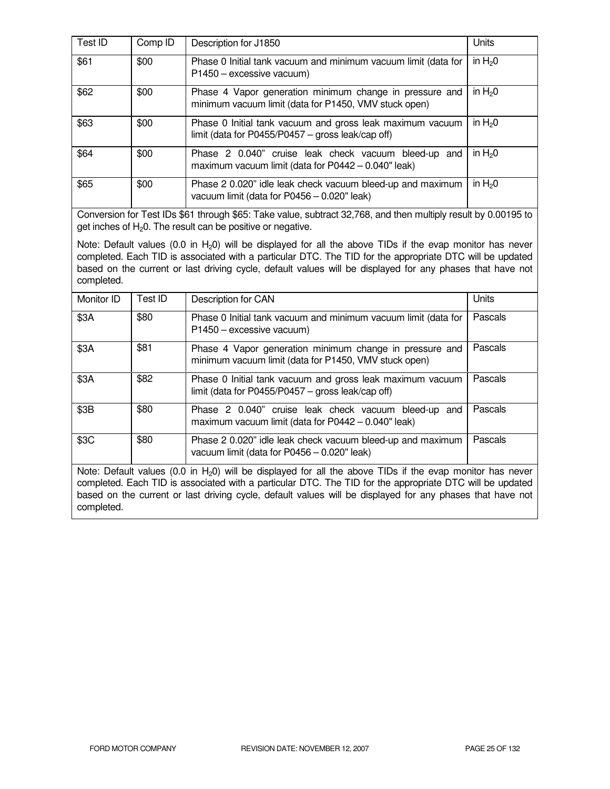| Test ID | Comp ID | Description for J1850                                                                                            | Units    |
|---------|---------|------------------------------------------------------------------------------------------------------------------|----------|
| \$61    | \$00    | Phase 0 Initial tank vacuum and minimum vacuum limit (data for<br>P1450 - excessive vacuum)                      | in $H20$ |
| \$62    | \$00    | Phase 4 Vapor generation minimum change in pressure and<br>minimum vacuum limit (data for P1450, VMV stuck open) | in $H20$ |
| \$63    | \$00    | Phase 0 Initial tank vacuum and gross leak maximum vacuum<br>limit (data for P0455/P0457 - gross leak/cap off)   | in $H20$ |
| \$64    | \$00    | Phase 2 0.040" cruise leak check vacuum bleed-up and<br>maximum vacuum limit (data for P0442 - 0.040" leak)      | in $H20$ |
| \$65    | \$00    | Phase 2 0.020" idle leak check vacuum bleed-up and maximum<br>vacuum limit (data for P0456 - 0.020" leak)        | in $H20$ |

Conversion for Test IDs \$61 through \$65: Take value, subtract 32,768, and then multiply result by 0.00195 to get inches of  $H<sub>2</sub>0$ . The result can be positive or negative.

Note: Default values (0.0 in  $H_2$ 0) will be displayed for all the above TIDs if the evap monitor has never completed. Each TID is associated with a particular DTC. The TID for the appropriate DTC will be updated based on the current or last driving cycle, default values will be displayed for any phases that have not completed.

| Monitor ID                                                                                                                   | Test ID | Description for CAN                                                                                              | Units   |
|------------------------------------------------------------------------------------------------------------------------------|---------|------------------------------------------------------------------------------------------------------------------|---------|
| \$3A                                                                                                                         | \$80    | Phase 0 Initial tank vacuum and minimum vacuum limit (data for<br>P1450 - excessive vacuum)                      | Pascals |
| \$3A                                                                                                                         | \$81    | Phase 4 Vapor generation minimum change in pressure and<br>minimum vacuum limit (data for P1450, VMV stuck open) | Pascals |
| \$3A                                                                                                                         | \$82    | Phase 0 Initial tank vacuum and gross leak maximum vacuum<br>limit (data for P0455/P0457 - gross leak/cap off)   | Pascals |
| \$3B                                                                                                                         | \$80    | Phase 2 0.040" cruise leak check vacuum bleed-up and<br>maximum vacuum limit (data for $P0442 - 0.040$ " leak)   | Pascals |
| \$3C                                                                                                                         | \$80    | Phase 2 0.020" idle leak check vacuum bleed-up and maximum<br>vacuum limit (data for P0456 - 0.020" leak)        | Pascals |
| Matar Dafardt calcas<br>در منصب و مالك مطالب المسلم و مالك المسلم المسلم المسلم المسلم التي يتم التي يتم هو المسلم المسلم ال |         |                                                                                                                  |         |

Note: Default values (0.0 in  $H_2$ 0) will be displayed for all the above TIDs if the evap monitor has never completed. Each TID is associated with a particular DTC. The TID for the appropriate DTC will be updated based on the current or last driving cycle, default values will be displayed for any phases that have not completed.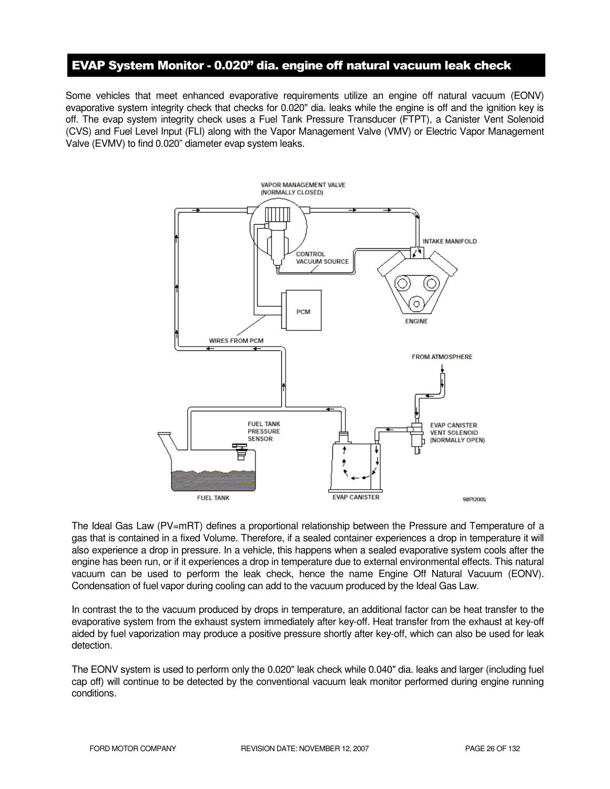## EVAP System Monitor - 0.020" dia. engine off natural vacuum leak check

Some vehicles that meet enhanced evaporative requirements utilize an engine off natural vacuum (EONV) evaporative system integrity check that checks for 0.020" dia. leaks while the engine is off and the ignition key is off. The evap system integrity check uses a Fuel Tank Pressure Transducer (FTPT), a Canister Vent Solenoid (CVS) and Fuel Level Input (FLI) along with the Vapor Management Valve (VMV) or Electric Vapor Management Valve (EVMV) to find 0.020" diameter evap system leaks.



The Ideal Gas Law (PV=mRT) defines a proportional relationship between the Pressure and Temperature of a gas that is contained in a fixed Volume. Therefore, if a sealed container experiences a drop in temperature it will also experience a drop in pressure. In a vehicle, this happens when a sealed evaporative system cools after the engine has been run, or if it experiences a drop in temperature due to external environmental effects. This natural vacuum can be used to perform the leak check, hence the name Engine Off Natural Vacuum (EONV). Condensation of fuel vapor during cooling can add to the vacuum produced by the Ideal Gas Law.

In contrast the to the vacuum produced by drops in temperature, an additional factor can be heat transfer to the evaporative system from the exhaust system immediately after key-off. Heat transfer from the exhaust at key-off aided by fuel vaporization may produce a positive pressure shortly after key-off, which can also be used for leak detection.

The EONV system is used to perform only the 0.020" leak check while 0.040" dia. leaks and larger (including fuel cap off) will continue to be detected by the conventional vacuum leak monitor performed during engine running conditions.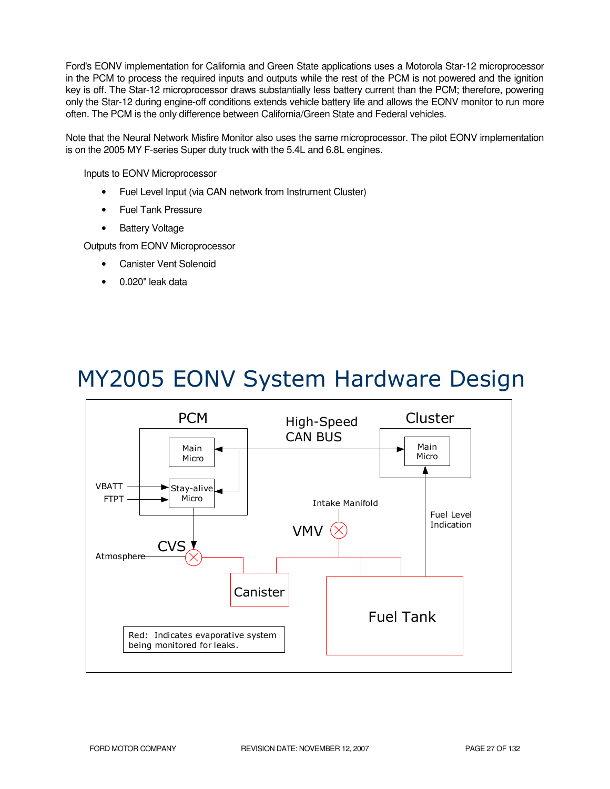Ford's EONV implementation for California and Green State applications uses a Motorola Star-12 microprocessor in the PCM to process the required inputs and outputs while the rest of the PCM is not powered and the ignition key is off. The Star-12 microprocessor draws substantially less battery current than the PCM; therefore, powering only the Star-12 during engine-off conditions extends vehicle battery life and allows the EONV monitor to run more often. The PCM is the only difference between California/Green State and Federal vehicles.

Note that the Neural Network Misfire Monitor also uses the same microprocessor. The pilot EONV implementation is on the 2005 MY F-series Super duty truck with the 5.4L and 6.8L engines.

Inputs to EONV Microprocessor

- Fuel Level Input (via CAN network from Instrument Cluster)
- Fuel Tank Pressure
- Battery Voltage

Outputs from EONV Microprocessor

- **Canister Vent Solenoid**
- 0.020" leak data

# MY2005 EONV System Hardware Design

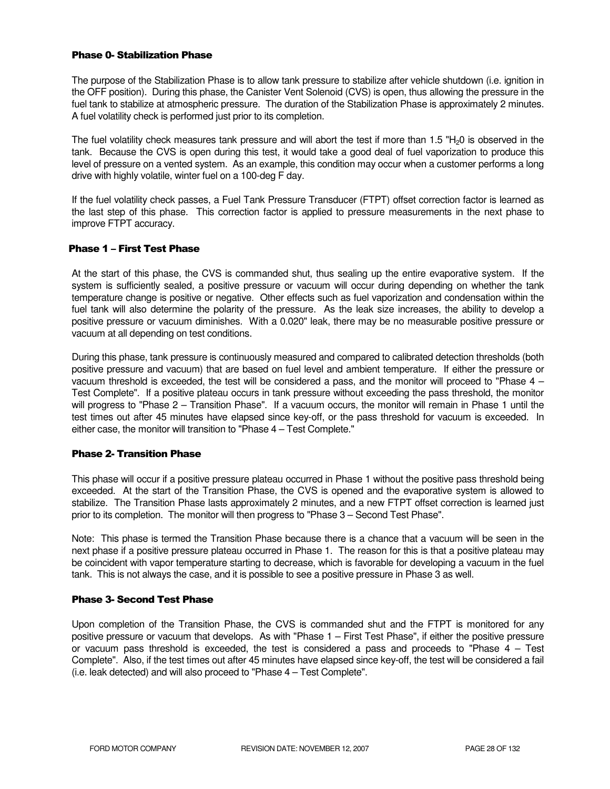#### Phase 0- Stabilization Phase

The purpose of the Stabilization Phase is to allow tank pressure to stabilize after vehicle shutdown (i.e. ignition in the OFF position). During this phase, the Canister Vent Solenoid (CVS) is open, thus allowing the pressure in the fuel tank to stabilize at atmospheric pressure. The duration of the Stabilization Phase is approximately 2 minutes. A fuel volatility check is performed just prior to its completion.

The fuel volatility check measures tank pressure and will abort the test if more than  $1.5$  "H<sub>2</sub>0 is observed in the tank. Because the CVS is open during this test, it would take a good deal of fuel vaporization to produce this level of pressure on a vented system. As an example, this condition may occur when a customer performs a long drive with highly volatile, winter fuel on a 100-deg F day.

If the fuel volatility check passes, a Fuel Tank Pressure Transducer (FTPT) offset correction factor is learned as the last step of this phase. This correction factor is applied to pressure measurements in the next phase to improve FTPT accuracy.

#### Phase 1 – First Test Phase

At the start of this phase, the CVS is commanded shut, thus sealing up the entire evaporative system. If the system is sufficiently sealed, a positive pressure or vacuum will occur during depending on whether the tank temperature change is positive or negative. Other effects such as fuel vaporization and condensation within the fuel tank will also determine the polarity of the pressure. As the leak size increases, the ability to develop a positive pressure or vacuum diminishes. With a 0.020" leak, there may be no measurable positive pressure or vacuum at all depending on test conditions.

During this phase, tank pressure is continuously measured and compared to calibrated detection thresholds (both positive pressure and vacuum) that are based on fuel level and ambient temperature. If either the pressure or vacuum threshold is exceeded, the test will be considered a pass, and the monitor will proceed to "Phase 4 – Test Complete". If a positive plateau occurs in tank pressure without exceeding the pass threshold, the monitor will progress to "Phase 2 – Transition Phase". If a vacuum occurs, the monitor will remain in Phase 1 until the test times out after 45 minutes have elapsed since key-off, or the pass threshold for vacuum is exceeded. In either case, the monitor will transition to "Phase 4 – Test Complete."

#### Phase 2- Transition Phase

This phase will occur if a positive pressure plateau occurred in Phase 1 without the positive pass threshold being exceeded. At the start of the Transition Phase, the CVS is opened and the evaporative system is allowed to stabilize. The Transition Phase lasts approximately 2 minutes, and a new FTPT offset correction is learned just prior to its completion. The monitor will then progress to "Phase 3 – Second Test Phase".

Note: This phase is termed the Transition Phase because there is a chance that a vacuum will be seen in the next phase if a positive pressure plateau occurred in Phase 1. The reason for this is that a positive plateau may be coincident with vapor temperature starting to decrease, which is favorable for developing a vacuum in the fuel tank. This is not always the case, and it is possible to see a positive pressure in Phase 3 as well.

#### Phase 3- Second Test Phase

Upon completion of the Transition Phase, the CVS is commanded shut and the FTPT is monitored for any positive pressure or vacuum that develops. As with "Phase 1 – First Test Phase", if either the positive pressure or vacuum pass threshold is exceeded, the test is considered a pass and proceeds to "Phase 4 – Test Complete". Also, if the test times out after 45 minutes have elapsed since key-off, the test will be considered a fail (i.e. leak detected) and will also proceed to "Phase 4 – Test Complete".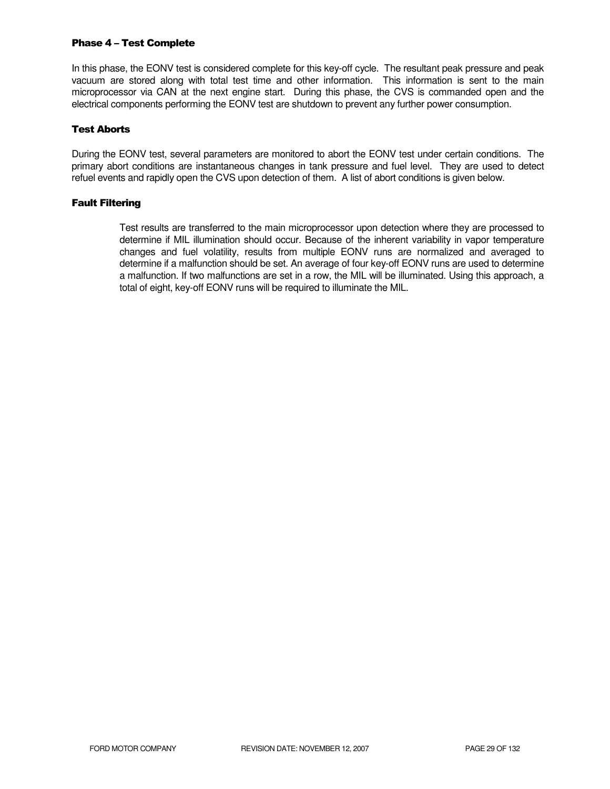#### Phase 4 – Test Complete

In this phase, the EONV test is considered complete for this key-off cycle. The resultant peak pressure and peak vacuum are stored along with total test time and other information. This information is sent to the main microprocessor via CAN at the next engine start. During this phase, the CVS is commanded open and the electrical components performing the EONV test are shutdown to prevent any further power consumption.

#### Test Aborts

During the EONV test, several parameters are monitored to abort the EONV test under certain conditions. The primary abort conditions are instantaneous changes in tank pressure and fuel level. They are used to detect refuel events and rapidly open the CVS upon detection of them. A list of abort conditions is given below.

#### Fault Filtering

Test results are transferred to the main microprocessor upon detection where they are processed to determine if MIL illumination should occur. Because of the inherent variability in vapor temperature changes and fuel volatility, results from multiple EONV runs are normalized and averaged to determine if a malfunction should be set. An average of four key-off EONV runs are used to determine a malfunction. If two malfunctions are set in a row, the MIL will be illuminated. Using this approach, a total of eight, key-off EONV runs will be required to illuminate the MIL.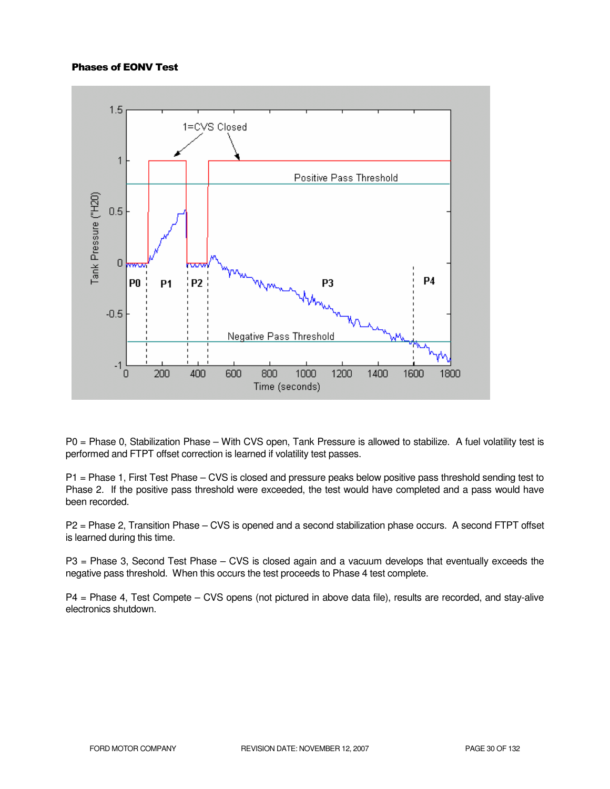#### Phases of EONV Test



P0 = Phase 0, Stabilization Phase – With CVS open, Tank Pressure is allowed to stabilize. A fuel volatility test is performed and FTPT offset correction is learned if volatility test passes.

P1 = Phase 1, First Test Phase – CVS is closed and pressure peaks below positive pass threshold sending test to Phase 2. If the positive pass threshold were exceeded, the test would have completed and a pass would have been recorded.

P2 = Phase 2, Transition Phase – CVS is opened and a second stabilization phase occurs. A second FTPT offset is learned during this time.

P3 = Phase 3, Second Test Phase – CVS is closed again and a vacuum develops that eventually exceeds the negative pass threshold. When this occurs the test proceeds to Phase 4 test complete.

P4 = Phase 4, Test Compete – CVS opens (not pictured in above data file), results are recorded, and stay-alive electronics shutdown.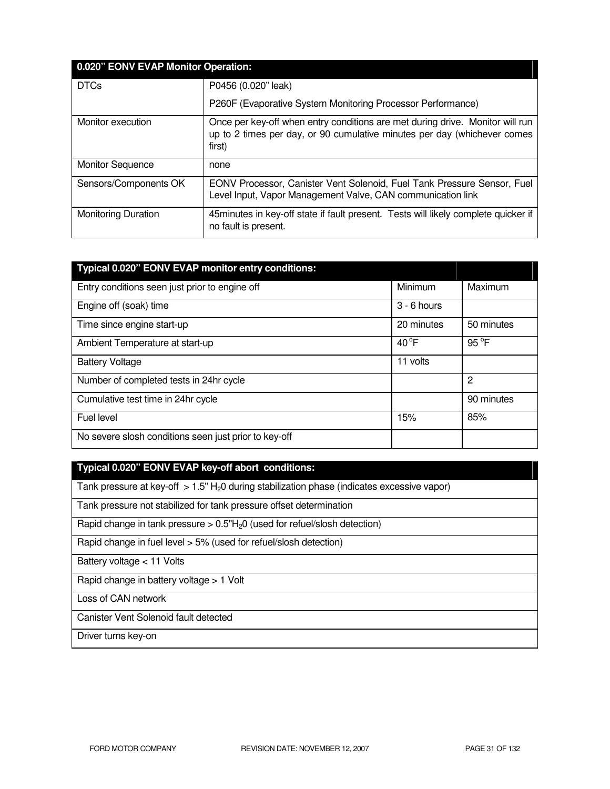| 0.020" EONV EVAP Monitor Operation: |                                                                                                                                                                     |  |
|-------------------------------------|---------------------------------------------------------------------------------------------------------------------------------------------------------------------|--|
| <b>DTCs</b>                         | P0456 (0.020" leak)                                                                                                                                                 |  |
|                                     | P260F (Evaporative System Monitoring Processor Performance)                                                                                                         |  |
| Monitor execution                   | Once per key-off when entry conditions are met during drive. Monitor will run<br>up to 2 times per day, or 90 cumulative minutes per day (whichever comes<br>first) |  |
| <b>Monitor Sequence</b>             | none                                                                                                                                                                |  |
| Sensors/Components OK               | EONV Processor, Canister Vent Solenoid, Fuel Tank Pressure Sensor, Fuel<br>Level Input, Vapor Management Valve, CAN communication link                              |  |
| <b>Monitoring Duration</b>          | 45minutes in key-off state if fault present. Tests will likely complete quicker if<br>no fault is present.                                                          |  |

| Typical 0.020" EONV EVAP monitor entry conditions:    |               |                |
|-------------------------------------------------------|---------------|----------------|
| Entry conditions seen just prior to engine off        | Minimum       | Maximum        |
| Engine off (soak) time                                | $3 - 6$ hours |                |
| Time since engine start-up                            | 20 minutes    | 50 minutes     |
| Ambient Temperature at start-up                       | $40^{\circ}F$ | 95 °F          |
| <b>Battery Voltage</b>                                | 11 volts      |                |
| Number of completed tests in 24hr cycle               |               | $\overline{2}$ |
| Cumulative test time in 24hr cycle                    |               | 90 minutes     |
| Fuel level                                            | 15%           | 85%            |
| No severe slosh conditions seen just prior to key-off |               |                |

## **Typical 0.020" EONV EVAP key-off abort conditions:**

Tank pressure at key-off  $> 1.5$ " H<sub>2</sub>0 during stabilization phase (indicates excessive vapor)

Tank pressure not stabilized for tank pressure offset determination

Rapid change in tank pressure  $> 0.5$ "H<sub>2</sub>0 (used for refuel/slosh detection)

Rapid change in fuel level > 5% (used for refuel/slosh detection)

Battery voltage < 11 Volts

Rapid change in battery voltage > 1 Volt

Loss of CAN network

Canister Vent Solenoid fault detected

Driver turns key-on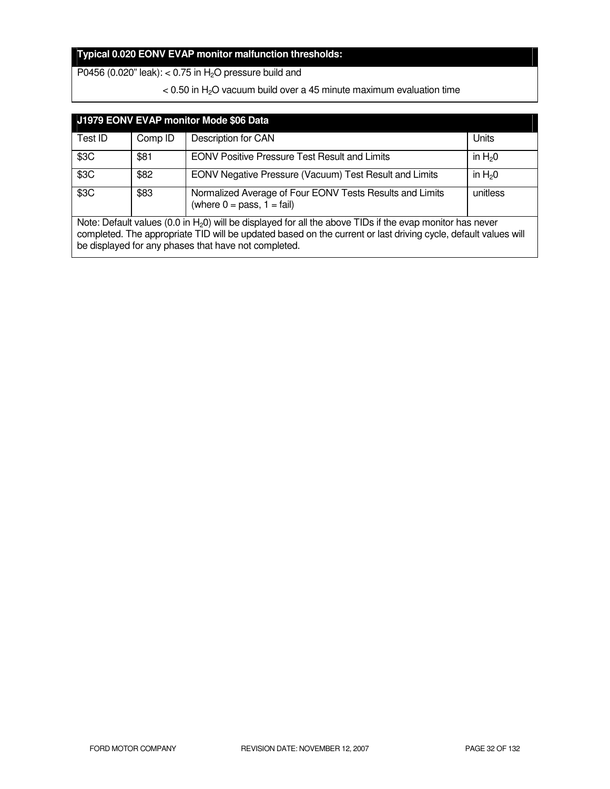## **Typical 0.020 EONV EVAP monitor malfunction thresholds:**

P0456 (0.020" leak): <  $0.75$  in  $H<sub>2</sub>O$  pressure build and

 $<$  0.50 in H<sub>2</sub>O vacuum build over a 45 minute maximum evaluation time

| J1979 EONV EVAP monitor Mode \$06 Data                                                                                                                                                                                                                                                 |         |                                                                                                     |          |
|----------------------------------------------------------------------------------------------------------------------------------------------------------------------------------------------------------------------------------------------------------------------------------------|---------|-----------------------------------------------------------------------------------------------------|----------|
| Test ID                                                                                                                                                                                                                                                                                | Comp ID | Description for CAN                                                                                 | Units    |
| \$3C                                                                                                                                                                                                                                                                                   | \$81    | <b>EONV Positive Pressure Test Result and Limits</b>                                                | in $H20$ |
| \$3C                                                                                                                                                                                                                                                                                   | \$82    | EONV Negative Pressure (Vacuum) Test Result and Limits                                              | in $H20$ |
| \$3C                                                                                                                                                                                                                                                                                   | \$83    | Normalized Average of Four EONV Tests Results and Limits<br>(where $0 = p$ ass, $1 = \text{fail}$ ) | unitless |
| Note: Default values (0.0 in $H_2$ 0) will be displayed for all the above TIDs if the evap monitor has never<br>completed. The appropriate TID will be updated based on the current or last driving cycle, default values will<br>be displayed for any phases that have not completed. |         |                                                                                                     |          |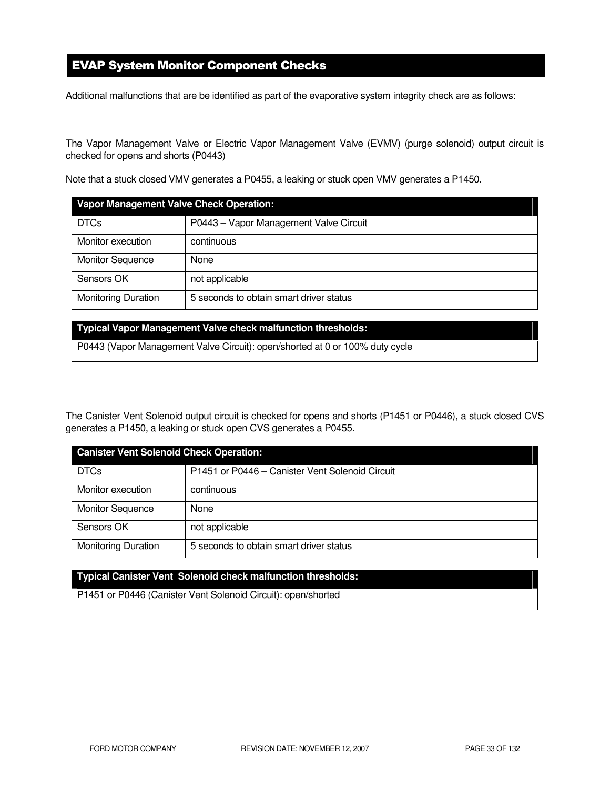## EVAP System Monitor Component Checks

Additional malfunctions that are be identified as part of the evaporative system integrity check are as follows:

The Vapor Management Valve or Electric Vapor Management Valve (EVMV) (purge solenoid) output circuit is checked for opens and shorts (P0443)

Note that a stuck closed VMV generates a P0455, a leaking or stuck open VMV generates a P1450.

| <b>Vapor Management Valve Check Operation:</b> |                                         |  |
|------------------------------------------------|-----------------------------------------|--|
| <b>DTCs</b>                                    | P0443 - Vapor Management Valve Circuit  |  |
| Monitor execution                              | continuous                              |  |
| <b>Monitor Sequence</b>                        | None                                    |  |
| Sensors OK                                     | not applicable                          |  |
| <b>Monitoring Duration</b>                     | 5 seconds to obtain smart driver status |  |

#### **Typical Vapor Management Valve check malfunction thresholds:**

P0443 (Vapor Management Valve Circuit): open/shorted at 0 or 100% duty cycle

The Canister Vent Solenoid output circuit is checked for opens and shorts (P1451 or P0446), a stuck closed CVS generates a P1450, a leaking or stuck open CVS generates a P0455.

| <b>Canister Vent Solenoid Check Operation:</b> |                                                 |  |
|------------------------------------------------|-------------------------------------------------|--|
| <b>DTCs</b>                                    | P1451 or P0446 - Canister Vent Solenoid Circuit |  |
| Monitor execution                              | continuous                                      |  |
| <b>Monitor Sequence</b>                        | None                                            |  |
| Sensors OK                                     | not applicable                                  |  |
| <b>Monitoring Duration</b>                     | 5 seconds to obtain smart driver status         |  |

#### **Typical Canister Vent Solenoid check malfunction thresholds:**

P1451 or P0446 (Canister Vent Solenoid Circuit): open/shorted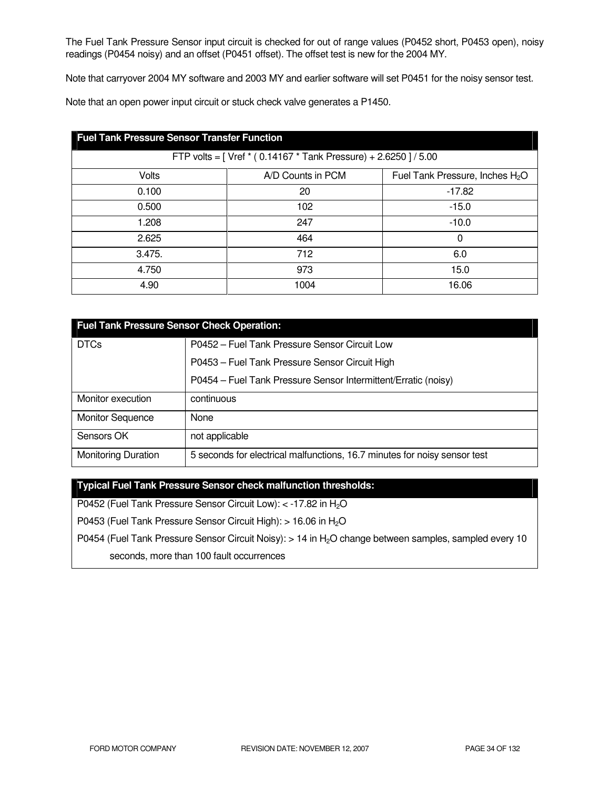The Fuel Tank Pressure Sensor input circuit is checked for out of range values (P0452 short, P0453 open), noisy readings (P0454 noisy) and an offset (P0451 offset). The offset test is new for the 2004 MY.

Note that carryover 2004 MY software and 2003 MY and earlier software will set P0451 for the noisy sensor test.

Note that an open power input circuit or stuck check valve generates a P1450.

| <b>Fuel Tank Pressure Sensor Transfer Function</b>               |                   |                                             |  |
|------------------------------------------------------------------|-------------------|---------------------------------------------|--|
| FTP volts = [ Vref * (0.14167 * Tank Pressure) + 2.6250 ] / 5.00 |                   |                                             |  |
| Volts                                                            | A/D Counts in PCM | Fuel Tank Pressure, Inches H <sub>2</sub> O |  |
| 0.100                                                            | 20                | $-17.82$                                    |  |
| 0.500                                                            | 102               | $-15.0$                                     |  |
| 1.208                                                            | 247               | $-10.0$                                     |  |
| 2.625                                                            | 464               | 0                                           |  |
| 3.475.                                                           | 712               | 6.0                                         |  |
| 4.750                                                            | 973               | 15.0                                        |  |
| 4.90                                                             | 1004              | 16.06                                       |  |

| <b>Fuel Tank Pressure Sensor Check Operation:</b> |                                                                           |  |
|---------------------------------------------------|---------------------------------------------------------------------------|--|
| <b>DTCs</b>                                       | P0452 - Fuel Tank Pressure Sensor Circuit Low                             |  |
|                                                   | P0453 - Fuel Tank Pressure Sensor Circuit High                            |  |
|                                                   | P0454 - Fuel Tank Pressure Sensor Intermittent/Erratic (noisy)            |  |
| Monitor execution                                 | continuous                                                                |  |
| <b>Monitor Sequence</b>                           | None                                                                      |  |
| Sensors OK                                        | not applicable                                                            |  |
| <b>Monitoring Duration</b>                        | 5 seconds for electrical malfunctions, 16.7 minutes for noisy sensor test |  |

**Typical Fuel Tank Pressure Sensor check malfunction thresholds:** 

P0452 (Fuel Tank Pressure Sensor Circuit Low): < -17.82 in H<sub>2</sub>O

P0453 (Fuel Tank Pressure Sensor Circuit High): > 16.06 in H<sub>2</sub>O

P0454 (Fuel Tank Pressure Sensor Circuit Noisy): > 14 in H<sub>2</sub>O change between samples, sampled every 10

seconds, more than 100 fault occurrences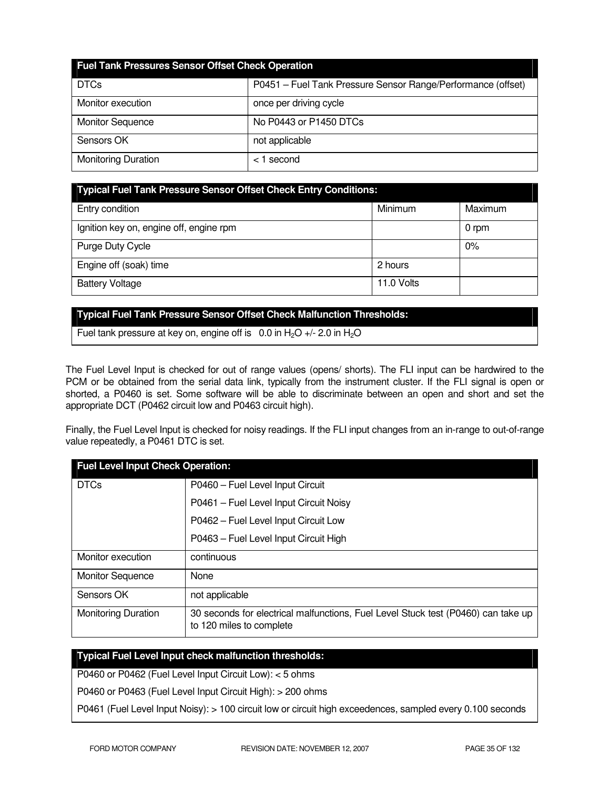| <b>Fuel Tank Pressures Sensor Offset Check Operation</b> |                                                              |  |
|----------------------------------------------------------|--------------------------------------------------------------|--|
| <b>DTCs</b>                                              | P0451 - Fuel Tank Pressure Sensor Range/Performance (offset) |  |
| Monitor execution                                        | once per driving cycle                                       |  |
| <b>Monitor Sequence</b>                                  | No P0443 or P1450 DTCs                                       |  |
| Sensors OK                                               | not applicable                                               |  |
| <b>Monitoring Duration</b>                               | $<$ 1 second                                                 |  |

| Typical Fuel Tank Pressure Sensor Offset Check Entry Conditions: |            |         |
|------------------------------------------------------------------|------------|---------|
| Entry condition                                                  | Minimum    | Maximum |
| Ignition key on, engine off, engine rpm                          |            | 0 rpm   |
| Purge Duty Cycle                                                 |            | 0%      |
| Engine off (soak) time                                           | 2 hours    |         |
| <b>Battery Voltage</b>                                           | 11.0 Volts |         |

#### **Typical Fuel Tank Pressure Sensor Offset Check Malfunction Thresholds:**

Fuel tank pressure at key on, engine off is  $0.0$  in H<sub>2</sub>O +/- 2.0 in H<sub>2</sub>O

The Fuel Level Input is checked for out of range values (opens/ shorts). The FLI input can be hardwired to the PCM or be obtained from the serial data link, typically from the instrument cluster. If the FLI signal is open or shorted, a P0460 is set. Some software will be able to discriminate between an open and short and set the appropriate DCT (P0462 circuit low and P0463 circuit high).

Finally, the Fuel Level Input is checked for noisy readings. If the FLI input changes from an in-range to out-of-range value repeatedly, a P0461 DTC is set.

| <b>Fuel Level Input Check Operation:</b> |                                                                                                               |  |
|------------------------------------------|---------------------------------------------------------------------------------------------------------------|--|
| <b>DTCs</b>                              | P0460 - Fuel Level Input Circuit                                                                              |  |
|                                          | P0461 - Fuel Level Input Circuit Noisy                                                                        |  |
|                                          | P0462 - Fuel Level Input Circuit Low                                                                          |  |
|                                          | P0463 - Fuel Level Input Circuit High                                                                         |  |
| Monitor execution                        | continuous                                                                                                    |  |
| <b>Monitor Sequence</b>                  | None                                                                                                          |  |
| Sensors OK                               | not applicable                                                                                                |  |
| <b>Monitoring Duration</b>               | 30 seconds for electrical malfunctions, Fuel Level Stuck test (P0460) can take up<br>to 120 miles to complete |  |

## **Typical Fuel Level Input check malfunction thresholds:**

P0460 or P0462 (Fuel Level Input Circuit Low): < 5 ohms

P0460 or P0463 (Fuel Level Input Circuit High): > 200 ohms

P0461 (Fuel Level Input Noisy): > 100 circuit low or circuit high exceedences, sampled every 0.100 seconds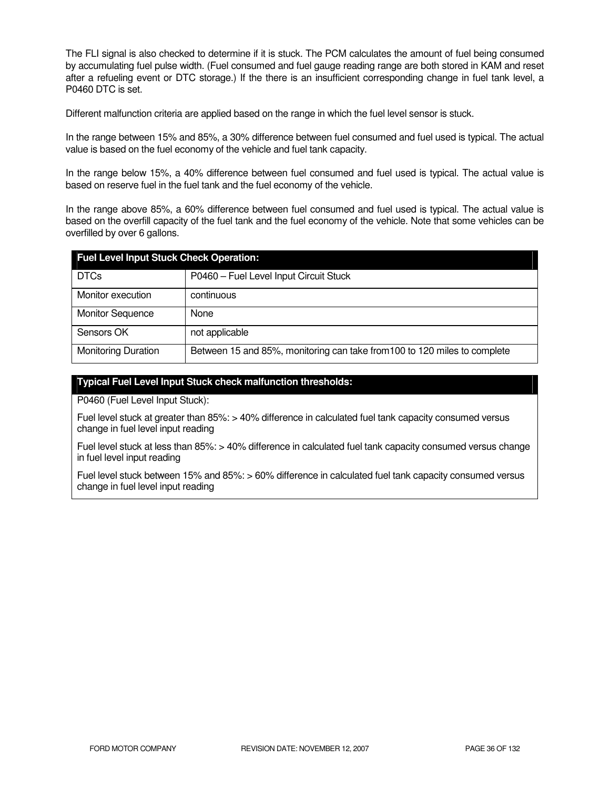The FLI signal is also checked to determine if it is stuck. The PCM calculates the amount of fuel being consumed by accumulating fuel pulse width. (Fuel consumed and fuel gauge reading range are both stored in KAM and reset after a refueling event or DTC storage.) If the there is an insufficient corresponding change in fuel tank level, a P0460 DTC is set.

Different malfunction criteria are applied based on the range in which the fuel level sensor is stuck.

In the range between 15% and 85%, a 30% difference between fuel consumed and fuel used is typical. The actual value is based on the fuel economy of the vehicle and fuel tank capacity.

In the range below 15%, a 40% difference between fuel consumed and fuel used is typical. The actual value is based on reserve fuel in the fuel tank and the fuel economy of the vehicle.

In the range above 85%, a 60% difference between fuel consumed and fuel used is typical. The actual value is based on the overfill capacity of the fuel tank and the fuel economy of the vehicle. Note that some vehicles can be overfilled by over 6 gallons.

| <b>Fuel Level Input Stuck Check Operation:</b> |                                                                           |  |
|------------------------------------------------|---------------------------------------------------------------------------|--|
| <b>DTCs</b>                                    | P0460 - Fuel Level Input Circuit Stuck                                    |  |
| Monitor execution                              | continuous                                                                |  |
| <b>Monitor Sequence</b>                        | None                                                                      |  |
| Sensors OK                                     | not applicable                                                            |  |
| <b>Monitoring Duration</b>                     | Between 15 and 85%, monitoring can take from 100 to 120 miles to complete |  |

#### **Typical Fuel Level Input Stuck check malfunction thresholds:**

P0460 (Fuel Level Input Stuck):

Fuel level stuck at greater than 85%: > 40% difference in calculated fuel tank capacity consumed versus change in fuel level input reading

Fuel level stuck at less than 85%: > 40% difference in calculated fuel tank capacity consumed versus change in fuel level input reading

Fuel level stuck between 15% and 85%: > 60% difference in calculated fuel tank capacity consumed versus change in fuel level input reading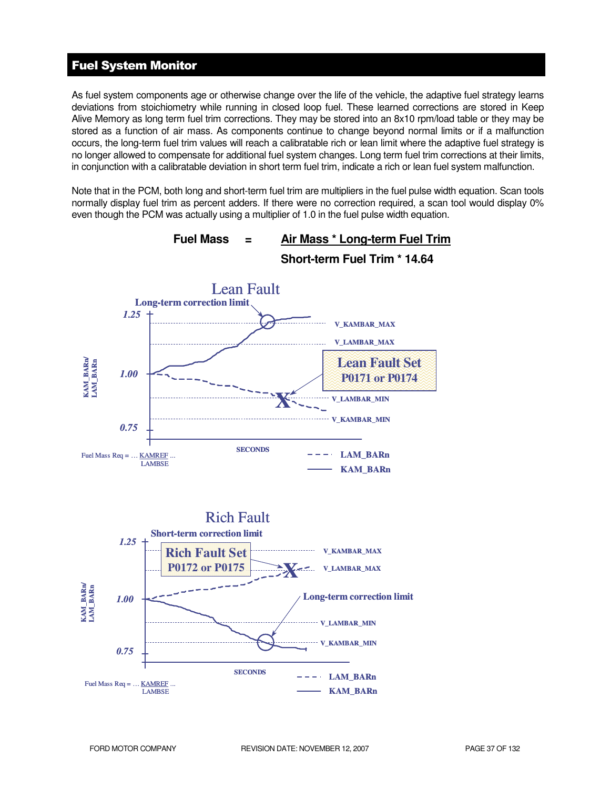# Fuel System Monitor

As fuel system components age or otherwise change over the life of the vehicle, the adaptive fuel strategy learns deviations from stoichiometry while running in closed loop fuel. These learned corrections are stored in Keep Alive Memory as long term fuel trim corrections. They may be stored into an 8x10 rpm/load table or they may be stored as a function of air mass. As components continue to change beyond normal limits or if a malfunction occurs, the long-term fuel trim values will reach a calibratable rich or lean limit where the adaptive fuel strategy is no longer allowed to compensate for additional fuel system changes. Long term fuel trim corrections at their limits, in conjunction with a calibratable deviation in short term fuel trim, indicate a rich or lean fuel system malfunction.

Note that in the PCM, both long and short-term fuel trim are multipliers in the fuel pulse width equation. Scan tools normally display fuel trim as percent adders. If there were no correction required, a scan tool would display 0% even though the PCM was actually using a multiplier of 1.0 in the fuel pulse width equation.

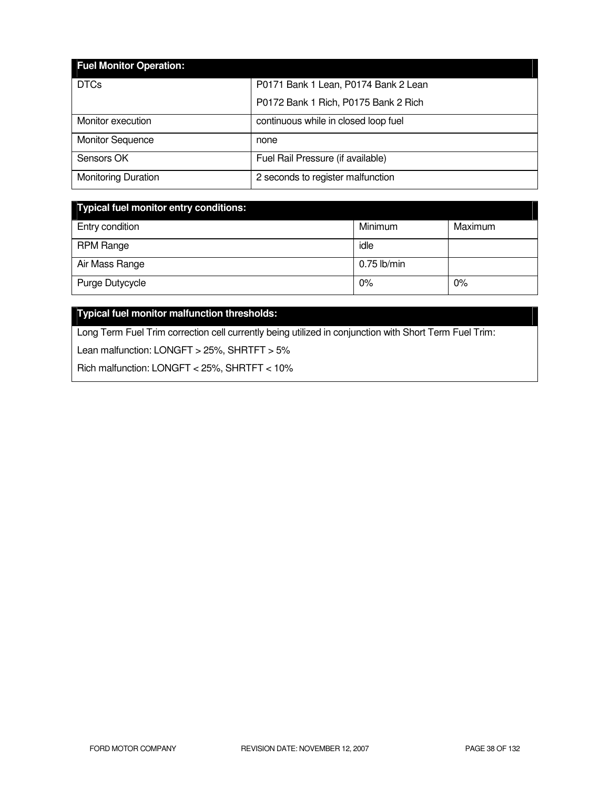| <b>Fuel Monitor Operation:</b> |                                      |
|--------------------------------|--------------------------------------|
| <b>DTCs</b>                    | P0171 Bank 1 Lean, P0174 Bank 2 Lean |
|                                | P0172 Bank 1 Rich, P0175 Bank 2 Rich |
| Monitor execution              | continuous while in closed loop fuel |
| <b>Monitor Sequence</b>        | none                                 |
| Sensors OK                     | Fuel Rail Pressure (if available)    |
| <b>Monitoring Duration</b>     | 2 seconds to register malfunction    |

| Typical fuel monitor entry conditions: |               |         |  |
|----------------------------------------|---------------|---------|--|
| Entry condition                        | Minimum       | Maximum |  |
| <b>RPM Range</b>                       | idle          |         |  |
| Air Mass Range                         | $0.75$ lb/min |         |  |
| Purge Dutycycle                        | 0%            | 0%      |  |

# **Typical fuel monitor malfunction thresholds:**

Long Term Fuel Trim correction cell currently being utilized in conjunction with Short Term Fuel Trim:

Lean malfunction: LONGFT > 25%, SHRTFT > 5%

Rich malfunction: LONGFT < 25%, SHRTFT < 10%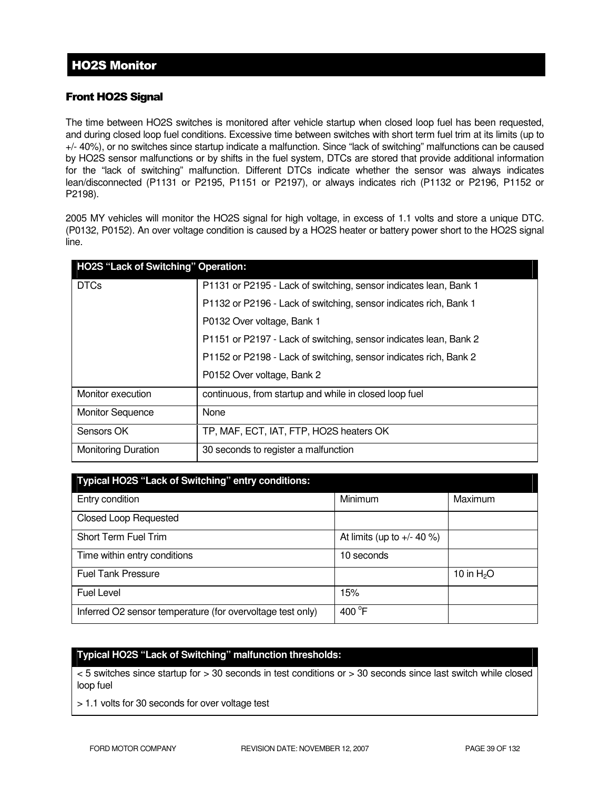### Front HO2S Signal

The time between HO2S switches is monitored after vehicle startup when closed loop fuel has been requested, and during closed loop fuel conditions. Excessive time between switches with short term fuel trim at its limits (up to +/- 40%), or no switches since startup indicate a malfunction. Since "lack of switching" malfunctions can be caused by HO2S sensor malfunctions or by shifts in the fuel system, DTCs are stored that provide additional information for the "lack of switching" malfunction. Different DTCs indicate whether the sensor was always indicates lean/disconnected (P1131 or P2195, P1151 or P2197), or always indicates rich (P1132 or P2196, P1152 or P2198).

2005 MY vehicles will monitor the HO2S signal for high voltage, in excess of 1.1 volts and store a unique DTC. (P0132, P0152). An over voltage condition is caused by a HO2S heater or battery power short to the HO2S signal line.

| HO2S "Lack of Switching" Operation: |                                                                   |
|-------------------------------------|-------------------------------------------------------------------|
| <b>DTCs</b>                         | P1131 or P2195 - Lack of switching, sensor indicates lean, Bank 1 |
|                                     | P1132 or P2196 - Lack of switching, sensor indicates rich, Bank 1 |
|                                     | P0132 Over voltage, Bank 1                                        |
|                                     | P1151 or P2197 - Lack of switching, sensor indicates lean, Bank 2 |
|                                     | P1152 or P2198 - Lack of switching, sensor indicates rich, Bank 2 |
|                                     | P0152 Over voltage, Bank 2                                        |
| Monitor execution                   | continuous, from startup and while in closed loop fuel            |
| <b>Monitor Sequence</b>             | None                                                              |
| Sensors OK                          | TP, MAF, ECT, IAT, FTP, HO2S heaters OK                           |
| <b>Monitoring Duration</b>          | 30 seconds to register a malfunction                              |

| Typical HO2S "Lack of Switching" entry conditions:         |                              |             |  |  |
|------------------------------------------------------------|------------------------------|-------------|--|--|
| Entry condition                                            | Minimum                      | Maximum     |  |  |
| <b>Closed Loop Requested</b>                               |                              |             |  |  |
| Short Term Fuel Trim                                       | At limits (up to $+/- 40$ %) |             |  |  |
| Time within entry conditions                               | 10 seconds                   |             |  |  |
| <b>Fuel Tank Pressure</b>                                  |                              | 10 in $H2O$ |  |  |
| Fuel Level                                                 | 15%                          |             |  |  |
| Inferred O2 sensor temperature (for overvoltage test only) | 400 °F                       |             |  |  |

### **Typical HO2S "Lack of Switching" malfunction thresholds:**

< 5 switches since startup for > 30 seconds in test conditions or > 30 seconds since last switch while closed loop fuel

> 1.1 volts for 30 seconds for over voltage test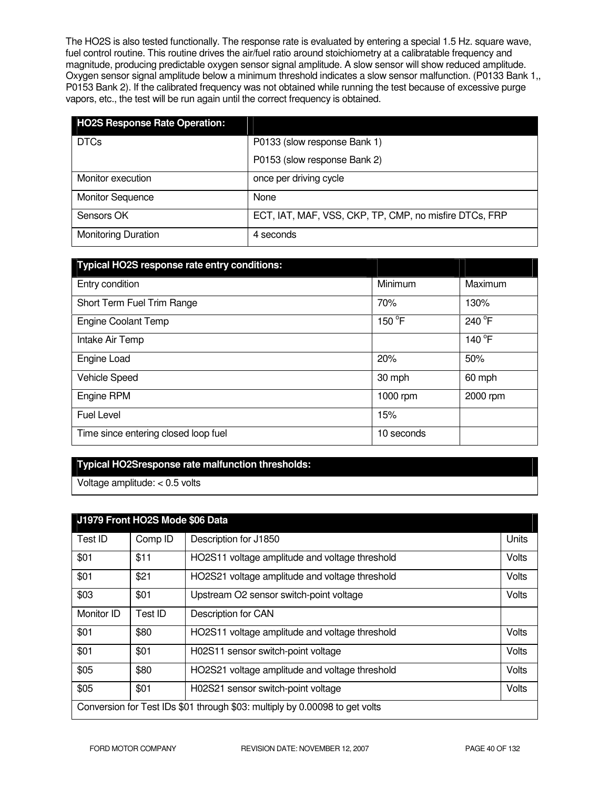The HO2S is also tested functionally. The response rate is evaluated by entering a special 1.5 Hz. square wave, fuel control routine. This routine drives the air/fuel ratio around stoichiometry at a calibratable frequency and magnitude, producing predictable oxygen sensor signal amplitude. A slow sensor will show reduced amplitude. Oxygen sensor signal amplitude below a minimum threshold indicates a slow sensor malfunction. (P0133 Bank 1,, P0153 Bank 2). If the calibrated frequency was not obtained while running the test because of excessive purge vapors, etc., the test will be run again until the correct frequency is obtained.

| <b>HO2S Response Rate Operation:</b> |                                                        |
|--------------------------------------|--------------------------------------------------------|
| <b>DTCs</b>                          | P0133 (slow response Bank 1)                           |
|                                      | P0153 (slow response Bank 2)                           |
| Monitor execution                    | once per driving cycle                                 |
| <b>Monitor Sequence</b>              | None                                                   |
| Sensors OK                           | ECT, IAT, MAF, VSS, CKP, TP, CMP, no misfire DTCs, FRP |
| <b>Monitoring Duration</b>           | 4 seconds                                              |

| Typical HO2S response rate entry conditions: |            |          |
|----------------------------------------------|------------|----------|
| Entry condition                              | Minimum    | Maximum  |
| Short Term Fuel Trim Range                   | 70%        | 130%     |
| <b>Engine Coolant Temp</b>                   | 150 °F     | 240 °F   |
| Intake Air Temp                              |            | 140 °F   |
| Engine Load                                  | 20%        | 50%      |
| Vehicle Speed                                | 30 mph     | 60 mph   |
| Engine RPM                                   | 1000 rpm   | 2000 rpm |
| <b>Fuel Level</b>                            | 15%        |          |
| Time since entering closed loop fuel         | 10 seconds |          |

### **Typical HO2Sresponse rate malfunction thresholds:**

Voltage amplitude: < 0.5 volts

|                                                                             | J1979 Front HO2S Mode \$06 Data |                                                |       |
|-----------------------------------------------------------------------------|---------------------------------|------------------------------------------------|-------|
| Test ID                                                                     | Comp ID                         | Description for J1850                          | Units |
| \$01                                                                        | \$11                            | HO2S11 voltage amplitude and voltage threshold | Volts |
| \$01                                                                        | \$21                            | HO2S21 voltage amplitude and voltage threshold | Volts |
| \$03                                                                        | \$01                            | Upstream O2 sensor switch-point voltage        | Volts |
| Monitor ID                                                                  | Test ID                         | Description for CAN                            |       |
| \$01                                                                        | \$80                            | HO2S11 voltage amplitude and voltage threshold | Volts |
| \$01                                                                        | \$01                            | H02S11 sensor switch-point voltage             | Volts |
| \$05                                                                        | \$80                            | HO2S21 voltage amplitude and voltage threshold | Volts |
| \$05                                                                        | \$01                            | H02S21 sensor switch-point voltage             | Volts |
| Conversion for Test IDs \$01 through \$03: multiply by 0.00098 to get volts |                                 |                                                |       |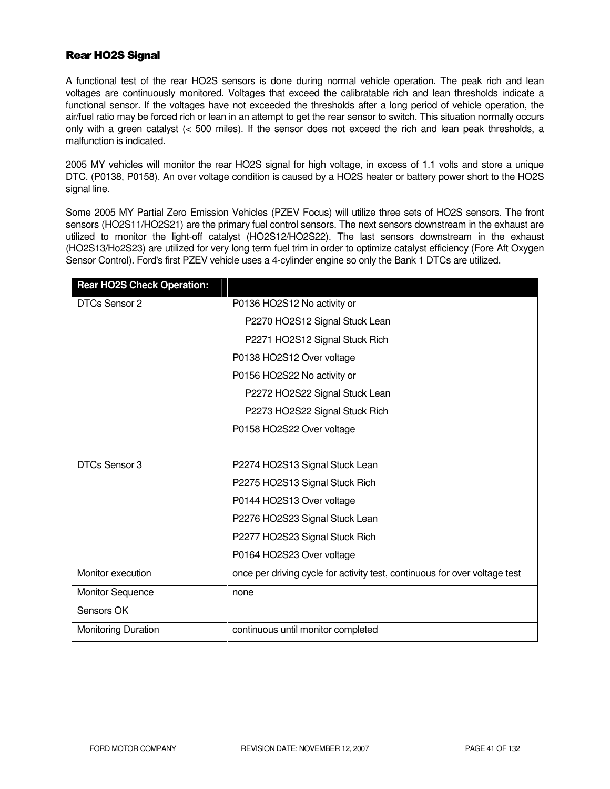### Rear HO2S Signal

A functional test of the rear HO2S sensors is done during normal vehicle operation. The peak rich and lean voltages are continuously monitored. Voltages that exceed the calibratable rich and lean thresholds indicate a functional sensor. If the voltages have not exceeded the thresholds after a long period of vehicle operation, the air/fuel ratio may be forced rich or lean in an attempt to get the rear sensor to switch. This situation normally occurs only with a green catalyst (< 500 miles). If the sensor does not exceed the rich and lean peak thresholds, a malfunction is indicated.

2005 MY vehicles will monitor the rear HO2S signal for high voltage, in excess of 1.1 volts and store a unique DTC. (P0138, P0158). An over voltage condition is caused by a HO2S heater or battery power short to the HO2S signal line.

Some 2005 MY Partial Zero Emission Vehicles (PZEV Focus) will utilize three sets of HO2S sensors. The front sensors (HO2S11/HO2S21) are the primary fuel control sensors. The next sensors downstream in the exhaust are utilized to monitor the light-off catalyst (HO2S12/HO2S22). The last sensors downstream in the exhaust (HO2S13/Ho2S23) are utilized for very long term fuel trim in order to optimize catalyst efficiency (Fore Aft Oxygen Sensor Control). Ford's first PZEV vehicle uses a 4-cylinder engine so only the Bank 1 DTCs are utilized.

| <b>Rear HO2S Check Operation:</b> |                                                                            |
|-----------------------------------|----------------------------------------------------------------------------|
| DTCs Sensor 2                     | P0136 HO2S12 No activity or                                                |
|                                   | P2270 HO2S12 Signal Stuck Lean                                             |
|                                   | P2271 HO2S12 Signal Stuck Rich                                             |
|                                   | P0138 HO2S12 Over voltage                                                  |
|                                   | P0156 HO2S22 No activity or                                                |
|                                   | P2272 HO2S22 Signal Stuck Lean                                             |
|                                   | P2273 HO2S22 Signal Stuck Rich                                             |
|                                   | P0158 HO2S22 Over voltage                                                  |
|                                   |                                                                            |
| DTCs Sensor 3                     | P2274 HO2S13 Signal Stuck Lean                                             |
|                                   | P2275 HO2S13 Signal Stuck Rich                                             |
|                                   | P0144 HO2S13 Over voltage                                                  |
|                                   | P2276 HO2S23 Signal Stuck Lean                                             |
|                                   | P2277 HO2S23 Signal Stuck Rich                                             |
|                                   | P0164 HO2S23 Over voltage                                                  |
| Monitor execution                 | once per driving cycle for activity test, continuous for over voltage test |
| <b>Monitor Sequence</b>           | none                                                                       |
| Sensors OK                        |                                                                            |
| Monitoring Duration               | continuous until monitor completed                                         |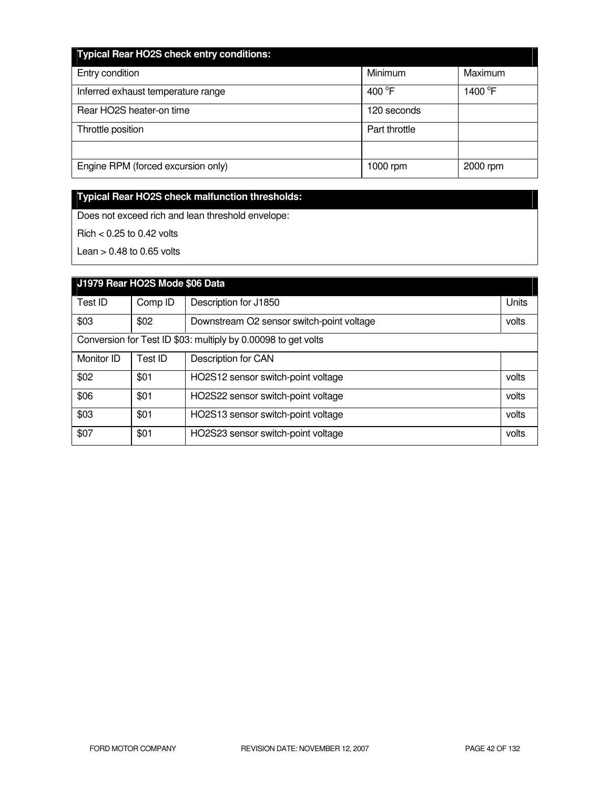| <b>Typical Rear HO2S check entry conditions:</b> |                  |                     |  |  |
|--------------------------------------------------|------------------|---------------------|--|--|
| Entry condition                                  | Minimum          | Maximum             |  |  |
| Inferred exhaust temperature range               | 400 $^{\circ}$ F | 1400 <sup>°</sup> F |  |  |
| Rear HO2S heater-on time                         | 120 seconds      |                     |  |  |
| Throttle position                                | Part throttle    |                     |  |  |
|                                                  |                  |                     |  |  |
| Engine RPM (forced excursion only)               | 1000 rpm         | 2000 rpm            |  |  |

# **Typical Rear HO2S check malfunction thresholds:**

Does not exceed rich and lean threshold envelope:

Rich < 0.25 to 0.42 volts

Lean  $> 0.48$  to 0.65 volts

| J1979 Rear HO2S Mode \$06 Data |                                                               |                                           |       |
|--------------------------------|---------------------------------------------------------------|-------------------------------------------|-------|
| Test ID                        | Comp ID                                                       | Description for J1850                     | Units |
| \$03                           | \$02                                                          | Downstream O2 sensor switch-point voltage | volts |
|                                | Conversion for Test ID \$03: multiply by 0.00098 to get volts |                                           |       |
| Monitor ID                     | Test ID                                                       | Description for CAN                       |       |
| \$02                           | \$01                                                          | HO2S12 sensor switch-point voltage        | volts |
| \$06                           | \$01                                                          | HO2S22 sensor switch-point voltage        | volts |
| \$03                           | \$01                                                          | HO2S13 sensor switch-point voltage        | volts |
| \$07                           | \$01                                                          | HO2S23 sensor switch-point voltage        | volts |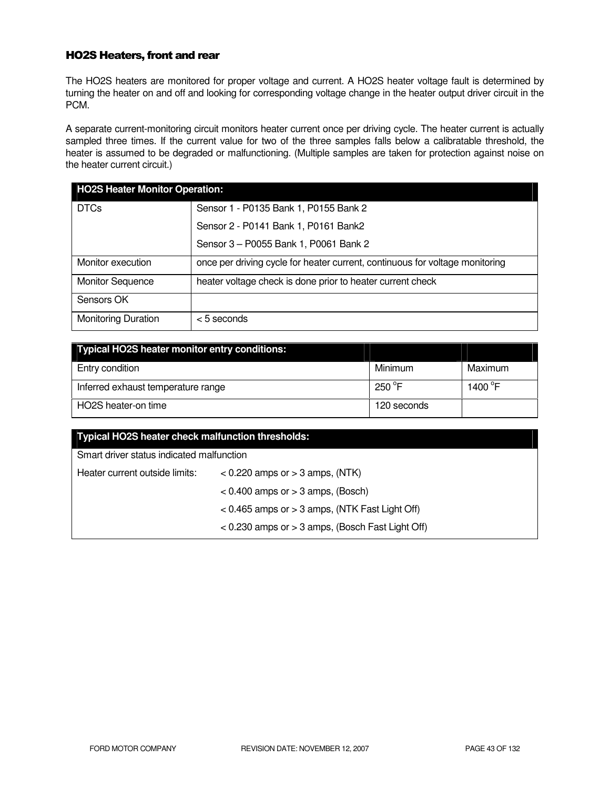### HO2S Heaters, front and rear

The HO2S heaters are monitored for proper voltage and current. A HO2S heater voltage fault is determined by turning the heater on and off and looking for corresponding voltage change in the heater output driver circuit in the PCM.

A separate current-monitoring circuit monitors heater current once per driving cycle. The heater current is actually sampled three times. If the current value for two of the three samples falls below a calibratable threshold, the heater is assumed to be degraded or malfunctioning. (Multiple samples are taken for protection against noise on the heater current circuit.)

| <b>HO2S Heater Monitor Operation:</b> |                                                                              |  |
|---------------------------------------|------------------------------------------------------------------------------|--|
| <b>DTCs</b>                           | Sensor 1 - P0135 Bank 1, P0155 Bank 2                                        |  |
|                                       | Sensor 2 - P0141 Bank 1, P0161 Bank2                                         |  |
|                                       | Sensor 3 - P0055 Bank 1, P0061 Bank 2                                        |  |
| Monitor execution                     | once per driving cycle for heater current, continuous for voltage monitoring |  |
| <b>Monitor Sequence</b>               | heater voltage check is done prior to heater current check                   |  |
| Sensors OK                            |                                                                              |  |
| <b>Monitoring Duration</b>            | $<$ 5 seconds                                                                |  |

| <b>Typical HO2S heater monitor entry conditions:</b> |                  |                   |
|------------------------------------------------------|------------------|-------------------|
| Entry condition                                      | Minimum          | Maximum           |
| Inferred exhaust temperature range                   | 250 $^{\circ}$ F | 1400 $^{\circ}$ F |
| HO2S heater-on time                                  | 120 seconds      |                   |

| Typical HO2S heater check malfunction thresholds:    |                                                    |  |
|------------------------------------------------------|----------------------------------------------------|--|
| Smart driver status indicated malfunction            |                                                    |  |
| Heater current outside limits:                       | $<$ 0.220 amps or $>$ 3 amps, (NTK)                |  |
|                                                      | $< 0.400$ amps or $> 3$ amps, (Bosch)              |  |
|                                                      | $< 0.465$ amps or $> 3$ amps, (NTK Fast Light Off) |  |
| $<$ 0.230 amps or $>$ 3 amps, (Bosch Fast Light Off) |                                                    |  |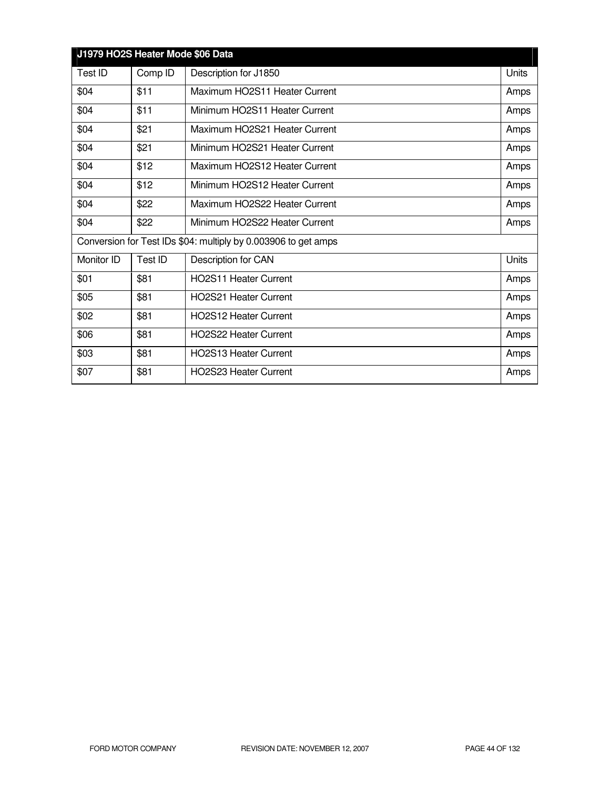| J1979 HO2S Heater Mode \$06 Data |         |                                                                |       |
|----------------------------------|---------|----------------------------------------------------------------|-------|
| Test ID                          | Comp ID | Description for J1850                                          | Units |
| \$04                             | \$11    | Maximum HO2S11 Heater Current                                  | Amps  |
| \$04                             | \$11    | Minimum HO2S11 Heater Current                                  | Amps  |
| \$04                             | \$21    | Maximum HO2S21 Heater Current                                  | Amps  |
| \$04                             | \$21    | Minimum HO2S21 Heater Current                                  | Amps  |
| \$04                             | \$12    | Maximum HO2S12 Heater Current                                  | Amps  |
| \$04                             | \$12    | Minimum HO2S12 Heater Current                                  | Amps  |
| \$04                             | \$22    | Maximum HO2S22 Heater Current                                  | Amps  |
| \$04                             | \$22    | Minimum HO2S22 Heater Current                                  | Amps  |
|                                  |         | Conversion for Test IDs \$04: multiply by 0.003906 to get amps |       |
| Monitor ID                       | Test ID | Description for CAN                                            | Units |
| \$01                             | \$81    | <b>HO2S11 Heater Current</b>                                   | Amps  |
| \$05                             | \$81    | HO2S21 Heater Current                                          | Amps  |
| \$02                             | \$81    | <b>HO2S12 Heater Current</b>                                   | Amps  |
| \$06                             | \$81    | <b>HO2S22 Heater Current</b>                                   | Amps  |
| \$03                             | \$81    | <b>HO2S13 Heater Current</b>                                   | Amps  |
| \$07                             | \$81    | <b>HO2S23 Heater Current</b>                                   | Amps  |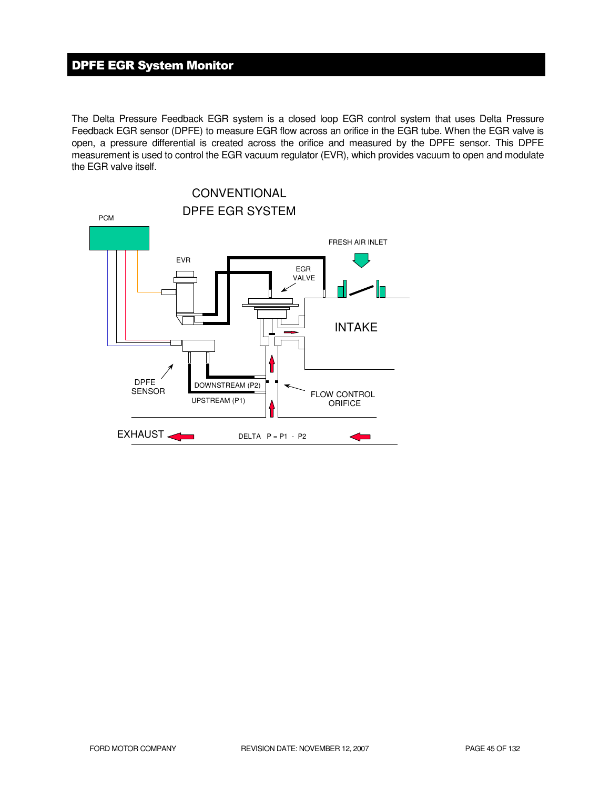# DPFE EGR System Monitor

The Delta Pressure Feedback EGR system is a closed loop EGR control system that uses Delta Pressure Feedback EGR sensor (DPFE) to measure EGR flow across an orifice in the EGR tube. When the EGR valve is open, a pressure differential is created across the orifice and measured by the DPFE sensor. This DPFE measurement is used to control the EGR vacuum regulator (EVR), which provides vacuum to open and modulate the EGR valve itself.

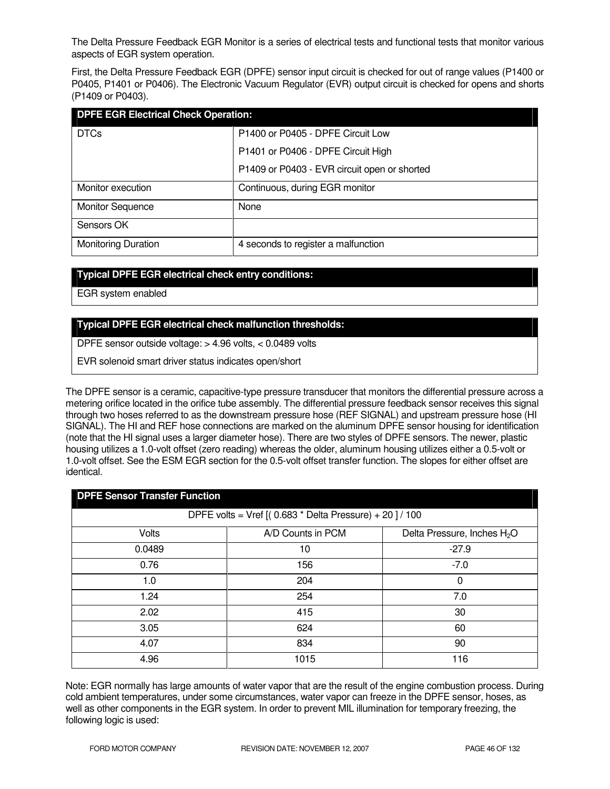The Delta Pressure Feedback EGR Monitor is a series of electrical tests and functional tests that monitor various aspects of EGR system operation.

First, the Delta Pressure Feedback EGR (DPFE) sensor input circuit is checked for out of range values (P1400 or P0405, P1401 or P0406). The Electronic Vacuum Regulator (EVR) output circuit is checked for opens and shorts (P1409 or P0403).

| <b>DPFE EGR Electrical Check Operation:</b> |                                              |  |
|---------------------------------------------|----------------------------------------------|--|
| <b>DTCs</b>                                 | P1400 or P0405 - DPFE Circuit Low            |  |
|                                             | P1401 or P0406 - DPFE Circuit High           |  |
|                                             | P1409 or P0403 - EVR circuit open or shorted |  |
| Monitor execution                           | Continuous, during EGR monitor               |  |
| <b>Monitor Sequence</b>                     | None                                         |  |
| Sensors OK                                  |                                              |  |
| <b>Monitoring Duration</b>                  | 4 seconds to register a malfunction          |  |

### **Typical DPFE EGR electrical check entry conditions:**

EGR system enabled

### **Typical DPFE EGR electrical check malfunction thresholds:**

DPFE sensor outside voltage: > 4.96 volts, < 0.0489 volts

EVR solenoid smart driver status indicates open/short

The DPFE sensor is a ceramic, capacitive-type pressure transducer that monitors the differential pressure across a metering orifice located in the orifice tube assembly. The differential pressure feedback sensor receives this signal through two hoses referred to as the downstream pressure hose (REF SIGNAL) and upstream pressure hose (HI SIGNAL). The HI and REF hose connections are marked on the aluminum DPFE sensor housing for identification (note that the HI signal uses a larger diameter hose). There are two styles of DPFE sensors. The newer, plastic housing utilizes a 1.0-volt offset (zero reading) whereas the older, aluminum housing utilizes either a 0.5-volt or 1.0-volt offset. See the ESM EGR section for the 0.5-volt offset transfer function. The slopes for either offset are identical.

| <b>DPFE Sensor Transfer Function</b>                    |                   |                                         |  |
|---------------------------------------------------------|-------------------|-----------------------------------------|--|
| DPFE volts = Vref $[(0.683 * Delta Pressure) + 20]/100$ |                   |                                         |  |
| Volts                                                   | A/D Counts in PCM | Delta Pressure, Inches H <sub>2</sub> O |  |
| 0.0489                                                  | 10                | $-27.9$                                 |  |
| 0.76                                                    | 156               | $-7.0$                                  |  |
| 1.0                                                     | 204               | 0                                       |  |
| 1.24                                                    | 254               | 7.0                                     |  |
| 2.02                                                    | 415               | 30                                      |  |
| 3.05                                                    | 624               | 60                                      |  |
| 4.07                                                    | 834               | 90                                      |  |
| 4.96                                                    | 1015              | 116                                     |  |

Note: EGR normally has large amounts of water vapor that are the result of the engine combustion process. During cold ambient temperatures, under some circumstances, water vapor can freeze in the DPFE sensor, hoses, as well as other components in the EGR system. In order to prevent MIL illumination for temporary freezing, the following logic is used: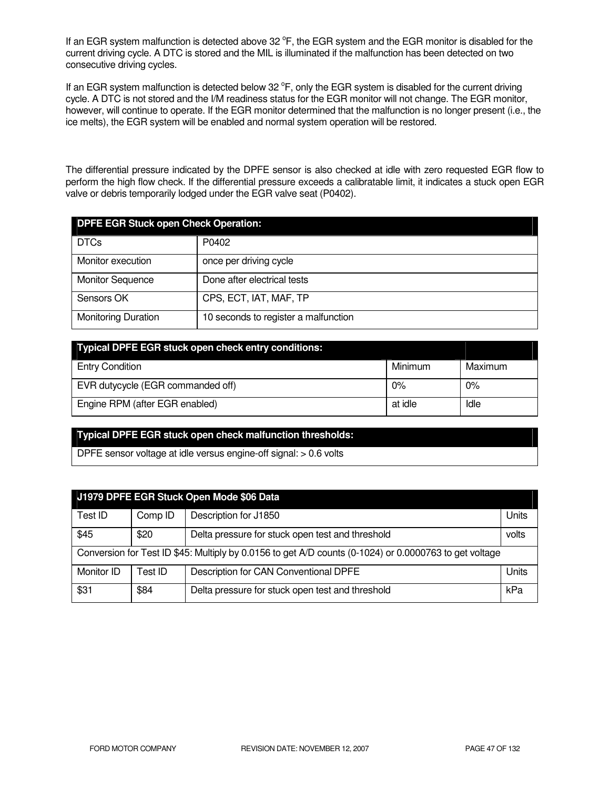If an EGR system malfunction is detected above 32  $\degree$ F, the EGR system and the EGR monitor is disabled for the current driving cycle. A DTC is stored and the MIL is illuminated if the malfunction has been detected on two consecutive driving cycles.

If an EGR system malfunction is detected below 32  $\degree$ F, only the EGR system is disabled for the current driving cycle. A DTC is not stored and the I/M readiness status for the EGR monitor will not change. The EGR monitor, however, will continue to operate. If the EGR monitor determined that the malfunction is no longer present (i.e., the ice melts), the EGR system will be enabled and normal system operation will be restored.

The differential pressure indicated by the DPFE sensor is also checked at idle with zero requested EGR flow to perform the high flow check. If the differential pressure exceeds a calibratable limit, it indicates a stuck open EGR valve or debris temporarily lodged under the EGR valve seat (P0402).

| <b>DPFE EGR Stuck open Check Operation:</b> |                                      |  |
|---------------------------------------------|--------------------------------------|--|
| <b>DTCs</b>                                 | P0402                                |  |
| Monitor execution                           | once per driving cycle               |  |
| <b>Monitor Sequence</b>                     | Done after electrical tests          |  |
| Sensors OK                                  | CPS, ECT, IAT, MAF, TP               |  |
| <b>Monitoring Duration</b>                  | 10 seconds to register a malfunction |  |

| Typical DPFE EGR stuck open check entry conditions: |         |         |
|-----------------------------------------------------|---------|---------|
| <b>Entry Condition</b>                              | Minimum | Maximum |
| EVR dutycycle (EGR commanded off)                   | 0%      | $0\%$   |
| Engine RPM (after EGR enabled)                      | at idle | Idle    |

### **Typical DPFE EGR stuck open check malfunction thresholds:**

DPFE sensor voltage at idle versus engine-off signal: > 0.6 volts

| J1979 DPFE EGR Stuck Open Mode \$06 Data                                                               |         |                                                  |       |
|--------------------------------------------------------------------------------------------------------|---------|--------------------------------------------------|-------|
| Test ID                                                                                                | Comp ID | Description for J1850                            | Units |
| \$45<br>\$20<br>Delta pressure for stuck open test and threshold<br>volts                              |         |                                                  |       |
| Conversion for Test ID \$45: Multiply by 0.0156 to get A/D counts (0-1024) or 0.0000763 to get voltage |         |                                                  |       |
| Monitor ID                                                                                             | Test ID | Description for CAN Conventional DPFE            | Units |
| \$31                                                                                                   | \$84    | Delta pressure for stuck open test and threshold | kPa   |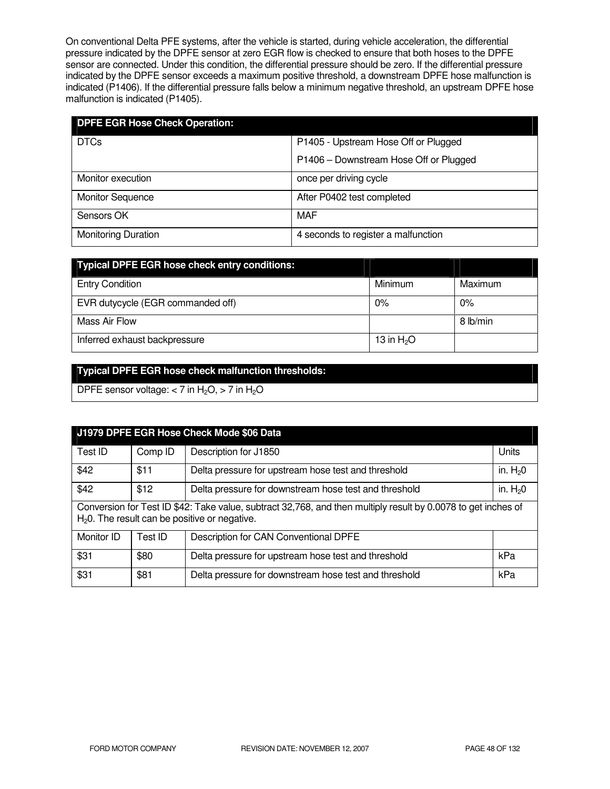On conventional Delta PFE systems, after the vehicle is started, during vehicle acceleration, the differential pressure indicated by the DPFE sensor at zero EGR flow is checked to ensure that both hoses to the DPFE sensor are connected. Under this condition, the differential pressure should be zero. If the differential pressure indicated by the DPFE sensor exceeds a maximum positive threshold, a downstream DPFE hose malfunction is indicated (P1406). If the differential pressure falls below a minimum negative threshold, an upstream DPFE hose malfunction is indicated (P1405).

| <b>DPFE EGR Hose Check Operation:</b> |                                        |  |  |
|---------------------------------------|----------------------------------------|--|--|
| <b>DTCs</b>                           | P1405 - Upstream Hose Off or Plugged   |  |  |
|                                       | P1406 - Downstream Hose Off or Plugged |  |  |
| Monitor execution                     | once per driving cycle                 |  |  |
| <b>Monitor Sequence</b>               | After P0402 test completed             |  |  |
| Sensors OK                            | MAF                                    |  |  |
| <b>Monitoring Duration</b>            | 4 seconds to register a malfunction    |  |  |

| <b>Typical DPFE EGR hose check entry conditions:</b> |             |          |
|------------------------------------------------------|-------------|----------|
| <b>Entry Condition</b>                               | Minimum     | Maximum  |
| EVR dutycycle (EGR commanded off)                    | $0\%$       | $0\%$    |
| Mass Air Flow                                        |             | 8 lb/min |
| Inferred exhaust backpressure                        | 13 in $H2O$ |          |

### **Typical DPFE EGR hose check malfunction thresholds:**

DPFE sensor voltage:  $<$  7 in H<sub>2</sub>O,  $>$  7 in H<sub>2</sub>O

| J1979 DPFE EGR Hose Check Mode \$06 Data                                                                                                                         |         |                                                       |           |
|------------------------------------------------------------------------------------------------------------------------------------------------------------------|---------|-------------------------------------------------------|-----------|
| Test ID                                                                                                                                                          | Comp ID | Description for J1850                                 | Units     |
| \$42                                                                                                                                                             | \$11    | Delta pressure for upstream hose test and threshold   | in. $H20$ |
| \$42<br>\$12<br>in. $H20$<br>Delta pressure for downstream hose test and threshold                                                                               |         |                                                       |           |
| Conversion for Test ID \$42: Take value, subtract 32,768, and then multiply result by 0.0078 to get inches of<br>$H20$ . The result can be positive or negative. |         |                                                       |           |
| Monitor ID                                                                                                                                                       | Test ID | Description for CAN Conventional DPFE                 |           |
| \$31                                                                                                                                                             | \$80    | Delta pressure for upstream hose test and threshold   | kPa       |
| \$31                                                                                                                                                             | \$81    | Delta pressure for downstream hose test and threshold | kPa       |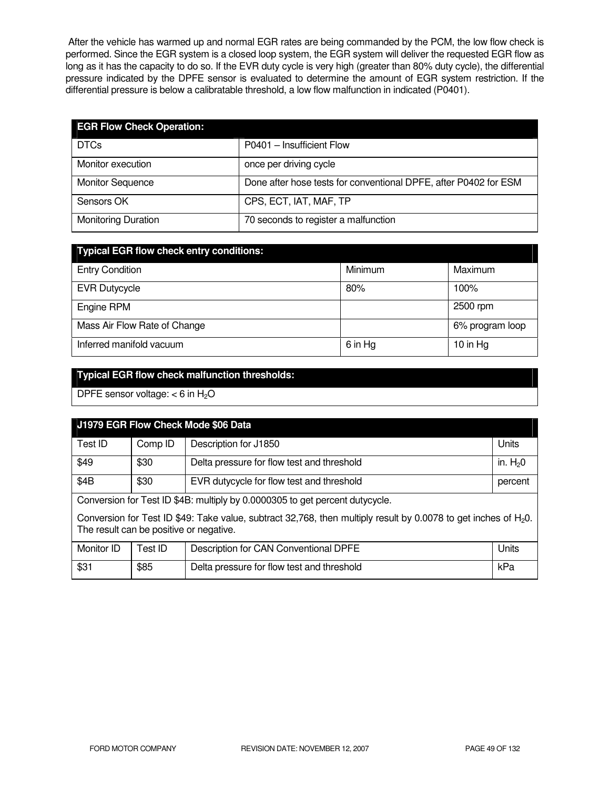After the vehicle has warmed up and normal EGR rates are being commanded by the PCM, the low flow check is performed. Since the EGR system is a closed loop system, the EGR system will deliver the requested EGR flow as long as it has the capacity to do so. If the EVR duty cycle is very high (greater than 80% duty cycle), the differential pressure indicated by the DPFE sensor is evaluated to determine the amount of EGR system restriction. If the differential pressure is below a calibratable threshold, a low flow malfunction in indicated (P0401).

| <b>EGR Flow Check Operation:</b> |                                                                  |
|----------------------------------|------------------------------------------------------------------|
| <b>DTCs</b>                      | P0401 - Insufficient Flow                                        |
| Monitor execution                | once per driving cycle                                           |
| <b>Monitor Sequence</b>          | Done after hose tests for conventional DPFE, after P0402 for ESM |
| Sensors OK                       | CPS, ECT, IAT, MAF, TP                                           |
| <b>Monitoring Duration</b>       | 70 seconds to register a malfunction                             |

| <b>Typical EGR flow check entry conditions:</b> |         |                 |  |  |
|-------------------------------------------------|---------|-----------------|--|--|
| <b>Entry Condition</b>                          | Minimum | Maximum         |  |  |
| <b>EVR Dutycycle</b>                            | 80%     | 100%            |  |  |
| Engine RPM                                      |         | 2500 rpm        |  |  |
| Mass Air Flow Rate of Change                    |         | 6% program loop |  |  |
| Inferred manifold vacuum                        | 6 in Hg | 10 in $Hg$      |  |  |

# **Typical EGR flow check malfunction thresholds:**

DPFE sensor voltage:  $<$  6 in H<sub>2</sub>O

| J1979 EGR Flow Check Mode \$06 Data                                                                                                                           |         |                                            |           |
|---------------------------------------------------------------------------------------------------------------------------------------------------------------|---------|--------------------------------------------|-----------|
| Test ID                                                                                                                                                       | Comp ID | Description for J1850                      | Units     |
| \$49                                                                                                                                                          | \$30    | Delta pressure for flow test and threshold | in. $H20$ |
| \$4B<br>\$30<br>EVR dutycycle for flow test and threshold<br>percent                                                                                          |         |                                            |           |
| Conversion for Test ID \$4B: multiply by 0.0000305 to get percent dutycycle.                                                                                  |         |                                            |           |
| Conversion for Test ID \$49: Take value, subtract 32,768, then multiply result by 0.0078 to get inches of $H_2O$ .<br>The result can be positive or negative. |         |                                            |           |
| Monitor ID                                                                                                                                                    | Test ID | Description for CAN Conventional DPFE      | Units     |
| \$31                                                                                                                                                          | \$85    | Delta pressure for flow test and threshold | kPa       |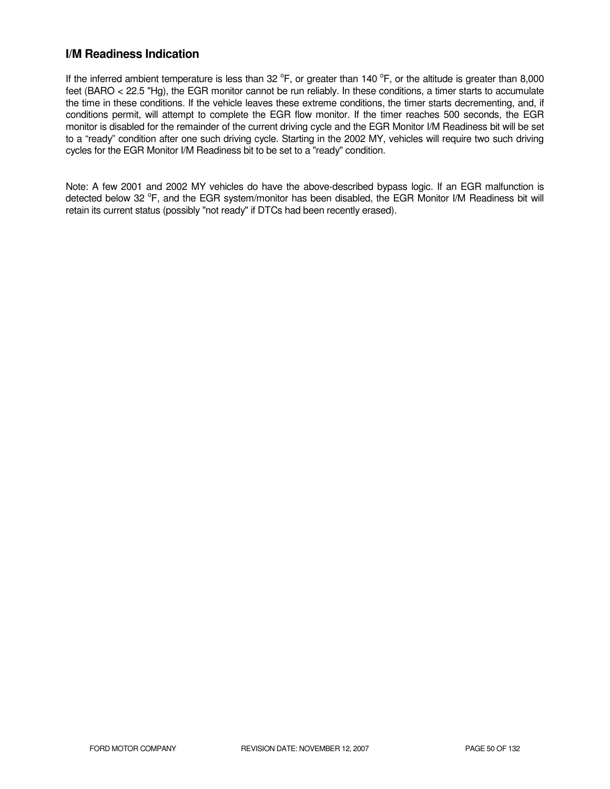## **I/M Readiness Indication**

If the inferred ambient temperature is less than 32  $^{\circ}$ F, or greater than 140  $^{\circ}$ F, or the altitude is greater than 8,000 feet (BARO < 22.5 "Hg), the EGR monitor cannot be run reliably. In these conditions, a timer starts to accumulate the time in these conditions. If the vehicle leaves these extreme conditions, the timer starts decrementing, and, if conditions permit, will attempt to complete the EGR flow monitor. If the timer reaches 500 seconds, the EGR monitor is disabled for the remainder of the current driving cycle and the EGR Monitor I/M Readiness bit will be set to a "ready" condition after one such driving cycle. Starting in the 2002 MY, vehicles will require two such driving cycles for the EGR Monitor I/M Readiness bit to be set to a "ready" condition.

Note: A few 2001 and 2002 MY vehicles do have the above-described bypass logic. If an EGR malfunction is detected below 32 °F, and the EGR system/monitor has been disabled, the EGR Monitor I/M Readiness bit will retain its current status (possibly "not ready" if DTCs had been recently erased).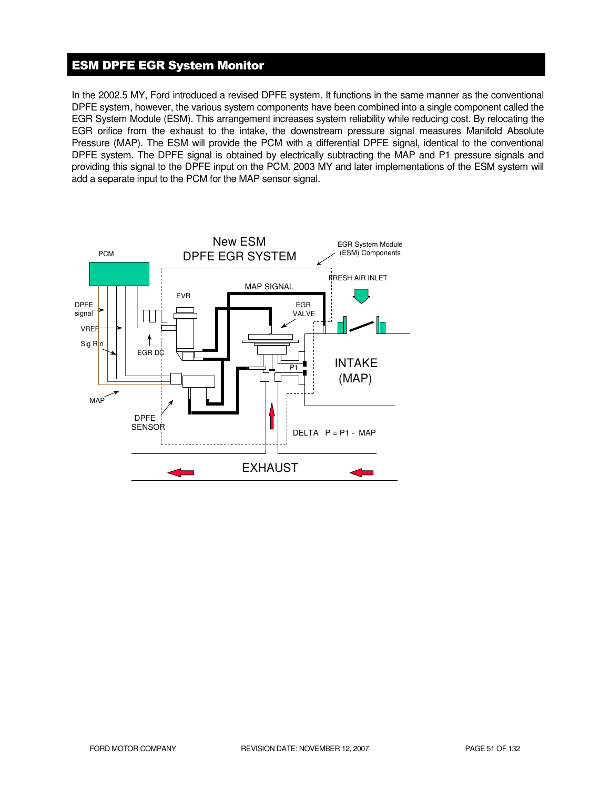### ESM DPFE EGR System Monitor

In the 2002.5 MY, Ford introduced a revised DPFE system. It functions in the same manner as the conventional DPFE system, however, the various system components have been combined into a single component called the EGR System Module (ESM). This arrangement increases system reliability while reducing cost. By relocating the EGR orifice from the exhaust to the intake, the downstream pressure signal measures Manifold Absolute Pressure (MAP). The ESM will provide the PCM with a differential DPFE signal, identical to the conventional DPFE system. The DPFE signal is obtained by electrically subtracting the MAP and P1 pressure signals and providing this signal to the DPFE input on the PCM. 2003 MY and later implementations of the ESM system will add a separate input to the PCM for the MAP sensor signal.

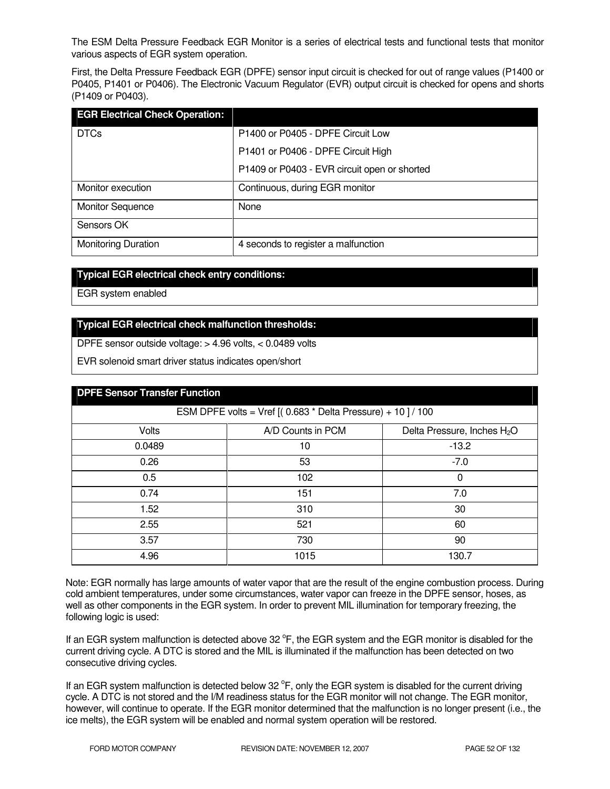The ESM Delta Pressure Feedback EGR Monitor is a series of electrical tests and functional tests that monitor various aspects of EGR system operation.

First, the Delta Pressure Feedback EGR (DPFE) sensor input circuit is checked for out of range values (P1400 or P0405, P1401 or P0406). The Electronic Vacuum Regulator (EVR) output circuit is checked for opens and shorts (P1409 or P0403).

| <b>EGR Electrical Check Operation:</b> |                                              |
|----------------------------------------|----------------------------------------------|
| <b>DTCs</b>                            | P1400 or P0405 - DPFE Circuit Low            |
|                                        | P1401 or P0406 - DPFE Circuit High           |
|                                        | P1409 or P0403 - EVR circuit open or shorted |
| Monitor execution                      | Continuous, during EGR monitor               |
| <b>Monitor Sequence</b>                | None                                         |
| Sensors OK                             |                                              |
| <b>Monitoring Duration</b>             | 4 seconds to register a malfunction          |

#### **Typical EGR electrical check entry conditions:**

EGR system enabled

### **Typical EGR electrical check malfunction thresholds:**

DPFE sensor outside voltage: > 4.96 volts, < 0.0489 volts

EVR solenoid smart driver status indicates open/short

| <b>DPFE Sensor Transfer Function</b>                        |                   |                                         |  |  |
|-------------------------------------------------------------|-------------------|-----------------------------------------|--|--|
| ESM DPFE volts = Vref $[(0.683 * Delta Pressure) + 10]/100$ |                   |                                         |  |  |
| Volts                                                       | A/D Counts in PCM | Delta Pressure, Inches H <sub>2</sub> O |  |  |
| 0.0489                                                      | 10                | $-13.2$                                 |  |  |
| 0.26                                                        | 53                | $-7.0$                                  |  |  |
| 0.5                                                         | 102               | 0                                       |  |  |
| 0.74                                                        | 151               | 7.0                                     |  |  |
| 1.52                                                        | 310               | 30                                      |  |  |
| 2.55                                                        | 521               | 60                                      |  |  |
| 3.57                                                        | 730               | 90                                      |  |  |
| 4.96                                                        | 1015              | 130.7                                   |  |  |

Note: EGR normally has large amounts of water vapor that are the result of the engine combustion process. During cold ambient temperatures, under some circumstances, water vapor can freeze in the DPFE sensor, hoses, as well as other components in the EGR system. In order to prevent MIL illumination for temporary freezing, the following logic is used:

If an EGR system malfunction is detected above 32  $\degree$ F, the EGR system and the EGR monitor is disabled for the current driving cycle. A DTC is stored and the MIL is illuminated if the malfunction has been detected on two consecutive driving cycles.

If an EGR system malfunction is detected below 32  $\degree$ F, only the EGR system is disabled for the current driving cycle. A DTC is not stored and the I/M readiness status for the EGR monitor will not change. The EGR monitor, however, will continue to operate. If the EGR monitor determined that the malfunction is no longer present (i.e., the ice melts), the EGR system will be enabled and normal system operation will be restored.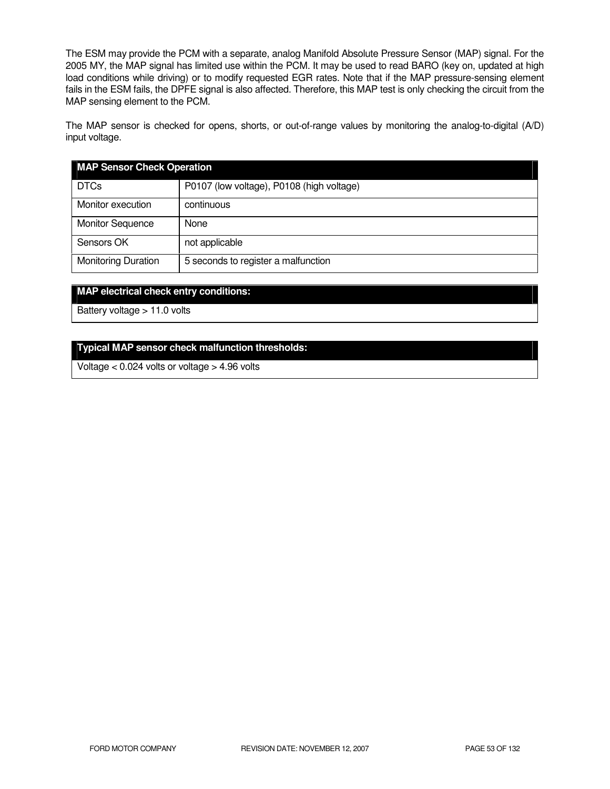The ESM may provide the PCM with a separate, analog Manifold Absolute Pressure Sensor (MAP) signal. For the 2005 MY, the MAP signal has limited use within the PCM. It may be used to read BARO (key on, updated at high load conditions while driving) or to modify requested EGR rates. Note that if the MAP pressure-sensing element fails in the ESM fails, the DPFE signal is also affected. Therefore, this MAP test is only checking the circuit from the MAP sensing element to the PCM.

The MAP sensor is checked for opens, shorts, or out-of-range values by monitoring the analog-to-digital (A/D) input voltage.

| <b>MAP Sensor Check Operation</b> |                                           |  |  |
|-----------------------------------|-------------------------------------------|--|--|
| <b>DTCs</b>                       | P0107 (low voltage), P0108 (high voltage) |  |  |
| Monitor execution                 | continuous                                |  |  |
| <b>Monitor Sequence</b>           | None                                      |  |  |
| Sensors OK                        | not applicable                            |  |  |
| <b>Monitoring Duration</b>        | 5 seconds to register a malfunction       |  |  |

### **MAP electrical check entry conditions:**

Battery voltage > 11.0 volts

#### **Typical MAP sensor check malfunction thresholds:**

Voltage < 0.024 volts or voltage > 4.96 volts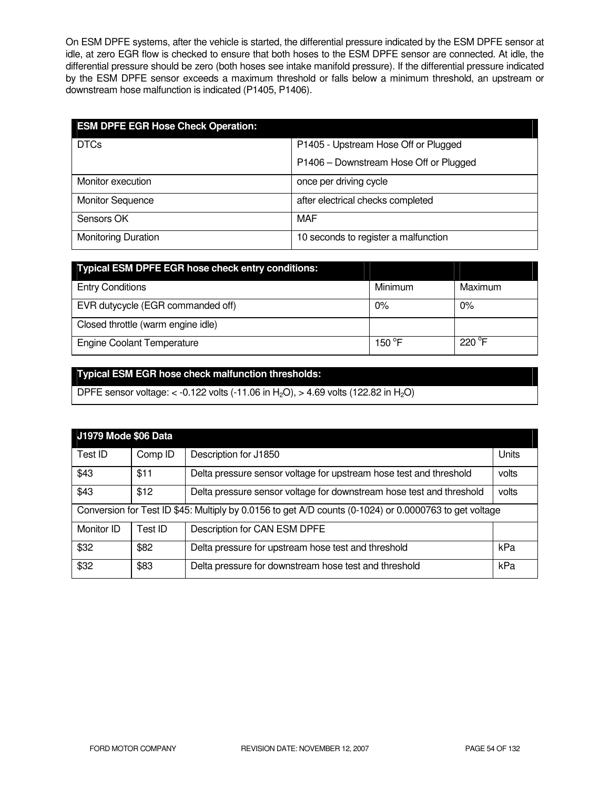On ESM DPFE systems, after the vehicle is started, the differential pressure indicated by the ESM DPFE sensor at idle, at zero EGR flow is checked to ensure that both hoses to the ESM DPFE sensor are connected. At idle, the differential pressure should be zero (both hoses see intake manifold pressure). If the differential pressure indicated by the ESM DPFE sensor exceeds a maximum threshold or falls below a minimum threshold, an upstream or downstream hose malfunction is indicated (P1405, P1406).

| <b>ESM DPFE EGR Hose Check Operation:</b> |                                        |  |  |
|-------------------------------------------|----------------------------------------|--|--|
| <b>DTCs</b>                               | P1405 - Upstream Hose Off or Plugged   |  |  |
|                                           | P1406 - Downstream Hose Off or Plugged |  |  |
| Monitor execution                         | once per driving cycle                 |  |  |
| <b>Monitor Sequence</b>                   | after electrical checks completed      |  |  |
| Sensors OK                                | <b>MAF</b>                             |  |  |
| <b>Monitoring Duration</b>                | 10 seconds to register a malfunction   |  |  |

| Typical ESM DPFE EGR hose check entry conditions: |                 |                 |
|---------------------------------------------------|-----------------|-----------------|
| <b>Entry Conditions</b>                           | Minimum         | Maximum         |
| EVR dutycycle (EGR commanded off)                 | 0%              | 0%              |
| Closed throttle (warm engine idle)                |                 |                 |
| <b>Engine Coolant Temperature</b>                 | 150 $\degree$ F | $220^{\circ}$ F |

# **Typical ESM EGR hose check malfunction thresholds:**

DPFE sensor voltage: < -0.122 volts (-11.06 in H<sub>2</sub>O), > 4.69 volts (122.82 in H<sub>2</sub>O)

| <b>J1979 Mode \$06 Data</b>                                                                            |         |                                                                      |       |
|--------------------------------------------------------------------------------------------------------|---------|----------------------------------------------------------------------|-------|
| Test ID                                                                                                | Comp ID | Description for J1850                                                | Units |
| \$43                                                                                                   | \$11    | Delta pressure sensor voltage for upstream hose test and threshold   | volts |
| \$43                                                                                                   | \$12    | Delta pressure sensor voltage for downstream hose test and threshold | volts |
| Conversion for Test ID \$45: Multiply by 0.0156 to get A/D counts (0-1024) or 0.0000763 to get voltage |         |                                                                      |       |
| Monitor ID                                                                                             | Test ID | Description for CAN ESM DPFE                                         |       |
| \$32                                                                                                   | \$82    | Delta pressure for upstream hose test and threshold                  | kPa   |
| \$32                                                                                                   | \$83    | Delta pressure for downstream hose test and threshold                | kPa   |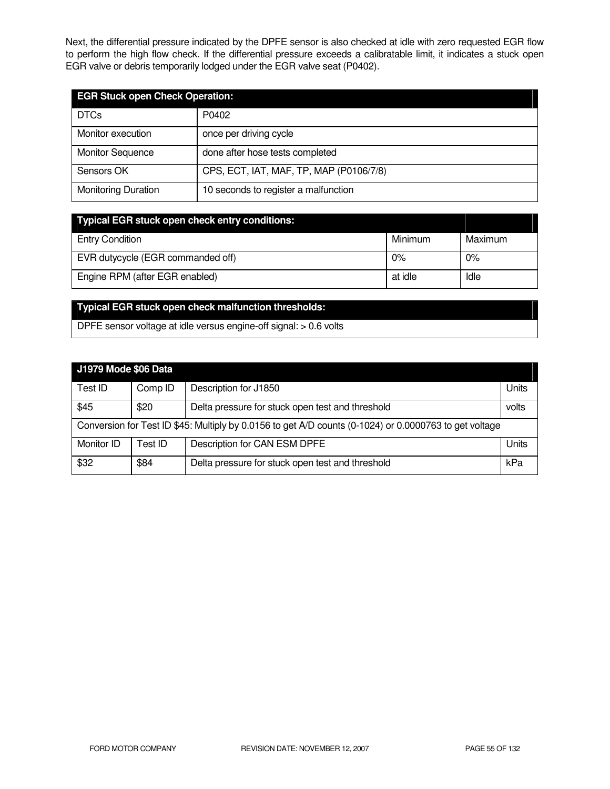Next, the differential pressure indicated by the DPFE sensor is also checked at idle with zero requested EGR flow to perform the high flow check. If the differential pressure exceeds a calibratable limit, it indicates a stuck open EGR valve or debris temporarily lodged under the EGR valve seat (P0402).

| <b>EGR Stuck open Check Operation:</b> |                                         |  |  |
|----------------------------------------|-----------------------------------------|--|--|
| <b>DTCs</b>                            | P0402                                   |  |  |
| Monitor execution                      | once per driving cycle                  |  |  |
| <b>Monitor Sequence</b>                | done after hose tests completed         |  |  |
| Sensors OK                             | CPS, ECT, IAT, MAF, TP, MAP (P0106/7/8) |  |  |
| <b>Monitoring Duration</b>             | 10 seconds to register a malfunction    |  |  |

| <b>Typical EGR stuck open check entry conditions:</b> |         |         |
|-------------------------------------------------------|---------|---------|
| <b>Entry Condition</b>                                | Minimum | Maximum |
| EVR dutycycle (EGR commanded off)                     | 0%      | 0%      |
| Engine RPM (after EGR enabled)                        | at idle | Idle    |

# **Typical EGR stuck open check malfunction thresholds:**

DPFE sensor voltage at idle versus engine-off signal: > 0.6 volts

| J1979 Mode \$06 Data                                                                                   |         |                                                  |       |  |
|--------------------------------------------------------------------------------------------------------|---------|--------------------------------------------------|-------|--|
| Test ID                                                                                                | Comp ID | Description for J1850                            | Units |  |
| \$45                                                                                                   | \$20    | Delta pressure for stuck open test and threshold | volts |  |
| Conversion for Test ID \$45: Multiply by 0.0156 to get A/D counts (0-1024) or 0.0000763 to get voltage |         |                                                  |       |  |
| Monitor ID                                                                                             | Test ID | Description for CAN ESM DPFE                     | Units |  |
| \$32                                                                                                   | \$84    | Delta pressure for stuck open test and threshold | kPa   |  |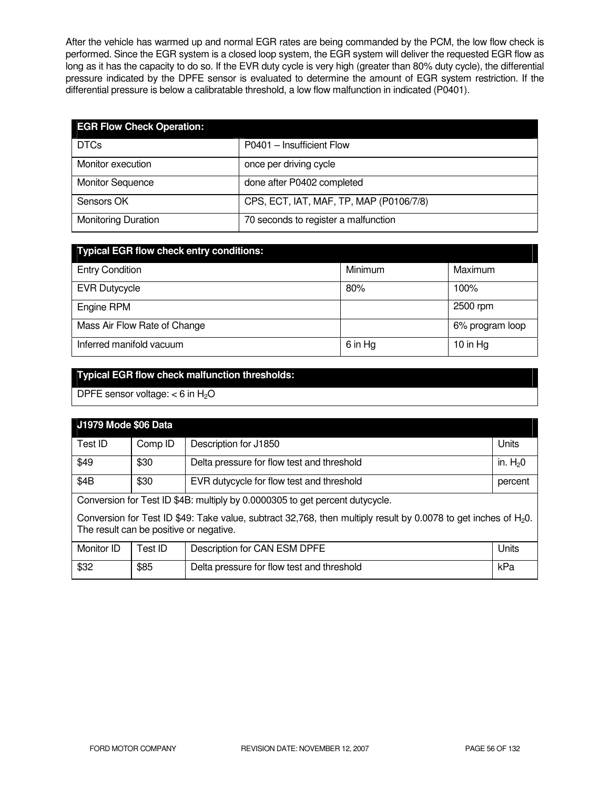After the vehicle has warmed up and normal EGR rates are being commanded by the PCM, the low flow check is performed. Since the EGR system is a closed loop system, the EGR system will deliver the requested EGR flow as long as it has the capacity to do so. If the EVR duty cycle is very high (greater than 80% duty cycle), the differential pressure indicated by the DPFE sensor is evaluated to determine the amount of EGR system restriction. If the differential pressure is below a calibratable threshold, a low flow malfunction in indicated (P0401).

| <b>EGR Flow Check Operation:</b> |                                         |
|----------------------------------|-----------------------------------------|
| <b>DTCs</b>                      | P0401 - Insufficient Flow               |
| Monitor execution                | once per driving cycle                  |
| <b>Monitor Sequence</b>          | done after P0402 completed              |
| Sensors OK                       | CPS, ECT, IAT, MAF, TP, MAP (P0106/7/8) |
| <b>Monitoring Duration</b>       | 70 seconds to register a malfunction    |

| <b>Typical EGR flow check entry conditions:</b> |         |                 |  |  |
|-------------------------------------------------|---------|-----------------|--|--|
| <b>Entry Condition</b>                          | Minimum | Maximum         |  |  |
| <b>EVR Dutycycle</b>                            | 80%     | 100%            |  |  |
| Engine RPM                                      |         | 2500 rpm        |  |  |
| Mass Air Flow Rate of Change                    |         | 6% program loop |  |  |
| Inferred manifold vacuum                        | 6 in Hg | 10 in $Hg$      |  |  |

# **Typical EGR flow check malfunction thresholds:**

DPFE sensor voltage:  $<$  6 in H<sub>2</sub>O

| J1979 Mode \$06 Data                                                                                                                                          |         |                                            |           |
|---------------------------------------------------------------------------------------------------------------------------------------------------------------|---------|--------------------------------------------|-----------|
| Test ID                                                                                                                                                       | Comp ID | Description for J1850                      | Units     |
| \$49                                                                                                                                                          | \$30    | Delta pressure for flow test and threshold | in. $H20$ |
| \$4B                                                                                                                                                          | \$30    | EVR dutycycle for flow test and threshold  | percent   |
| Conversion for Test ID \$4B: multiply by 0.0000305 to get percent dutycycle.                                                                                  |         |                                            |           |
| Conversion for Test ID \$49: Take value, subtract 32,768, then multiply result by 0.0078 to get inches of $H_2O$ .<br>The result can be positive or negative. |         |                                            |           |
| Monitor ID                                                                                                                                                    | Test ID | Description for CAN ESM DPFE               | Units     |
| \$32                                                                                                                                                          | \$85    | Delta pressure for flow test and threshold | kPa       |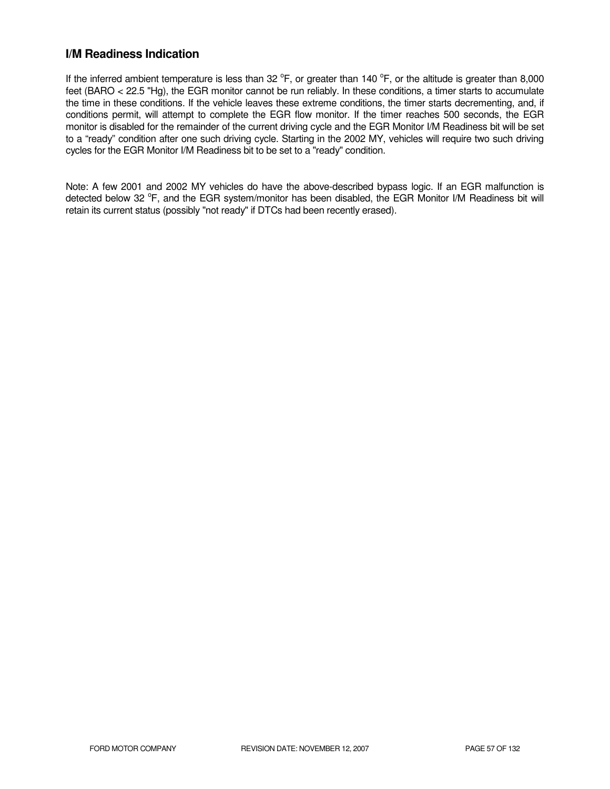## **I/M Readiness Indication**

If the inferred ambient temperature is less than 32  $^{\circ}$ F, or greater than 140  $^{\circ}$ F, or the altitude is greater than 8,000 feet (BARO < 22.5 "Hg), the EGR monitor cannot be run reliably. In these conditions, a timer starts to accumulate the time in these conditions. If the vehicle leaves these extreme conditions, the timer starts decrementing, and, if conditions permit, will attempt to complete the EGR flow monitor. If the timer reaches 500 seconds, the EGR monitor is disabled for the remainder of the current driving cycle and the EGR Monitor I/M Readiness bit will be set to a "ready" condition after one such driving cycle. Starting in the 2002 MY, vehicles will require two such driving cycles for the EGR Monitor I/M Readiness bit to be set to a "ready" condition.

Note: A few 2001 and 2002 MY vehicles do have the above-described bypass logic. If an EGR malfunction is detected below 32 °F, and the EGR system/monitor has been disabled, the EGR Monitor I/M Readiness bit will retain its current status (possibly "not ready" if DTCs had been recently erased).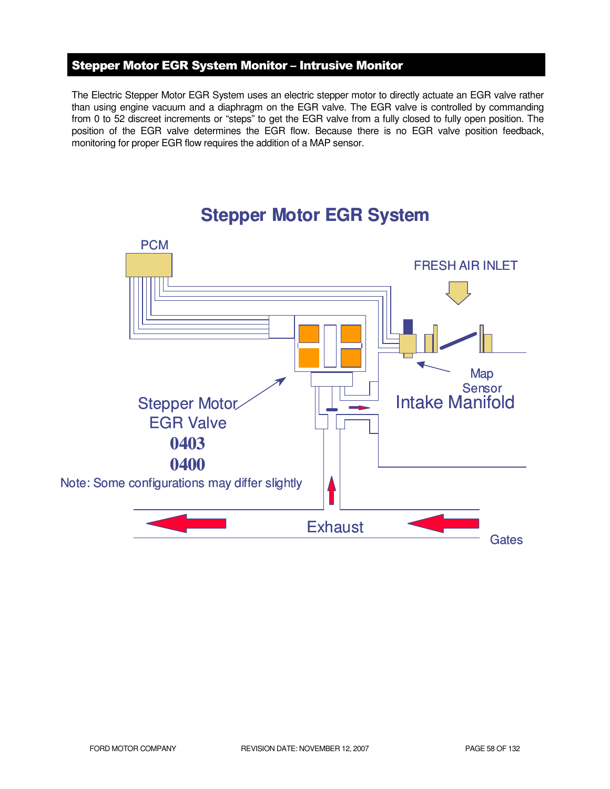# Stepper Motor EGR System Monitor – Intrusive Monitor

The Electric Stepper Motor EGR System uses an electric stepper motor to directly actuate an EGR valve rather than using engine vacuum and a diaphragm on the EGR valve. The EGR valve is controlled by commanding from 0 to 52 discreet increments or "steps" to get the EGR valve from a fully closed to fully open position. The position of the EGR valve determines the EGR flow. Because there is no EGR valve position feedback, monitoring for proper EGR flow requires the addition of a MAP sensor.



# **Stepper Motor EGR System**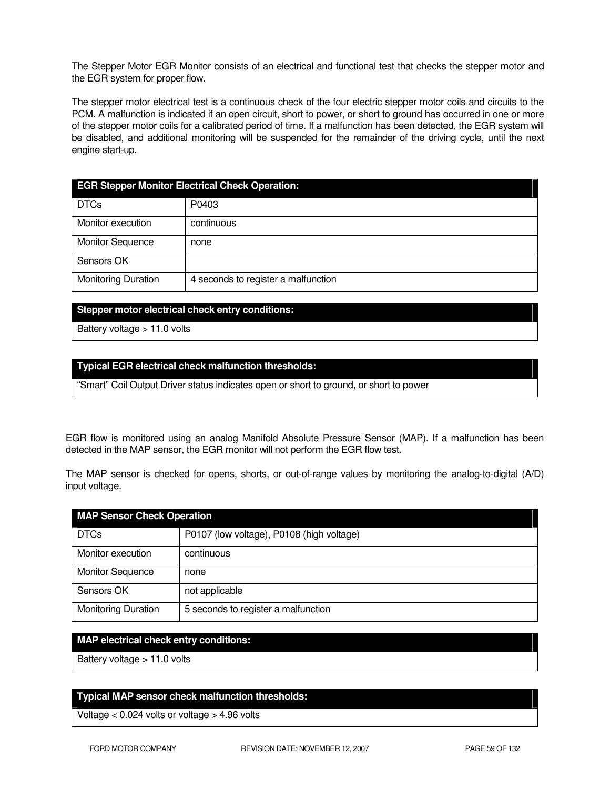The Stepper Motor EGR Monitor consists of an electrical and functional test that checks the stepper motor and the EGR system for proper flow.

The stepper motor electrical test is a continuous check of the four electric stepper motor coils and circuits to the PCM. A malfunction is indicated if an open circuit, short to power, or short to ground has occurred in one or more of the stepper motor coils for a calibrated period of time. If a malfunction has been detected, the EGR system will be disabled, and additional monitoring will be suspended for the remainder of the driving cycle, until the next engine start-up.

| <b>EGR Stepper Monitor Electrical Check Operation:</b> |                                     |  |
|--------------------------------------------------------|-------------------------------------|--|
| <b>DTCs</b>                                            | P0403                               |  |
| Monitor execution                                      | continuous                          |  |
| <b>Monitor Sequence</b>                                | none                                |  |
| Sensors OK                                             |                                     |  |
| <b>Monitoring Duration</b>                             | 4 seconds to register a malfunction |  |

#### **Stepper motor electrical check entry conditions:**

Battery voltage > 11.0 volts

#### **Typical EGR electrical check malfunction thresholds:**

"Smart" Coil Output Driver status indicates open or short to ground, or short to power

EGR flow is monitored using an analog Manifold Absolute Pressure Sensor (MAP). If a malfunction has been detected in the MAP sensor, the EGR monitor will not perform the EGR flow test.

The MAP sensor is checked for opens, shorts, or out-of-range values by monitoring the analog-to-digital (A/D) input voltage.

| <b>MAP Sensor Check Operation</b> |                                           |  |
|-----------------------------------|-------------------------------------------|--|
| <b>DTCs</b>                       | P0107 (low voltage), P0108 (high voltage) |  |
| Monitor execution                 | continuous                                |  |
| <b>Monitor Sequence</b>           | none                                      |  |
| Sensors OK                        | not applicable                            |  |
| <b>Monitoring Duration</b>        | 5 seconds to register a malfunction       |  |

#### **MAP electrical check entry conditions:**

Battery voltage > 11.0 volts

### **Typical MAP sensor check malfunction thresholds:**

Voltage < 0.024 volts or voltage > 4.96 volts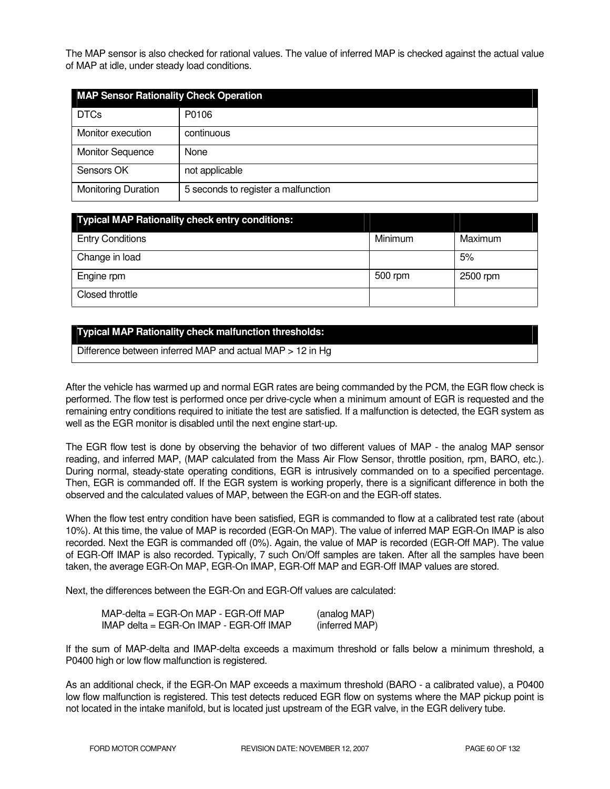The MAP sensor is also checked for rational values. The value of inferred MAP is checked against the actual value of MAP at idle, under steady load conditions.

| <b>MAP Sensor Rationality Check Operation</b> |                                     |  |
|-----------------------------------------------|-------------------------------------|--|
| <b>DTCs</b>                                   | P0106                               |  |
| Monitor execution                             | continuous                          |  |
| <b>Monitor Sequence</b>                       | None                                |  |
| Sensors OK                                    | not applicable                      |  |
| <b>Monitoring Duration</b>                    | 5 seconds to register a malfunction |  |

| <b>Typical MAP Rationality check entry conditions:</b> |         |          |
|--------------------------------------------------------|---------|----------|
| <b>Entry Conditions</b>                                | Minimum | Maximum  |
| Change in load                                         |         | 5%       |
| Engine rpm                                             | 500 rpm | 2500 rpm |
| Closed throttle                                        |         |          |

### **Typical MAP Rationality check malfunction thresholds:**

Difference between inferred MAP and actual MAP > 12 in Hg

After the vehicle has warmed up and normal EGR rates are being commanded by the PCM, the EGR flow check is performed. The flow test is performed once per drive-cycle when a minimum amount of EGR is requested and the remaining entry conditions required to initiate the test are satisfied. If a malfunction is detected, the EGR system as well as the EGR monitor is disabled until the next engine start-up.

The EGR flow test is done by observing the behavior of two different values of MAP - the analog MAP sensor reading, and inferred MAP, (MAP calculated from the Mass Air Flow Sensor, throttle position, rpm, BARO, etc.). During normal, steady-state operating conditions, EGR is intrusively commanded on to a specified percentage. Then, EGR is commanded off. If the EGR system is working properly, there is a significant difference in both the observed and the calculated values of MAP, between the EGR-on and the EGR-off states.

When the flow test entry condition have been satisfied, EGR is commanded to flow at a calibrated test rate (about 10%). At this time, the value of MAP is recorded (EGR-On MAP). The value of inferred MAP EGR-On IMAP is also recorded. Next the EGR is commanded off (0%). Again, the value of MAP is recorded (EGR-Off MAP). The value of EGR-Off IMAP is also recorded. Typically, 7 such On/Off samples are taken. After all the samples have been taken, the average EGR-On MAP, EGR-On IMAP, EGR-Off MAP and EGR-Off IMAP values are stored.

Next, the differences between the EGR-On and EGR-Off values are calculated:

| $MAP$ -delta = EGR-On MAP - EGR-Off MAP       | (analog MAP)   |
|-----------------------------------------------|----------------|
| $IMAP$ delta = EGR-On $IMAP$ - EGR-Off $IMAP$ | (inferred MAP) |

If the sum of MAP-delta and IMAP-delta exceeds a maximum threshold or falls below a minimum threshold, a P0400 high or low flow malfunction is registered.

As an additional check, if the EGR-On MAP exceeds a maximum threshold (BARO - a calibrated value), a P0400 low flow malfunction is registered. This test detects reduced EGR flow on systems where the MAP pickup point is not located in the intake manifold, but is located just upstream of the EGR valve, in the EGR delivery tube.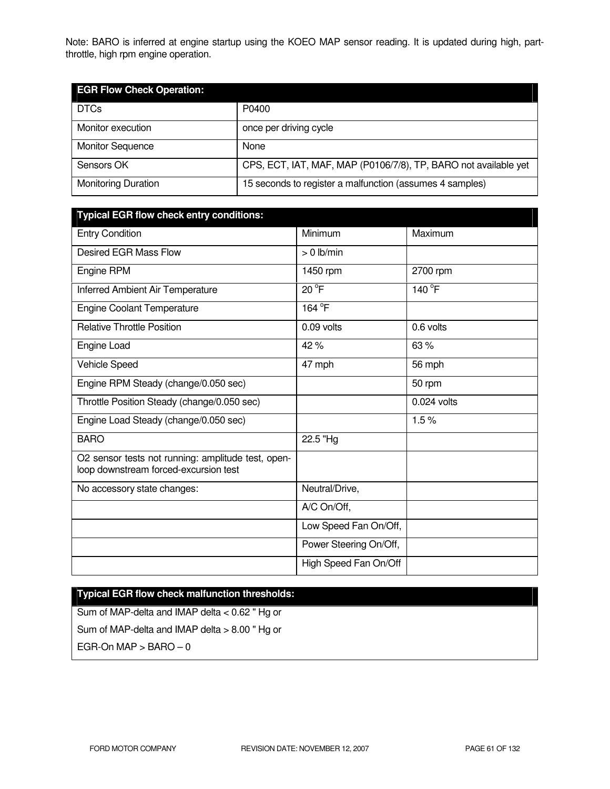Note: BARO is inferred at engine startup using the KOEO MAP sensor reading. It is updated during high, partthrottle, high rpm engine operation.

| <b>EGR Flow Check Operation:</b> |                                                                 |
|----------------------------------|-----------------------------------------------------------------|
| <b>DTCs</b>                      | P0400                                                           |
| Monitor execution                | once per driving cycle                                          |
| <b>Monitor Sequence</b>          | None                                                            |
| Sensors OK                       | CPS, ECT, IAT, MAF, MAP (P0106/7/8), TP, BARO not available yet |
| <b>Monitoring Duration</b>       | 15 seconds to register a malfunction (assumes 4 samples)        |

| <b>Typical EGR flow check entry conditions:</b>                                             |                        |               |
|---------------------------------------------------------------------------------------------|------------------------|---------------|
| <b>Entry Condition</b>                                                                      | Minimum                | Maximum       |
| <b>Desired EGR Mass Flow</b>                                                                | $> 0$ lb/min           |               |
| Engine RPM                                                                                  | 1450 rpm               | 2700 rpm      |
| Inferred Ambient Air Temperature                                                            | 20 °F                  | 140 °F        |
| <b>Engine Coolant Temperature</b>                                                           | 164 <sup>°</sup> F     |               |
| <b>Relative Throttle Position</b>                                                           | 0.09 volts             | 0.6 volts     |
| Engine Load                                                                                 | 42%                    | 63%           |
| Vehicle Speed                                                                               | 47 mph                 | 56 mph        |
| Engine RPM Steady (change/0.050 sec)                                                        |                        | 50 rpm        |
| Throttle Position Steady (change/0.050 sec)                                                 |                        | $0.024$ volts |
| Engine Load Steady (change/0.050 sec)                                                       |                        | 1.5%          |
| <b>BARO</b>                                                                                 | 22.5 "Hg               |               |
| O2 sensor tests not running: amplitude test, open-<br>loop downstream forced-excursion test |                        |               |
| No accessory state changes:                                                                 | Neutral/Drive,         |               |
|                                                                                             | A/C On/Off,            |               |
|                                                                                             | Low Speed Fan On/Off,  |               |
|                                                                                             | Power Steering On/Off, |               |
|                                                                                             | High Speed Fan On/Off  |               |

# **Typical EGR flow check malfunction thresholds:**

Sum of MAP-delta and IMAP delta < 0.62 " Hg or Sum of MAP-delta and IMAP delta > 8.00 " Hg or EGR-On  $MAP > BARO - 0$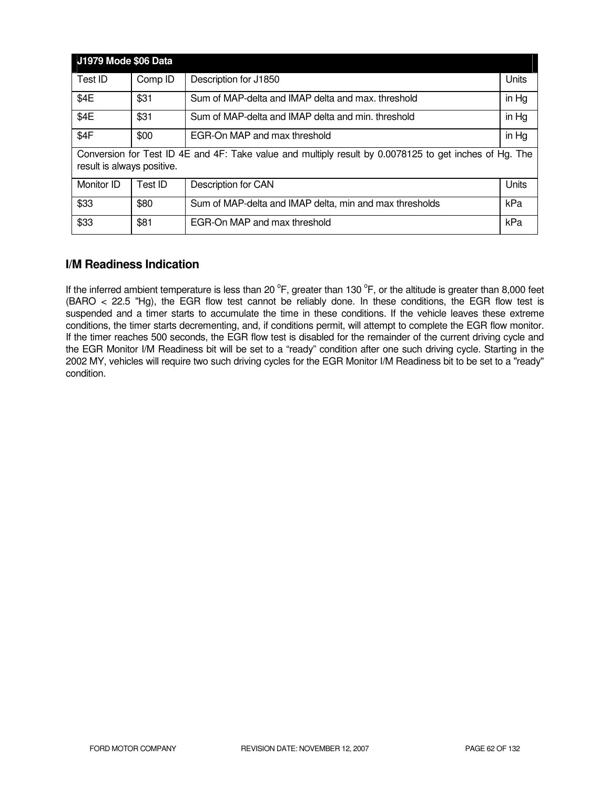| <b>J1979 Mode \$06 Data</b>                                                                                                          |         |                                                         |       |
|--------------------------------------------------------------------------------------------------------------------------------------|---------|---------------------------------------------------------|-------|
| Test ID                                                                                                                              | Comp ID | Description for J1850                                   | Units |
| \$4E                                                                                                                                 | \$31    | Sum of MAP-delta and IMAP delta and max, threshold      | in Hg |
| \$4E                                                                                                                                 | \$31    | Sum of MAP-delta and IMAP delta and min. threshold      | in Hg |
| \$4F                                                                                                                                 | \$00    | EGR-On MAP and max threshold                            | in Hg |
| Conversion for Test ID 4E and 4F: Take value and multiply result by 0.0078125 to get inches of Hg. The<br>result is always positive. |         |                                                         |       |
| Monitor ID                                                                                                                           | Test ID | Description for CAN                                     | Units |
| \$33                                                                                                                                 | \$80    | Sum of MAP-delta and IMAP delta, min and max thresholds | kPa   |
| \$33                                                                                                                                 | \$81    | EGR-On MAP and max threshold                            | kPa   |

# **I/M Readiness Indication**

If the inferred ambient temperature is less than 20  $^{\circ}$ F, greater than 130  $^{\circ}$ F, or the altitude is greater than 8,000 feet (BARO < 22.5 "Hg), the EGR flow test cannot be reliably done. In these conditions, the EGR flow test is suspended and a timer starts to accumulate the time in these conditions. If the vehicle leaves these extreme conditions, the timer starts decrementing, and, if conditions permit, will attempt to complete the EGR flow monitor. If the timer reaches 500 seconds, the EGR flow test is disabled for the remainder of the current driving cycle and the EGR Monitor I/M Readiness bit will be set to a "ready" condition after one such driving cycle. Starting in the 2002 MY, vehicles will require two such driving cycles for the EGR Monitor I/M Readiness bit to be set to a "ready" condition.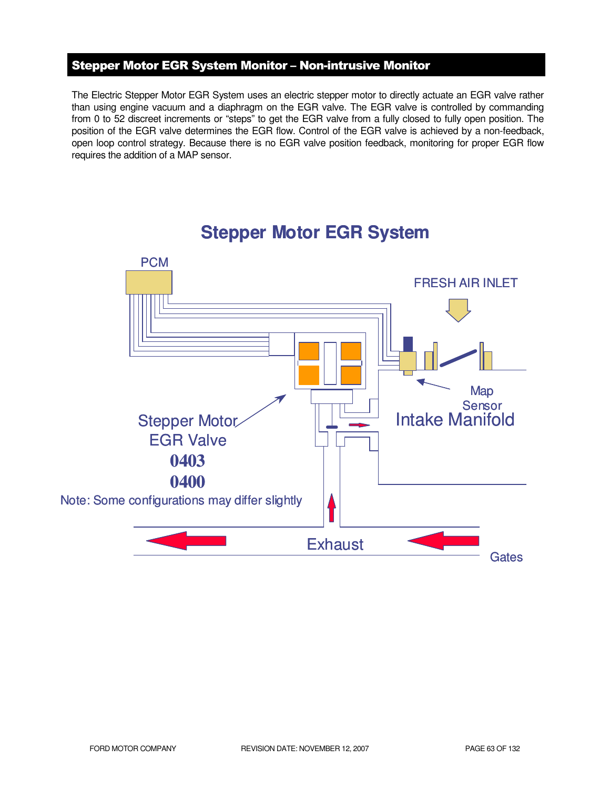# Stepper Motor EGR System Monitor – Non-intrusive Monitor

The Electric Stepper Motor EGR System uses an electric stepper motor to directly actuate an EGR valve rather than using engine vacuum and a diaphragm on the EGR valve. The EGR valve is controlled by commanding from 0 to 52 discreet increments or "steps" to get the EGR valve from a fully closed to fully open position. The position of the EGR valve determines the EGR flow. Control of the EGR valve is achieved by a non-feedback, open loop control strategy. Because there is no EGR valve position feedback, monitoring for proper EGR flow requires the addition of a MAP sensor.



# **Stepper Motor EGR System**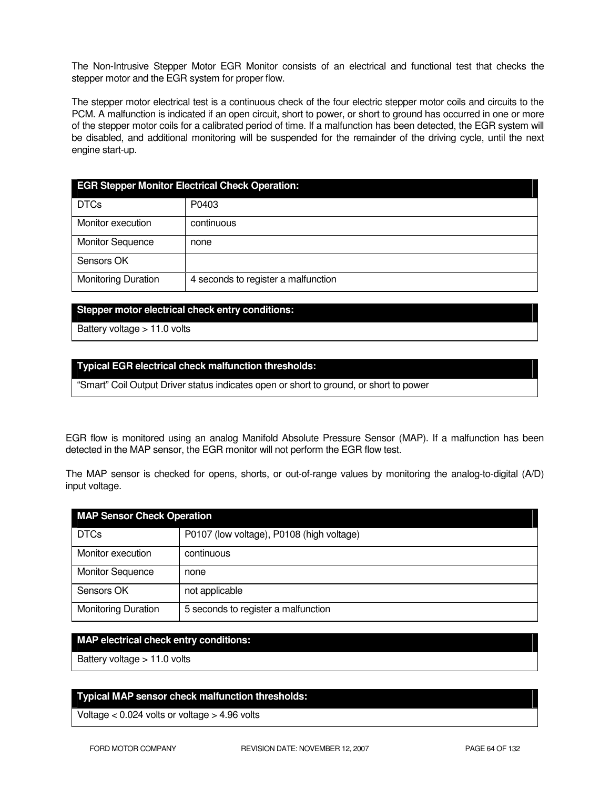The Non-Intrusive Stepper Motor EGR Monitor consists of an electrical and functional test that checks the stepper motor and the EGR system for proper flow.

The stepper motor electrical test is a continuous check of the four electric stepper motor coils and circuits to the PCM. A malfunction is indicated if an open circuit, short to power, or short to ground has occurred in one or more of the stepper motor coils for a calibrated period of time. If a malfunction has been detected, the EGR system will be disabled, and additional monitoring will be suspended for the remainder of the driving cycle, until the next engine start-up.

| <b>EGR Stepper Monitor Electrical Check Operation:</b> |                                     |  |
|--------------------------------------------------------|-------------------------------------|--|
| <b>DTCs</b>                                            | P0403                               |  |
| Monitor execution                                      | continuous                          |  |
| <b>Monitor Sequence</b>                                | none                                |  |
| Sensors OK                                             |                                     |  |
| <b>Monitoring Duration</b>                             | 4 seconds to register a malfunction |  |

#### **Stepper motor electrical check entry conditions:**

Battery voltage > 11.0 volts

#### **Typical EGR electrical check malfunction thresholds:**

"Smart" Coil Output Driver status indicates open or short to ground, or short to power

EGR flow is monitored using an analog Manifold Absolute Pressure Sensor (MAP). If a malfunction has been detected in the MAP sensor, the EGR monitor will not perform the EGR flow test.

The MAP sensor is checked for opens, shorts, or out-of-range values by monitoring the analog-to-digital (A/D) input voltage.

| <b>MAP Sensor Check Operation</b> |                                           |  |
|-----------------------------------|-------------------------------------------|--|
| <b>DTCs</b>                       | P0107 (low voltage), P0108 (high voltage) |  |
| Monitor execution                 | continuous                                |  |
| <b>Monitor Sequence</b>           | none                                      |  |
| Sensors OK                        | not applicable                            |  |
| <b>Monitoring Duration</b>        | 5 seconds to register a malfunction       |  |

#### **MAP electrical check entry conditions:**

Battery voltage > 11.0 volts

#### **Typical MAP sensor check malfunction thresholds:**

Voltage < 0.024 volts or voltage > 4.96 volts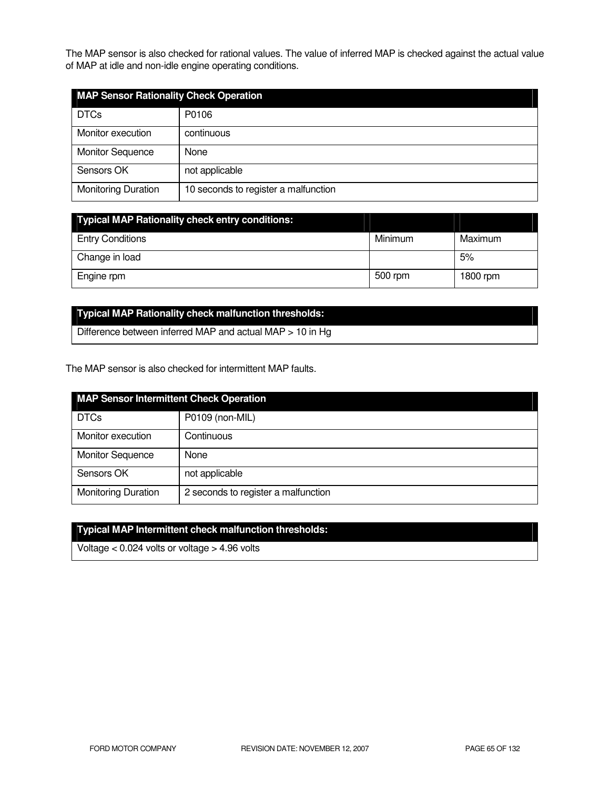The MAP sensor is also checked for rational values. The value of inferred MAP is checked against the actual value of MAP at idle and non-idle engine operating conditions.

| <b>MAP Sensor Rationality Check Operation</b> |                                      |  |
|-----------------------------------------------|--------------------------------------|--|
| <b>DTCs</b>                                   | P0106                                |  |
| Monitor execution                             | continuous                           |  |
| <b>Monitor Sequence</b>                       | None                                 |  |
| Sensors OK                                    | not applicable                       |  |
| <b>Monitoring Duration</b>                    | 10 seconds to register a malfunction |  |

| <b>Typical MAP Rationality check entry conditions:</b> |         |          |
|--------------------------------------------------------|---------|----------|
| <b>Entry Conditions</b>                                | Minimum | Maximum  |
| Change in load                                         |         | 5%       |
| Engine rpm                                             | 500 rpm | 1800 rpm |

# **Typical MAP Rationality check malfunction thresholds:**

Difference between inferred MAP and actual MAP > 10 in Hg

The MAP sensor is also checked for intermittent MAP faults.

| <b>MAP Sensor Intermittent Check Operation</b> |                                     |
|------------------------------------------------|-------------------------------------|
| <b>DTCs</b>                                    | P0109 (non-MIL)                     |
| Monitor execution                              | Continuous                          |
| <b>Monitor Sequence</b>                        | None                                |
| Sensors OK                                     | not applicable                      |
| <b>Monitoring Duration</b>                     | 2 seconds to register a malfunction |

# **Typical MAP Intermittent check malfunction thresholds:**

Voltage < 0.024 volts or voltage > 4.96 volts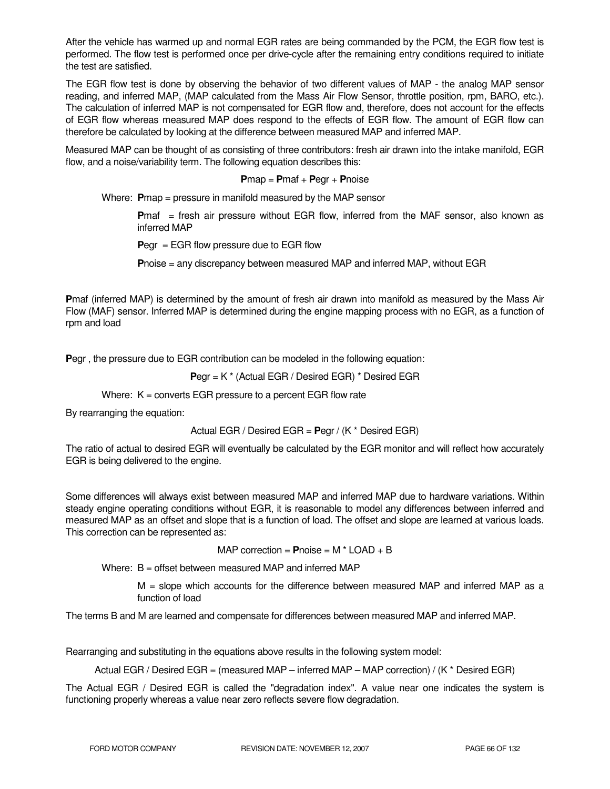After the vehicle has warmed up and normal EGR rates are being commanded by the PCM, the EGR flow test is performed. The flow test is performed once per drive-cycle after the remaining entry conditions required to initiate the test are satisfied.

The EGR flow test is done by observing the behavior of two different values of MAP - the analog MAP sensor reading, and inferred MAP, (MAP calculated from the Mass Air Flow Sensor, throttle position, rpm, BARO, etc.). The calculation of inferred MAP is not compensated for EGR flow and, therefore, does not account for the effects of EGR flow whereas measured MAP does respond to the effects of EGR flow. The amount of EGR flow can therefore be calculated by looking at the difference between measured MAP and inferred MAP.

Measured MAP can be thought of as consisting of three contributors: fresh air drawn into the intake manifold, EGR flow, and a noise/variability term. The following equation describes this:

#### **P**map = **P**maf + **P**egr + **P**noise

Where: **P**map = pressure in manifold measured by the MAP sensor

**Pmaf** = fresh air pressure without EGR flow, inferred from the MAF sensor, also known as inferred MAP

**P**egr = EGR flow pressure due to EGR flow

**P**noise = any discrepancy between measured MAP and inferred MAP, without EGR

**P**maf (inferred MAP) is determined by the amount of fresh air drawn into manifold as measured by the Mass Air Flow (MAF) sensor. Inferred MAP is determined during the engine mapping process with no EGR, as a function of rpm and load

**P**egr , the pressure due to EGR contribution can be modeled in the following equation:

**P**egr = K \* (Actual EGR / Desired EGR) \* Desired EGR

Where:  $K =$  converts EGR pressure to a percent EGR flow rate

By rearranging the equation:

Actual EGR / Desired EGR = **P**egr / (K \* Desired EGR)

The ratio of actual to desired EGR will eventually be calculated by the EGR monitor and will reflect how accurately EGR is being delivered to the engine.

Some differences will always exist between measured MAP and inferred MAP due to hardware variations. Within steady engine operating conditions without EGR, it is reasonable to model any differences between inferred and measured MAP as an offset and slope that is a function of load. The offset and slope are learned at various loads. This correction can be represented as:

MAP correction = **P**noise = M \* LOAD + B

Where: B = offset between measured MAP and inferred MAP

M = slope which accounts for the difference between measured MAP and inferred MAP as a function of load

The terms B and M are learned and compensate for differences between measured MAP and inferred MAP.

Rearranging and substituting in the equations above results in the following system model:

Actual EGR / Desired EGR = (measured MAP – inferred MAP – MAP correction) / (K \* Desired EGR)

The Actual EGR / Desired EGR is called the "degradation index". A value near one indicates the system is functioning properly whereas a value near zero reflects severe flow degradation.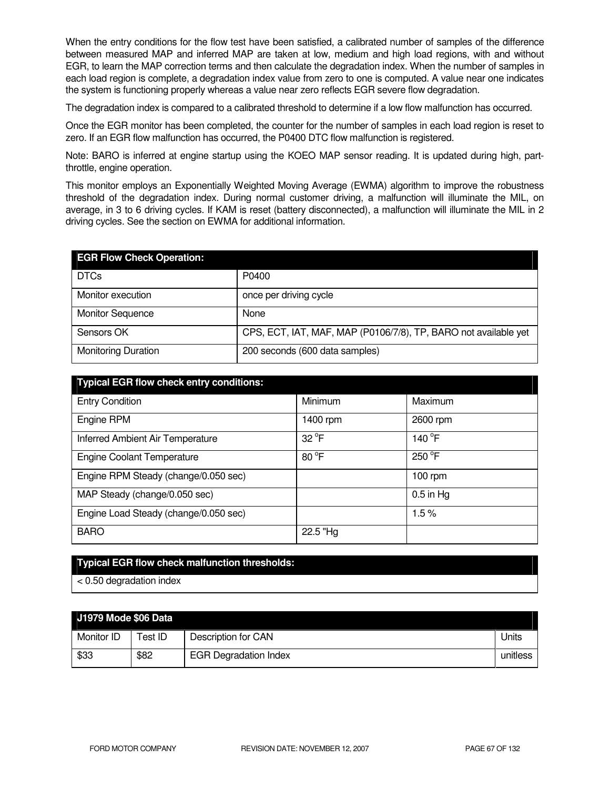When the entry conditions for the flow test have been satisfied, a calibrated number of samples of the difference between measured MAP and inferred MAP are taken at low, medium and high load regions, with and without EGR, to learn the MAP correction terms and then calculate the degradation index. When the number of samples in each load region is complete, a degradation index value from zero to one is computed. A value near one indicates the system is functioning properly whereas a value near zero reflects EGR severe flow degradation.

The degradation index is compared to a calibrated threshold to determine if a low flow malfunction has occurred.

Once the EGR monitor has been completed, the counter for the number of samples in each load region is reset to zero. If an EGR flow malfunction has occurred, the P0400 DTC flow malfunction is registered.

Note: BARO is inferred at engine startup using the KOEO MAP sensor reading. It is updated during high, partthrottle, engine operation.

This monitor employs an Exponentially Weighted Moving Average (EWMA) algorithm to improve the robustness threshold of the degradation index. During normal customer driving, a malfunction will illuminate the MIL, on average, in 3 to 6 driving cycles. If KAM is reset (battery disconnected), a malfunction will illuminate the MIL in 2 driving cycles. See the section on EWMA for additional information.

| <b>EGR Flow Check Operation:</b> |                                                                 |
|----------------------------------|-----------------------------------------------------------------|
| <b>DTCs</b>                      | P0400                                                           |
| Monitor execution                | once per driving cycle                                          |
| <b>Monitor Sequence</b>          | None                                                            |
| Sensors OK                       | CPS, ECT, IAT, MAF, MAP (P0106/7/8), TP, BARO not available yet |
| <b>Monitoring Duration</b>       | 200 seconds (600 data samples)                                  |

| <b>Typical EGR flow check entry conditions:</b> |                |                 |
|-------------------------------------------------|----------------|-----------------|
| <b>Entry Condition</b>                          | <b>Minimum</b> | Maximum         |
| Engine RPM                                      | 1400 rpm       | 2600 rpm        |
| Inferred Ambient Air Temperature                | $32^{\circ}$ F | 140 $\degree$ F |
| <b>Engine Coolant Temperature</b>               | 80 °F          | $250^{\circ}$ F |
| Engine RPM Steady (change/0.050 sec)            |                | $100$ rpm       |
| MAP Steady (change/0.050 sec)                   |                | $0.5$ in Hg     |
| Engine Load Steady (change/0.050 sec)           |                | 1.5%            |
| <b>BARO</b>                                     | 22.5 "Hg       |                 |

### **Typical EGR flow check malfunction thresholds:**

< 0.50 degradation index

| J1979 Mode \$06 Data |         |                              |          |
|----------------------|---------|------------------------------|----------|
| Monitor ID           | Test ID | Description for CAN          | Units    |
| \$33                 | \$82    | <b>EGR Degradation Index</b> | unitless |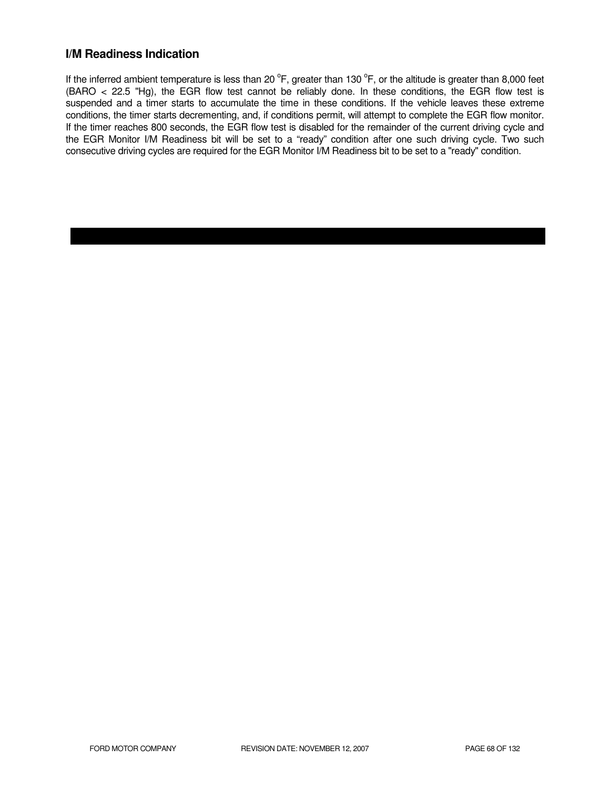### **I/M Readiness Indication**

If the inferred ambient temperature is less than 20  $^{\circ}$ F, greater than 130  $^{\circ}$ F, or the altitude is greater than 8,000 feet (BARO < 22.5 "Hg), the EGR flow test cannot be reliably done. In these conditions, the EGR flow test is suspended and a timer starts to accumulate the time in these conditions. If the vehicle leaves these extreme conditions, the timer starts decrementing, and, if conditions permit, will attempt to complete the EGR flow monitor. If the timer reaches 800 seconds, the EGR flow test is disabled for the remainder of the current driving cycle and the EGR Monitor I/M Readiness bit will be set to a "ready" condition after one such driving cycle. Two such consecutive driving cycles are required for the EGR Monitor I/M Readiness bit to be set to a "ready" condition.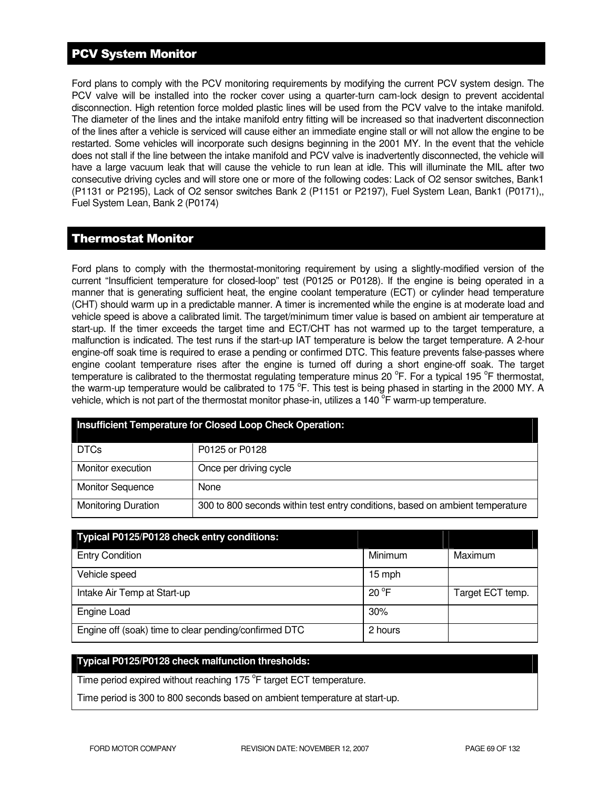# PCV System Monitor

Ford plans to comply with the PCV monitoring requirements by modifying the current PCV system design. The PCV valve will be installed into the rocker cover using a quarter-turn cam-lock design to prevent accidental disconnection. High retention force molded plastic lines will be used from the PCV valve to the intake manifold. The diameter of the lines and the intake manifold entry fitting will be increased so that inadvertent disconnection of the lines after a vehicle is serviced will cause either an immediate engine stall or will not allow the engine to be restarted. Some vehicles will incorporate such designs beginning in the 2001 MY. In the event that the vehicle does not stall if the line between the intake manifold and PCV valve is inadvertently disconnected, the vehicle will have a large vacuum leak that will cause the vehicle to run lean at idle. This will illuminate the MIL after two consecutive driving cycles and will store one or more of the following codes: Lack of O2 sensor switches, Bank1 (P1131 or P2195), Lack of O2 sensor switches Bank 2 (P1151 or P2197), Fuel System Lean, Bank1 (P0171),, Fuel System Lean, Bank 2 (P0174)

### Thermostat Monitor

Ford plans to comply with the thermostat-monitoring requirement by using a slightly-modified version of the current "Insufficient temperature for closed-loop" test (P0125 or P0128). If the engine is being operated in a manner that is generating sufficient heat, the engine coolant temperature (ECT) or cylinder head temperature (CHT) should warm up in a predictable manner. A timer is incremented while the engine is at moderate load and vehicle speed is above a calibrated limit. The target/minimum timer value is based on ambient air temperature at start-up. If the timer exceeds the target time and ECT/CHT has not warmed up to the target temperature, a malfunction is indicated. The test runs if the start-up IAT temperature is below the target temperature. A 2-hour engine-off soak time is required to erase a pending or confirmed DTC. This feature prevents false-passes where engine coolant temperature rises after the engine is turned off during a short engine-off soak. The target temperature is calibrated to the thermostat regulating temperature minus 20 °F. For a typical 195 °F thermostat, the warm-up temperature would be calibrated to 175  $\degree$ F. This test is being phased in starting in the 2000 MY. A vehicle, which is not part of the thermostat monitor phase-in, utilizes a 140  $\overline{P}$  warm-up temperature.

|                            | <b>Insufficient Temperature for Closed Loop Check Operation:</b>              |
|----------------------------|-------------------------------------------------------------------------------|
| <b>DTCs</b>                | P0125 or P0128                                                                |
| Monitor execution          | Once per driving cycle                                                        |
| <b>Monitor Sequence</b>    | None                                                                          |
| <b>Monitoring Duration</b> | 300 to 800 seconds within test entry conditions, based on ambient temperature |

| Typical P0125/P0128 check entry conditions:           |                |                  |
|-------------------------------------------------------|----------------|------------------|
| <b>Entry Condition</b>                                | Minimum        | Maximum          |
| Vehicle speed                                         | 15 mph         |                  |
| Intake Air Temp at Start-up                           | $20^{\circ}$ F | Target ECT temp. |
| Engine Load                                           | 30%            |                  |
| Engine off (soak) time to clear pending/confirmed DTC | 2 hours        |                  |

### **Typical P0125/P0128 check malfunction thresholds:**

Time period expired without reaching 175 °F target ECT temperature.

Time period is 300 to 800 seconds based on ambient temperature at start-up.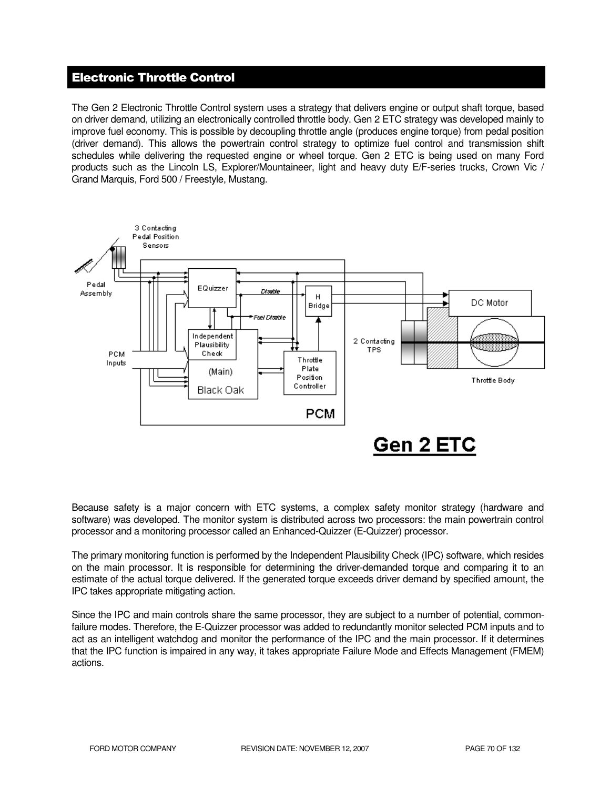# Electronic Throttle Control

The Gen 2 Electronic Throttle Control system uses a strategy that delivers engine or output shaft torque, based on driver demand, utilizing an electronically controlled throttle body. Gen 2 ETC strategy was developed mainly to improve fuel economy. This is possible by decoupling throttle angle (produces engine torque) from pedal position (driver demand). This allows the powertrain control strategy to optimize fuel control and transmission shift schedules while delivering the requested engine or wheel torque. Gen 2 ETC is being used on many Ford products such as the Lincoln LS, Explorer/Mountaineer, light and heavy duty E/F-series trucks, Crown Vic / Grand Marquis, Ford 500 / Freestyle, Mustang.



Because safety is a major concern with ETC systems, a complex safety monitor strategy (hardware and software) was developed. The monitor system is distributed across two processors: the main powertrain control processor and a monitoring processor called an Enhanced-Quizzer (E-Quizzer) processor.

The primary monitoring function is performed by the Independent Plausibility Check (IPC) software, which resides on the main processor. It is responsible for determining the driver-demanded torque and comparing it to an estimate of the actual torque delivered. If the generated torque exceeds driver demand by specified amount, the IPC takes appropriate mitigating action.

Since the IPC and main controls share the same processor, they are subject to a number of potential, commonfailure modes. Therefore, the E-Quizzer processor was added to redundantly monitor selected PCM inputs and to act as an intelligent watchdog and monitor the performance of the IPC and the main processor. If it determines that the IPC function is impaired in any way, it takes appropriate Failure Mode and Effects Management (FMEM) actions.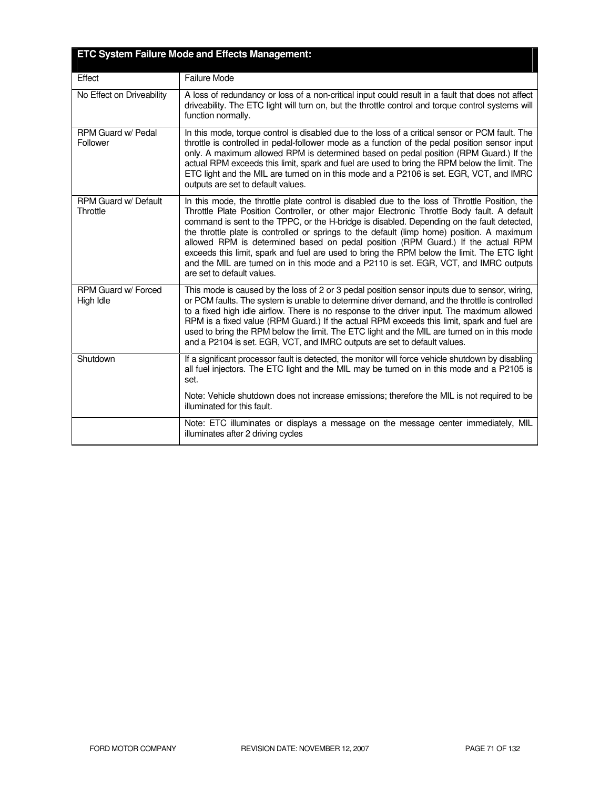|                                  | <b>ETC System Failure Mode and Effects Management:</b>                                                                                                                                                                                                                                                                                                                                                                                                                                                                                                                                                                                                                                               |
|----------------------------------|------------------------------------------------------------------------------------------------------------------------------------------------------------------------------------------------------------------------------------------------------------------------------------------------------------------------------------------------------------------------------------------------------------------------------------------------------------------------------------------------------------------------------------------------------------------------------------------------------------------------------------------------------------------------------------------------------|
| Effect                           | Failure Mode                                                                                                                                                                                                                                                                                                                                                                                                                                                                                                                                                                                                                                                                                         |
| No Effect on Driveability        | A loss of redundancy or loss of a non-critical input could result in a fault that does not affect<br>driveability. The ETC light will turn on, but the throttle control and torque control systems will<br>function normally.                                                                                                                                                                                                                                                                                                                                                                                                                                                                        |
| RPM Guard w/ Pedal<br>Follower   | In this mode, torque control is disabled due to the loss of a critical sensor or PCM fault. The<br>throttle is controlled in pedal-follower mode as a function of the pedal position sensor input<br>only. A maximum allowed RPM is determined based on pedal position (RPM Guard.) If the<br>actual RPM exceeds this limit, spark and fuel are used to bring the RPM below the limit. The<br>ETC light and the MIL are turned on in this mode and a P2106 is set. EGR, VCT, and IMRC<br>outputs are set to default values.                                                                                                                                                                          |
| RPM Guard w/ Default<br>Throttle | In this mode, the throttle plate control is disabled due to the loss of Throttle Position, the<br>Throttle Plate Position Controller, or other major Electronic Throttle Body fault. A default<br>command is sent to the TPPC, or the H-bridge is disabled. Depending on the fault detected,<br>the throttle plate is controlled or springs to the default (limp home) position. A maximum<br>allowed RPM is determined based on pedal position (RPM Guard.) If the actual RPM<br>exceeds this limit, spark and fuel are used to bring the RPM below the limit. The ETC light<br>and the MIL are turned on in this mode and a P2110 is set. EGR, VCT, and IMRC outputs<br>are set to default values. |
| RPM Guard w/ Forced<br>High Idle | This mode is caused by the loss of 2 or 3 pedal position sensor inputs due to sensor, wiring,<br>or PCM faults. The system is unable to determine driver demand, and the throttle is controlled<br>to a fixed high idle airflow. There is no response to the driver input. The maximum allowed<br>RPM is a fixed value (RPM Guard.) If the actual RPM exceeds this limit, spark and fuel are<br>used to bring the RPM below the limit. The ETC light and the MIL are turned on in this mode<br>and a P2104 is set. EGR, VCT, and IMRC outputs are set to default values.                                                                                                                             |
| Shutdown                         | If a significant processor fault is detected, the monitor will force vehicle shutdown by disabling<br>all fuel injectors. The ETC light and the MIL may be turned on in this mode and a P2105 is<br>set.                                                                                                                                                                                                                                                                                                                                                                                                                                                                                             |
|                                  | Note: Vehicle shutdown does not increase emissions; therefore the MIL is not required to be<br>illuminated for this fault.                                                                                                                                                                                                                                                                                                                                                                                                                                                                                                                                                                           |
|                                  | Note: ETC illuminates or displays a message on the message center immediately, MIL<br>illuminates after 2 driving cycles                                                                                                                                                                                                                                                                                                                                                                                                                                                                                                                                                                             |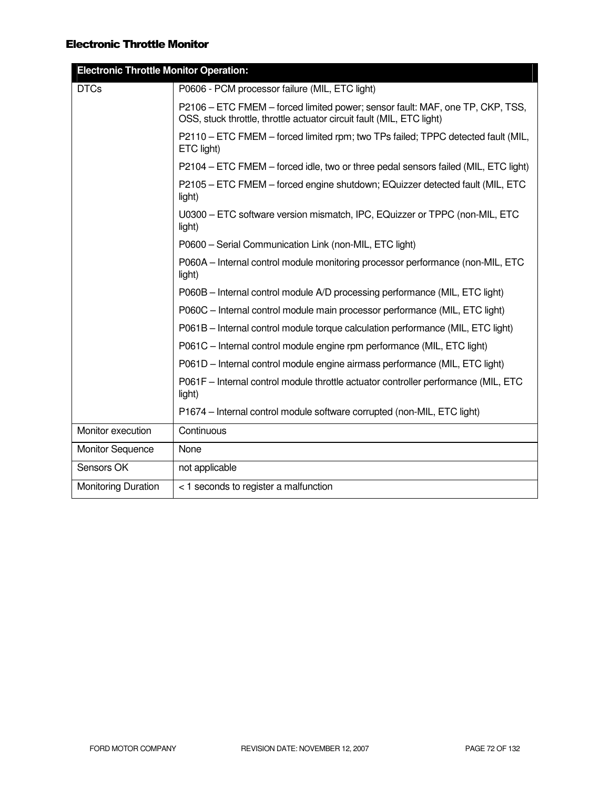### Electronic Throttle Monitor

| <b>DTCs</b><br>P0606 - PCM processor failure (MIL, ETC light)<br>P2106 – ETC FMEM – forced limited power; sensor fault: MAF, one TP, CKP, TSS,<br>OSS, stuck throttle, throttle actuator circuit fault (MIL, ETC light)<br>P2110 - ETC FMEM - forced limited rpm; two TPs failed; TPPC detected fault (MIL,<br>ETC light)<br>P2104 – ETC FMEM – forced idle, two or three pedal sensors failed (MIL, ETC light)<br>P2105 - ETC FMEM - forced engine shutdown; EQuizzer detected fault (MIL, ETC<br>light)<br>U0300 - ETC software version mismatch, IPC, EQuizzer or TPPC (non-MIL, ETC<br>light) |
|---------------------------------------------------------------------------------------------------------------------------------------------------------------------------------------------------------------------------------------------------------------------------------------------------------------------------------------------------------------------------------------------------------------------------------------------------------------------------------------------------------------------------------------------------------------------------------------------------|
|                                                                                                                                                                                                                                                                                                                                                                                                                                                                                                                                                                                                   |
|                                                                                                                                                                                                                                                                                                                                                                                                                                                                                                                                                                                                   |
|                                                                                                                                                                                                                                                                                                                                                                                                                                                                                                                                                                                                   |
|                                                                                                                                                                                                                                                                                                                                                                                                                                                                                                                                                                                                   |
|                                                                                                                                                                                                                                                                                                                                                                                                                                                                                                                                                                                                   |
|                                                                                                                                                                                                                                                                                                                                                                                                                                                                                                                                                                                                   |
| P0600 - Serial Communication Link (non-MIL, ETC light)                                                                                                                                                                                                                                                                                                                                                                                                                                                                                                                                            |
| P060A - Internal control module monitoring processor performance (non-MIL, ETC<br>light)                                                                                                                                                                                                                                                                                                                                                                                                                                                                                                          |
| P060B - Internal control module A/D processing performance (MIL, ETC light)                                                                                                                                                                                                                                                                                                                                                                                                                                                                                                                       |
| P060C - Internal control module main processor performance (MIL, ETC light)                                                                                                                                                                                                                                                                                                                                                                                                                                                                                                                       |
| P061B – Internal control module torque calculation performance (MIL, ETC light)                                                                                                                                                                                                                                                                                                                                                                                                                                                                                                                   |
| P061C - Internal control module engine rpm performance (MIL, ETC light)                                                                                                                                                                                                                                                                                                                                                                                                                                                                                                                           |
| P061D - Internal control module engine airmass performance (MIL, ETC light)                                                                                                                                                                                                                                                                                                                                                                                                                                                                                                                       |
| P061F - Internal control module throttle actuator controller performance (MIL, ETC<br>light)                                                                                                                                                                                                                                                                                                                                                                                                                                                                                                      |
| P1674 – Internal control module software corrupted (non-MIL, ETC light)                                                                                                                                                                                                                                                                                                                                                                                                                                                                                                                           |
| Continuous<br>Monitor execution                                                                                                                                                                                                                                                                                                                                                                                                                                                                                                                                                                   |
| None<br><b>Monitor Sequence</b>                                                                                                                                                                                                                                                                                                                                                                                                                                                                                                                                                                   |
| Sensors OK<br>not applicable                                                                                                                                                                                                                                                                                                                                                                                                                                                                                                                                                                      |
| <b>Monitoring Duration</b><br>< 1 seconds to register a malfunction                                                                                                                                                                                                                                                                                                                                                                                                                                                                                                                               |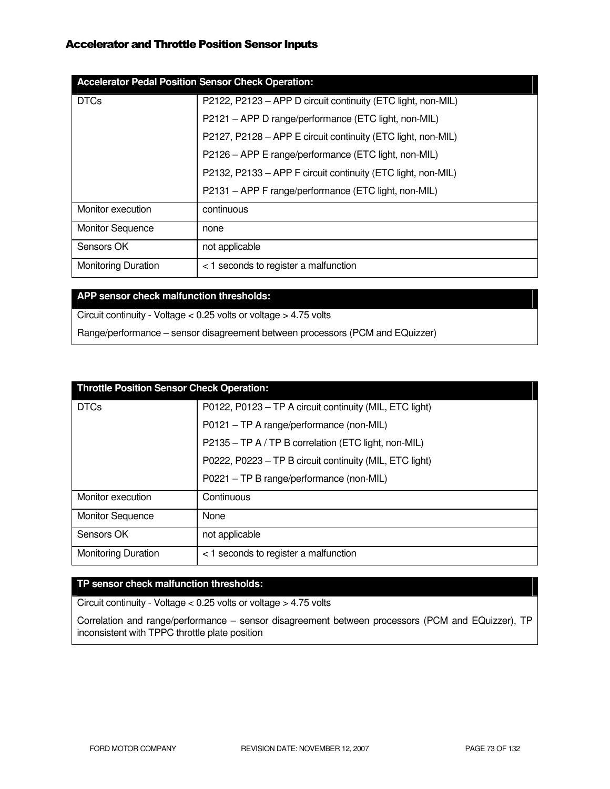## Accelerator and Throttle Position Sensor Inputs

| <b>Accelerator Pedal Position Sensor Check Operation:</b> |                                                              |  |
|-----------------------------------------------------------|--------------------------------------------------------------|--|
| <b>DTCs</b>                                               | P2122, P2123 - APP D circuit continuity (ETC light, non-MIL) |  |
|                                                           | P2121 - APP D range/performance (ETC light, non-MIL)         |  |
|                                                           | P2127, P2128 - APP E circuit continuity (ETC light, non-MIL) |  |
|                                                           | P2126 - APP E range/performance (ETC light, non-MIL)         |  |
|                                                           | P2132, P2133 - APP F circuit continuity (ETC light, non-MIL) |  |
|                                                           | P2131 - APP F range/performance (ETC light, non-MIL)         |  |
| Monitor execution                                         | continuous                                                   |  |
| <b>Monitor Sequence</b>                                   | none                                                         |  |
| Sensors OK                                                | not applicable                                               |  |
| <b>Monitoring Duration</b>                                | < 1 seconds to register a malfunction                        |  |

# **APP sensor check malfunction thresholds:**

Circuit continuity - Voltage < 0.25 volts or voltage > 4.75 volts

Range/performance – sensor disagreement between processors (PCM and EQuizzer)

| <b>Throttle Position Sensor Check Operation:</b> |                                                         |  |
|--------------------------------------------------|---------------------------------------------------------|--|
| <b>DTCs</b>                                      | P0122, P0123 - TP A circuit continuity (MIL, ETC light) |  |
|                                                  | P0121 - TP A range/performance (non-MIL)                |  |
|                                                  | P2135 - TP A / TP B correlation (ETC light, non-MIL)    |  |
|                                                  | P0222, P0223 - TP B circuit continuity (MIL, ETC light) |  |
|                                                  | P0221 - TP B range/performance (non-MIL)                |  |
| Monitor execution                                | Continuous                                              |  |
| <b>Monitor Sequence</b>                          | None                                                    |  |
| Sensors OK                                       | not applicable                                          |  |
| <b>Monitoring Duration</b>                       | < 1 seconds to register a malfunction                   |  |

## **TP sensor check malfunction thresholds:**

Circuit continuity - Voltage < 0.25 volts or voltage > 4.75 volts

Correlation and range/performance – sensor disagreement between processors (PCM and EQuizzer), TP inconsistent with TPPC throttle plate position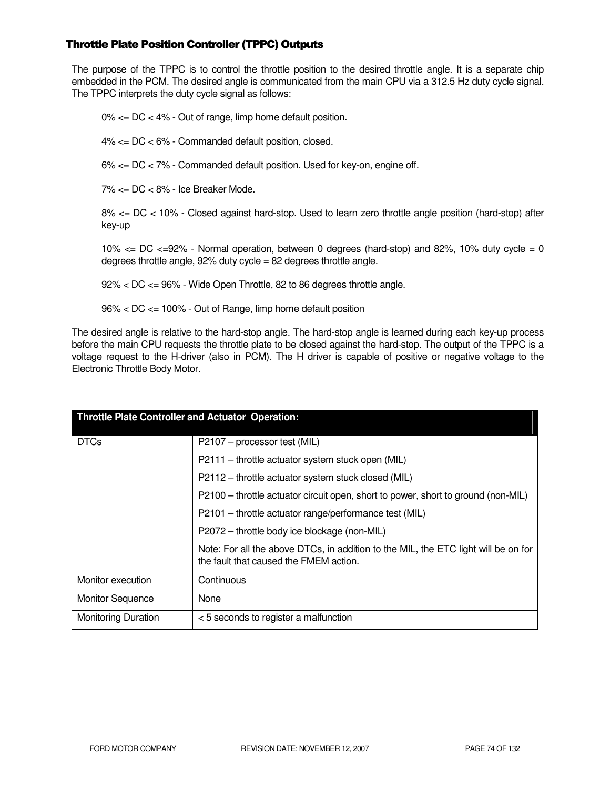## Throttle Plate Position Controller (TPPC) Outputs

The purpose of the TPPC is to control the throttle position to the desired throttle angle. It is a separate chip embedded in the PCM. The desired angle is communicated from the main CPU via a 312.5 Hz duty cycle signal. The TPPC interprets the duty cycle signal as follows:

0% <= DC < 4% - Out of range, limp home default position.

4% <= DC < 6% - Commanded default position, closed.

6% <= DC < 7% - Commanded default position. Used for key-on, engine off.

7% <= DC < 8% - Ice Breaker Mode.

8% <= DC < 10% - Closed against hard-stop. Used to learn zero throttle angle position (hard-stop) after key-up

10%  $\lt$  DC  $\lt$  =92% - Normal operation, between 0 degrees (hard-stop) and 82%, 10% duty cycle = 0 degrees throttle angle, 92% duty cycle = 82 degrees throttle angle.

92% < DC <= 96% - Wide Open Throttle, 82 to 86 degrees throttle angle.

96% < DC <= 100% - Out of Range, limp home default position

The desired angle is relative to the hard-stop angle. The hard-stop angle is learned during each key-up process before the main CPU requests the throttle plate to be closed against the hard-stop. The output of the TPPC is a voltage request to the H-driver (also in PCM). The H driver is capable of positive or negative voltage to the Electronic Throttle Body Motor.

| <b>Throttle Plate Controller and Actuator Operation:</b> |                                                                                                                              |
|----------------------------------------------------------|------------------------------------------------------------------------------------------------------------------------------|
| <b>DTCs</b>                                              | P2107 – processor test (MIL)                                                                                                 |
|                                                          | P2111 - throttle actuator system stuck open (MIL)                                                                            |
|                                                          | P2112 – throttle actuator system stuck closed (MIL)                                                                          |
|                                                          | P2100 – throttle actuator circuit open, short to power, short to ground (non-MIL)                                            |
|                                                          | P2101 - throttle actuator range/performance test (MIL)                                                                       |
|                                                          | P2072 - throttle body ice blockage (non-MIL)                                                                                 |
|                                                          | Note: For all the above DTCs, in addition to the MIL, the ETC light will be on for<br>the fault that caused the FMEM action. |
| Monitor execution                                        | Continuous                                                                                                                   |
| <b>Monitor Sequence</b>                                  | None                                                                                                                         |
| <b>Monitoring Duration</b>                               | < 5 seconds to register a malfunction                                                                                        |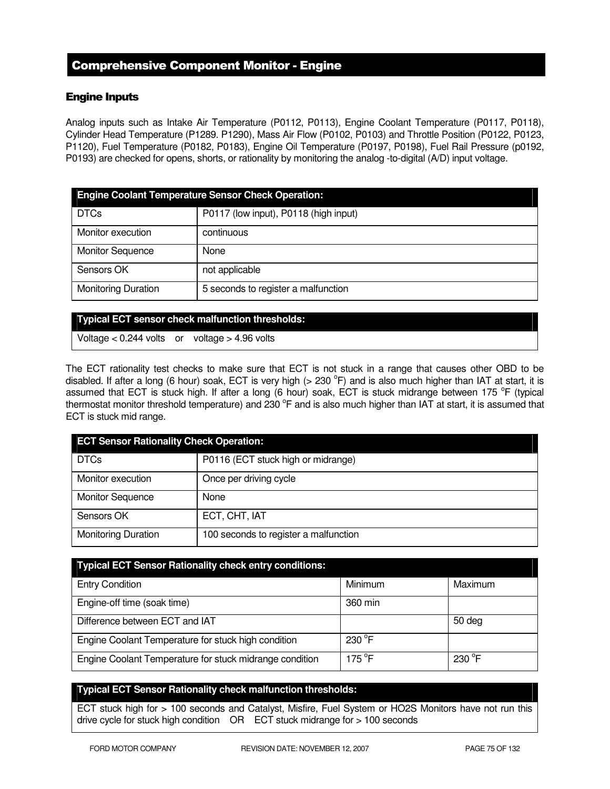# Comprehensive Component Monitor - Engine

## Engine Inputs

Analog inputs such as Intake Air Temperature (P0112, P0113), Engine Coolant Temperature (P0117, P0118), Cylinder Head Temperature (P1289. P1290), Mass Air Flow (P0102, P0103) and Throttle Position (P0122, P0123, P1120), Fuel Temperature (P0182, P0183), Engine Oil Temperature (P0197, P0198), Fuel Rail Pressure (p0192, P0193) are checked for opens, shorts, or rationality by monitoring the analog -to-digital (A/D) input voltage.

| <b>Engine Coolant Temperature Sensor Check Operation:</b> |                                       |  |
|-----------------------------------------------------------|---------------------------------------|--|
| <b>DTCs</b>                                               | P0117 (low input), P0118 (high input) |  |
| Monitor execution                                         | continuous                            |  |
| <b>Monitor Sequence</b>                                   | None                                  |  |
| Sensors OK                                                | not applicable                        |  |
| <b>Monitoring Duration</b>                                | 5 seconds to register a malfunction   |  |

#### **Typical ECT sensor check malfunction thresholds:**

Voltage < 0.244 volts or voltage > 4.96 volts

The ECT rationality test checks to make sure that ECT is not stuck in a range that causes other OBD to be disabled. If after a long (6 hour) soak, ECT is very high (> 230  $^{\circ}$ F) and is also much higher than IAT at start, it is assumed that ECT is stuck high. If after a long (6 hour) soak, ECT is stuck midrange between 175 °F (typical thermostat monitor threshold temperature) and 230  $^{\circ}$ F and is also much higher than IAT at start, it is assumed that ECT is stuck mid range.

| <b>ECT Sensor Rationality Check Operation:</b> |                                       |  |
|------------------------------------------------|---------------------------------------|--|
| <b>DTCs</b>                                    | P0116 (ECT stuck high or midrange)    |  |
| Monitor execution                              | Once per driving cycle                |  |
| <b>Monitor Sequence</b>                        | None                                  |  |
| Sensors OK                                     | ECT, CHT, IAT                         |  |
| <b>Monitoring Duration</b>                     | 100 seconds to register a malfunction |  |

| <b>Typical ECT Sensor Rationality check entry conditions:</b> |                  |                 |
|---------------------------------------------------------------|------------------|-----------------|
| <b>Entry Condition</b>                                        | Minimum          | Maximum         |
| Engine-off time (soak time)                                   | 360 min          |                 |
| Difference between ECT and IAT                                |                  | 50 deg          |
| Engine Coolant Temperature for stuck high condition           | 230 $^{\circ}$ F |                 |
| Engine Coolant Temperature for stuck midrange condition       | $175^{\circ}$ F  | $230^{\circ}$ F |

## **Typical ECT Sensor Rationality check malfunction thresholds:**

ECT stuck high for > 100 seconds and Catalyst, Misfire, Fuel System or HO2S Monitors have not run this drive cycle for stuck high condition OR ECT stuck midrange for > 100 seconds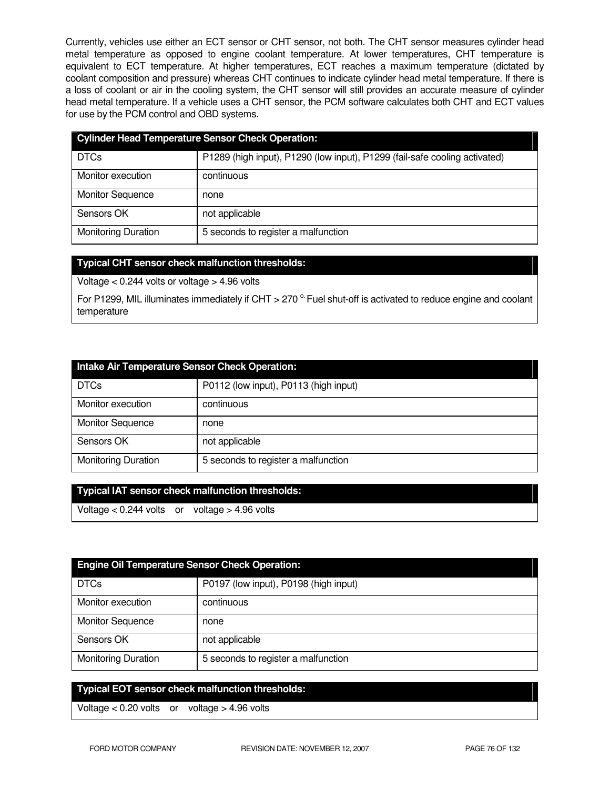Currently, vehicles use either an ECT sensor or CHT sensor, not both. The CHT sensor measures cylinder head metal temperature as opposed to engine coolant temperature. At lower temperatures, CHT temperature is equivalent to ECT temperature. At higher temperatures, ECT reaches a maximum temperature (dictated by coolant composition and pressure) whereas CHT continues to indicate cylinder head metal temperature. If there is a loss of coolant or air in the cooling system, the CHT sensor will still provides an accurate measure of cylinder head metal temperature. If a vehicle uses a CHT sensor, the PCM software calculates both CHT and ECT values for use by the PCM control and OBD systems.

| <b>Cylinder Head Temperature Sensor Check Operation:</b> |                                                                            |  |
|----------------------------------------------------------|----------------------------------------------------------------------------|--|
| <b>DTCs</b>                                              | P1289 (high input), P1290 (low input), P1299 (fail-safe cooling activated) |  |
| Monitor execution                                        | continuous                                                                 |  |
| <b>Monitor Sequence</b>                                  | none                                                                       |  |
| Sensors OK                                               | not applicable                                                             |  |
| <b>Monitoring Duration</b>                               | 5 seconds to register a malfunction                                        |  |

## **Typical CHT sensor check malfunction thresholds:**

Voltage < 0.244 volts or voltage > 4.96 volts

For P1299, MIL illuminates immediately if CHT > 270  $^{\circ}$  Fuel shut-off is activated to reduce engine and coolant temperature

| Intake Air Temperature Sensor Check Operation: |                                       |  |
|------------------------------------------------|---------------------------------------|--|
| <b>DTCs</b>                                    | P0112 (low input), P0113 (high input) |  |
| Monitor execution                              | continuous                            |  |
| <b>Monitor Sequence</b>                        | none                                  |  |
| Sensors OK                                     | not applicable                        |  |
| <b>Monitoring Duration</b>                     | 5 seconds to register a malfunction   |  |

| Typical IAT sensor check malfunction thresholds: |  |
|--------------------------------------------------|--|
|                                                  |  |

Voltage < 0.244 volts or voltage > 4.96 volts

| <b>Engine Oil Temperature Sensor Check Operation:</b> |                                       |  |
|-------------------------------------------------------|---------------------------------------|--|
| <b>DTCs</b>                                           | P0197 (low input), P0198 (high input) |  |
| Monitor execution                                     | continuous                            |  |
| <b>Monitor Sequence</b>                               | none                                  |  |
| Sensors OK                                            | not applicable                        |  |
| <b>Monitoring Duration</b>                            | 5 seconds to register a malfunction   |  |

## **Typical EOT sensor check malfunction thresholds:**

Voltage < 0.20 volts or voltage > 4.96 volts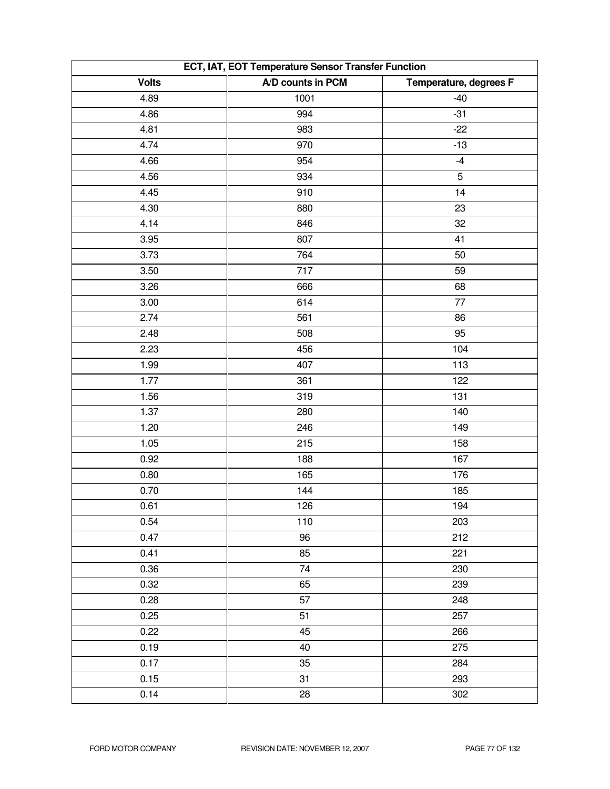| ECT, IAT, EOT Temperature Sensor Transfer Function |                   |                        |
|----------------------------------------------------|-------------------|------------------------|
| <b>Volts</b>                                       | A/D counts in PCM | Temperature, degrees F |
| 4.89                                               | 1001              | $-40$                  |
| 4.86                                               | 994               | $-31$                  |
| 4.81                                               | 983               | $-22$                  |
| 4.74                                               | 970               | $-13$                  |
| 4.66                                               | 954               | $-4$                   |
| 4.56                                               | 934               | 5                      |
| 4.45                                               | 910               | 14                     |
| 4.30                                               | 880               | 23                     |
| 4.14                                               | 846               | 32                     |
| 3.95                                               | 807               | 41                     |
| 3.73                                               | 764               | 50                     |
| 3.50                                               | 717               | 59                     |
| 3.26                                               | 666               | 68                     |
| 3.00                                               | 614               | 77                     |
| 2.74                                               | 561               | 86                     |
| 2.48                                               | 508               | 95                     |
| 2.23                                               | 456               | 104                    |
| 1.99                                               | 407               | 113                    |
| 1.77                                               | 361               | 122                    |
| 1.56                                               | 319               | 131                    |
| 1.37                                               | 280               | 140                    |
| 1.20                                               | 246               | 149                    |
| 1.05                                               | 215               | 158                    |
| 0.92                                               | 188               | 167                    |
| 0.80                                               | 165               | 176                    |
| 0.70                                               | 144               | 185                    |
| 0.61                                               | 126               | 194                    |
| 0.54                                               | 110               | 203                    |
| 0.47                                               | 96                | 212                    |
| 0.41                                               | 85                | 221                    |
| 0.36                                               | 74                | 230                    |
| 0.32                                               | 65                | 239                    |
| 0.28                                               | 57                | 248                    |
| 0.25                                               | 51                | 257                    |
| 0.22                                               | 45                | 266                    |
| 0.19                                               | 40                | 275                    |
| 0.17                                               | 35                | 284                    |
| 0.15                                               | 31                | 293                    |
| 0.14                                               | 28                | 302                    |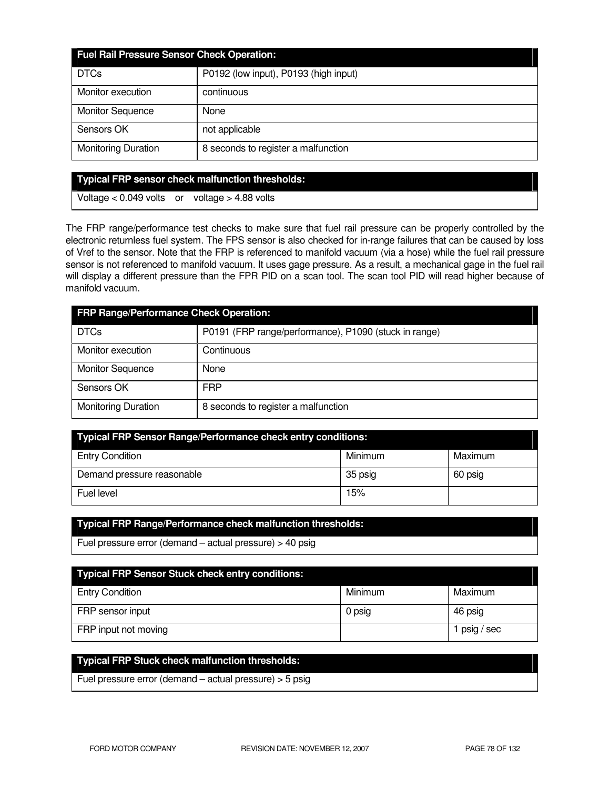| <b>Fuel Rail Pressure Sensor Check Operation:</b> |                                       |  |
|---------------------------------------------------|---------------------------------------|--|
| <b>DTCs</b>                                       | P0192 (low input), P0193 (high input) |  |
| Monitor execution                                 | continuous                            |  |
| <b>Monitor Sequence</b>                           | None                                  |  |
| Sensors OK                                        | not applicable                        |  |
| <b>Monitoring Duration</b>                        | 8 seconds to register a malfunction   |  |

### **Typical FRP sensor check malfunction thresholds:**

Voltage < 0.049 volts or voltage > 4.88 volts

The FRP range/performance test checks to make sure that fuel rail pressure can be properly controlled by the electronic returnless fuel system. The FPS sensor is also checked for in-range failures that can be caused by loss of Vref to the sensor. Note that the FRP is referenced to manifold vacuum (via a hose) while the fuel rail pressure sensor is not referenced to manifold vacuum. It uses gage pressure. As a result, a mechanical gage in the fuel rail will display a different pressure than the FPR PID on a scan tool. The scan tool PID will read higher because of manifold vacuum.

| FRP Range/Performance Check Operation: |                                                       |  |
|----------------------------------------|-------------------------------------------------------|--|
| <b>DTCs</b>                            | P0191 (FRP range/performance), P1090 (stuck in range) |  |
| Monitor execution                      | Continuous                                            |  |
| <b>Monitor Sequence</b>                | None                                                  |  |
| Sensors OK                             | <b>FRP</b>                                            |  |
| <b>Monitoring Duration</b>             | 8 seconds to register a malfunction                   |  |

| Typical FRP Sensor Range/Performance check entry conditions: |         |         |
|--------------------------------------------------------------|---------|---------|
| <b>Entry Condition</b>                                       | Minimum | Maximum |
| Demand pressure reasonable                                   | 35 psig | 60 psig |
| Fuel level                                                   | 15%     |         |

## **Typical FRP Range/Performance check malfunction thresholds:**

Fuel pressure error (demand – actual pressure) > 40 psig

| <b>Typical FRP Sensor Stuck check entry conditions:</b> |         |            |  |
|---------------------------------------------------------|---------|------------|--|
| <b>Entry Condition</b>                                  | Minimum | Maximum    |  |
| FRP sensor input                                        | 0 psig  | 46 psig    |  |
| FRP input not moving                                    |         | psig / sec |  |

# **Typical FRP Stuck check malfunction thresholds:**

Fuel pressure error (demand – actual pressure) > 5 psig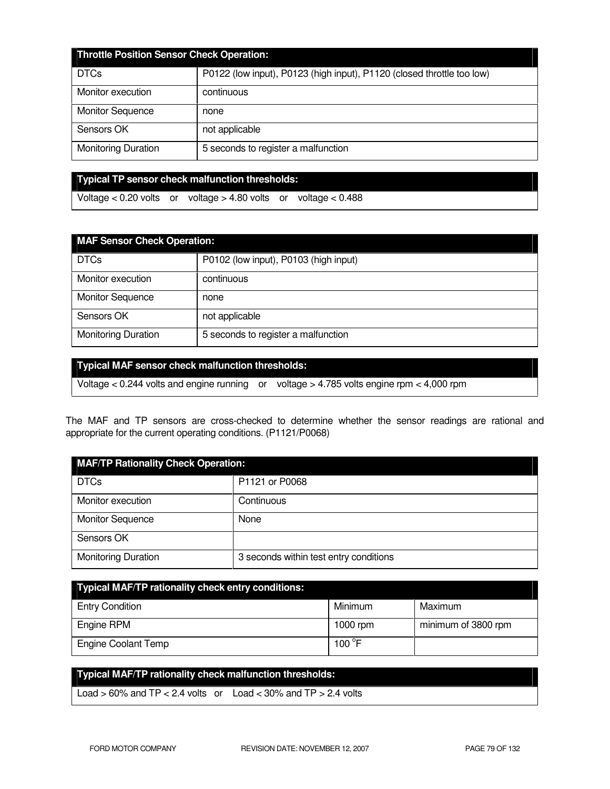| <b>Throttle Position Sensor Check Operation:</b> |                                                                        |  |
|--------------------------------------------------|------------------------------------------------------------------------|--|
| <b>DTCs</b>                                      | P0122 (low input), P0123 (high input), P1120 (closed throttle too low) |  |
| Monitor execution                                | continuous                                                             |  |
| <b>Monitor Sequence</b>                          | none                                                                   |  |
| Sensors OK                                       | not applicable                                                         |  |
| <b>Monitoring Duration</b>                       | 5 seconds to register a malfunction                                    |  |

**Typical TP sensor check malfunction thresholds:** 

Voltage < 0.20 volts or voltage > 4.80 volts or voltage < 0.488

| <b>MAF Sensor Check Operation:</b> |                                       |  |
|------------------------------------|---------------------------------------|--|
| <b>DTCs</b>                        | P0102 (low input), P0103 (high input) |  |
| Monitor execution                  | continuous                            |  |
| <b>Monitor Sequence</b>            | none                                  |  |
| Sensors OK                         | not applicable                        |  |
| <b>Monitoring Duration</b>         | 5 seconds to register a malfunction   |  |

## **Typical MAF sensor check malfunction thresholds:**

Voltage < 0.244 volts and engine running or voltage > 4.785 volts engine rpm < 4,000 rpm

The MAF and TP sensors are cross-checked to determine whether the sensor readings are rational and appropriate for the current operating conditions. (P1121/P0068)

| <b>MAF/TP Rationality Check Operation:</b> |                                        |  |
|--------------------------------------------|----------------------------------------|--|
| <b>DTCs</b>                                | P1121 or P0068                         |  |
| Monitor execution                          | Continuous                             |  |
| <b>Monitor Sequence</b>                    | None                                   |  |
| Sensors OK                                 |                                        |  |
| <b>Monitoring Duration</b>                 | 3 seconds within test entry conditions |  |

| <b>Typical MAF/TP rationality check entry conditions:</b> |                 |                     |  |
|-----------------------------------------------------------|-----------------|---------------------|--|
| <b>Entry Condition</b>                                    | Minimum         | Maximum             |  |
| Engine RPM                                                | 1000 rpm        | minimum of 3800 rpm |  |
| <b>Engine Coolant Temp</b>                                | 100 $\degree$ F |                     |  |

# **Typical MAF/TP rationality check malfunction thresholds:**  Load  $> 60\%$  and TP  $< 2.4$  volts or Load  $< 30\%$  and TP  $> 2.4$  volts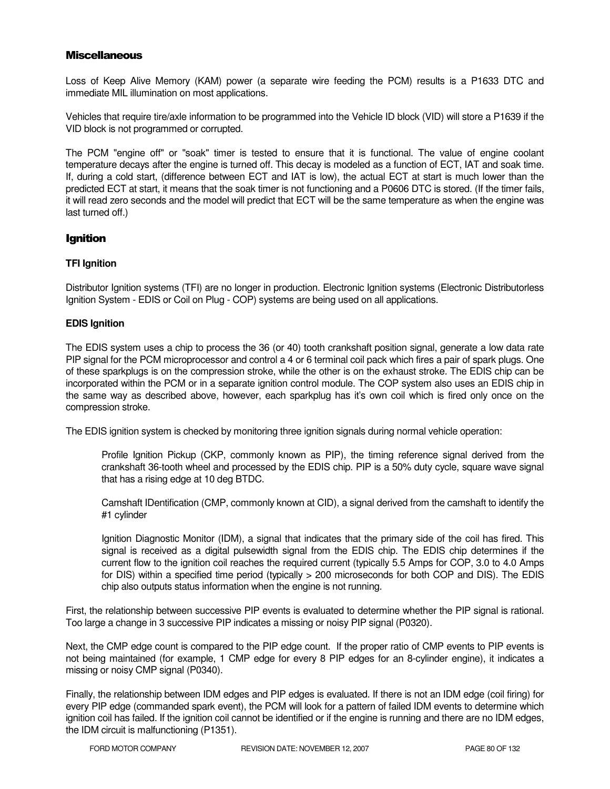## **Miscellaneous**

Loss of Keep Alive Memory (KAM) power (a separate wire feeding the PCM) results is a P1633 DTC and immediate MIL illumination on most applications.

Vehicles that require tire/axle information to be programmed into the Vehicle ID block (VID) will store a P1639 if the VID block is not programmed or corrupted.

The PCM "engine off" or "soak" timer is tested to ensure that it is functional. The value of engine coolant temperature decays after the engine is turned off. This decay is modeled as a function of ECT, IAT and soak time. If, during a cold start, (difference between ECT and IAT is low), the actual ECT at start is much lower than the predicted ECT at start, it means that the soak timer is not functioning and a P0606 DTC is stored. (If the timer fails, it will read zero seconds and the model will predict that ECT will be the same temperature as when the engine was last turned off.)

## **Ignition**

## **TFI Ignition**

Distributor Ignition systems (TFI) are no longer in production. Electronic Ignition systems (Electronic Distributorless Ignition System - EDIS or Coil on Plug - COP) systems are being used on all applications.

## **EDIS Ignition**

The EDIS system uses a chip to process the 36 (or 40) tooth crankshaft position signal, generate a low data rate PIP signal for the PCM microprocessor and control a 4 or 6 terminal coil pack which fires a pair of spark plugs. One of these sparkplugs is on the compression stroke, while the other is on the exhaust stroke. The EDIS chip can be incorporated within the PCM or in a separate ignition control module. The COP system also uses an EDIS chip in the same way as described above, however, each sparkplug has it's own coil which is fired only once on the compression stroke.

The EDIS ignition system is checked by monitoring three ignition signals during normal vehicle operation:

Profile Ignition Pickup (CKP, commonly known as PIP), the timing reference signal derived from the crankshaft 36-tooth wheel and processed by the EDIS chip. PIP is a 50% duty cycle, square wave signal that has a rising edge at 10 deg BTDC.

Camshaft IDentification (CMP, commonly known at CID), a signal derived from the camshaft to identify the #1 cylinder

Ignition Diagnostic Monitor (IDM), a signal that indicates that the primary side of the coil has fired. This signal is received as a digital pulsewidth signal from the EDIS chip. The EDIS chip determines if the current flow to the ignition coil reaches the required current (typically 5.5 Amps for COP, 3.0 to 4.0 Amps for DIS) within a specified time period (typically > 200 microseconds for both COP and DIS). The EDIS chip also outputs status information when the engine is not running.

First, the relationship between successive PIP events is evaluated to determine whether the PIP signal is rational. Too large a change in 3 successive PIP indicates a missing or noisy PIP signal (P0320).

Next, the CMP edge count is compared to the PIP edge count. If the proper ratio of CMP events to PIP events is not being maintained (for example, 1 CMP edge for every 8 PIP edges for an 8-cylinder engine), it indicates a missing or noisy CMP signal (P0340).

Finally, the relationship between IDM edges and PIP edges is evaluated. If there is not an IDM edge (coil firing) for every PIP edge (commanded spark event), the PCM will look for a pattern of failed IDM events to determine which ignition coil has failed. If the ignition coil cannot be identified or if the engine is running and there are no IDM edges, the IDM circuit is malfunctioning (P1351).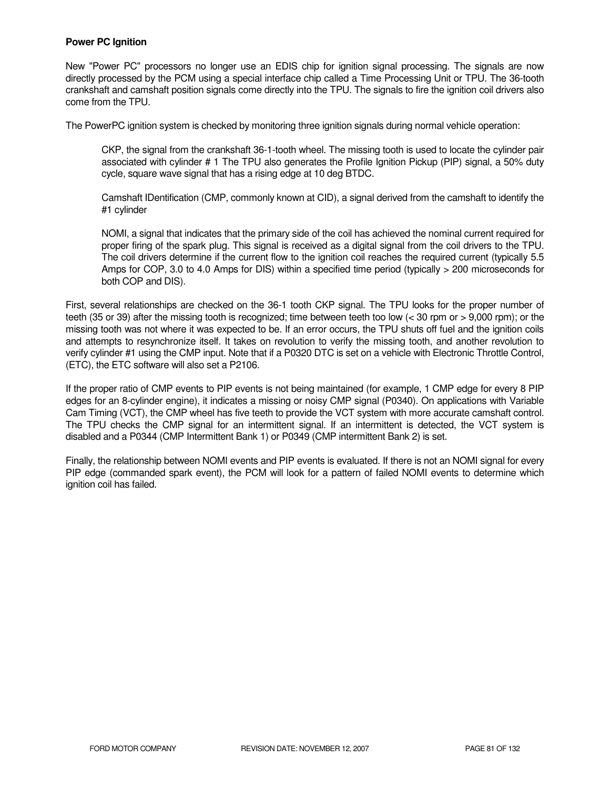## **Power PC Ignition**

New "Power PC" processors no longer use an EDIS chip for ignition signal processing. The signals are now directly processed by the PCM using a special interface chip called a Time Processing Unit or TPU. The 36-tooth crankshaft and camshaft position signals come directly into the TPU. The signals to fire the ignition coil drivers also come from the TPU.

The PowerPC ignition system is checked by monitoring three ignition signals during normal vehicle operation:

CKP, the signal from the crankshaft 36-1-tooth wheel. The missing tooth is used to locate the cylinder pair associated with cylinder # 1 The TPU also generates the Profile Ignition Pickup (PIP) signal, a 50% duty cycle, square wave signal that has a rising edge at 10 deg BTDC.

Camshaft IDentification (CMP, commonly known at CID), a signal derived from the camshaft to identify the #1 cylinder

NOMI, a signal that indicates that the primary side of the coil has achieved the nominal current required for proper firing of the spark plug. This signal is received as a digital signal from the coil drivers to the TPU. The coil drivers determine if the current flow to the ignition coil reaches the required current (typically 5.5 Amps for COP, 3.0 to 4.0 Amps for DIS) within a specified time period (typically > 200 microseconds for both COP and DIS).

First, several relationships are checked on the 36-1 tooth CKP signal. The TPU looks for the proper number of teeth (35 or 39) after the missing tooth is recognized; time between teeth too low (< 30 rpm or > 9,000 rpm); or the missing tooth was not where it was expected to be. If an error occurs, the TPU shuts off fuel and the ignition coils and attempts to resynchronize itself. It takes on revolution to verify the missing tooth, and another revolution to verify cylinder #1 using the CMP input. Note that if a P0320 DTC is set on a vehicle with Electronic Throttle Control, (ETC), the ETC software will also set a P2106.

If the proper ratio of CMP events to PIP events is not being maintained (for example, 1 CMP edge for every 8 PIP edges for an 8-cylinder engine), it indicates a missing or noisy CMP signal (P0340). On applications with Variable Cam Timing (VCT), the CMP wheel has five teeth to provide the VCT system with more accurate camshaft control. The TPU checks the CMP signal for an intermittent signal. If an intermittent is detected, the VCT system is disabled and a P0344 (CMP Intermittent Bank 1) or P0349 (CMP intermittent Bank 2) is set.

Finally, the relationship between NOMI events and PIP events is evaluated. If there is not an NOMI signal for every PIP edge (commanded spark event), the PCM will look for a pattern of failed NOMI events to determine which ignition coil has failed.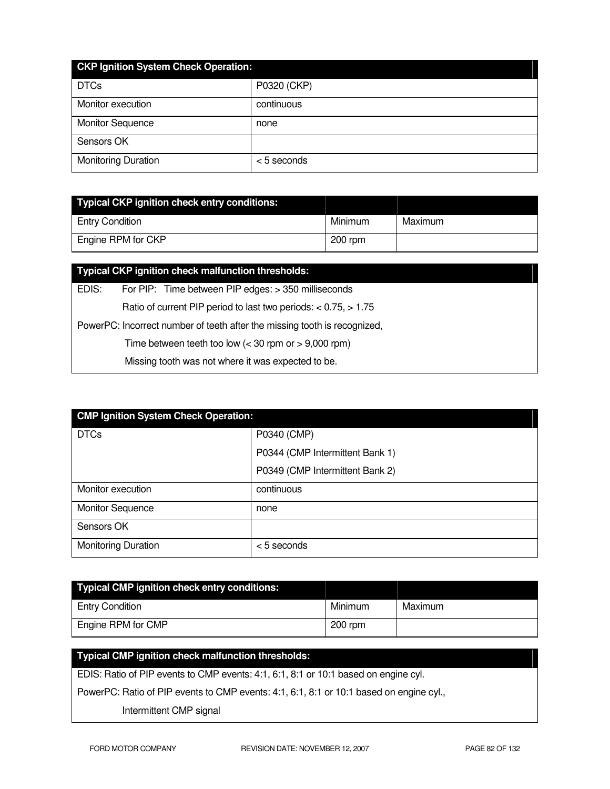| <b>CKP Ignition System Check Operation:</b> |               |  |  |
|---------------------------------------------|---------------|--|--|
| <b>DTCs</b>                                 | P0320 (CKP)   |  |  |
| Monitor execution                           | continuous    |  |  |
| <b>Monitor Sequence</b>                     | none          |  |  |
| Sensors OK                                  |               |  |  |
| <b>Monitoring Duration</b>                  | $<$ 5 seconds |  |  |

| <b>Typical CKP ignition check entry conditions:</b> |           |         |
|-----------------------------------------------------|-----------|---------|
| <b>Entry Condition</b>                              | Minimum   | Maximum |
| Engine RPM for CKP                                  | $200$ rpm |         |

|                                                                           | Typical CKP ignition check malfunction thresholds:                   |  |  |
|---------------------------------------------------------------------------|----------------------------------------------------------------------|--|--|
| EDIS:                                                                     | For PIP: Time between PIP edges: > 350 milliseconds                  |  |  |
|                                                                           | Ratio of current PIP period to last two periods: $< 0.75$ , $> 1.75$ |  |  |
| PowerPC: Incorrect number of teeth after the missing tooth is recognized, |                                                                      |  |  |
| Time between teeth too low $(< 30$ rpm or $> 9,000$ rpm)                  |                                                                      |  |  |
|                                                                           | Missing tooth was not where it was expected to be.                   |  |  |

| <b>CMP Ignition System Check Operation:</b> |                                 |  |  |
|---------------------------------------------|---------------------------------|--|--|
| <b>DTCs</b>                                 | P0340 (CMP)                     |  |  |
|                                             | P0344 (CMP Intermittent Bank 1) |  |  |
|                                             | P0349 (CMP Intermittent Bank 2) |  |  |
| Monitor execution                           | continuous                      |  |  |
| <b>Monitor Sequence</b>                     | none                            |  |  |
| Sensors OK                                  |                                 |  |  |
| <b>Monitoring Duration</b>                  | $<$ 5 seconds                   |  |  |

| Typical CMP ignition check entry conditions: |           |         |
|----------------------------------------------|-----------|---------|
| <b>Entry Condition</b>                       | Minimum   | Maximum |
| Engine RPM for CMP                           | $200$ rpm |         |

# **Typical CMP ignition check malfunction thresholds:**  EDIS: Ratio of PIP events to CMP events: 4:1, 6:1, 8:1 or 10:1 based on engine cyl. PowerPC: Ratio of PIP events to CMP events: 4:1, 6:1, 8:1 or 10:1 based on engine cyl.,

Intermittent CMP signal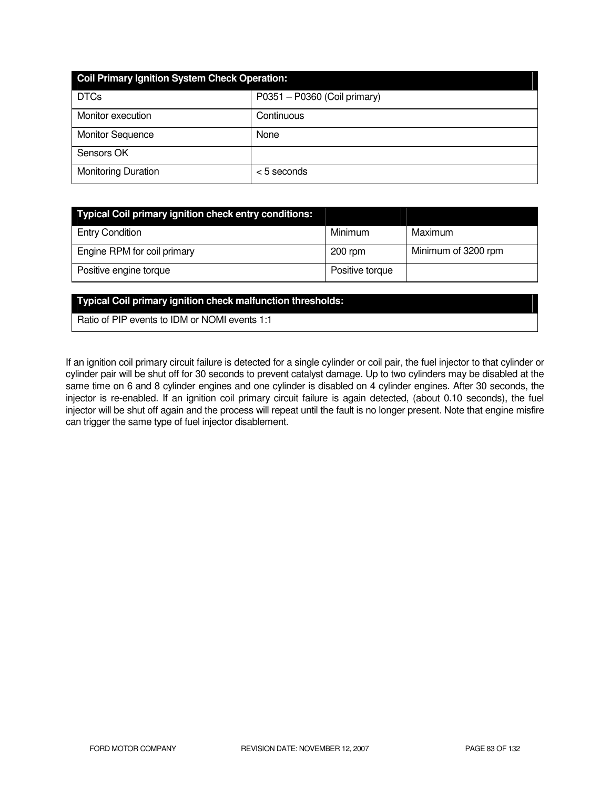| <b>Coil Primary Ignition System Check Operation:</b> |                              |  |
|------------------------------------------------------|------------------------------|--|
| <b>DTCs</b>                                          | P0351 - P0360 (Coil primary) |  |
| Monitor execution                                    | Continuous                   |  |
| <b>Monitor Sequence</b>                              | None                         |  |
| Sensors OK                                           |                              |  |
| <b>Monitoring Duration</b>                           | $<$ 5 seconds                |  |

| <b>Typical Coil primary ignition check entry conditions:</b> |                 |                     |
|--------------------------------------------------------------|-----------------|---------------------|
| <b>Entry Condition</b>                                       | Minimum         | Maximum             |
| Engine RPM for coil primary                                  | $200$ rpm       | Minimum of 3200 rpm |
| Positive engine torque                                       | Positive torque |                     |

#### **Typical Coil primary ignition check malfunction thresholds:**

Ratio of PIP events to IDM or NOMI events 1:1

If an ignition coil primary circuit failure is detected for a single cylinder or coil pair, the fuel injector to that cylinder or cylinder pair will be shut off for 30 seconds to prevent catalyst damage. Up to two cylinders may be disabled at the same time on 6 and 8 cylinder engines and one cylinder is disabled on 4 cylinder engines. After 30 seconds, the injector is re-enabled. If an ignition coil primary circuit failure is again detected, (about 0.10 seconds), the fuel injector will be shut off again and the process will repeat until the fault is no longer present. Note that engine misfire can trigger the same type of fuel injector disablement.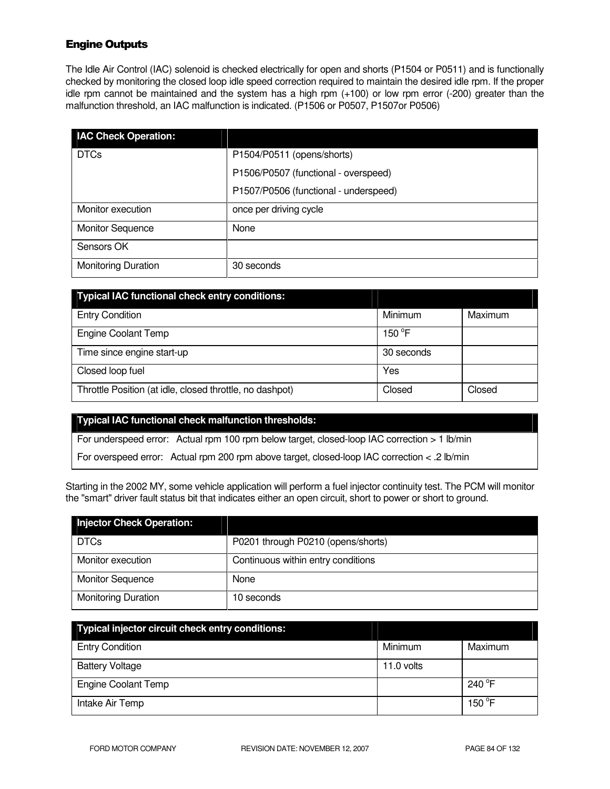## Engine Outputs

The Idle Air Control (IAC) solenoid is checked electrically for open and shorts (P1504 or P0511) and is functionally checked by monitoring the closed loop idle speed correction required to maintain the desired idle rpm. If the proper idle rpm cannot be maintained and the system has a high rpm (+100) or low rpm error (-200) greater than the malfunction threshold, an IAC malfunction is indicated. (P1506 or P0507, P1507or P0506)

| <b>IAC Check Operation:</b> |                                       |
|-----------------------------|---------------------------------------|
| <b>DTCs</b>                 | P1504/P0511 (opens/shorts)            |
|                             | P1506/P0507 (functional - overspeed)  |
|                             | P1507/P0506 (functional - underspeed) |
| Monitor execution           | once per driving cycle                |
| <b>Monitor Sequence</b>     | None                                  |
| Sensors OK                  |                                       |
| <b>Monitoring Duration</b>  | 30 seconds                            |

| <b>Typical IAC functional check entry conditions:</b>    |            |         |
|----------------------------------------------------------|------------|---------|
| <b>Entry Condition</b>                                   | Minimum    | Maximum |
| <b>Engine Coolant Temp</b>                               | 150 °F     |         |
| Time since engine start-up                               | 30 seconds |         |
| Closed loop fuel                                         | Yes        |         |
| Throttle Position (at idle, closed throttle, no dashpot) | Closed     | Closed  |

#### **Typical IAC functional check malfunction thresholds:**

For underspeed error: Actual rpm 100 rpm below target, closed-loop IAC correction > 1 lb/min

For overspeed error: Actual rpm 200 rpm above target, closed-loop IAC correction < .2 lb/min

Starting in the 2002 MY, some vehicle application will perform a fuel injector continuity test. The PCM will monitor the "smart" driver fault status bit that indicates either an open circuit, short to power or short to ground.

| <b>Injector Check Operation:</b> |                                    |
|----------------------------------|------------------------------------|
| <b>DTCs</b>                      | P0201 through P0210 (opens/shorts) |
| Monitor execution                | Continuous within entry conditions |
| <b>Monitor Sequence</b>          | None                               |
| <b>Monitoring Duration</b>       | 10 seconds                         |

| Typical injector circuit check entry conditions: |            |                  |
|--------------------------------------------------|------------|------------------|
| <b>Entry Condition</b>                           | Minimum    | Maximum          |
| <b>Battery Voltage</b>                           | 11.0 volts |                  |
| <b>Engine Coolant Temp</b>                       |            | 240 $^{\circ}$ F |
| Intake Air Temp                                  |            | 150 $\degree$ F  |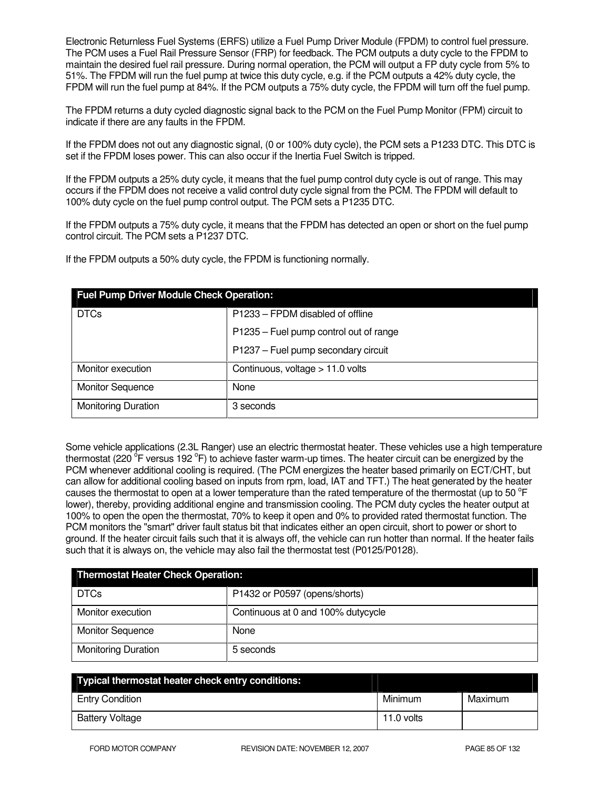Electronic Returnless Fuel Systems (ERFS) utilize a Fuel Pump Driver Module (FPDM) to control fuel pressure. The PCM uses a Fuel Rail Pressure Sensor (FRP) for feedback. The PCM outputs a duty cycle to the FPDM to maintain the desired fuel rail pressure. During normal operation, the PCM will output a FP duty cycle from 5% to 51%. The FPDM will run the fuel pump at twice this duty cycle, e.g. if the PCM outputs a 42% duty cycle, the FPDM will run the fuel pump at 84%. If the PCM outputs a 75% duty cycle, the FPDM will turn off the fuel pump.

The FPDM returns a duty cycled diagnostic signal back to the PCM on the Fuel Pump Monitor (FPM) circuit to indicate if there are any faults in the FPDM.

If the FPDM does not out any diagnostic signal, (0 or 100% duty cycle), the PCM sets a P1233 DTC. This DTC is set if the FPDM loses power. This can also occur if the Inertia Fuel Switch is tripped.

If the FPDM outputs a 25% duty cycle, it means that the fuel pump control duty cycle is out of range. This may occurs if the FPDM does not receive a valid control duty cycle signal from the PCM. The FPDM will default to 100% duty cycle on the fuel pump control output. The PCM sets a P1235 DTC.

If the FPDM outputs a 75% duty cycle, it means that the FPDM has detected an open or short on the fuel pump control circuit. The PCM sets a P1237 DTC.

If the FPDM outputs a 50% duty cycle, the FPDM is functioning normally.

| <b>Fuel Pump Driver Module Check Operation:</b> |                                        |  |
|-------------------------------------------------|----------------------------------------|--|
| <b>DTCs</b>                                     | P1233 – FPDM disabled of offline       |  |
|                                                 | P1235 - Fuel pump control out of range |  |
|                                                 | P1237 - Fuel pump secondary circuit    |  |
| Monitor execution                               | Continuous, voltage > 11.0 volts       |  |
| <b>Monitor Sequence</b>                         | None                                   |  |
| <b>Monitoring Duration</b>                      | 3 seconds                              |  |

Some vehicle applications (2.3L Ranger) use an electric thermostat heater. These vehicles use a high temperature thermostat (220 <sup>o</sup>F versus 192 °F) to achieve faster warm-up times. The heater circuit can be energized by the PCM whenever additional cooling is required. (The PCM energizes the heater based primarily on ECT/CHT, but can allow for additional cooling based on inputs from rpm, load, IAT and TFT.) The heat generated by the heater causes the thermostat to open at a lower temperature than the rated temperature of the thermostat (up to 50  $\degree$ F lower), thereby, providing additional engine and transmission cooling. The PCM duty cycles the heater output at 100% to open the open the thermostat, 70% to keep it open and 0% to provided rated thermostat function. The PCM monitors the "smart" driver fault status bit that indicates either an open circuit, short to power or short to ground. If the heater circuit fails such that it is always off, the vehicle can run hotter than normal. If the heater fails such that it is always on, the vehicle may also fail the thermostat test (P0125/P0128).

| <b>Thermostat Heater Check Operation:</b> |                                    |
|-------------------------------------------|------------------------------------|
| <b>DTCs</b>                               | P1432 or P0597 (opens/shorts)      |
| Monitor execution                         | Continuous at 0 and 100% dutycycle |
| <b>Monitor Sequence</b>                   | None                               |
| <b>Monitoring Duration</b>                | 5 seconds                          |

| Typical thermostat heater check entry conditions: |            |         |
|---------------------------------------------------|------------|---------|
| <b>Entry Condition</b>                            | Minimum    | Maximum |
| <b>Battery Voltage</b>                            | 11.0 volts |         |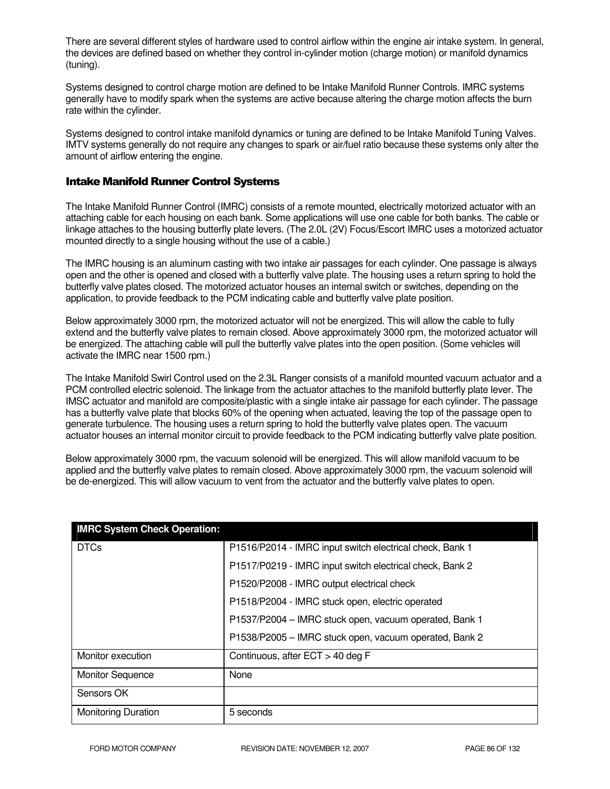There are several different styles of hardware used to control airflow within the engine air intake system. In general, the devices are defined based on whether they control in-cylinder motion (charge motion) or manifold dynamics (tuning).

Systems designed to control charge motion are defined to be Intake Manifold Runner Controls. IMRC systems generally have to modify spark when the systems are active because altering the charge motion affects the burn rate within the cylinder.

Systems designed to control intake manifold dynamics or tuning are defined to be Intake Manifold Tuning Valves. IMTV systems generally do not require any changes to spark or air/fuel ratio because these systems only alter the amount of airflow entering the engine.

## Intake Manifold Runner Control Systems

The Intake Manifold Runner Control (IMRC) consists of a remote mounted, electrically motorized actuator with an attaching cable for each housing on each bank. Some applications will use one cable for both banks. The cable or linkage attaches to the housing butterfly plate levers. (The 2.0L (2V) Focus/Escort IMRC uses a motorized actuator mounted directly to a single housing without the use of a cable.)

The IMRC housing is an aluminum casting with two intake air passages for each cylinder. One passage is always open and the other is opened and closed with a butterfly valve plate. The housing uses a return spring to hold the butterfly valve plates closed. The motorized actuator houses an internal switch or switches, depending on the application, to provide feedback to the PCM indicating cable and butterfly valve plate position.

Below approximately 3000 rpm, the motorized actuator will not be energized. This will allow the cable to fully extend and the butterfly valve plates to remain closed. Above approximately 3000 rpm, the motorized actuator will be energized. The attaching cable will pull the butterfly valve plates into the open position. (Some vehicles will activate the IMRC near 1500 rpm.)

The Intake Manifold Swirl Control used on the 2.3L Ranger consists of a manifold mounted vacuum actuator and a PCM controlled electric solenoid. The linkage from the actuator attaches to the manifold butterfly plate lever. The IMSC actuator and manifold are composite/plastic with a single intake air passage for each cylinder. The passage has a butterfly valve plate that blocks 60% of the opening when actuated, leaving the top of the passage open to generate turbulence. The housing uses a return spring to hold the butterfly valve plates open. The vacuum actuator houses an internal monitor circuit to provide feedback to the PCM indicating butterfly valve plate position.

Below approximately 3000 rpm, the vacuum solenoid will be energized. This will allow manifold vacuum to be applied and the butterfly valve plates to remain closed. Above approximately 3000 rpm, the vacuum solenoid will be de-energized. This will allow vacuum to vent from the actuator and the butterfly valve plates to open.

| <b>IMRC System Check Operation:</b> |                                                          |
|-------------------------------------|----------------------------------------------------------|
| <b>DTCs</b>                         | P1516/P2014 - IMRC input switch electrical check, Bank 1 |
|                                     | P1517/P0219 - IMRC input switch electrical check, Bank 2 |
|                                     | P1520/P2008 - IMRC output electrical check               |
|                                     | P1518/P2004 - IMRC stuck open, electric operated         |
|                                     | P1537/P2004 - IMRC stuck open, vacuum operated, Bank 1   |
|                                     | P1538/P2005 - IMRC stuck open, vacuum operated, Bank 2   |
| Monitor execution                   | Continuous, after ECT > 40 deg F                         |
| <b>Monitor Sequence</b>             | None                                                     |
| Sensors OK                          |                                                          |
| <b>Monitoring Duration</b>          | 5 seconds                                                |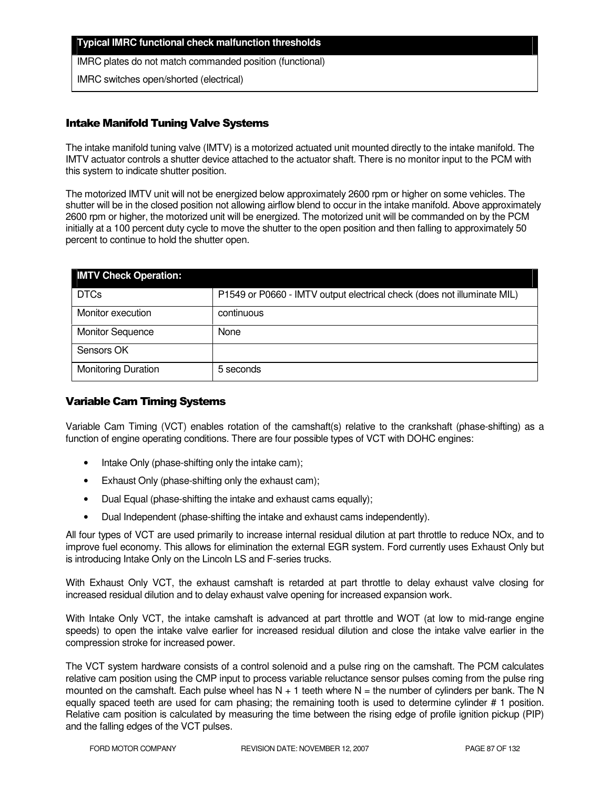### **Typical IMRC functional check malfunction thresholds**

IMRC plates do not match commanded position (functional)

IMRC switches open/shorted (electrical)

## Intake Manifold Tuning Valve Systems

The intake manifold tuning valve (IMTV) is a motorized actuated unit mounted directly to the intake manifold. The IMTV actuator controls a shutter device attached to the actuator shaft. There is no monitor input to the PCM with this system to indicate shutter position.

The motorized IMTV unit will not be energized below approximately 2600 rpm or higher on some vehicles. The shutter will be in the closed position not allowing airflow blend to occur in the intake manifold. Above approximately 2600 rpm or higher, the motorized unit will be energized. The motorized unit will be commanded on by the PCM initially at a 100 percent duty cycle to move the shutter to the open position and then falling to approximately 50 percent to continue to hold the shutter open.

| <b>IMTV Check Operation:</b> |                                                                         |
|------------------------------|-------------------------------------------------------------------------|
| <b>DTCs</b>                  | P1549 or P0660 - IMTV output electrical check (does not illuminate MIL) |
| Monitor execution            | continuous                                                              |
| <b>Monitor Sequence</b>      | None                                                                    |
| Sensors OK                   |                                                                         |
| <b>Monitoring Duration</b>   | 5 seconds                                                               |

## Variable Cam Timing Systems

Variable Cam Timing (VCT) enables rotation of the camshaft(s) relative to the crankshaft (phase-shifting) as a function of engine operating conditions. There are four possible types of VCT with DOHC engines:

- Intake Only (phase-shifting only the intake cam);
- Exhaust Only (phase-shifting only the exhaust cam);
- Dual Equal (phase-shifting the intake and exhaust cams equally);
- Dual Independent (phase-shifting the intake and exhaust cams independently).

All four types of VCT are used primarily to increase internal residual dilution at part throttle to reduce NOx, and to improve fuel economy. This allows for elimination the external EGR system. Ford currently uses Exhaust Only but is introducing Intake Only on the Lincoln LS and F-series trucks.

With Exhaust Only VCT, the exhaust camshaft is retarded at part throttle to delay exhaust valve closing for increased residual dilution and to delay exhaust valve opening for increased expansion work.

With Intake Only VCT, the intake camshaft is advanced at part throttle and WOT (at low to mid-range engine speeds) to open the intake valve earlier for increased residual dilution and close the intake valve earlier in the compression stroke for increased power.

The VCT system hardware consists of a control solenoid and a pulse ring on the camshaft. The PCM calculates relative cam position using the CMP input to process variable reluctance sensor pulses coming from the pulse ring mounted on the camshaft. Each pulse wheel has  $N + 1$  teeth where  $N =$  the number of cylinders per bank. The N equally spaced teeth are used for cam phasing; the remaining tooth is used to determine cylinder # 1 position. Relative cam position is calculated by measuring the time between the rising edge of profile ignition pickup (PIP) and the falling edges of the VCT pulses.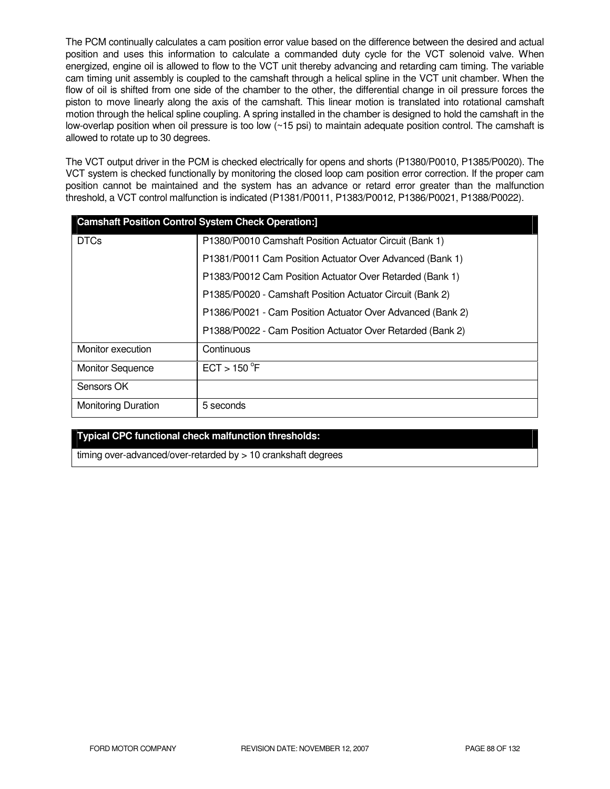The PCM continually calculates a cam position error value based on the difference between the desired and actual position and uses this information to calculate a commanded duty cycle for the VCT solenoid valve. When energized, engine oil is allowed to flow to the VCT unit thereby advancing and retarding cam timing. The variable cam timing unit assembly is coupled to the camshaft through a helical spline in the VCT unit chamber. When the flow of oil is shifted from one side of the chamber to the other, the differential change in oil pressure forces the piston to move linearly along the axis of the camshaft. This linear motion is translated into rotational camshaft motion through the helical spline coupling. A spring installed in the chamber is designed to hold the camshaft in the low-overlap position when oil pressure is too low (~15 psi) to maintain adequate position control. The camshaft is allowed to rotate up to 30 degrees.

The VCT output driver in the PCM is checked electrically for opens and shorts (P1380/P0010, P1385/P0020). The VCT system is checked functionally by monitoring the closed loop cam position error correction. If the proper cam position cannot be maintained and the system has an advance or retard error greater than the malfunction threshold, a VCT control malfunction is indicated (P1381/P0011, P1383/P0012, P1386/P0021, P1388/P0022).

| <b>Camshaft Position Control System Check Operation:]</b> |                                                            |
|-----------------------------------------------------------|------------------------------------------------------------|
| <b>DTCs</b>                                               | P1380/P0010 Camshaft Position Actuator Circuit (Bank 1)    |
|                                                           | P1381/P0011 Cam Position Actuator Over Advanced (Bank 1)   |
|                                                           | P1383/P0012 Cam Position Actuator Over Retarded (Bank 1)   |
|                                                           | P1385/P0020 - Camshaft Position Actuator Circuit (Bank 2)  |
|                                                           | P1386/P0021 - Cam Position Actuator Over Advanced (Bank 2) |
|                                                           | P1388/P0022 - Cam Position Actuator Over Retarded (Bank 2) |
| Monitor execution                                         | Continuous                                                 |
| <b>Monitor Sequence</b>                                   | ECT > 150 °F                                               |
| Sensors OK                                                |                                                            |
| <b>Monitoring Duration</b>                                | 5 seconds                                                  |

## **Typical CPC functional check malfunction thresholds:**

timing over-advanced/over-retarded by > 10 crankshaft degrees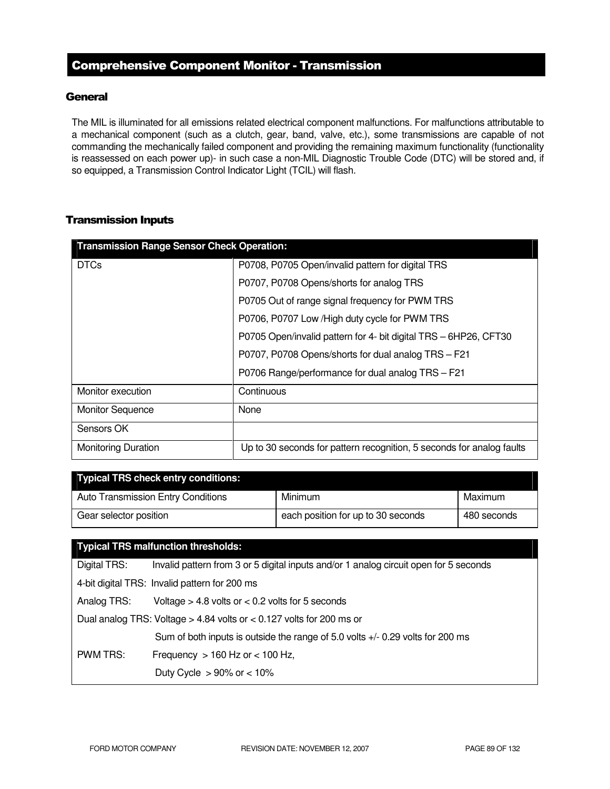## Comprehensive Component Monitor - Transmission

## **General**

The MIL is illuminated for all emissions related electrical component malfunctions. For malfunctions attributable to a mechanical component (such as a clutch, gear, band, valve, etc.), some transmissions are capable of not commanding the mechanically failed component and providing the remaining maximum functionality (functionality is reassessed on each power up)- in such case a non-MIL Diagnostic Trouble Code (DTC) will be stored and, if so equipped, a Transmission Control Indicator Light (TCIL) will flash.

## Transmission Inputs

| <b>Transmission Range Sensor Check Operation:</b> |                                                                       |
|---------------------------------------------------|-----------------------------------------------------------------------|
| <b>DTCs</b>                                       | P0708, P0705 Open/invalid pattern for digital TRS                     |
|                                                   | P0707, P0708 Opens/shorts for analog TRS                              |
|                                                   | P0705 Out of range signal frequency for PWM TRS                       |
|                                                   | P0706, P0707 Low / High duty cycle for PWM TRS                        |
|                                                   | P0705 Open/invalid pattern for 4- bit digital TRS - 6HP26, CFT30      |
|                                                   | P0707, P0708 Opens/shorts for dual analog TRS - F21                   |
|                                                   | P0706 Range/performance for dual analog TRS - F21                     |
| Monitor execution                                 | Continuous                                                            |
| <b>Monitor Sequence</b>                           | None                                                                  |
| Sensors OK                                        |                                                                       |
| <b>Monitoring Duration</b>                        | Up to 30 seconds for pattern recognition, 5 seconds for analog faults |

| <b>Typical TRS check entry conditions:</b> |                                    |             |
|--------------------------------------------|------------------------------------|-------------|
| Auto Transmission Entry Conditions         | Minimum                            | Maximum     |
| Gear selector position                     | each position for up to 30 seconds | 480 seconds |

## **Typical TRS malfunction thresholds:**

| Digital TRS:                                                           | Invalid pattern from 3 or 5 digital inputs and/or 1 analog circuit open for 5 seconds |  |
|------------------------------------------------------------------------|---------------------------------------------------------------------------------------|--|
| 4-bit digital TRS: Invalid pattern for 200 ms                          |                                                                                       |  |
| Analog TRS:                                                            | Voltage $> 4.8$ volts or $< 0.2$ volts for 5 seconds                                  |  |
| Dual analog TRS: Voltage > 4.84 volts or $<$ 0.127 volts for 200 ms or |                                                                                       |  |
|                                                                        | Sum of both inputs is outside the range of 5.0 volts +/- 0.29 volts for 200 ms        |  |
| PWM TRS:                                                               | Frequency $> 160$ Hz or $< 100$ Hz,                                                   |  |
|                                                                        | Duty Cycle $>90\%$ or $< 10\%$                                                        |  |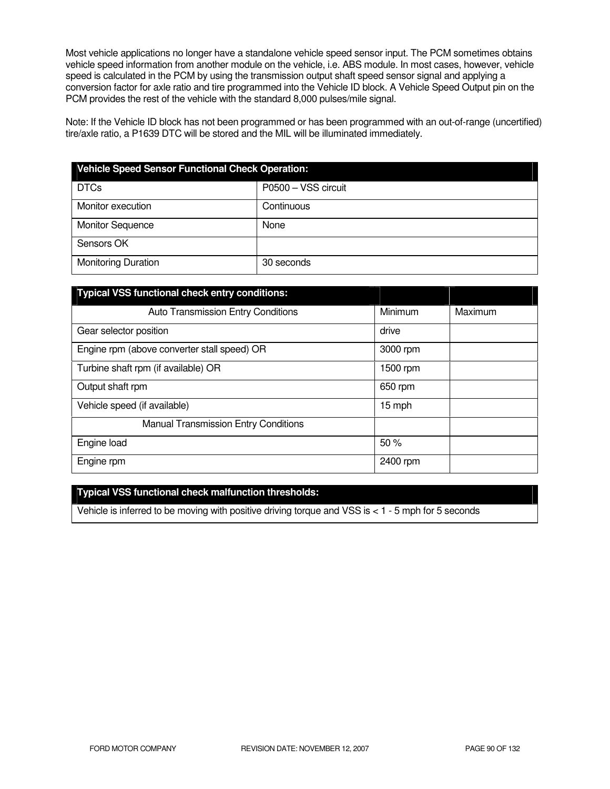Most vehicle applications no longer have a standalone vehicle speed sensor input. The PCM sometimes obtains vehicle speed information from another module on the vehicle, i.e. ABS module. In most cases, however, vehicle speed is calculated in the PCM by using the transmission output shaft speed sensor signal and applying a conversion factor for axle ratio and tire programmed into the Vehicle ID block. A Vehicle Speed Output pin on the PCM provides the rest of the vehicle with the standard 8,000 pulses/mile signal.

Note: If the Vehicle ID block has not been programmed or has been programmed with an out-of-range (uncertified) tire/axle ratio, a P1639 DTC will be stored and the MIL will be illuminated immediately.

| <b>Vehicle Speed Sensor Functional Check Operation:</b> |                     |  |
|---------------------------------------------------------|---------------------|--|
| <b>DTCs</b>                                             | P0500 - VSS circuit |  |
| Monitor execution                                       | Continuous          |  |
| <b>Monitor Sequence</b>                                 | None                |  |
| Sensors OK                                              |                     |  |
| <b>Monitoring Duration</b>                              | 30 seconds          |  |

| <b>Typical VSS functional check entry conditions:</b> |          |         |
|-------------------------------------------------------|----------|---------|
| <b>Auto Transmission Entry Conditions</b>             | Minimum  | Maximum |
| Gear selector position                                | drive    |         |
| Engine rpm (above converter stall speed) OR           | 3000 rpm |         |
| Turbine shaft rpm (if available) OR                   | 1500 rpm |         |
| Output shaft rpm                                      | 650 rpm  |         |
| Vehicle speed (if available)                          | 15 mph   |         |
| <b>Manual Transmission Entry Conditions</b>           |          |         |
| Engine load                                           | 50%      |         |
| Engine rpm                                            | 2400 rpm |         |

## **Typical VSS functional check malfunction thresholds:**

Vehicle is inferred to be moving with positive driving torque and VSS is < 1 - 5 mph for 5 seconds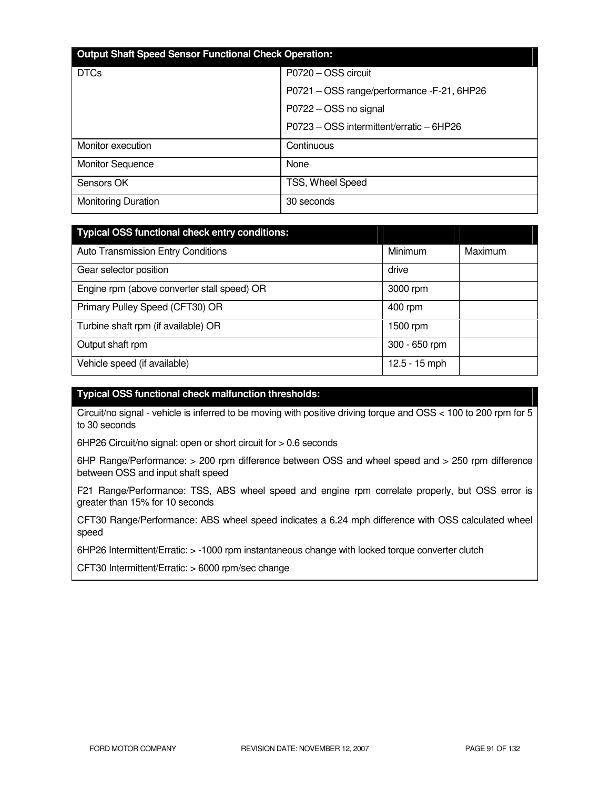| <b>Output Shaft Speed Sensor Functional Check Operation:</b> |                                            |  |
|--------------------------------------------------------------|--------------------------------------------|--|
| <b>DTCs</b>                                                  | P0720 - OSS circuit                        |  |
|                                                              | P0721 - OSS range/performance -F-21, 6HP26 |  |
|                                                              | P0722 - OSS no signal                      |  |
|                                                              | P0723 - OSS intermittent/erratic - 6HP26   |  |
| Monitor execution                                            | Continuous                                 |  |
| <b>Monitor Sequence</b>                                      | None                                       |  |
| Sensors OK                                                   | TSS, Wheel Speed                           |  |
| <b>Monitoring Duration</b>                                   | 30 seconds                                 |  |

| <b>Typical OSS functional check entry conditions:</b> |                 |         |
|-------------------------------------------------------|-----------------|---------|
| <b>Auto Transmission Entry Conditions</b>             | Minimum         | Maximum |
| Gear selector position                                | drive           |         |
| Engine rpm (above converter stall speed) OR           | 3000 rpm        |         |
| Primary Pulley Speed (CFT30) OR                       | 400 rpm         |         |
| Turbine shaft rpm (if available) OR                   | 1500 rpm        |         |
| Output shaft rpm                                      | 300 - 650 rpm   |         |
| Vehicle speed (if available)                          | $12.5 - 15$ mph |         |

## **Typical OSS functional check malfunction thresholds:**

Circuit/no signal - vehicle is inferred to be moving with positive driving torque and OSS < 100 to 200 rpm for 5 to 30 seconds

6HP26 Circuit/no signal: open or short circuit for > 0.6 seconds

6HP Range/Performance: > 200 rpm difference between OSS and wheel speed and > 250 rpm difference between OSS and input shaft speed

F21 Range/Performance: TSS, ABS wheel speed and engine rpm correlate properly, but OSS error is greater than 15% for 10 seconds

CFT30 Range/Performance: ABS wheel speed indicates a 6.24 mph difference with OSS calculated wheel speed

6HP26 Intermittent/Erratic: > -1000 rpm instantaneous change with locked torque converter clutch

CFT30 Intermittent/Erratic: > 6000 rpm/sec change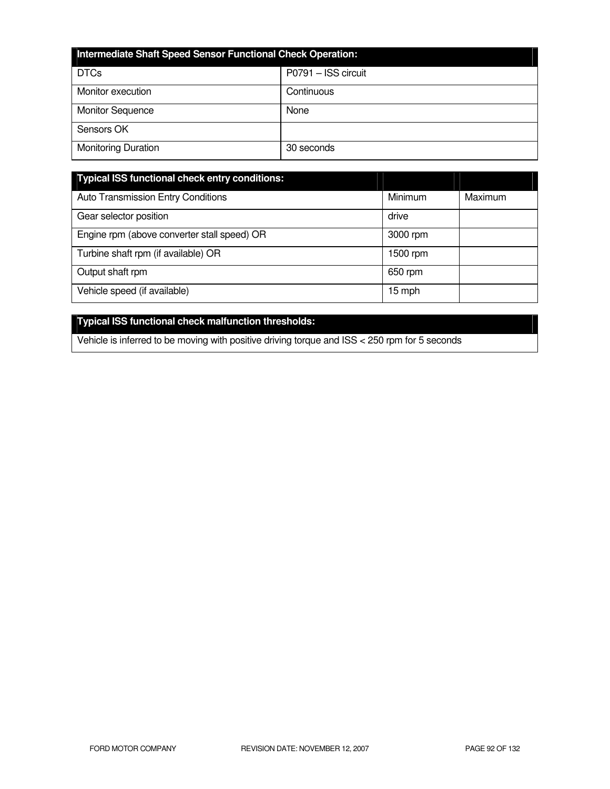| Intermediate Shaft Speed Sensor Functional Check Operation: |                     |  |
|-------------------------------------------------------------|---------------------|--|
| <b>DTCs</b>                                                 | P0791 - ISS circuit |  |
| Monitor execution                                           | Continuous          |  |
| <b>Monitor Sequence</b>                                     | None                |  |
| Sensors OK                                                  |                     |  |
| <b>Monitoring Duration</b>                                  | 30 seconds          |  |

| <b>Typical ISS functional check entry conditions:</b> |          |         |
|-------------------------------------------------------|----------|---------|
| <b>Auto Transmission Entry Conditions</b>             | Minimum  | Maximum |
| Gear selector position                                | drive    |         |
| Engine rpm (above converter stall speed) OR           | 3000 rpm |         |
| Turbine shaft rpm (if available) OR                   | 1500 rpm |         |
| Output shaft rpm                                      | 650 rpm  |         |
| Vehicle speed (if available)                          | 15 mph   |         |

# **Typical ISS functional check malfunction thresholds:**

Vehicle is inferred to be moving with positive driving torque and ISS < 250 rpm for 5 seconds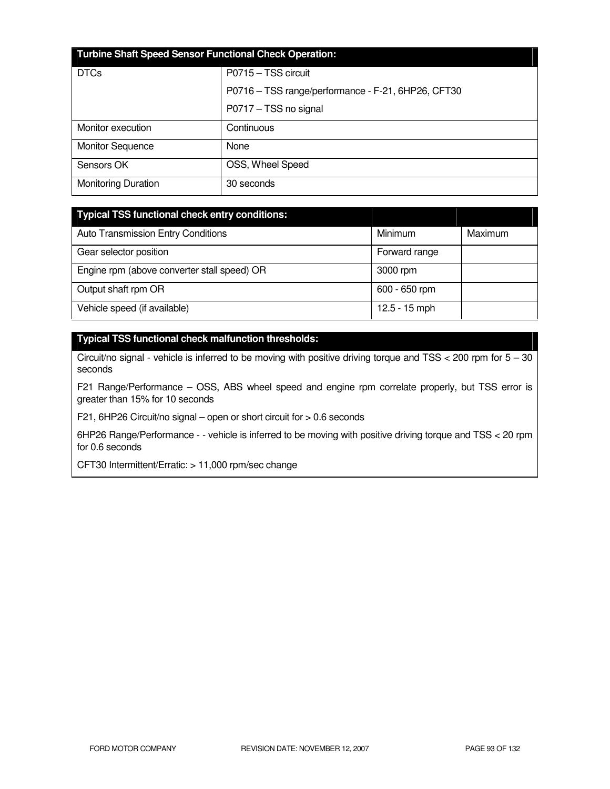| <b>Turbine Shaft Speed Sensor Functional Check Operation:</b> |                                                    |  |
|---------------------------------------------------------------|----------------------------------------------------|--|
| <b>DTCs</b>                                                   | P0715 - TSS circuit                                |  |
|                                                               | P0716 - TSS range/performance - F-21, 6HP26, CFT30 |  |
|                                                               | P0717 - TSS no signal                              |  |
| Monitor execution                                             | Continuous                                         |  |
| <b>Monitor Sequence</b>                                       | None                                               |  |
| Sensors OK                                                    | OSS, Wheel Speed                                   |  |
| <b>Monitoring Duration</b>                                    | 30 seconds                                         |  |

| <b>Typical TSS functional check entry conditions:</b> |                 |         |
|-------------------------------------------------------|-----------------|---------|
| <b>Auto Transmission Entry Conditions</b>             | Minimum         | Maximum |
| Gear selector position                                | Forward range   |         |
| Engine rpm (above converter stall speed) OR           | 3000 rpm        |         |
| Output shaft rpm OR                                   | 600 - 650 rpm   |         |
| Vehicle speed (if available)                          | $12.5 - 15$ mph |         |

## **Typical TSS functional check malfunction thresholds:**

Circuit/no signal - vehicle is inferred to be moving with positive driving torque and TSS < 200 rpm for 5 – 30 seconds

F21 Range/Performance – OSS, ABS wheel speed and engine rpm correlate properly, but TSS error is greater than 15% for 10 seconds

F21, 6HP26 Circuit/no signal – open or short circuit for > 0.6 seconds

6HP26 Range/Performance - - vehicle is inferred to be moving with positive driving torque and TSS < 20 rpm for 0.6 seconds

CFT30 Intermittent/Erratic: > 11,000 rpm/sec change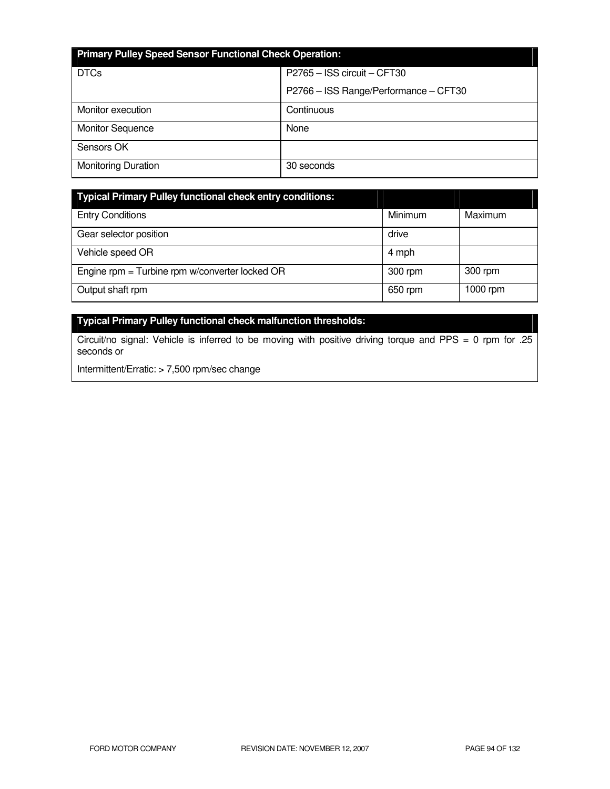| <b>Primary Pulley Speed Sensor Functional Check Operation:</b> |                                       |  |
|----------------------------------------------------------------|---------------------------------------|--|
| <b>DTCs</b>                                                    | P2765 - ISS circuit - CFT30           |  |
|                                                                | P2766 - ISS Range/Performance - CFT30 |  |
| Monitor execution                                              | Continuous                            |  |
| <b>Monitor Sequence</b>                                        | None                                  |  |
| Sensors OK                                                     |                                       |  |
| <b>Monitoring Duration</b>                                     | 30 seconds                            |  |

| <b>Typical Primary Pulley functional check entry conditions:</b> |         |          |
|------------------------------------------------------------------|---------|----------|
| <b>Entry Conditions</b>                                          | Minimum | Maximum  |
| Gear selector position                                           | drive   |          |
| Vehicle speed OR                                                 | 4 mph   |          |
| Engine rpm = Turbine rpm w/converter locked OR                   | 300 rpm | 300 rpm  |
| Output shaft rpm                                                 | 650 rpm | 1000 rpm |

# **Typical Primary Pulley functional check malfunction thresholds:**

Circuit/no signal: Vehicle is inferred to be moving with positive driving torque and PPS = 0 rpm for .25 seconds or

Intermittent/Erratic: > 7,500 rpm/sec change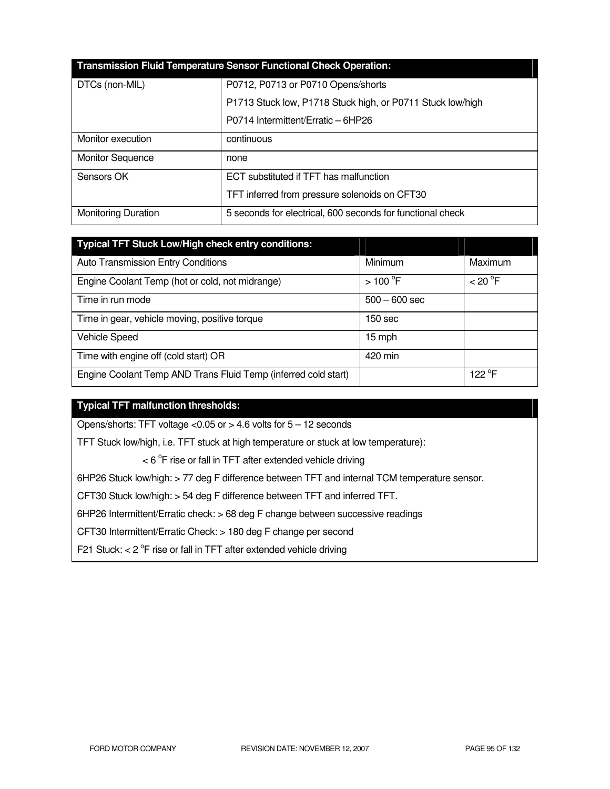| <b>Transmission Fluid Temperature Sensor Functional Check Operation:</b> |                                                            |  |
|--------------------------------------------------------------------------|------------------------------------------------------------|--|
| DTCs (non-MIL)                                                           | P0712, P0713 or P0710 Opens/shorts                         |  |
|                                                                          | P1713 Stuck low, P1718 Stuck high, or P0711 Stuck low/high |  |
|                                                                          | P0714 Intermittent/Erratic - 6HP26                         |  |
| Monitor execution                                                        | continuous                                                 |  |
| <b>Monitor Sequence</b>                                                  | none                                                       |  |
| Sensors OK                                                               | ECT substituted if TFT has malfunction                     |  |
|                                                                          | TFT inferred from pressure solenoids on CFT30              |  |
| <b>Monitoring Duration</b>                                               | 5 seconds for electrical, 600 seconds for functional check |  |

| Typical TFT Stuck Low/High check entry conditions:             |                       |                    |
|----------------------------------------------------------------|-----------------------|--------------------|
| <b>Auto Transmission Entry Conditions</b>                      | Minimum               | Maximum            |
| Engine Coolant Temp (hot or cold, not midrange)                | $>100$ <sup>o</sup> F | < 20 °F            |
| Time in run mode                                               | $500 - 600$ sec       |                    |
| Time in gear, vehicle moving, positive torque                  | 150 sec               |                    |
| <b>Vehicle Speed</b>                                           | 15 mph                |                    |
| Time with engine off (cold start) OR                           | 420 min               |                    |
| Engine Coolant Temp AND Trans Fluid Temp (inferred cold start) |                       | 122 <sup>°</sup> F |

## **Typical TFT malfunction thresholds:**

Opens/shorts: TFT voltage  $<$  0.05 or  $>$  4.6 volts for  $5 - 12$  seconds

TFT Stuck low/high, i.e. TFT stuck at high temperature or stuck at low temperature):

 $<$  6  $\rm{^{\circ}F}$  rise or fall in TFT after extended vehicle driving

6HP26 Stuck low/high: > 77 deg F difference between TFT and internal TCM temperature sensor.

CFT30 Stuck low/high: > 54 deg F difference between TFT and inferred TFT.

6HP26 Intermittent/Erratic check: > 68 deg F change between successive readings

CFT30 Intermittent/Erratic Check: > 180 deg F change per second

F21 Stuck:  $<$  2  $\degree$ F rise or fall in TFT after extended vehicle driving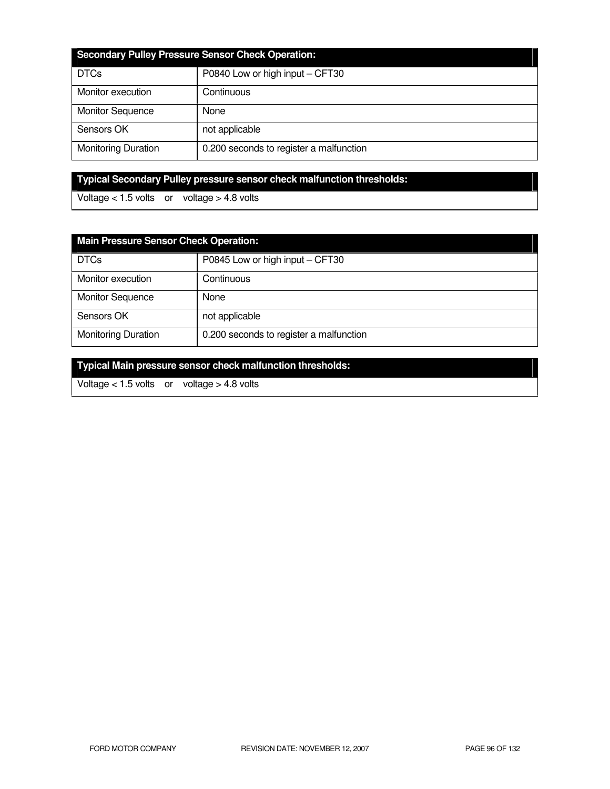| <b>Secondary Pulley Pressure Sensor Check Operation:</b> |                                         |  |
|----------------------------------------------------------|-----------------------------------------|--|
| <b>DTCs</b>                                              | P0840 Low or high input - CFT30         |  |
| Monitor execution                                        | Continuous                              |  |
| <b>Monitor Sequence</b>                                  | None                                    |  |
| Sensors OK                                               | not applicable                          |  |
| <b>Monitoring Duration</b>                               | 0.200 seconds to register a malfunction |  |

# **Typical Secondary Pulley pressure sensor check malfunction thresholds:**

Voltage  $< 1.5$  volts or voltage  $> 4.8$  volts

| <b>Main Pressure Sensor Check Operation:</b> |                                         |  |
|----------------------------------------------|-----------------------------------------|--|
| <b>DTCs</b>                                  | P0845 Low or high input - CFT30         |  |
| Monitor execution                            | Continuous                              |  |
| <b>Monitor Sequence</b>                      | None                                    |  |
| Sensors OK                                   | not applicable                          |  |
| <b>Monitoring Duration</b>                   | 0.200 seconds to register a malfunction |  |

**Typical Main pressure sensor check malfunction thresholds:** 

Voltage < 1.5 volts or voltage > 4.8 volts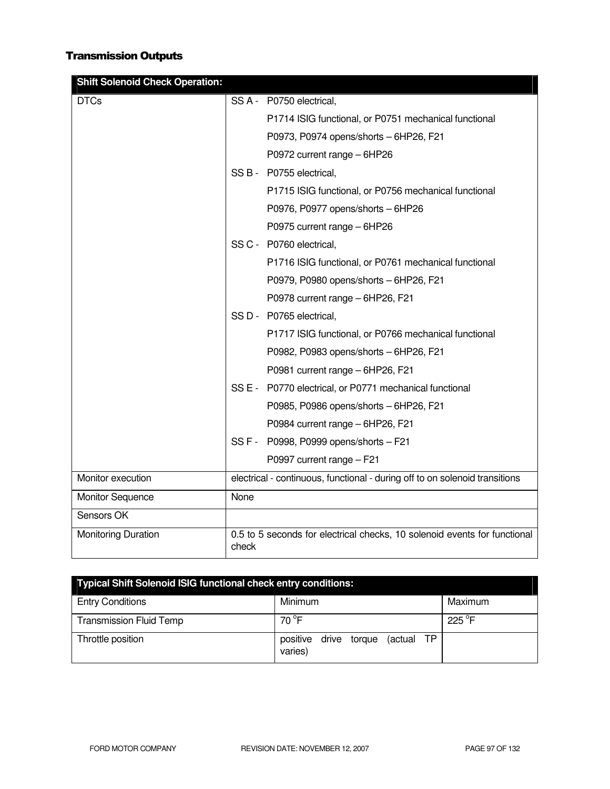# Transmission Outputs

| <b>Shift Solenoid Check Operation:</b> |       |                                                                             |
|----------------------------------------|-------|-----------------------------------------------------------------------------|
| <b>DTCs</b>                            |       | SS A - P0750 electrical,                                                    |
|                                        |       | P1714 ISIG functional, or P0751 mechanical functional                       |
|                                        |       | P0973, P0974 opens/shorts - 6HP26, F21                                      |
|                                        |       | P0972 current range - 6HP26                                                 |
|                                        |       | SS B - P0755 electrical,                                                    |
|                                        |       | P1715 ISIG functional, or P0756 mechanical functional                       |
|                                        |       | P0976, P0977 opens/shorts - 6HP26                                           |
|                                        |       | P0975 current range - 6HP26                                                 |
|                                        |       | SS C - P0760 electrical,                                                    |
|                                        |       | P1716 ISIG functional, or P0761 mechanical functional                       |
|                                        |       | P0979, P0980 opens/shorts - 6HP26, F21                                      |
|                                        |       | P0978 current range - 6HP26, F21                                            |
|                                        |       | SS D - P0765 electrical,                                                    |
|                                        |       | P1717 ISIG functional, or P0766 mechanical functional                       |
|                                        |       | P0982, P0983 opens/shorts - 6HP26, F21                                      |
|                                        |       | P0981 current range - 6HP26, F21                                            |
|                                        |       | SS E - P0770 electrical, or P0771 mechanical functional                     |
|                                        |       | P0985, P0986 opens/shorts - 6HP26, F21                                      |
|                                        |       | P0984 current range - 6HP26, F21                                            |
|                                        |       | SS F - P0998, P0999 opens/shorts - F21                                      |
|                                        |       | P0997 current range - F21                                                   |
| Monitor execution                      |       | electrical - continuous, functional - during off to on solenoid transitions |
| <b>Monitor Sequence</b>                | None  |                                                                             |
| Sensors OK                             |       |                                                                             |
| <b>Monitoring Duration</b>             | check | 0.5 to 5 seconds for electrical checks, 10 solenoid events for functional   |

| <b>Typical Shift Solenoid ISIG functional check entry conditions:</b> |                                             |         |  |
|-----------------------------------------------------------------------|---------------------------------------------|---------|--|
| <b>Entry Conditions</b>                                               | Minimum                                     | Maximum |  |
| <b>Transmission Fluid Temp</b>                                        | 70 °F                                       | 225 °F  |  |
| Throttle position                                                     | positive drive torque (actual TP<br>varies) |         |  |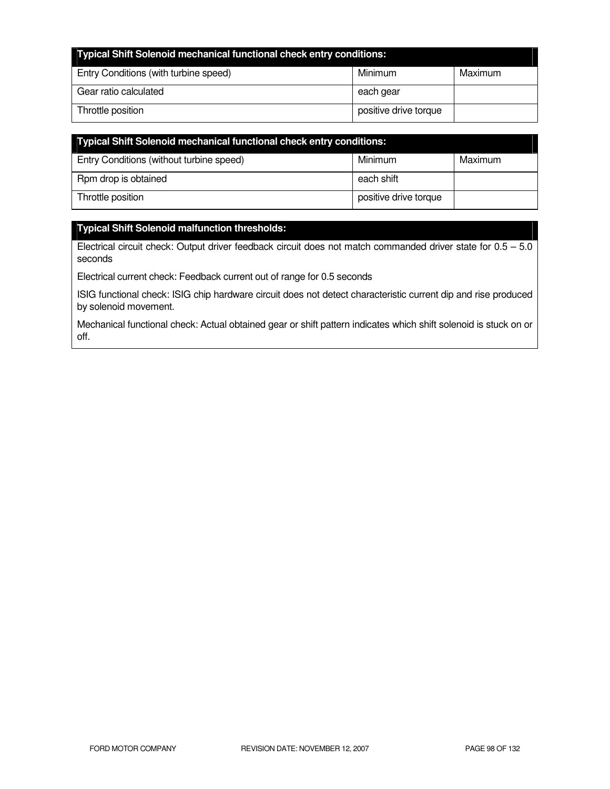| <b>Typical Shift Solenoid mechanical functional check entry conditions:</b> |                       |         |
|-----------------------------------------------------------------------------|-----------------------|---------|
| Entry Conditions (with turbine speed)                                       | Minimum               | Maximum |
| Gear ratio calculated                                                       | each gear             |         |
| Throttle position                                                           | positive drive torque |         |

| Typical Shift Solenoid mechanical functional check entry conditions: |                       |         |
|----------------------------------------------------------------------|-----------------------|---------|
| Entry Conditions (without turbine speed)                             | Minimum               | Maximum |
| Rpm drop is obtained                                                 | each shift            |         |
| Throttle position                                                    | positive drive torque |         |

## **Typical Shift Solenoid malfunction thresholds:**

Electrical circuit check: Output driver feedback circuit does not match commanded driver state for  $0.5 - 5.0$ seconds

Electrical current check: Feedback current out of range for 0.5 seconds

ISIG functional check: ISIG chip hardware circuit does not detect characteristic current dip and rise produced by solenoid movement.

Mechanical functional check: Actual obtained gear or shift pattern indicates which shift solenoid is stuck on or off.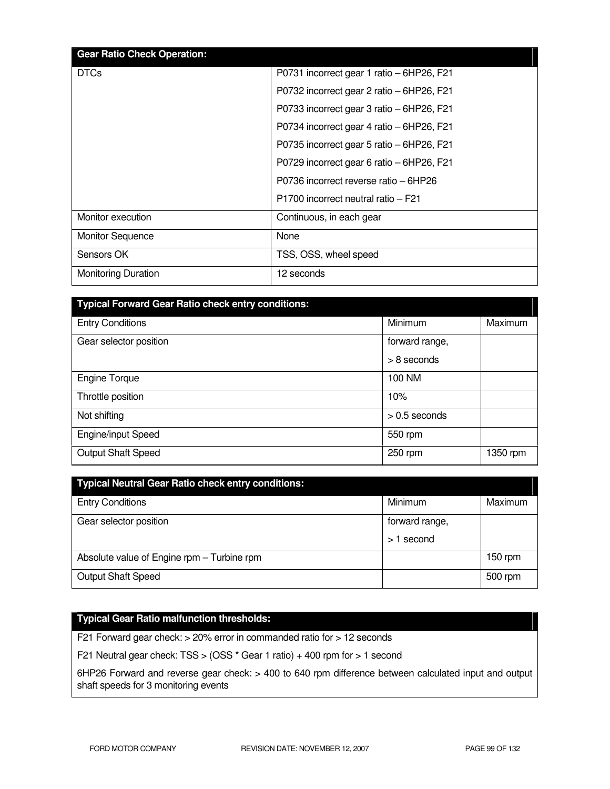| <b>Gear Ratio Check Operation:</b> |                                           |
|------------------------------------|-------------------------------------------|
| <b>DTCs</b>                        | P0731 incorrect gear 1 ratio - 6HP26, F21 |
|                                    | P0732 incorrect gear 2 ratio - 6HP26, F21 |
|                                    | P0733 incorrect gear 3 ratio – 6HP26, F21 |
|                                    | P0734 incorrect gear 4 ratio - 6HP26, F21 |
|                                    | P0735 incorrect gear 5 ratio - 6HP26, F21 |
|                                    | P0729 incorrect gear 6 ratio – 6HP26, F21 |
|                                    | P0736 incorrect reverse ratio – 6HP26     |
|                                    | P1700 incorrect neutral ratio - F21       |
| Monitor execution                  | Continuous, in each gear                  |
| <b>Monitor Sequence</b>            | None                                      |
| Sensors OK                         | TSS, OSS, wheel speed                     |
| <b>Monitoring Duration</b>         | 12 seconds                                |

| <b>Typical Forward Gear Ratio check entry conditions:</b> |                 |          |
|-----------------------------------------------------------|-----------------|----------|
| <b>Entry Conditions</b>                                   | Minimum         | Maximum  |
| Gear selector position                                    | forward range,  |          |
|                                                           | $> 8$ seconds   |          |
| <b>Engine Torque</b>                                      | 100 NM          |          |
| Throttle position                                         | 10%             |          |
| Not shifting                                              | $> 0.5$ seconds |          |
| <b>Engine/input Speed</b>                                 | 550 rpm         |          |
| <b>Output Shaft Speed</b>                                 | 250 rpm         | 1350 rpm |

| <b>Typical Neutral Gear Ratio check entry conditions:</b> |                |           |
|-----------------------------------------------------------|----------------|-----------|
| <b>Entry Conditions</b>                                   | Minimum        | Maximum   |
| Gear selector position                                    | forward range, |           |
|                                                           | $>1$ second    |           |
| Absolute value of Engine rpm - Turbine rpm                |                | $150$ rpm |
| Output Shaft Speed                                        |                | 500 rpm   |

## **Typical Gear Ratio malfunction thresholds:**

F21 Forward gear check: > 20% error in commanded ratio for > 12 seconds

F21 Neutral gear check: TSS > (OSS \* Gear 1 ratio) + 400 rpm for > 1 second

6HP26 Forward and reverse gear check: > 400 to 640 rpm difference between calculated input and output shaft speeds for 3 monitoring events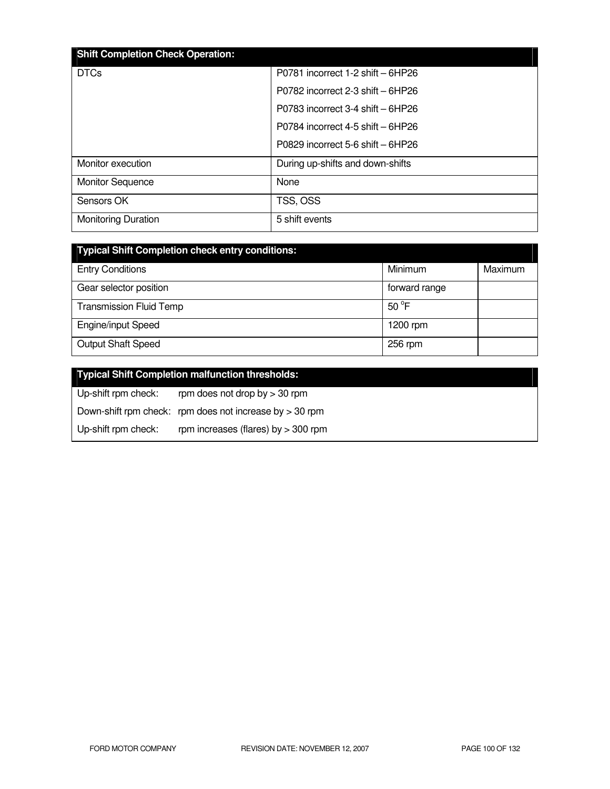| <b>Shift Completion Check Operation:</b> |                                      |
|------------------------------------------|--------------------------------------|
| <b>DTCs</b>                              | P0781 incorrect 1-2 shift - 6HP26    |
|                                          | P0782 incorrect 2-3 shift - 6HP26    |
|                                          | $P0783$ incorrect 3-4 shift $-6HP26$ |
|                                          | P0784 incorrect 4-5 shift - 6HP26    |
|                                          | P0829 incorrect 5-6 shift - 6HP26    |
| Monitor execution                        | During up-shifts and down-shifts     |
| <b>Monitor Sequence</b>                  | None                                 |
| Sensors OK                               | TSS, OSS                             |
| <b>Monitoring Duration</b>               | 5 shift events                       |

| <b>Typical Shift Completion check entry conditions:</b> |                |         |
|---------------------------------------------------------|----------------|---------|
| <b>Entry Conditions</b>                                 | Minimum        | Maximum |
| Gear selector position                                  | forward range  |         |
| <b>Transmission Fluid Temp</b>                          | $50^{\circ}$ F |         |
| <b>Engine/input Speed</b>                               | 1200 $rm$      |         |
| <b>Output Shaft Speed</b>                               | 256 rpm        |         |

|                     | <b>Typical Shift Completion malfunction thresholds:</b>   |
|---------------------|-----------------------------------------------------------|
| Up-shift rpm check: | rpm does not drop by $>$ 30 rpm                           |
|                     | Down-shift rpm check: rpm does not increase by $>$ 30 rpm |
| Up-shift rpm check: | rpm increases (flares) by $>$ 300 rpm                     |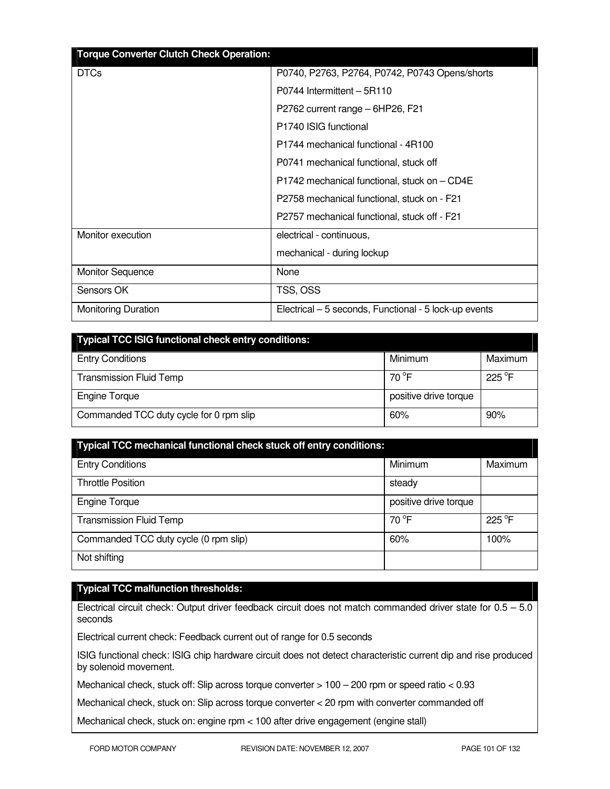| <b>Torque Converter Clutch Check Operation:</b> |                                                       |
|-------------------------------------------------|-------------------------------------------------------|
| <b>DTCs</b>                                     | P0740, P2763, P2764, P0742, P0743 Opens/shorts        |
|                                                 | P0744 Intermittent - 5R110                            |
|                                                 | P2762 current range - 6HP26, F21                      |
|                                                 | P <sub>1740</sub> ISIG functional                     |
|                                                 | P1744 mechanical functional - 4R100                   |
|                                                 | P0741 mechanical functional, stuck off                |
|                                                 | P1742 mechanical functional, stuck on - CD4E          |
|                                                 | P2758 mechanical functional, stuck on - F21           |
|                                                 | P2757 mechanical functional, stuck off - F21          |
| Monitor execution                               | electrical - continuous,                              |
|                                                 | mechanical - during lockup                            |
| Monitor Sequence                                | None                                                  |
| Sensors OK                                      | TSS, OSS                                              |
| <b>Monitoring Duration</b>                      | Electrical – 5 seconds, Functional - 5 lock-up events |

| <b>Typical TCC ISIG functional check entry conditions:</b> |                       |                  |
|------------------------------------------------------------|-----------------------|------------------|
| <b>Entry Conditions</b>                                    | Minimum               | Maximum          |
| <b>Transmission Fluid Temp</b>                             | 70 $^{\circ}$ F       | 225 $^{\circ}$ F |
| <b>Engine Torque</b>                                       | positive drive torque |                  |
| Commanded TCC duty cycle for 0 rpm slip                    | 60%                   | 90%              |

| Typical TCC mechanical functional check stuck off entry conditions: |                       |                 |  |
|---------------------------------------------------------------------|-----------------------|-----------------|--|
| <b>Entry Conditions</b>                                             | Minimum               | Maximum         |  |
| <b>Throttle Position</b>                                            | steady                |                 |  |
| <b>Engine Torque</b>                                                | positive drive torque |                 |  |
| <b>Transmission Fluid Temp</b>                                      | $70^{\circ}$ F        | $225^{\circ}$ F |  |
| Commanded TCC duty cycle (0 rpm slip)                               | 60%                   | 100%            |  |
| Not shifting                                                        |                       |                 |  |

# **Typical TCC malfunction thresholds:**

Electrical circuit check: Output driver feedback circuit does not match commanded driver state for 0.5 – 5.0 seconds

Electrical current check: Feedback current out of range for 0.5 seconds

ISIG functional check: ISIG chip hardware circuit does not detect characteristic current dip and rise produced by solenoid movement.

Mechanical check, stuck off: Slip across torque converter > 100 – 200 rpm or speed ratio < 0.93

Mechanical check, stuck on: Slip across torque converter < 20 rpm with converter commanded off

Mechanical check, stuck on: engine rpm < 100 after drive engagement (engine stall)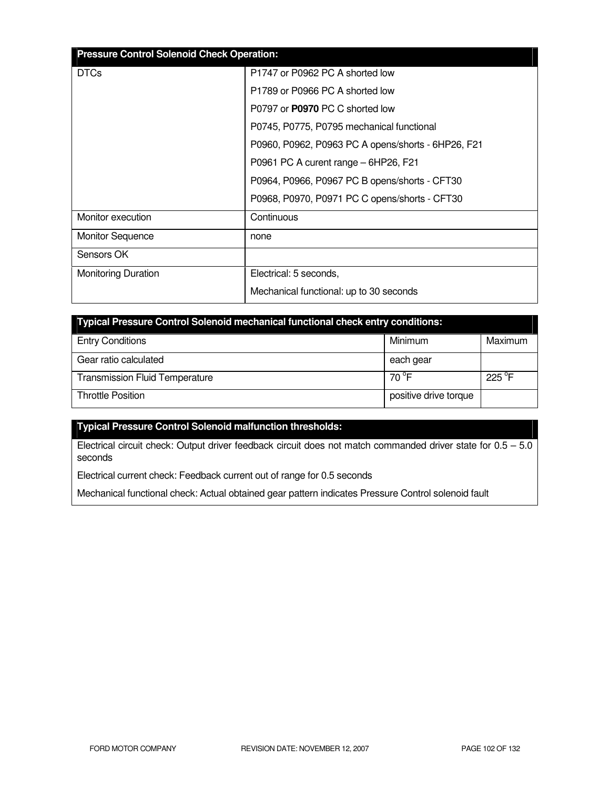| <b>Pressure Control Solenoid Check Operation:</b> |                                                    |  |  |
|---------------------------------------------------|----------------------------------------------------|--|--|
| <b>DTCs</b>                                       | P1747 or P0962 PC A shorted low                    |  |  |
|                                                   | P1789 or P0966 PC A shorted low                    |  |  |
|                                                   | P0797 or <b>P0970</b> PC C shorted low             |  |  |
|                                                   | P0745, P0775, P0795 mechanical functional          |  |  |
|                                                   | P0960, P0962, P0963 PC A opens/shorts - 6HP26, F21 |  |  |
|                                                   | P0961 PC A curent range – 6HP26, F21               |  |  |
|                                                   | P0964, P0966, P0967 PC B opens/shorts - CFT30      |  |  |
|                                                   | P0968, P0970, P0971 PC C opens/shorts - CFT30      |  |  |
| Monitor execution                                 | Continuous                                         |  |  |
| <b>Monitor Sequence</b>                           | none                                               |  |  |
| Sensors OK                                        |                                                    |  |  |
| Monitoring Duration                               | Electrical: 5 seconds,                             |  |  |
|                                                   | Mechanical functional: up to 30 seconds            |  |  |

| Typical Pressure Control Solenoid mechanical functional check entry conditions: |                       |                  |  |
|---------------------------------------------------------------------------------|-----------------------|------------------|--|
| <b>Entry Conditions</b>                                                         | Minimum               | Maximum          |  |
| Gear ratio calculated                                                           | each gear             |                  |  |
| <b>Transmission Fluid Temperature</b>                                           | 70 °F                 | 225 $^{\circ}$ F |  |
| <b>Throttle Position</b>                                                        | positive drive torque |                  |  |

## **Typical Pressure Control Solenoid malfunction thresholds:**

Electrical circuit check: Output driver feedback circuit does not match commanded driver state for 0.5 – 5.0 seconds

Electrical current check: Feedback current out of range for 0.5 seconds

Mechanical functional check: Actual obtained gear pattern indicates Pressure Control solenoid fault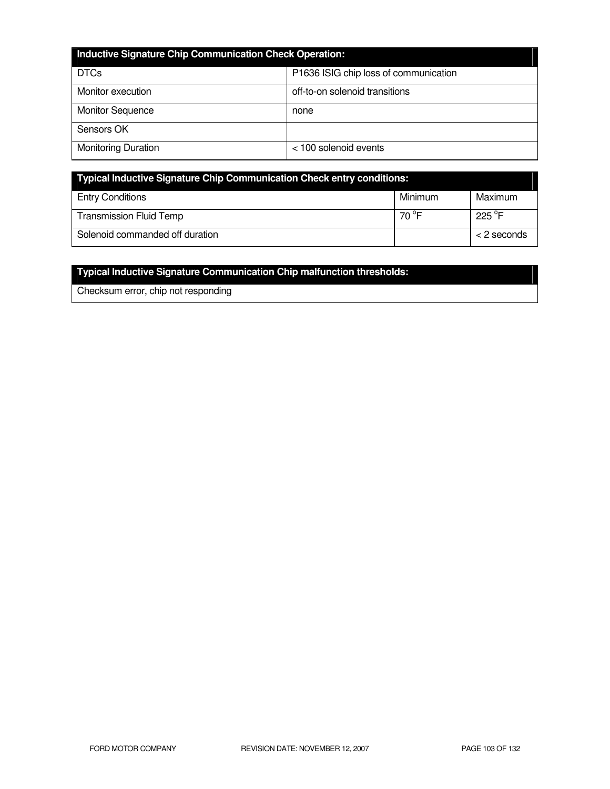| <b>Inductive Signature Chip Communication Check Operation:</b> |                                       |  |
|----------------------------------------------------------------|---------------------------------------|--|
| <b>DTCs</b>                                                    | P1636 ISIG chip loss of communication |  |
| Monitor execution                                              | off-to-on solenoid transitions        |  |
| <b>Monitor Sequence</b>                                        | none                                  |  |
| Sensors OK                                                     |                                       |  |
| <b>Monitoring Duration</b>                                     | < 100 solenoid events                 |  |

| Typical Inductive Signature Chip Communication Check entry conditions: |                 |                  |
|------------------------------------------------------------------------|-----------------|------------------|
| <b>Entry Conditions</b>                                                | Minimum         | Maximum          |
| <b>Transmission Fluid Temp</b>                                         | 70 $^{\circ}$ F | 225 $^{\circ}$ F |
| Solenoid commanded off duration                                        |                 | $<$ 2 seconds    |

# **Typical Inductive Signature Communication Chip malfunction thresholds:**

Checksum error, chip not responding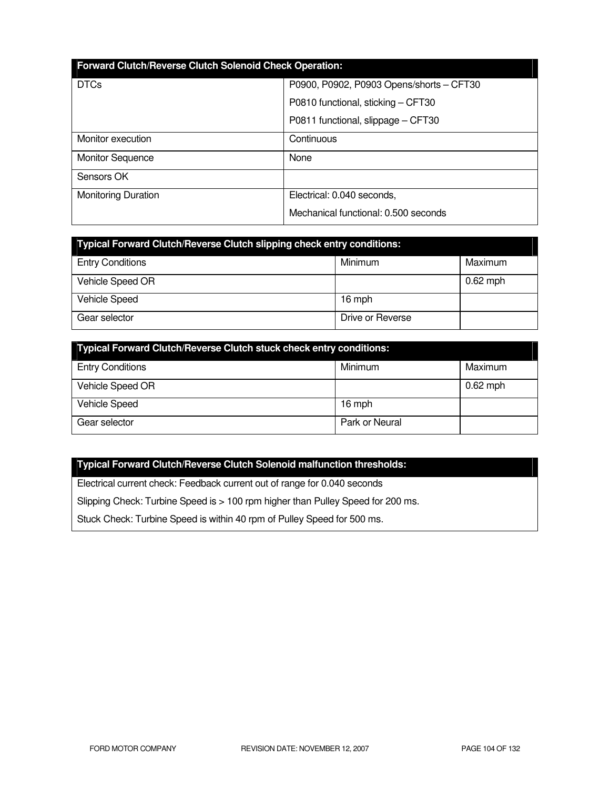| Forward Clutch/Reverse Clutch Solenoid Check Operation: |                                                                                                                      |  |
|---------------------------------------------------------|----------------------------------------------------------------------------------------------------------------------|--|
| <b>DTCs</b>                                             | P0900, P0902, P0903 Opens/shorts - CFT30<br>P0810 functional, sticking - CFT30<br>P0811 functional, slippage - CFT30 |  |
|                                                         |                                                                                                                      |  |
|                                                         |                                                                                                                      |  |
| Monitor execution                                       | Continuous                                                                                                           |  |
| <b>Monitor Sequence</b>                                 | None                                                                                                                 |  |
| Sensors OK                                              |                                                                                                                      |  |
| <b>Monitoring Duration</b>                              | Electrical: 0.040 seconds,                                                                                           |  |
|                                                         | Mechanical functional: 0.500 seconds                                                                                 |  |

| <b>Typical Forward Clutch/Reverse Clutch slipping check entry conditions:</b> |                  |            |  |
|-------------------------------------------------------------------------------|------------------|------------|--|
| <b>Entry Conditions</b>                                                       | Minimum          | Maximum    |  |
| Vehicle Speed OR                                                              |                  | $0.62$ mph |  |
| <b>Vehicle Speed</b>                                                          | 16 mph           |            |  |
| Gear selector                                                                 | Drive or Reverse |            |  |

| Typical Forward Clutch/Reverse Clutch stuck check entry conditions: |                |            |
|---------------------------------------------------------------------|----------------|------------|
| <b>Entry Conditions</b>                                             | Minimum        | Maximum    |
| Vehicle Speed OR                                                    |                | $0.62$ mph |
| <b>Vehicle Speed</b>                                                | 16 mph         |            |
| Gear selector                                                       | Park or Neural |            |

## **Typical Forward Clutch/Reverse Clutch Solenoid malfunction thresholds:**

Electrical current check: Feedback current out of range for 0.040 seconds

Slipping Check: Turbine Speed is > 100 rpm higher than Pulley Speed for 200 ms.

Stuck Check: Turbine Speed is within 40 rpm of Pulley Speed for 500 ms.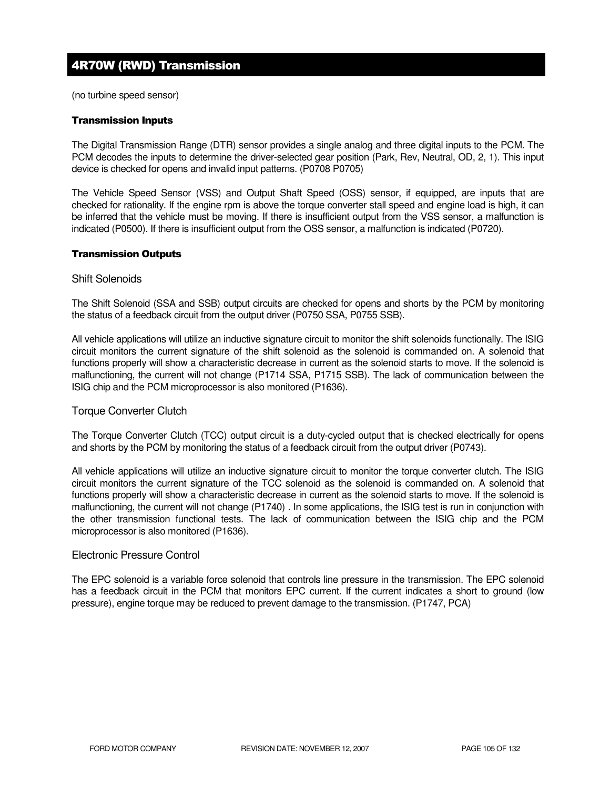# 4R70W (RWD) Transmission

(no turbine speed sensor)

#### Transmission Inputs

The Digital Transmission Range (DTR) sensor provides a single analog and three digital inputs to the PCM. The PCM decodes the inputs to determine the driver-selected gear position (Park, Rev, Neutral, OD, 2, 1). This input device is checked for opens and invalid input patterns. (P0708 P0705)

The Vehicle Speed Sensor (VSS) and Output Shaft Speed (OSS) sensor, if equipped, are inputs that are checked for rationality. If the engine rpm is above the torque converter stall speed and engine load is high, it can be inferred that the vehicle must be moving. If there is insufficient output from the VSS sensor, a malfunction is indicated (P0500). If there is insufficient output from the OSS sensor, a malfunction is indicated (P0720).

#### Transmission Outputs

#### Shift Solenoids

The Shift Solenoid (SSA and SSB) output circuits are checked for opens and shorts by the PCM by monitoring the status of a feedback circuit from the output driver (P0750 SSA, P0755 SSB).

All vehicle applications will utilize an inductive signature circuit to monitor the shift solenoids functionally. The ISIG circuit monitors the current signature of the shift solenoid as the solenoid is commanded on. A solenoid that functions properly will show a characteristic decrease in current as the solenoid starts to move. If the solenoid is malfunctioning, the current will not change (P1714 SSA, P1715 SSB). The lack of communication between the ISIG chip and the PCM microprocessor is also monitored (P1636).

### Torque Converter Clutch

The Torque Converter Clutch (TCC) output circuit is a duty-cycled output that is checked electrically for opens and shorts by the PCM by monitoring the status of a feedback circuit from the output driver (P0743).

All vehicle applications will utilize an inductive signature circuit to monitor the torque converter clutch. The ISIG circuit monitors the current signature of the TCC solenoid as the solenoid is commanded on. A solenoid that functions properly will show a characteristic decrease in current as the solenoid starts to move. If the solenoid is malfunctioning, the current will not change (P1740) . In some applications, the ISIG test is run in conjunction with the other transmission functional tests. The lack of communication between the ISIG chip and the PCM microprocessor is also monitored (P1636).

#### Electronic Pressure Control

The EPC solenoid is a variable force solenoid that controls line pressure in the transmission. The EPC solenoid has a feedback circuit in the PCM that monitors EPC current. If the current indicates a short to ground (low pressure), engine torque may be reduced to prevent damage to the transmission. (P1747, PCA)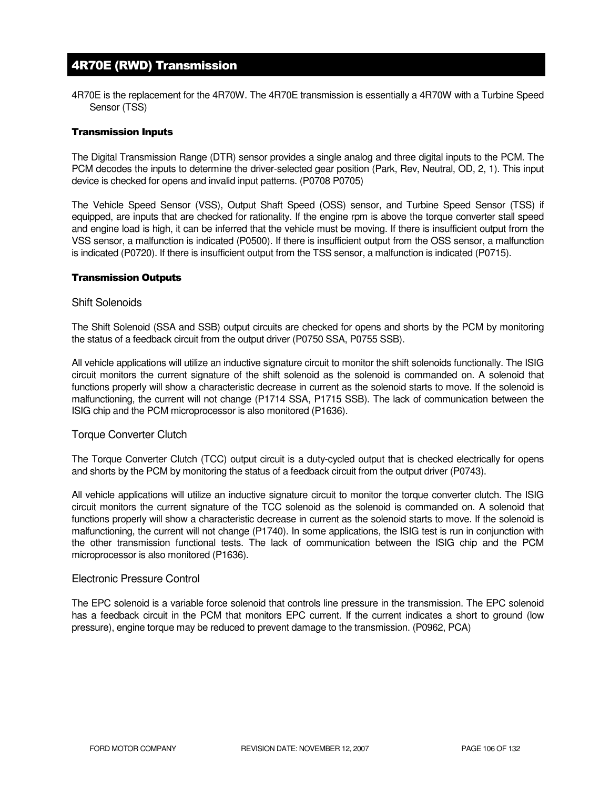# 4R70E (RWD) Transmission

4R70E is the replacement for the 4R70W. The 4R70E transmission is essentially a 4R70W with a Turbine Speed Sensor (TSS)

#### Transmission Inputs

The Digital Transmission Range (DTR) sensor provides a single analog and three digital inputs to the PCM. The PCM decodes the inputs to determine the driver-selected gear position (Park, Rev, Neutral, OD, 2, 1). This input device is checked for opens and invalid input patterns. (P0708 P0705)

The Vehicle Speed Sensor (VSS), Output Shaft Speed (OSS) sensor, and Turbine Speed Sensor (TSS) if equipped, are inputs that are checked for rationality. If the engine rpm is above the torque converter stall speed and engine load is high, it can be inferred that the vehicle must be moving. If there is insufficient output from the VSS sensor, a malfunction is indicated (P0500). If there is insufficient output from the OSS sensor, a malfunction is indicated (P0720). If there is insufficient output from the TSS sensor, a malfunction is indicated (P0715).

#### Transmission Outputs

#### Shift Solenoids

The Shift Solenoid (SSA and SSB) output circuits are checked for opens and shorts by the PCM by monitoring the status of a feedback circuit from the output driver (P0750 SSA, P0755 SSB).

All vehicle applications will utilize an inductive signature circuit to monitor the shift solenoids functionally. The ISIG circuit monitors the current signature of the shift solenoid as the solenoid is commanded on. A solenoid that functions properly will show a characteristic decrease in current as the solenoid starts to move. If the solenoid is malfunctioning, the current will not change (P1714 SSA, P1715 SSB). The lack of communication between the ISIG chip and the PCM microprocessor is also monitored (P1636).

#### Torque Converter Clutch

The Torque Converter Clutch (TCC) output circuit is a duty-cycled output that is checked electrically for opens and shorts by the PCM by monitoring the status of a feedback circuit from the output driver (P0743).

All vehicle applications will utilize an inductive signature circuit to monitor the torque converter clutch. The ISIG circuit monitors the current signature of the TCC solenoid as the solenoid is commanded on. A solenoid that functions properly will show a characteristic decrease in current as the solenoid starts to move. If the solenoid is malfunctioning, the current will not change (P1740). In some applications, the ISIG test is run in conjunction with the other transmission functional tests. The lack of communication between the ISIG chip and the PCM microprocessor is also monitored (P1636).

#### Electronic Pressure Control

The EPC solenoid is a variable force solenoid that controls line pressure in the transmission. The EPC solenoid has a feedback circuit in the PCM that monitors EPC current. If the current indicates a short to ground (low pressure), engine torque may be reduced to prevent damage to the transmission. (P0962, PCA)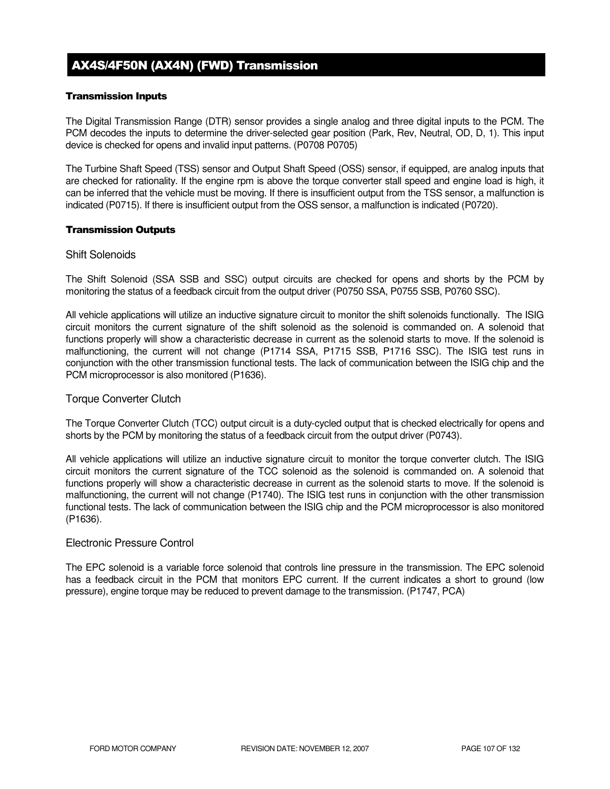# AX4S/4F50N (AX4N) (FWD) Transmission

### Transmission Inputs

The Digital Transmission Range (DTR) sensor provides a single analog and three digital inputs to the PCM. The PCM decodes the inputs to determine the driver-selected gear position (Park, Rev, Neutral, OD, D, 1). This input device is checked for opens and invalid input patterns. (P0708 P0705)

The Turbine Shaft Speed (TSS) sensor and Output Shaft Speed (OSS) sensor, if equipped, are analog inputs that are checked for rationality. If the engine rpm is above the torque converter stall speed and engine load is high, it can be inferred that the vehicle must be moving. If there is insufficient output from the TSS sensor, a malfunction is indicated (P0715). If there is insufficient output from the OSS sensor, a malfunction is indicated (P0720).

#### Transmission Outputs

## Shift Solenoids

The Shift Solenoid (SSA SSB and SSC) output circuits are checked for opens and shorts by the PCM by monitoring the status of a feedback circuit from the output driver (P0750 SSA, P0755 SSB, P0760 SSC).

All vehicle applications will utilize an inductive signature circuit to monitor the shift solenoids functionally. The ISIG circuit monitors the current signature of the shift solenoid as the solenoid is commanded on. A solenoid that functions properly will show a characteristic decrease in current as the solenoid starts to move. If the solenoid is malfunctioning, the current will not change (P1714 SSA, P1715 SSB, P1716 SSC). The ISIG test runs in conjunction with the other transmission functional tests. The lack of communication between the ISIG chip and the PCM microprocessor is also monitored (P1636).

### Torque Converter Clutch

The Torque Converter Clutch (TCC) output circuit is a duty-cycled output that is checked electrically for opens and shorts by the PCM by monitoring the status of a feedback circuit from the output driver (P0743).

All vehicle applications will utilize an inductive signature circuit to monitor the torque converter clutch. The ISIG circuit monitors the current signature of the TCC solenoid as the solenoid is commanded on. A solenoid that functions properly will show a characteristic decrease in current as the solenoid starts to move. If the solenoid is malfunctioning, the current will not change (P1740). The ISIG test runs in conjunction with the other transmission functional tests. The lack of communication between the ISIG chip and the PCM microprocessor is also monitored (P1636).

#### Electronic Pressure Control

The EPC solenoid is a variable force solenoid that controls line pressure in the transmission. The EPC solenoid has a feedback circuit in the PCM that monitors EPC current. If the current indicates a short to ground (low pressure), engine torque may be reduced to prevent damage to the transmission. (P1747, PCA)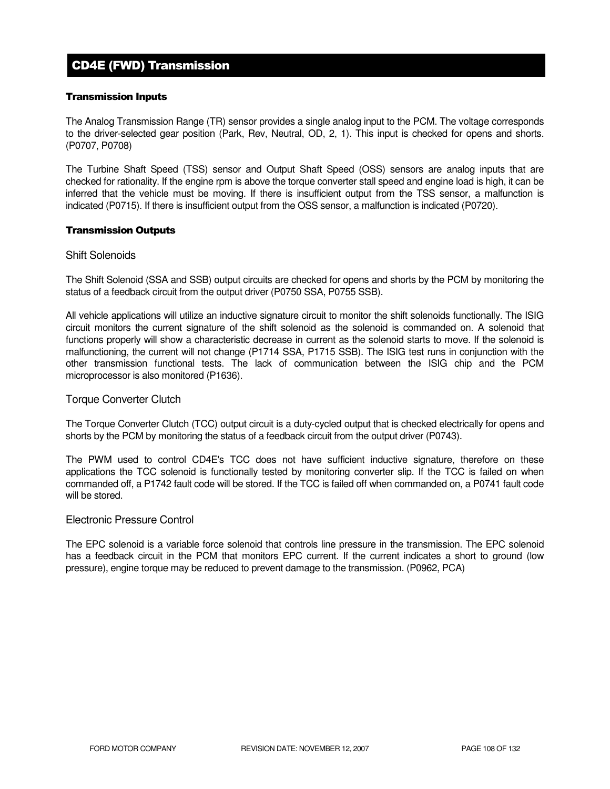# CD4E (FWD) Transmission

#### Transmission Inputs

The Analog Transmission Range (TR) sensor provides a single analog input to the PCM. The voltage corresponds to the driver-selected gear position (Park, Rev, Neutral, OD, 2, 1). This input is checked for opens and shorts. (P0707, P0708)

The Turbine Shaft Speed (TSS) sensor and Output Shaft Speed (OSS) sensors are analog inputs that are checked for rationality. If the engine rpm is above the torque converter stall speed and engine load is high, it can be inferred that the vehicle must be moving. If there is insufficient output from the TSS sensor, a malfunction is indicated (P0715). If there is insufficient output from the OSS sensor, a malfunction is indicated (P0720).

#### Transmission Outputs

#### Shift Solenoids

The Shift Solenoid (SSA and SSB) output circuits are checked for opens and shorts by the PCM by monitoring the status of a feedback circuit from the output driver (P0750 SSA, P0755 SSB).

All vehicle applications will utilize an inductive signature circuit to monitor the shift solenoids functionally. The ISIG circuit monitors the current signature of the shift solenoid as the solenoid is commanded on. A solenoid that functions properly will show a characteristic decrease in current as the solenoid starts to move. If the solenoid is malfunctioning, the current will not change (P1714 SSA, P1715 SSB). The ISIG test runs in conjunction with the other transmission functional tests. The lack of communication between the ISIG chip and the PCM microprocessor is also monitored (P1636).

#### Torque Converter Clutch

The Torque Converter Clutch (TCC) output circuit is a duty-cycled output that is checked electrically for opens and shorts by the PCM by monitoring the status of a feedback circuit from the output driver (P0743).

The PWM used to control CD4E's TCC does not have sufficient inductive signature, therefore on these applications the TCC solenoid is functionally tested by monitoring converter slip. If the TCC is failed on when commanded off, a P1742 fault code will be stored. If the TCC is failed off when commanded on, a P0741 fault code will be stored.

#### Electronic Pressure Control

The EPC solenoid is a variable force solenoid that controls line pressure in the transmission. The EPC solenoid has a feedback circuit in the PCM that monitors EPC current. If the current indicates a short to ground (low pressure), engine torque may be reduced to prevent damage to the transmission. (P0962, PCA)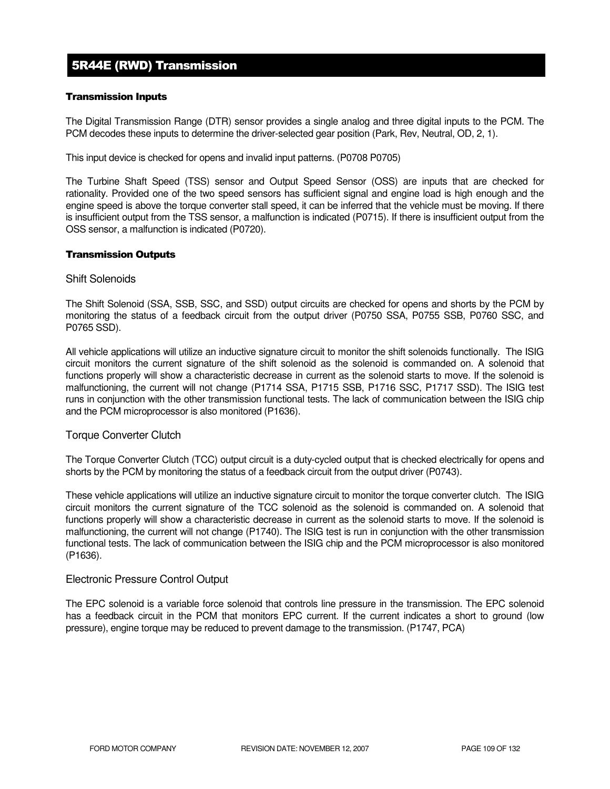# 5R44E (RWD) Transmission

## Transmission Inputs

The Digital Transmission Range (DTR) sensor provides a single analog and three digital inputs to the PCM. The PCM decodes these inputs to determine the driver-selected gear position (Park, Rev, Neutral, OD, 2, 1).

This input device is checked for opens and invalid input patterns. (P0708 P0705)

The Turbine Shaft Speed (TSS) sensor and Output Speed Sensor (OSS) are inputs that are checked for rationality. Provided one of the two speed sensors has sufficient signal and engine load is high enough and the engine speed is above the torque converter stall speed, it can be inferred that the vehicle must be moving. If there is insufficient output from the TSS sensor, a malfunction is indicated (P0715). If there is insufficient output from the OSS sensor, a malfunction is indicated (P0720).

### Transmission Outputs

### Shift Solenoids

The Shift Solenoid (SSA, SSB, SSC, and SSD) output circuits are checked for opens and shorts by the PCM by monitoring the status of a feedback circuit from the output driver (P0750 SSA, P0755 SSB, P0760 SSC, and P0765 SSD).

All vehicle applications will utilize an inductive signature circuit to monitor the shift solenoids functionally. The ISIG circuit monitors the current signature of the shift solenoid as the solenoid is commanded on. A solenoid that functions properly will show a characteristic decrease in current as the solenoid starts to move. If the solenoid is malfunctioning, the current will not change (P1714 SSA, P1715 SSB, P1716 SSC, P1717 SSD). The ISIG test runs in conjunction with the other transmission functional tests. The lack of communication between the ISIG chip and the PCM microprocessor is also monitored (P1636).

### Torque Converter Clutch

The Torque Converter Clutch (TCC) output circuit is a duty-cycled output that is checked electrically for opens and shorts by the PCM by monitoring the status of a feedback circuit from the output driver (P0743).

These vehicle applications will utilize an inductive signature circuit to monitor the torque converter clutch. The ISIG circuit monitors the current signature of the TCC solenoid as the solenoid is commanded on. A solenoid that functions properly will show a characteristic decrease in current as the solenoid starts to move. If the solenoid is malfunctioning, the current will not change (P1740). The ISIG test is run in conjunction with the other transmission functional tests. The lack of communication between the ISIG chip and the PCM microprocessor is also monitored (P1636).

### Electronic Pressure Control Output

The EPC solenoid is a variable force solenoid that controls line pressure in the transmission. The EPC solenoid has a feedback circuit in the PCM that monitors EPC current. If the current indicates a short to ground (low pressure), engine torque may be reduced to prevent damage to the transmission. (P1747, PCA)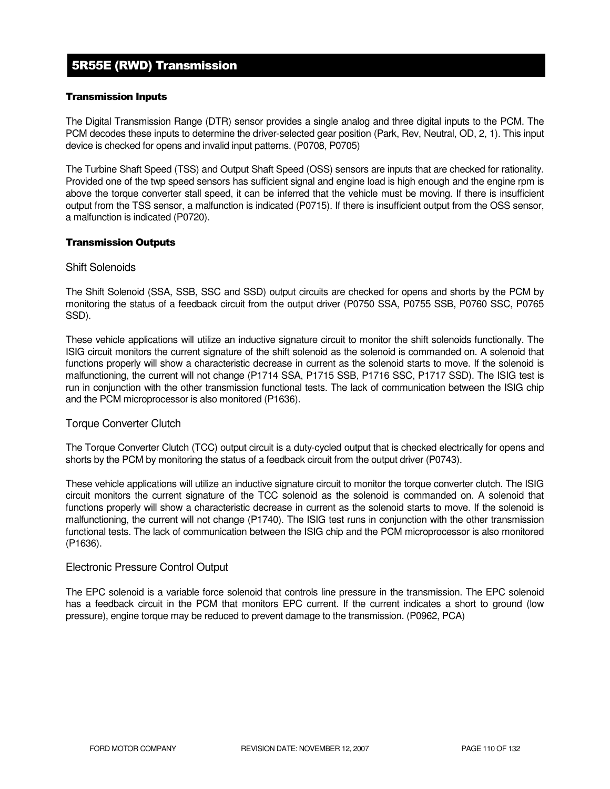# 5R55E (RWD) Transmission

## Transmission Inputs

The Digital Transmission Range (DTR) sensor provides a single analog and three digital inputs to the PCM. The PCM decodes these inputs to determine the driver-selected gear position (Park, Rev, Neutral, OD, 2, 1). This input device is checked for opens and invalid input patterns. (P0708, P0705)

The Turbine Shaft Speed (TSS) and Output Shaft Speed (OSS) sensors are inputs that are checked for rationality. Provided one of the twp speed sensors has sufficient signal and engine load is high enough and the engine rpm is above the torque converter stall speed, it can be inferred that the vehicle must be moving. If there is insufficient output from the TSS sensor, a malfunction is indicated (P0715). If there is insufficient output from the OSS sensor, a malfunction is indicated (P0720).

### Transmission Outputs

## Shift Solenoids

The Shift Solenoid (SSA, SSB, SSC and SSD) output circuits are checked for opens and shorts by the PCM by monitoring the status of a feedback circuit from the output driver (P0750 SSA, P0755 SSB, P0760 SSC, P0765 SSD).

These vehicle applications will utilize an inductive signature circuit to monitor the shift solenoids functionally. The ISIG circuit monitors the current signature of the shift solenoid as the solenoid is commanded on. A solenoid that functions properly will show a characteristic decrease in current as the solenoid starts to move. If the solenoid is malfunctioning, the current will not change (P1714 SSA, P1715 SSB, P1716 SSC, P1717 SSD). The ISIG test is run in conjunction with the other transmission functional tests. The lack of communication between the ISIG chip and the PCM microprocessor is also monitored (P1636).

### Torque Converter Clutch

The Torque Converter Clutch (TCC) output circuit is a duty-cycled output that is checked electrically for opens and shorts by the PCM by monitoring the status of a feedback circuit from the output driver (P0743).

These vehicle applications will utilize an inductive signature circuit to monitor the torque converter clutch. The ISIG circuit monitors the current signature of the TCC solenoid as the solenoid is commanded on. A solenoid that functions properly will show a characteristic decrease in current as the solenoid starts to move. If the solenoid is malfunctioning, the current will not change (P1740). The ISIG test runs in conjunction with the other transmission functional tests. The lack of communication between the ISIG chip and the PCM microprocessor is also monitored (P1636).

## Electronic Pressure Control Output

The EPC solenoid is a variable force solenoid that controls line pressure in the transmission. The EPC solenoid has a feedback circuit in the PCM that monitors EPC current. If the current indicates a short to ground (low pressure), engine torque may be reduced to prevent damage to the transmission. (P0962, PCA)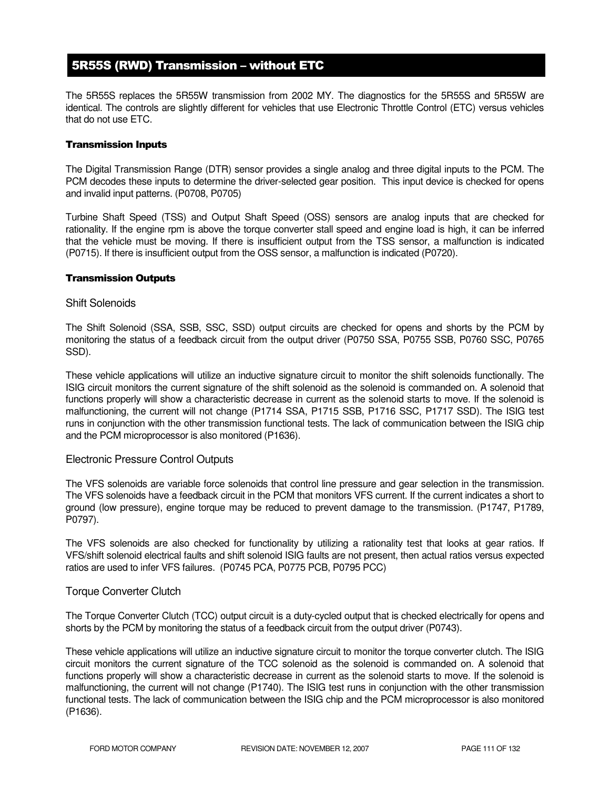# 5R55S (RWD) Transmission – without ETC

The 5R55S replaces the 5R55W transmission from 2002 MY. The diagnostics for the 5R55S and 5R55W are identical. The controls are slightly different for vehicles that use Electronic Throttle Control (ETC) versus vehicles that do not use ETC.

## Transmission Inputs

The Digital Transmission Range (DTR) sensor provides a single analog and three digital inputs to the PCM. The PCM decodes these inputs to determine the driver-selected gear position. This input device is checked for opens and invalid input patterns. (P0708, P0705)

Turbine Shaft Speed (TSS) and Output Shaft Speed (OSS) sensors are analog inputs that are checked for rationality. If the engine rpm is above the torque converter stall speed and engine load is high, it can be inferred that the vehicle must be moving. If there is insufficient output from the TSS sensor, a malfunction is indicated (P0715). If there is insufficient output from the OSS sensor, a malfunction is indicated (P0720).

### Transmission Outputs

### Shift Solenoids

The Shift Solenoid (SSA, SSB, SSC, SSD) output circuits are checked for opens and shorts by the PCM by monitoring the status of a feedback circuit from the output driver (P0750 SSA, P0755 SSB, P0760 SSC, P0765 SSD).

These vehicle applications will utilize an inductive signature circuit to monitor the shift solenoids functionally. The ISIG circuit monitors the current signature of the shift solenoid as the solenoid is commanded on. A solenoid that functions properly will show a characteristic decrease in current as the solenoid starts to move. If the solenoid is malfunctioning, the current will not change (P1714 SSA, P1715 SSB, P1716 SSC, P1717 SSD). The ISIG test runs in conjunction with the other transmission functional tests. The lack of communication between the ISIG chip and the PCM microprocessor is also monitored (P1636).

### Electronic Pressure Control Outputs

The VFS solenoids are variable force solenoids that control line pressure and gear selection in the transmission. The VFS solenoids have a feedback circuit in the PCM that monitors VFS current. If the current indicates a short to ground (low pressure), engine torque may be reduced to prevent damage to the transmission. (P1747, P1789, P0797).

The VFS solenoids are also checked for functionality by utilizing a rationality test that looks at gear ratios. If VFS/shift solenoid electrical faults and shift solenoid ISIG faults are not present, then actual ratios versus expected ratios are used to infer VFS failures. (P0745 PCA, P0775 PCB, P0795 PCC)

### Torque Converter Clutch

The Torque Converter Clutch (TCC) output circuit is a duty-cycled output that is checked electrically for opens and shorts by the PCM by monitoring the status of a feedback circuit from the output driver (P0743).

These vehicle applications will utilize an inductive signature circuit to monitor the torque converter clutch. The ISIG circuit monitors the current signature of the TCC solenoid as the solenoid is commanded on. A solenoid that functions properly will show a characteristic decrease in current as the solenoid starts to move. If the solenoid is malfunctioning, the current will not change (P1740). The ISIG test runs in conjunction with the other transmission functional tests. The lack of communication between the ISIG chip and the PCM microprocessor is also monitored (P1636).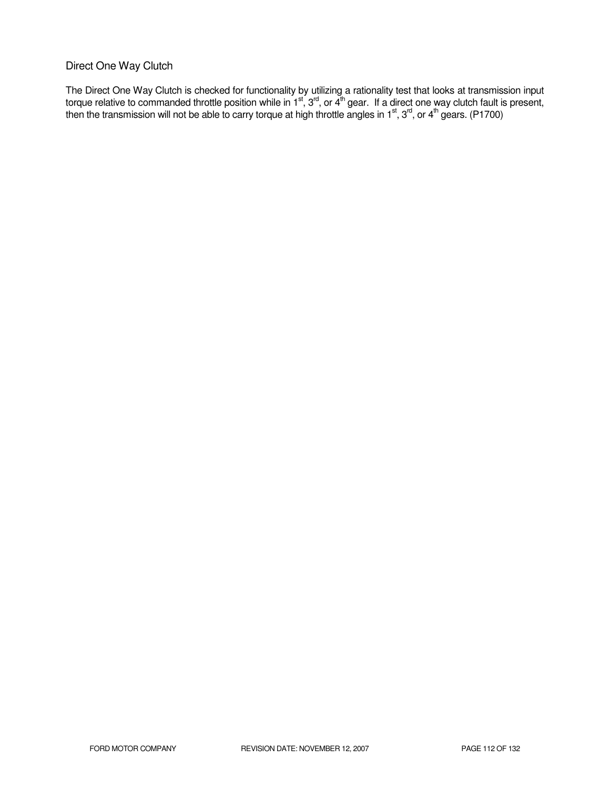## Direct One Way Clutch

The Direct One Way Clutch is checked for functionality by utilizing a rationality test that looks at transmission input torque relative to commanded throttle position while in 1<sup>st</sup>, 3<sup>rd</sup>, or 4<sup>th</sup> gear. If a direct one way clutch fault is present, then the transmission will not be able to carry torque at high throttle angles in 1<sup>st</sup>, 3<sup>rd</sup>, or 4<sup>th</sup> gears. (P1700)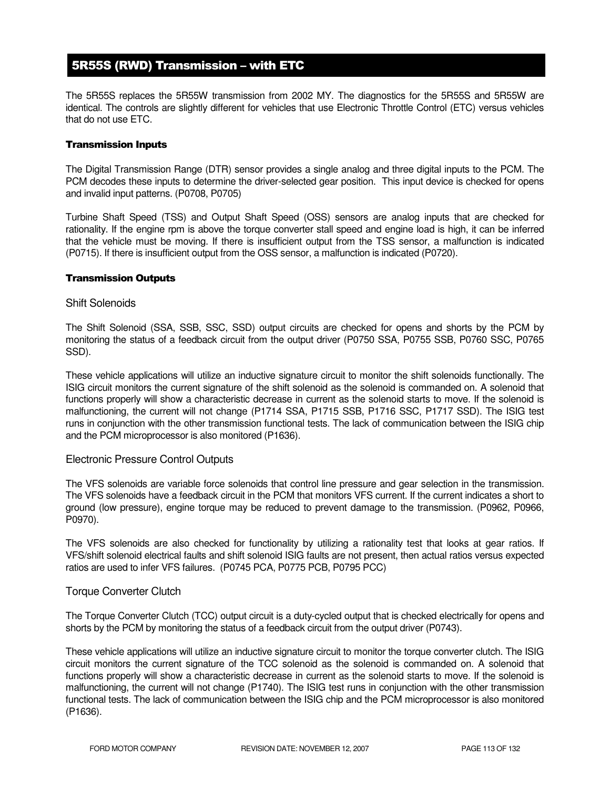# 5R55S (RWD) Transmission – with ETC

The 5R55S replaces the 5R55W transmission from 2002 MY. The diagnostics for the 5R55S and 5R55W are identical. The controls are slightly different for vehicles that use Electronic Throttle Control (ETC) versus vehicles that do not use ETC.

## Transmission Inputs

The Digital Transmission Range (DTR) sensor provides a single analog and three digital inputs to the PCM. The PCM decodes these inputs to determine the driver-selected gear position. This input device is checked for opens and invalid input patterns. (P0708, P0705)

Turbine Shaft Speed (TSS) and Output Shaft Speed (OSS) sensors are analog inputs that are checked for rationality. If the engine rpm is above the torque converter stall speed and engine load is high, it can be inferred that the vehicle must be moving. If there is insufficient output from the TSS sensor, a malfunction is indicated (P0715). If there is insufficient output from the OSS sensor, a malfunction is indicated (P0720).

### Transmission Outputs

### Shift Solenoids

The Shift Solenoid (SSA, SSB, SSC, SSD) output circuits are checked for opens and shorts by the PCM by monitoring the status of a feedback circuit from the output driver (P0750 SSA, P0755 SSB, P0760 SSC, P0765 SSD).

These vehicle applications will utilize an inductive signature circuit to monitor the shift solenoids functionally. The ISIG circuit monitors the current signature of the shift solenoid as the solenoid is commanded on. A solenoid that functions properly will show a characteristic decrease in current as the solenoid starts to move. If the solenoid is malfunctioning, the current will not change (P1714 SSA, P1715 SSB, P1716 SSC, P1717 SSD). The ISIG test runs in conjunction with the other transmission functional tests. The lack of communication between the ISIG chip and the PCM microprocessor is also monitored (P1636).

### Electronic Pressure Control Outputs

The VFS solenoids are variable force solenoids that control line pressure and gear selection in the transmission. The VFS solenoids have a feedback circuit in the PCM that monitors VFS current. If the current indicates a short to ground (low pressure), engine torque may be reduced to prevent damage to the transmission. (P0962, P0966, P0970).

The VFS solenoids are also checked for functionality by utilizing a rationality test that looks at gear ratios. If VFS/shift solenoid electrical faults and shift solenoid ISIG faults are not present, then actual ratios versus expected ratios are used to infer VFS failures. (P0745 PCA, P0775 PCB, P0795 PCC)

### Torque Converter Clutch

The Torque Converter Clutch (TCC) output circuit is a duty-cycled output that is checked electrically for opens and shorts by the PCM by monitoring the status of a feedback circuit from the output driver (P0743).

These vehicle applications will utilize an inductive signature circuit to monitor the torque converter clutch. The ISIG circuit monitors the current signature of the TCC solenoid as the solenoid is commanded on. A solenoid that functions properly will show a characteristic decrease in current as the solenoid starts to move. If the solenoid is malfunctioning, the current will not change (P1740). The ISIG test runs in conjunction with the other transmission functional tests. The lack of communication between the ISIG chip and the PCM microprocessor is also monitored (P1636).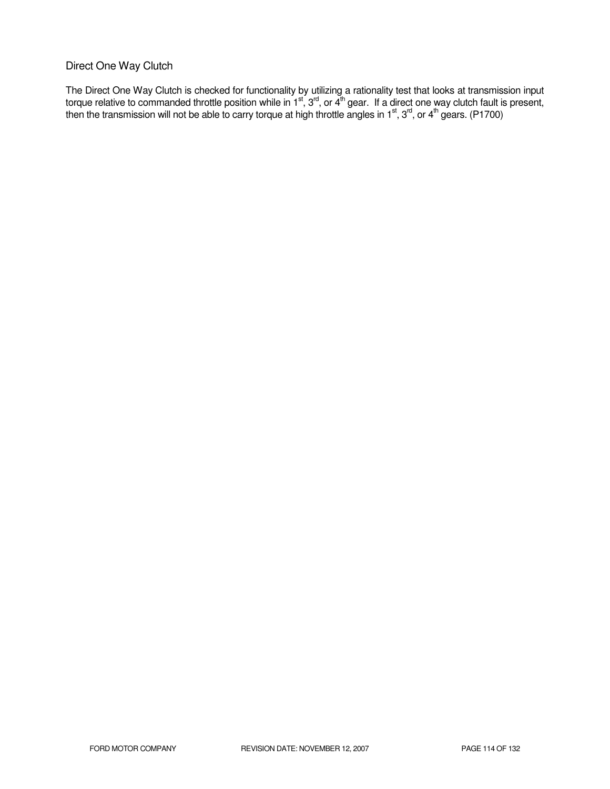## Direct One Way Clutch

The Direct One Way Clutch is checked for functionality by utilizing a rationality test that looks at transmission input torque relative to commanded throttle position while in 1<sup>st</sup>, 3<sup>rd</sup>, or 4<sup>th</sup> gear. If a direct one way clutch fault is present, then the transmission will not be able to carry torque at high throttle angles in 1<sup>st</sup>, 3<sup>rd</sup>, or 4<sup>th</sup> gears. (P1700)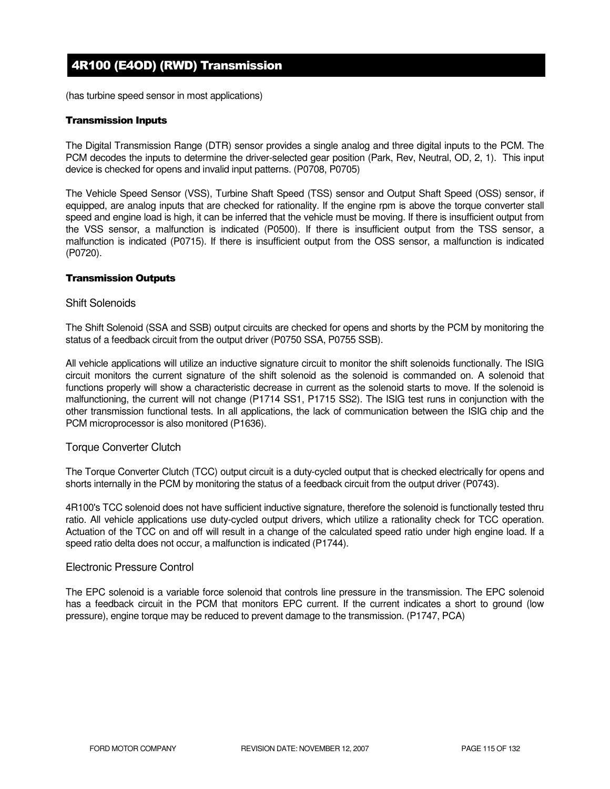# 4R100 (E4OD) (RWD) Transmission

(has turbine speed sensor in most applications)

### Transmission Inputs

The Digital Transmission Range (DTR) sensor provides a single analog and three digital inputs to the PCM. The PCM decodes the inputs to determine the driver-selected gear position (Park, Rev, Neutral, OD, 2, 1). This input device is checked for opens and invalid input patterns. (P0708, P0705)

The Vehicle Speed Sensor (VSS), Turbine Shaft Speed (TSS) sensor and Output Shaft Speed (OSS) sensor, if equipped, are analog inputs that are checked for rationality. If the engine rpm is above the torque converter stall speed and engine load is high, it can be inferred that the vehicle must be moving. If there is insufficient output from the VSS sensor, a malfunction is indicated (P0500). If there is insufficient output from the TSS sensor, a malfunction is indicated (P0715). If there is insufficient output from the OSS sensor, a malfunction is indicated (P0720).

## Transmission Outputs

## Shift Solenoids

The Shift Solenoid (SSA and SSB) output circuits are checked for opens and shorts by the PCM by monitoring the status of a feedback circuit from the output driver (P0750 SSA, P0755 SSB).

All vehicle applications will utilize an inductive signature circuit to monitor the shift solenoids functionally. The ISIG circuit monitors the current signature of the shift solenoid as the solenoid is commanded on. A solenoid that functions properly will show a characteristic decrease in current as the solenoid starts to move. If the solenoid is malfunctioning, the current will not change (P1714 SS1, P1715 SS2). The ISIG test runs in conjunction with the other transmission functional tests. In all applications, the lack of communication between the ISIG chip and the PCM microprocessor is also monitored (P1636).

## Torque Converter Clutch

The Torque Converter Clutch (TCC) output circuit is a duty-cycled output that is checked electrically for opens and shorts internally in the PCM by monitoring the status of a feedback circuit from the output driver (P0743).

4R100's TCC solenoid does not have sufficient inductive signature, therefore the solenoid is functionally tested thru ratio. All vehicle applications use duty-cycled output drivers, which utilize a rationality check for TCC operation. Actuation of the TCC on and off will result in a change of the calculated speed ratio under high engine load. If a speed ratio delta does not occur, a malfunction is indicated (P1744).

### Electronic Pressure Control

The EPC solenoid is a variable force solenoid that controls line pressure in the transmission. The EPC solenoid has a feedback circuit in the PCM that monitors EPC current. If the current indicates a short to ground (low pressure), engine torque may be reduced to prevent damage to the transmission. (P1747, PCA)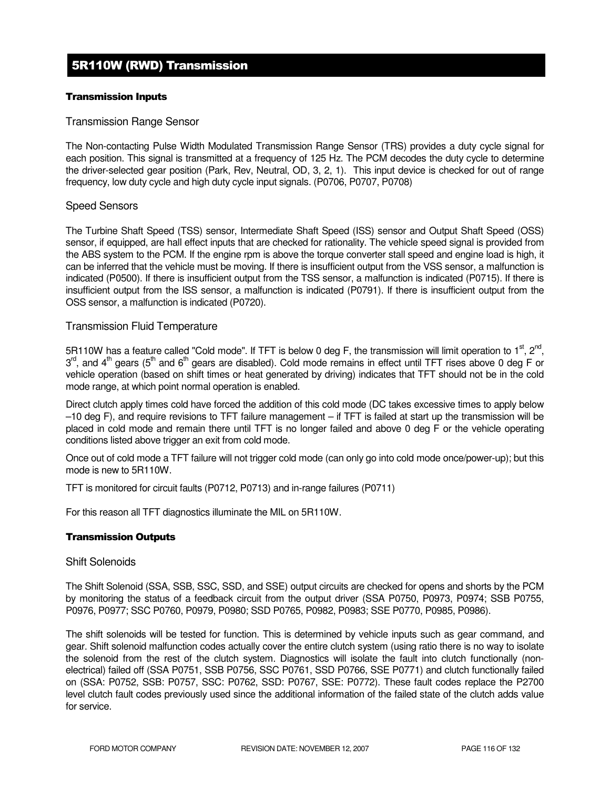# 5R110W (RWD) Transmission

### Transmission Inputs

## Transmission Range Sensor

The Non-contacting Pulse Width Modulated Transmission Range Sensor (TRS) provides a duty cycle signal for each position. This signal is transmitted at a frequency of 125 Hz. The PCM decodes the duty cycle to determine the driver-selected gear position (Park, Rev, Neutral, OD, 3, 2, 1). This input device is checked for out of range frequency, low duty cycle and high duty cycle input signals. (P0706, P0707, P0708)

## Speed Sensors

The Turbine Shaft Speed (TSS) sensor, Intermediate Shaft Speed (ISS) sensor and Output Shaft Speed (OSS) sensor, if equipped, are hall effect inputs that are checked for rationality. The vehicle speed signal is provided from the ABS system to the PCM. If the engine rpm is above the torque converter stall speed and engine load is high, it can be inferred that the vehicle must be moving. If there is insufficient output from the VSS sensor, a malfunction is indicated (P0500). If there is insufficient output from the TSS sensor, a malfunction is indicated (P0715). If there is insufficient output from the ISS sensor, a malfunction is indicated (P0791). If there is insufficient output from the OSS sensor, a malfunction is indicated (P0720).

## Transmission Fluid Temperature

5R110W has a feature called "Cold mode". If TFT is below 0 deg F, the transmission will limit operation to 1<sup>st</sup>, 2<sup>nd</sup>, 3<sup>rd</sup>, and 4<sup>th</sup> gears (5<sup>th</sup> and 6<sup>th</sup> gears are disabled). Cold mode remains in effect until TFT rises above 0 deg F or vehicle operation (based on shift times or heat generated by driving) indicates that TFT should not be in the cold mode range, at which point normal operation is enabled.

Direct clutch apply times cold have forced the addition of this cold mode (DC takes excessive times to apply below –10 deg F), and require revisions to TFT failure management – if TFT is failed at start up the transmission will be placed in cold mode and remain there until TFT is no longer failed and above 0 deg F or the vehicle operating conditions listed above trigger an exit from cold mode.

Once out of cold mode a TFT failure will not trigger cold mode (can only go into cold mode once/power-up); but this mode is new to 5R110W.

TFT is monitored for circuit faults (P0712, P0713) and in-range failures (P0711)

For this reason all TFT diagnostics illuminate the MIL on 5R110W.

### Transmission Outputs

### Shift Solenoids

The Shift Solenoid (SSA, SSB, SSC, SSD, and SSE) output circuits are checked for opens and shorts by the PCM by monitoring the status of a feedback circuit from the output driver (SSA P0750, P0973, P0974; SSB P0755, P0976, P0977; SSC P0760, P0979, P0980; SSD P0765, P0982, P0983; SSE P0770, P0985, P0986).

The shift solenoids will be tested for function. This is determined by vehicle inputs such as gear command, and gear. Shift solenoid malfunction codes actually cover the entire clutch system (using ratio there is no way to isolate the solenoid from the rest of the clutch system. Diagnostics will isolate the fault into clutch functionally (nonelectrical) failed off (SSA P0751, SSB P0756, SSC P0761, SSD P0766, SSE P0771) and clutch functionally failed on (SSA: P0752, SSB: P0757, SSC: P0762, SSD: P0767, SSE: P0772). These fault codes replace the P2700 level clutch fault codes previously used since the additional information of the failed state of the clutch adds value for service.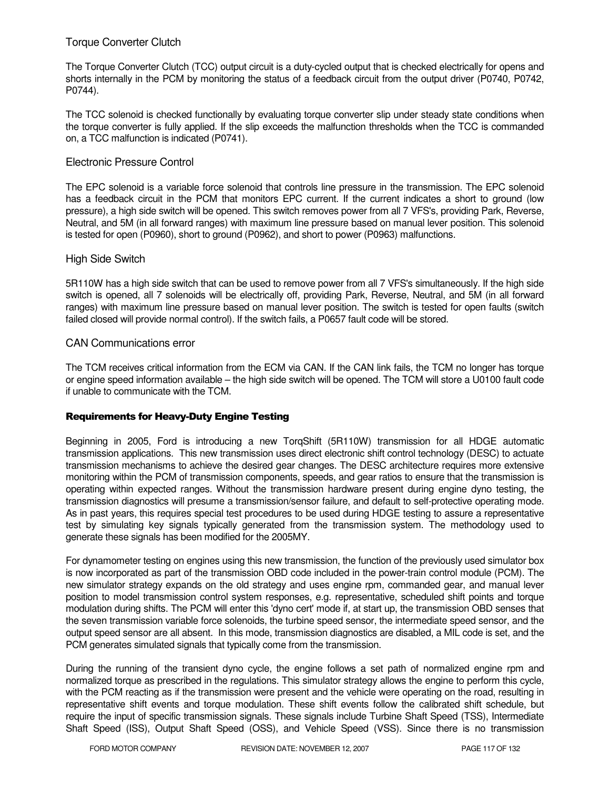## Torque Converter Clutch

The Torque Converter Clutch (TCC) output circuit is a duty-cycled output that is checked electrically for opens and shorts internally in the PCM by monitoring the status of a feedback circuit from the output driver (P0740, P0742, P0744).

The TCC solenoid is checked functionally by evaluating torque converter slip under steady state conditions when the torque converter is fully applied. If the slip exceeds the malfunction thresholds when the TCC is commanded on, a TCC malfunction is indicated (P0741).

## Electronic Pressure Control

The EPC solenoid is a variable force solenoid that controls line pressure in the transmission. The EPC solenoid has a feedback circuit in the PCM that monitors EPC current. If the current indicates a short to ground (low pressure), a high side switch will be opened. This switch removes power from all 7 VFS's, providing Park, Reverse, Neutral, and 5M (in all forward ranges) with maximum line pressure based on manual lever position. This solenoid is tested for open (P0960), short to ground (P0962), and short to power (P0963) malfunctions.

## High Side Switch

5R110W has a high side switch that can be used to remove power from all 7 VFS's simultaneously. If the high side switch is opened, all 7 solenoids will be electrically off, providing Park, Reverse, Neutral, and 5M (in all forward ranges) with maximum line pressure based on manual lever position. The switch is tested for open faults (switch failed closed will provide normal control). If the switch fails, a P0657 fault code will be stored.

## CAN Communications error

The TCM receives critical information from the ECM via CAN. If the CAN link fails, the TCM no longer has torque or engine speed information available – the high side switch will be opened. The TCM will store a U0100 fault code if unable to communicate with the TCM.

### Requirements for Heavy-Duty Engine Testing

Beginning in 2005, Ford is introducing a new TorqShift (5R110W) transmission for all HDGE automatic transmission applications. This new transmission uses direct electronic shift control technology (DESC) to actuate transmission mechanisms to achieve the desired gear changes. The DESC architecture requires more extensive monitoring within the PCM of transmission components, speeds, and gear ratios to ensure that the transmission is operating within expected ranges. Without the transmission hardware present during engine dyno testing, the transmission diagnostics will presume a transmission/sensor failure, and default to self-protective operating mode. As in past years, this requires special test procedures to be used during HDGE testing to assure a representative test by simulating key signals typically generated from the transmission system. The methodology used to generate these signals has been modified for the 2005MY.

For dynamometer testing on engines using this new transmission, the function of the previously used simulator box is now incorporated as part of the transmission OBD code included in the power-train control module (PCM). The new simulator strategy expands on the old strategy and uses engine rpm, commanded gear, and manual lever position to model transmission control system responses, e.g. representative, scheduled shift points and torque modulation during shifts. The PCM will enter this 'dyno cert' mode if, at start up, the transmission OBD senses that the seven transmission variable force solenoids, the turbine speed sensor, the intermediate speed sensor, and the output speed sensor are all absent. In this mode, transmission diagnostics are disabled, a MIL code is set, and the PCM generates simulated signals that typically come from the transmission.

During the running of the transient dyno cycle, the engine follows a set path of normalized engine rpm and normalized torque as prescribed in the regulations. This simulator strategy allows the engine to perform this cycle, with the PCM reacting as if the transmission were present and the vehicle were operating on the road, resulting in representative shift events and torque modulation. These shift events follow the calibrated shift schedule, but require the input of specific transmission signals. These signals include Turbine Shaft Speed (TSS), Intermediate Shaft Speed (ISS), Output Shaft Speed (OSS), and Vehicle Speed (VSS). Since there is no transmission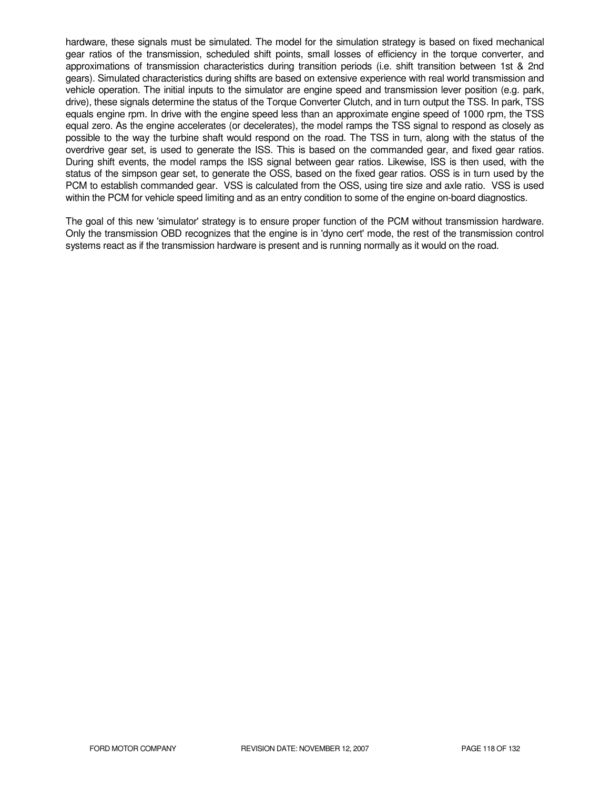hardware, these signals must be simulated. The model for the simulation strategy is based on fixed mechanical gear ratios of the transmission, scheduled shift points, small losses of efficiency in the torque converter, and approximations of transmission characteristics during transition periods (i.e. shift transition between 1st & 2nd gears). Simulated characteristics during shifts are based on extensive experience with real world transmission and vehicle operation. The initial inputs to the simulator are engine speed and transmission lever position (e.g. park, drive), these signals determine the status of the Torque Converter Clutch, and in turn output the TSS. In park, TSS equals engine rpm. In drive with the engine speed less than an approximate engine speed of 1000 rpm, the TSS equal zero. As the engine accelerates (or decelerates), the model ramps the TSS signal to respond as closely as possible to the way the turbine shaft would respond on the road. The TSS in turn, along with the status of the overdrive gear set, is used to generate the ISS. This is based on the commanded gear, and fixed gear ratios. During shift events, the model ramps the ISS signal between gear ratios. Likewise, ISS is then used, with the status of the simpson gear set, to generate the OSS, based on the fixed gear ratios. OSS is in turn used by the PCM to establish commanded gear. VSS is calculated from the OSS, using tire size and axle ratio. VSS is used within the PCM for vehicle speed limiting and as an entry condition to some of the engine on-board diagnostics.

The goal of this new 'simulator' strategy is to ensure proper function of the PCM without transmission hardware. Only the transmission OBD recognizes that the engine is in 'dyno cert' mode, the rest of the transmission control systems react as if the transmission hardware is present and is running normally as it would on the road.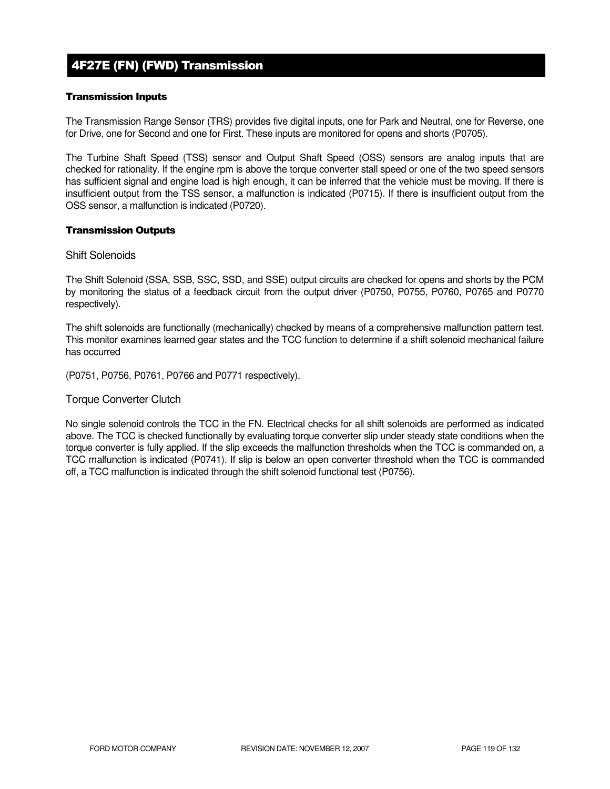# 4F27E (FN) (FWD) Transmission

## Transmission Inputs

The Transmission Range Sensor (TRS) provides five digital inputs, one for Park and Neutral, one for Reverse, one for Drive, one for Second and one for First. These inputs are monitored for opens and shorts (P0705).

The Turbine Shaft Speed (TSS) sensor and Output Shaft Speed (OSS) sensors are analog inputs that are checked for rationality. If the engine rpm is above the torque converter stall speed or one of the two speed sensors has sufficient signal and engine load is high enough, it can be inferred that the vehicle must be moving. If there is insufficient output from the TSS sensor, a malfunction is indicated (P0715). If there is insufficient output from the OSS sensor, a malfunction is indicated (P0720).

## Transmission Outputs

## Shift Solenoids

The Shift Solenoid (SSA, SSB, SSC, SSD, and SSE) output circuits are checked for opens and shorts by the PCM by monitoring the status of a feedback circuit from the output driver (P0750, P0755, P0760, P0765 and P0770 respectively).

The shift solenoids are functionally (mechanically) checked by means of a comprehensive malfunction pattern test. This monitor examines learned gear states and the TCC function to determine if a shift solenoid mechanical failure has occurred

(P0751, P0756, P0761, P0766 and P0771 respectively).

## Torque Converter Clutch

No single solenoid controls the TCC in the FN. Electrical checks for all shift solenoids are performed as indicated above. The TCC is checked functionally by evaluating torque converter slip under steady state conditions when the torque converter is fully applied. If the slip exceeds the malfunction thresholds when the TCC is commanded on, a TCC malfunction is indicated (P0741). If slip is below an open converter threshold when the TCC is commanded off, a TCC malfunction is indicated through the shift solenoid functional test (P0756).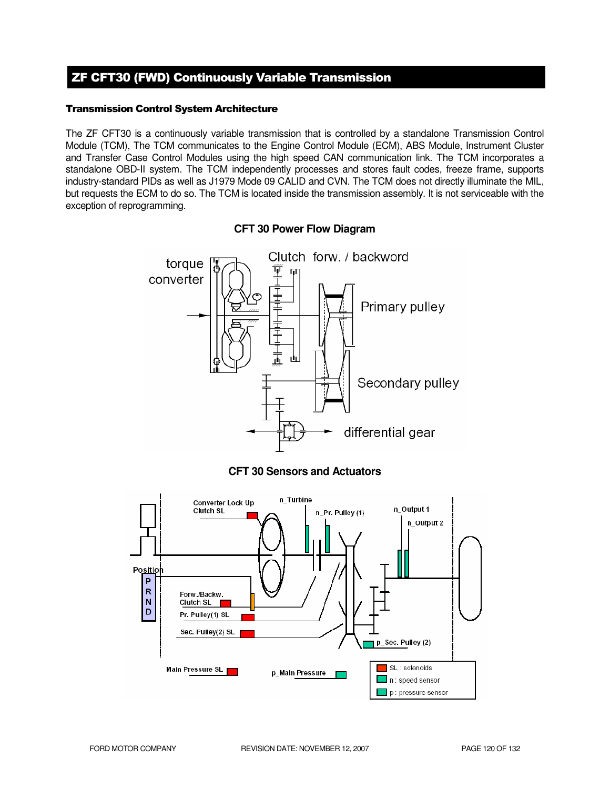# ZF CFT30 (FWD) Continuously Variable Transmission

## Transmission Control System Architecture

The ZF CFT30 is a continuously variable transmission that is controlled by a standalone Transmission Control Module (TCM), The TCM communicates to the Engine Control Module (ECM), ABS Module, Instrument Cluster and Transfer Case Control Modules using the high speed CAN communication link. The TCM incorporates a standalone OBD-II system. The TCM independently processes and stores fault codes, freeze frame, supports industry-standard PIDs as well as J1979 Mode 09 CALID and CVN. The TCM does not directly illuminate the MIL, but requests the ECM to do so. The TCM is located inside the transmission assembly. It is not serviceable with the exception of reprogramming.



## **CFT 30 Power Flow Diagram**



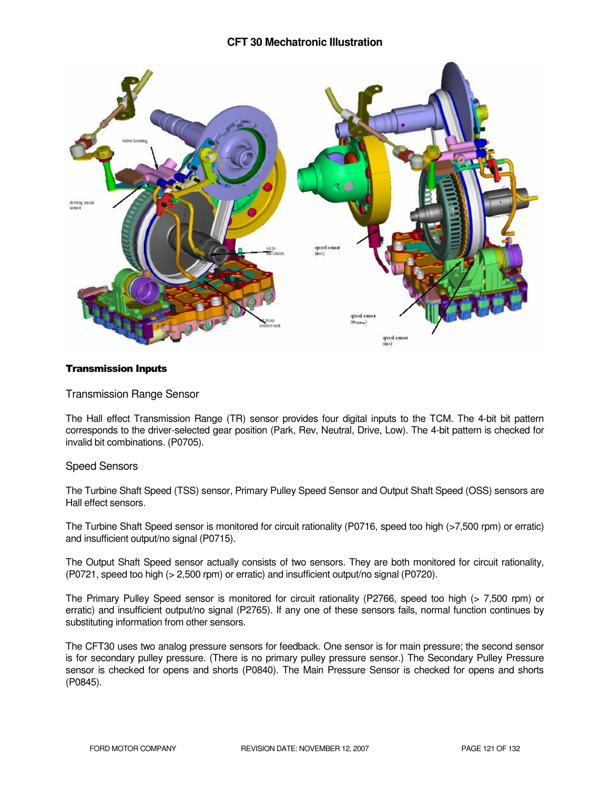## **CFT 30 Mechatronic Illustration**



## Transmission Inputs

## Transmission Range Sensor

The Hall effect Transmission Range (TR) sensor provides four digital inputs to the TCM. The 4-bit bit pattern corresponds to the driver-selected gear position (Park, Rev, Neutral, Drive, Low). The 4-bit pattern is checked for invalid bit combinations. (P0705).

## Speed Sensors

The Turbine Shaft Speed (TSS) sensor, Primary Pulley Speed Sensor and Output Shaft Speed (OSS) sensors are Hall effect sensors.

The Turbine Shaft Speed sensor is monitored for circuit rationality (P0716, speed too high (>7,500 rpm) or erratic) and insufficient output/no signal (P0715).

The Output Shaft Speed sensor actually consists of two sensors. They are both monitored for circuit rationality, (P0721, speed too high (> 2,500 rpm) or erratic) and insufficient output/no signal (P0720).

The Primary Pulley Speed sensor is monitored for circuit rationality (P2766, speed too high (> 7,500 rpm) or erratic) and insufficient output/no signal (P2765). If any one of these sensors fails, normal function continues by substituting information from other sensors.

The CFT30 uses two analog pressure sensors for feedback. One sensor is for main pressure; the second sensor is for secondary pulley pressure. (There is no primary pulley pressure sensor.) The Secondary Pulley Pressure sensor is checked for opens and shorts (P0840). The Main Pressure Sensor is checked for opens and shorts (P0845).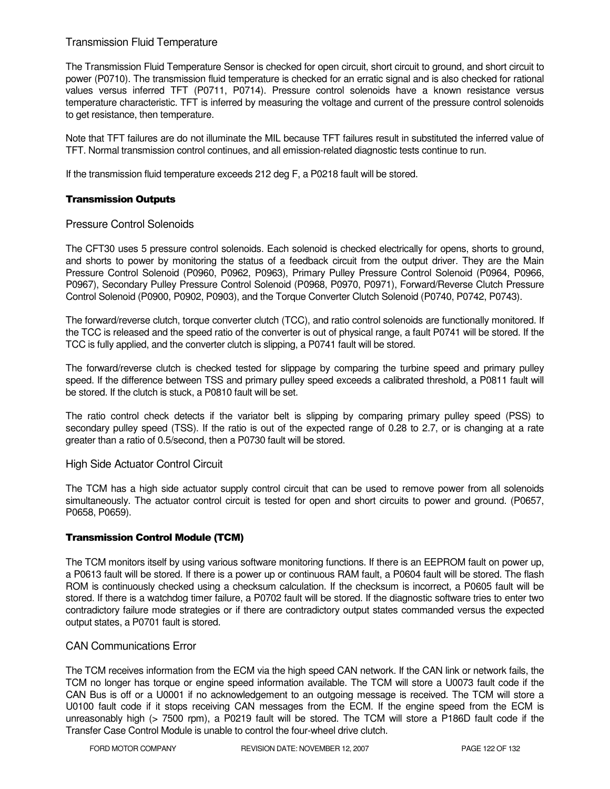## Transmission Fluid Temperature

The Transmission Fluid Temperature Sensor is checked for open circuit, short circuit to ground, and short circuit to power (P0710). The transmission fluid temperature is checked for an erratic signal and is also checked for rational values versus inferred TFT (P0711, P0714). Pressure control solenoids have a known resistance versus temperature characteristic. TFT is inferred by measuring the voltage and current of the pressure control solenoids to get resistance, then temperature.

Note that TFT failures are do not illuminate the MIL because TFT failures result in substituted the inferred value of TFT. Normal transmission control continues, and all emission-related diagnostic tests continue to run.

If the transmission fluid temperature exceeds 212 deg F, a P0218 fault will be stored.

## Transmission Outputs

## Pressure Control Solenoids

The CFT30 uses 5 pressure control solenoids. Each solenoid is checked electrically for opens, shorts to ground, and shorts to power by monitoring the status of a feedback circuit from the output driver. They are the Main Pressure Control Solenoid (P0960, P0962, P0963), Primary Pulley Pressure Control Solenoid (P0964, P0966, P0967), Secondary Pulley Pressure Control Solenoid (P0968, P0970, P0971), Forward/Reverse Clutch Pressure Control Solenoid (P0900, P0902, P0903), and the Torque Converter Clutch Solenoid (P0740, P0742, P0743).

The forward/reverse clutch, torque converter clutch (TCC), and ratio control solenoids are functionally monitored. If the TCC is released and the speed ratio of the converter is out of physical range, a fault P0741 will be stored. If the TCC is fully applied, and the converter clutch is slipping, a P0741 fault will be stored.

The forward/reverse clutch is checked tested for slippage by comparing the turbine speed and primary pulley speed. If the difference between TSS and primary pulley speed exceeds a calibrated threshold, a P0811 fault will be stored. If the clutch is stuck, a P0810 fault will be set.

The ratio control check detects if the variator belt is slipping by comparing primary pulley speed (PSS) to secondary pulley speed (TSS). If the ratio is out of the expected range of 0.28 to 2.7, or is changing at a rate greater than a ratio of 0.5/second, then a P0730 fault will be stored.

### High Side Actuator Control Circuit

The TCM has a high side actuator supply control circuit that can be used to remove power from all solenoids simultaneously. The actuator control circuit is tested for open and short circuits to power and ground. (P0657, P0658, P0659).

### Transmission Control Module (TCM)

The TCM monitors itself by using various software monitoring functions. If there is an EEPROM fault on power up, a P0613 fault will be stored. If there is a power up or continuous RAM fault, a P0604 fault will be stored. The flash ROM is continuously checked using a checksum calculation. If the checksum is incorrect, a P0605 fault will be stored. If there is a watchdog timer failure, a P0702 fault will be stored. If the diagnostic software tries to enter two contradictory failure mode strategies or if there are contradictory output states commanded versus the expected output states, a P0701 fault is stored.

## CAN Communications Error

The TCM receives information from the ECM via the high speed CAN network. If the CAN link or network fails, the TCM no longer has torque or engine speed information available. The TCM will store a U0073 fault code if the CAN Bus is off or a U0001 if no acknowledgement to an outgoing message is received. The TCM will store a U0100 fault code if it stops receiving CAN messages from the ECM. If the engine speed from the ECM is unreasonably high (> 7500 rpm), a P0219 fault will be stored. The TCM will store a P186D fault code if the Transfer Case Control Module is unable to control the four-wheel drive clutch.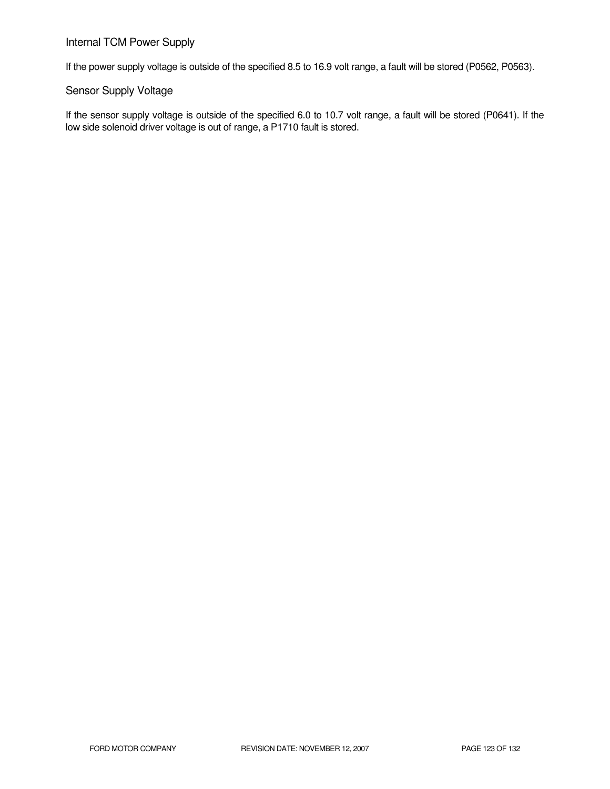## Internal TCM Power Supply

If the power supply voltage is outside of the specified 8.5 to 16.9 volt range, a fault will be stored (P0562, P0563).

## Sensor Supply Voltage

If the sensor supply voltage is outside of the specified 6.0 to 10.7 volt range, a fault will be stored (P0641). If the low side solenoid driver voltage is out of range, a P1710 fault is stored.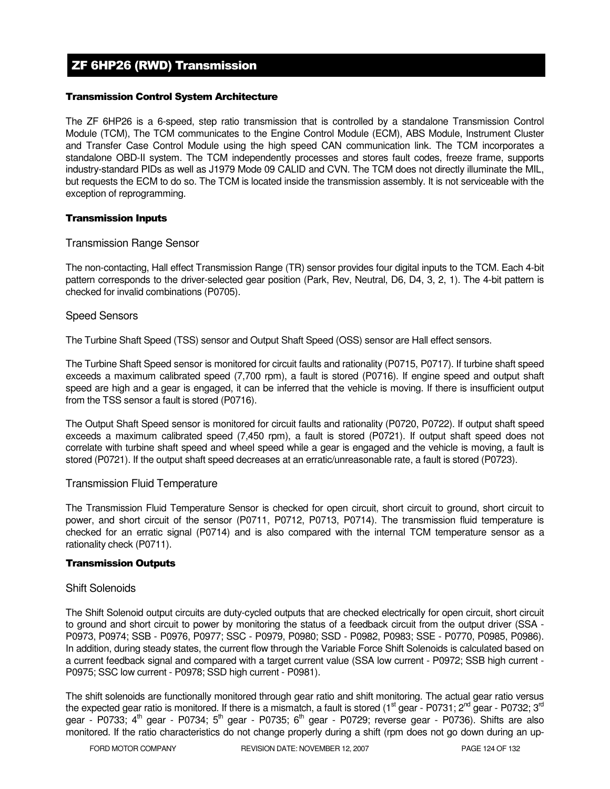# ZF 6HP26 (RWD) Transmission

## Transmission Control System Architecture

The ZF 6HP26 is a 6-speed, step ratio transmission that is controlled by a standalone Transmission Control Module (TCM), The TCM communicates to the Engine Control Module (ECM), ABS Module, Instrument Cluster and Transfer Case Control Module using the high speed CAN communication link. The TCM incorporates a standalone OBD-II system. The TCM independently processes and stores fault codes, freeze frame, supports industry-standard PIDs as well as J1979 Mode 09 CALID and CVN. The TCM does not directly illuminate the MIL, but requests the ECM to do so. The TCM is located inside the transmission assembly. It is not serviceable with the exception of reprogramming.

### Transmission Inputs

## Transmission Range Sensor

The non-contacting, Hall effect Transmission Range (TR) sensor provides four digital inputs to the TCM. Each 4-bit pattern corresponds to the driver-selected gear position (Park, Rev, Neutral, D6, D4, 3, 2, 1). The 4-bit pattern is checked for invalid combinations (P0705).

## Speed Sensors

The Turbine Shaft Speed (TSS) sensor and Output Shaft Speed (OSS) sensor are Hall effect sensors.

The Turbine Shaft Speed sensor is monitored for circuit faults and rationality (P0715, P0717). If turbine shaft speed exceeds a maximum calibrated speed (7,700 rpm), a fault is stored (P0716). If engine speed and output shaft speed are high and a gear is engaged, it can be inferred that the vehicle is moving. If there is insufficient output from the TSS sensor a fault is stored (P0716).

The Output Shaft Speed sensor is monitored for circuit faults and rationality (P0720, P0722). If output shaft speed exceeds a maximum calibrated speed (7,450 rpm), a fault is stored (P0721). If output shaft speed does not correlate with turbine shaft speed and wheel speed while a gear is engaged and the vehicle is moving, a fault is stored (P0721). If the output shaft speed decreases at an erratic/unreasonable rate, a fault is stored (P0723).

### Transmission Fluid Temperature

The Transmission Fluid Temperature Sensor is checked for open circuit, short circuit to ground, short circuit to power, and short circuit of the sensor (P0711, P0712, P0713, P0714). The transmission fluid temperature is checked for an erratic signal (P0714) and is also compared with the internal TCM temperature sensor as a rationality check (P0711).

### Transmission Outputs

### Shift Solenoids

The Shift Solenoid output circuits are duty-cycled outputs that are checked electrically for open circuit, short circuit to ground and short circuit to power by monitoring the status of a feedback circuit from the output driver (SSA -P0973, P0974; SSB - P0976, P0977; SSC - P0979, P0980; SSD - P0982, P0983; SSE - P0770, P0985, P0986). In addition, during steady states, the current flow through the Variable Force Shift Solenoids is calculated based on a current feedback signal and compared with a target current value (SSA low current - P0972; SSB high current - P0975; SSC low current - P0978; SSD high current - P0981).

The shift solenoids are functionally monitored through gear ratio and shift monitoring. The actual gear ratio versus the expected gear ratio is monitored. If there is a mismatch, a fault is stored (1<sup>st</sup> gear - P0731; 2<sup>nd</sup> gear - P0732; 3<sup>rd</sup> gear - P0733; 4<sup>th</sup> gear - P0734; 5<sup>th</sup> gear - P0735; 6<sup>th</sup> gear - P0729; reverse gear - P0736). Shifts are also monitored. If the ratio characteristics do not change properly during a shift (rpm does not go down during an up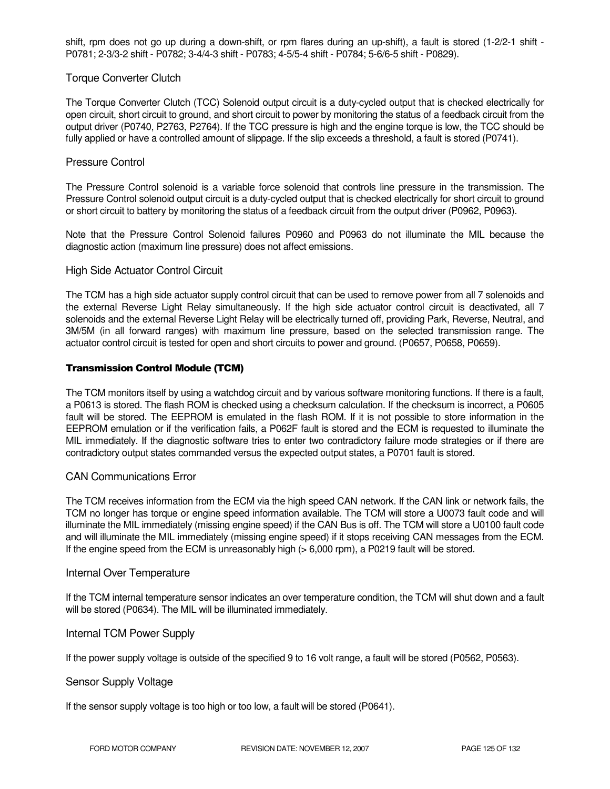shift, rpm does not go up during a down-shift, or rpm flares during an up-shift), a fault is stored (1-2/2-1 shift - P0781; 2-3/3-2 shift - P0782; 3-4/4-3 shift - P0783; 4-5/5-4 shift - P0784; 5-6/6-5 shift - P0829).

## Torque Converter Clutch

The Torque Converter Clutch (TCC) Solenoid output circuit is a duty-cycled output that is checked electrically for open circuit, short circuit to ground, and short circuit to power by monitoring the status of a feedback circuit from the output driver (P0740, P2763, P2764). If the TCC pressure is high and the engine torque is low, the TCC should be fully applied or have a controlled amount of slippage. If the slip exceeds a threshold, a fault is stored (P0741).

## Pressure Control

The Pressure Control solenoid is a variable force solenoid that controls line pressure in the transmission. The Pressure Control solenoid output circuit is a duty-cycled output that is checked electrically for short circuit to ground or short circuit to battery by monitoring the status of a feedback circuit from the output driver (P0962, P0963).

Note that the Pressure Control Solenoid failures P0960 and P0963 do not illuminate the MIL because the diagnostic action (maximum line pressure) does not affect emissions.

## High Side Actuator Control Circuit

The TCM has a high side actuator supply control circuit that can be used to remove power from all 7 solenoids and the external Reverse Light Relay simultaneously. If the high side actuator control circuit is deactivated, all 7 solenoids and the external Reverse Light Relay will be electrically turned off, providing Park, Reverse, Neutral, and 3M/5M (in all forward ranges) with maximum line pressure, based on the selected transmission range. The actuator control circuit is tested for open and short circuits to power and ground. (P0657, P0658, P0659).

### Transmission Control Module (TCM)

The TCM monitors itself by using a watchdog circuit and by various software monitoring functions. If there is a fault, a P0613 is stored. The flash ROM is checked using a checksum calculation. If the checksum is incorrect, a P0605 fault will be stored. The EEPROM is emulated in the flash ROM. If it is not possible to store information in the EEPROM emulation or if the verification fails, a P062F fault is stored and the ECM is requested to illuminate the MIL immediately. If the diagnostic software tries to enter two contradictory failure mode strategies or if there are contradictory output states commanded versus the expected output states, a P0701 fault is stored.

### CAN Communications Error

The TCM receives information from the ECM via the high speed CAN network. If the CAN link or network fails, the TCM no longer has torque or engine speed information available. The TCM will store a U0073 fault code and will illuminate the MIL immediately (missing engine speed) if the CAN Bus is off. The TCM will store a U0100 fault code and will illuminate the MIL immediately (missing engine speed) if it stops receiving CAN messages from the ECM. If the engine speed from the ECM is unreasonably high ( $> 6,000$  rpm), a P0219 fault will be stored.

### Internal Over Temperature

If the TCM internal temperature sensor indicates an over temperature condition, the TCM will shut down and a fault will be stored (P0634). The MIL will be illuminated immediately.

### Internal TCM Power Supply

If the power supply voltage is outside of the specified 9 to 16 volt range, a fault will be stored (P0562, P0563).

### Sensor Supply Voltage

If the sensor supply voltage is too high or too low, a fault will be stored (P0641).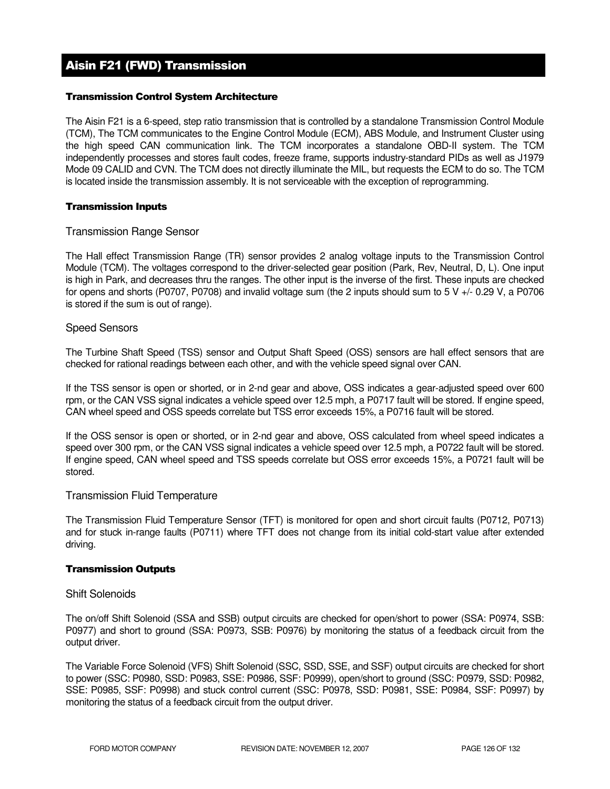# Aisin F21 (FWD) Transmission

## Transmission Control System Architecture

The Aisin F21 is a 6-speed, step ratio transmission that is controlled by a standalone Transmission Control Module (TCM), The TCM communicates to the Engine Control Module (ECM), ABS Module, and Instrument Cluster using the high speed CAN communication link. The TCM incorporates a standalone OBD-II system. The TCM independently processes and stores fault codes, freeze frame, supports industry-standard PIDs as well as J1979 Mode 09 CALID and CVN. The TCM does not directly illuminate the MIL, but requests the ECM to do so. The TCM is located inside the transmission assembly. It is not serviceable with the exception of reprogramming.

### Transmission Inputs

## Transmission Range Sensor

The Hall effect Transmission Range (TR) sensor provides 2 analog voltage inputs to the Transmission Control Module (TCM). The voltages correspond to the driver-selected gear position (Park, Rev, Neutral, D, L). One input is high in Park, and decreases thru the ranges. The other input is the inverse of the first. These inputs are checked for opens and shorts (P0707, P0708) and invalid voltage sum (the 2 inputs should sum to 5 V +/- 0.29 V, a P0706 is stored if the sum is out of range).

## Speed Sensors

The Turbine Shaft Speed (TSS) sensor and Output Shaft Speed (OSS) sensors are hall effect sensors that are checked for rational readings between each other, and with the vehicle speed signal over CAN.

If the TSS sensor is open or shorted, or in 2-nd gear and above, OSS indicates a gear-adjusted speed over 600 rpm, or the CAN VSS signal indicates a vehicle speed over 12.5 mph, a P0717 fault will be stored. If engine speed, CAN wheel speed and OSS speeds correlate but TSS error exceeds 15%, a P0716 fault will be stored.

If the OSS sensor is open or shorted, or in 2-nd gear and above, OSS calculated from wheel speed indicates a speed over 300 rpm, or the CAN VSS signal indicates a vehicle speed over 12.5 mph, a P0722 fault will be stored. If engine speed, CAN wheel speed and TSS speeds correlate but OSS error exceeds 15%, a P0721 fault will be stored.

### Transmission Fluid Temperature

The Transmission Fluid Temperature Sensor (TFT) is monitored for open and short circuit faults (P0712, P0713) and for stuck in-range faults (P0711) where TFT does not change from its initial cold-start value after extended driving.

### Transmission Outputs

### Shift Solenoids

The on/off Shift Solenoid (SSA and SSB) output circuits are checked for open/short to power (SSA: P0974, SSB: P0977) and short to ground (SSA: P0973, SSB: P0976) by monitoring the status of a feedback circuit from the output driver.

The Variable Force Solenoid (VFS) Shift Solenoid (SSC, SSD, SSE, and SSF) output circuits are checked for short to power (SSC: P0980, SSD: P0983, SSE: P0986, SSF: P0999), open/short to ground (SSC: P0979, SSD: P0982, SSE: P0985, SSF: P0998) and stuck control current (SSC: P0978, SSD: P0981, SSE: P0984, SSF: P0997) by monitoring the status of a feedback circuit from the output driver.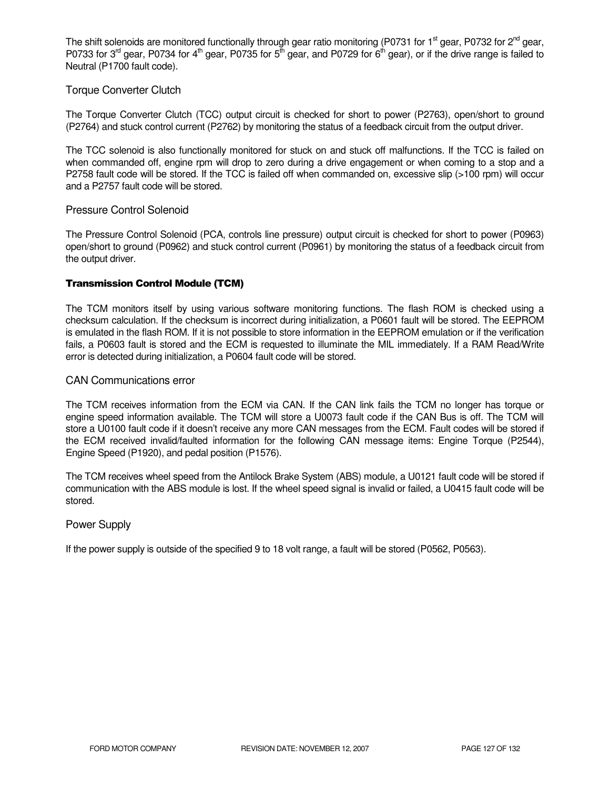The shift solenoids are monitored functionally through gear ratio monitoring (P0731 for 1<sup>st</sup> gear, P0732 for 2<sup>nd</sup> gear, P0733 for 3<sup>rd</sup> gear, P0734 for 4<sup>th</sup> gear, P0735 for 5<sup>th</sup> gear, and P0729 for 6<sup>th</sup> gear), or if the drive range is failed to Neutral (P1700 fault code).

## Torque Converter Clutch

The Torque Converter Clutch (TCC) output circuit is checked for short to power (P2763), open/short to ground (P2764) and stuck control current (P2762) by monitoring the status of a feedback circuit from the output driver.

The TCC solenoid is also functionally monitored for stuck on and stuck off malfunctions. If the TCC is failed on when commanded off, engine rpm will drop to zero during a drive engagement or when coming to a stop and a P2758 fault code will be stored. If the TCC is failed off when commanded on, excessive slip (>100 rpm) will occur and a P2757 fault code will be stored.

### Pressure Control Solenoid

The Pressure Control Solenoid (PCA, controls line pressure) output circuit is checked for short to power (P0963) open/short to ground (P0962) and stuck control current (P0961) by monitoring the status of a feedback circuit from the output driver.

### Transmission Control Module (TCM)

The TCM monitors itself by using various software monitoring functions. The flash ROM is checked using a checksum calculation. If the checksum is incorrect during initialization, a P0601 fault will be stored. The EEPROM is emulated in the flash ROM. If it is not possible to store information in the EEPROM emulation or if the verification fails, a P0603 fault is stored and the ECM is requested to illuminate the MIL immediately. If a RAM Read/Write error is detected during initialization, a P0604 fault code will be stored.

## CAN Communications error

The TCM receives information from the ECM via CAN. If the CAN link fails the TCM no longer has torque or engine speed information available. The TCM will store a U0073 fault code if the CAN Bus is off. The TCM will store a U0100 fault code if it doesn't receive any more CAN messages from the ECM. Fault codes will be stored if the ECM received invalid/faulted information for the following CAN message items: Engine Torque (P2544), Engine Speed (P1920), and pedal position (P1576).

The TCM receives wheel speed from the Antilock Brake System (ABS) module, a U0121 fault code will be stored if communication with the ABS module is lost. If the wheel speed signal is invalid or failed, a U0415 fault code will be stored.

### Power Supply

If the power supply is outside of the specified 9 to 18 volt range, a fault will be stored (P0562, P0563).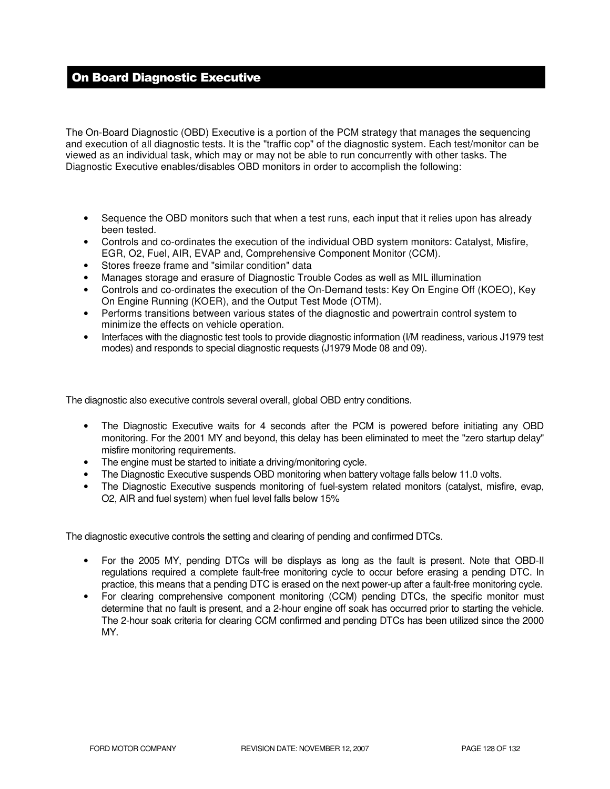# On Board Diagnostic Executive

The On-Board Diagnostic (OBD) Executive is a portion of the PCM strategy that manages the sequencing and execution of all diagnostic tests. It is the "traffic cop" of the diagnostic system. Each test/monitor can be viewed as an individual task, which may or may not be able to run concurrently with other tasks. The Diagnostic Executive enables/disables OBD monitors in order to accomplish the following:

- Sequence the OBD monitors such that when a test runs, each input that it relies upon has already been tested.
- Controls and co-ordinates the execution of the individual OBD system monitors: Catalyst, Misfire, EGR, O2, Fuel, AIR, EVAP and, Comprehensive Component Monitor (CCM).
- Stores freeze frame and "similar condition" data
- Manages storage and erasure of Diagnostic Trouble Codes as well as MIL illumination
- Controls and co-ordinates the execution of the On-Demand tests: Key On Engine Off (KOEO), Key On Engine Running (KOER), and the Output Test Mode (OTM).
- Performs transitions between various states of the diagnostic and powertrain control system to minimize the effects on vehicle operation.
- Interfaces with the diagnostic test tools to provide diagnostic information (I/M readiness, various J1979 test modes) and responds to special diagnostic requests (J1979 Mode 08 and 09).

The diagnostic also executive controls several overall, global OBD entry conditions.

- The Diagnostic Executive waits for 4 seconds after the PCM is powered before initiating any OBD monitoring. For the 2001 MY and beyond, this delay has been eliminated to meet the "zero startup delay" misfire monitoring requirements.
- The engine must be started to initiate a driving/monitoring cycle.
- The Diagnostic Executive suspends OBD monitoring when battery voltage falls below 11.0 volts.
- The Diagnostic Executive suspends monitoring of fuel-system related monitors (catalyst, misfire, evap, O2, AIR and fuel system) when fuel level falls below 15%

The diagnostic executive controls the setting and clearing of pending and confirmed DTCs.

- For the 2005 MY, pending DTCs will be displays as long as the fault is present. Note that OBD-II regulations required a complete fault-free monitoring cycle to occur before erasing a pending DTC. In practice, this means that a pending DTC is erased on the next power-up after a fault-free monitoring cycle.
- For clearing comprehensive component monitoring (CCM) pending DTCs, the specific monitor must determine that no fault is present, and a 2-hour engine off soak has occurred prior to starting the vehicle. The 2-hour soak criteria for clearing CCM confirmed and pending DTCs has been utilized since the 2000 MY.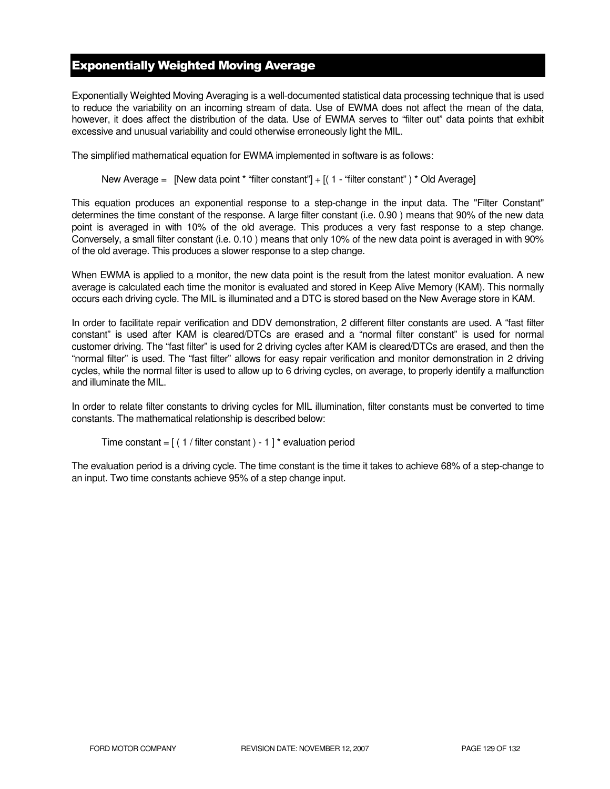# Exponentially Weighted Moving Average

Exponentially Weighted Moving Averaging is a well-documented statistical data processing technique that is used to reduce the variability on an incoming stream of data. Use of EWMA does not affect the mean of the data, however, it does affect the distribution of the data. Use of EWMA serves to "filter out" data points that exhibit excessive and unusual variability and could otherwise erroneously light the MIL.

The simplified mathematical equation for EWMA implemented in software is as follows:

New Average = [New data point \* "filter constant"] + [( 1 - "filter constant") \* Old Average]

This equation produces an exponential response to a step-change in the input data. The "Filter Constant" determines the time constant of the response. A large filter constant (i.e. 0.90 ) means that 90% of the new data point is averaged in with 10% of the old average. This produces a very fast response to a step change. Conversely, a small filter constant (i.e. 0.10 ) means that only 10% of the new data point is averaged in with 90% of the old average. This produces a slower response to a step change.

When EWMA is applied to a monitor, the new data point is the result from the latest monitor evaluation. A new average is calculated each time the monitor is evaluated and stored in Keep Alive Memory (KAM). This normally occurs each driving cycle. The MIL is illuminated and a DTC is stored based on the New Average store in KAM.

In order to facilitate repair verification and DDV demonstration, 2 different filter constants are used. A "fast filter constant" is used after KAM is cleared/DTCs are erased and a "normal filter constant" is used for normal customer driving. The "fast filter" is used for 2 driving cycles after KAM is cleared/DTCs are erased, and then the "normal filter" is used. The "fast filter" allows for easy repair verification and monitor demonstration in 2 driving cycles, while the normal filter is used to allow up to 6 driving cycles, on average, to properly identify a malfunction and illuminate the MIL.

In order to relate filter constants to driving cycles for MIL illumination, filter constants must be converted to time constants. The mathematical relationship is described below:

```
Time constant = [(1 / \text{filter constant}) - 1]^* evaluation period
```
The evaluation period is a driving cycle. The time constant is the time it takes to achieve 68% of a step-change to an input. Two time constants achieve 95% of a step change input.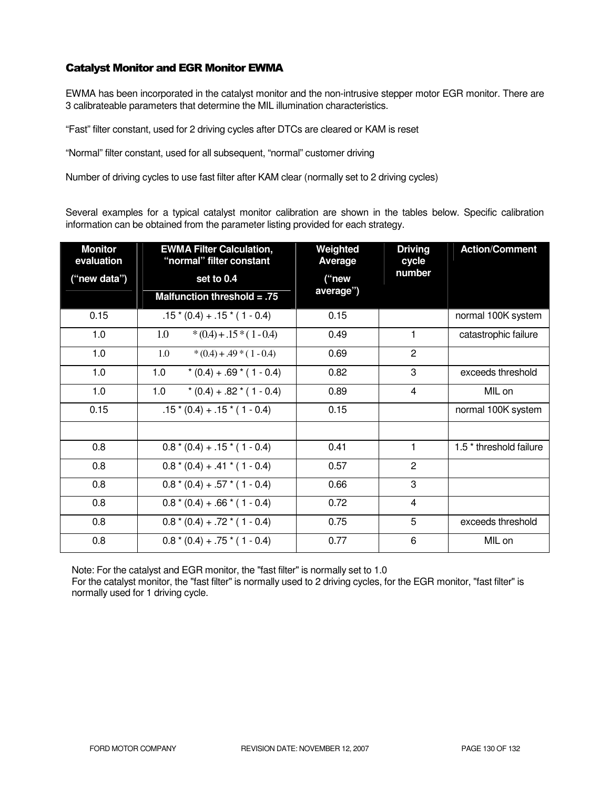## Catalyst Monitor and EGR Monitor EWMA

EWMA has been incorporated in the catalyst monitor and the non-intrusive stepper motor EGR monitor. There are 3 calibrateable parameters that determine the MIL illumination characteristics.

"Fast" filter constant, used for 2 driving cycles after DTCs are cleared or KAM is reset

"Normal" filter constant, used for all subsequent, "normal" customer driving

Number of driving cycles to use fast filter after KAM clear (normally set to 2 driving cycles)

Several examples for a typical catalyst monitor calibration are shown in the tables below. Specific calibration information can be obtained from the parameter listing provided for each strategy.

| <b>Monitor</b><br>evaluation | <b>EWMA Filter Calculation,</b><br>"normal" filter constant | Weighted<br>Average | <b>Driving</b><br>cycle | <b>Action/Comment</b>              |
|------------------------------|-------------------------------------------------------------|---------------------|-------------------------|------------------------------------|
| ("new data")                 | set to 0.4                                                  | ("new<br>average")  | number                  |                                    |
|                              | Malfunction threshold $= .75$                               |                     |                         |                                    |
| 0.15                         | $.15*(0.4) + .15*(1 - 0.4)$                                 | 0.15                |                         | normal 100K system                 |
| 1.0                          | $*(0.4) + .15*(1 - 0.4)$<br>1.0                             | 0.49                | 1                       | catastrophic failure               |
| 1.0                          | 1.0<br>$*(0.4) + .49 * (1 - 0.4)$                           | 0.69                | $\overline{2}$          |                                    |
| 1.0                          | 1.0<br>$*(0.4) + .69 * (1 - 0.4)$                           | 0.82                | 3                       | exceeds threshold                  |
| 1.0                          | 1.0<br>$*(0.4) + .82 * (1 - 0.4)$                           | 0.89                | 4                       | MIL on                             |
| 0.15                         | $.15*(0.4) + .15*(1 - 0.4)$                                 | 0.15                |                         | normal 100K system                 |
|                              |                                                             |                     |                         |                                    |
| 0.8                          | $0.8*(0.4) + .15*(1 - 0.4)$                                 | 0.41                | 1                       | 1.5 <sup>*</sup> threshold failure |
| 0.8                          | $0.8*(0.4) + .41*(1 - 0.4)$                                 | 0.57                | $\overline{2}$          |                                    |
| 0.8                          | $0.8*(0.4) + .57*(1 - 0.4)$                                 | 0.66                | 3                       |                                    |
| 0.8                          | $0.8*(0.4) + .66*(1 - 0.4)$                                 | 0.72                | $\overline{4}$          |                                    |
| 0.8                          | $0.8*(0.4) + .72*(1 - 0.4)$                                 | 0.75                | 5                       | exceeds threshold                  |
| 0.8                          | $0.8*(0.4) + .75*(1 - 0.4)$                                 | 0.77                | 6                       | MIL on                             |

Note: For the catalyst and EGR monitor, the "fast filter" is normally set to 1.0

For the catalyst monitor, the "fast filter" is normally used to 2 driving cycles, for the EGR monitor, "fast filter" is normally used for 1 driving cycle.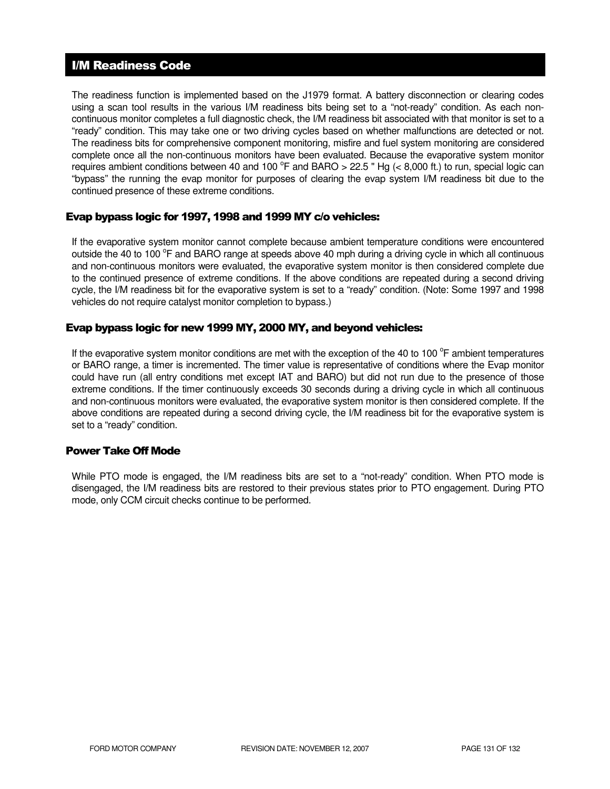## I/M Readiness Code

The readiness function is implemented based on the J1979 format. A battery disconnection or clearing codes using a scan tool results in the various I/M readiness bits being set to a "not-ready" condition. As each noncontinuous monitor completes a full diagnostic check, the I/M readiness bit associated with that monitor is set to a "ready" condition. This may take one or two driving cycles based on whether malfunctions are detected or not. The readiness bits for comprehensive component monitoring, misfire and fuel system monitoring are considered complete once all the non-continuous monitors have been evaluated. Because the evaporative system monitor requires ambient conditions between 40 and 100  $^{\circ}$ F and BARO > 22.5 " Hg (< 8,000 ft.) to run, special logic can "bypass" the running the evap monitor for purposes of clearing the evap system I/M readiness bit due to the continued presence of these extreme conditions.

## Evap bypass logic for 1997, 1998 and 1999 MY c/o vehicles:

If the evaporative system monitor cannot complete because ambient temperature conditions were encountered outside the 40 to 100 °F and BARO range at speeds above 40 mph during a driving cycle in which all continuous and non-continuous monitors were evaluated, the evaporative system monitor is then considered complete due to the continued presence of extreme conditions. If the above conditions are repeated during a second driving cycle, the I/M readiness bit for the evaporative system is set to a "ready" condition. (Note: Some 1997 and 1998 vehicles do not require catalyst monitor completion to bypass.)

## Evap bypass logic for new 1999 MY, 2000 MY, and beyond vehicles:

If the evaporative system monitor conditions are met with the exception of the 40 to 100 $^{\circ}$ F ambient temperatures or BARO range, a timer is incremented. The timer value is representative of conditions where the Evap monitor could have run (all entry conditions met except IAT and BARO) but did not run due to the presence of those extreme conditions. If the timer continuously exceeds 30 seconds during a driving cycle in which all continuous and non-continuous monitors were evaluated, the evaporative system monitor is then considered complete. If the above conditions are repeated during a second driving cycle, the I/M readiness bit for the evaporative system is set to a "ready" condition.

## Power Take Off Mode

While PTO mode is engaged, the I/M readiness bits are set to a "not-ready" condition. When PTO mode is disengaged, the I/M readiness bits are restored to their previous states prior to PTO engagement. During PTO mode, only CCM circuit checks continue to be performed.